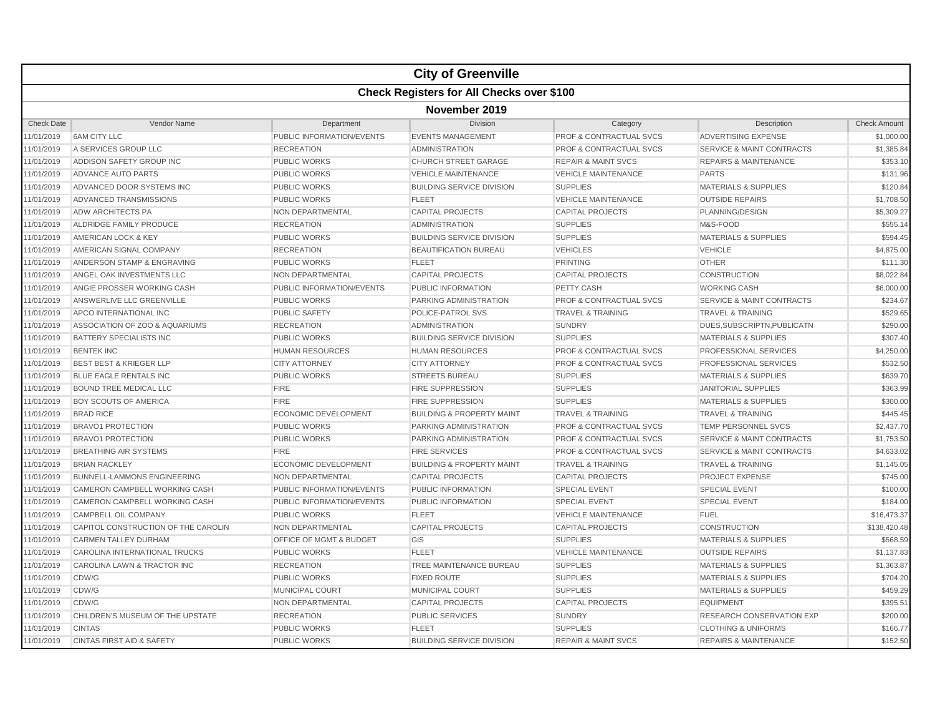|                   |                                                  |                             | <b>City of Greenville</b>            |                                    |                                      |                     |  |  |  |
|-------------------|--------------------------------------------------|-----------------------------|--------------------------------------|------------------------------------|--------------------------------------|---------------------|--|--|--|
|                   | <b>Check Registers for All Checks over \$100</b> |                             |                                      |                                    |                                      |                     |  |  |  |
|                   | November 2019                                    |                             |                                      |                                    |                                      |                     |  |  |  |
| <b>Check Date</b> | Vendor Name                                      | Department                  | Division                             | Category                           | Description                          | <b>Check Amount</b> |  |  |  |
| 11/01/2019        | <b>6AM CITY LLC</b>                              | PUBLIC INFORMATION/EVENTS   | <b>EVENTS MANAGEMENT</b>             | <b>PROF &amp; CONTRACTUAL SVCS</b> | <b>ADVERTISING EXPENSE</b>           | \$1,000.00          |  |  |  |
| 11/01/2019        | A SERVICES GROUP LLC                             | <b>RECREATION</b>           | <b>ADMINISTRATION</b>                | <b>PROF &amp; CONTRACTUAL SVCS</b> | <b>SERVICE &amp; MAINT CONTRACTS</b> | \$1,385.84          |  |  |  |
| 11/01/2019        | ADDISON SAFETY GROUP INC                         | <b>PUBLIC WORKS</b>         | <b>CHURCH STREET GARAGE</b>          | <b>REPAIR &amp; MAINT SVCS</b>     | <b>REPAIRS &amp; MAINTENANCE</b>     | \$353.10            |  |  |  |
| 11/01/2019        | ADVANCE AUTO PARTS                               | PUBLIC WORKS                | <b>VEHICLE MAINTENANCE</b>           | <b>VEHICLE MAINTENANCE</b>         | <b>PARTS</b>                         | \$131.96            |  |  |  |
| 11/01/2019        | ADVANCED DOOR SYSTEMS INC                        | <b>PUBLIC WORKS</b>         | <b>BUILDING SERVICE DIVISION</b>     | <b>SUPPLIES</b>                    | <b>MATERIALS &amp; SUPPLIES</b>      | \$120.84            |  |  |  |
| 11/01/2019        | ADVANCED TRANSMISSIONS                           | <b>PUBLIC WORKS</b>         | <b>FLEET</b>                         | <b>VEHICLE MAINTENANCE</b>         | <b>OUTSIDE REPAIRS</b>               | \$1,708.50          |  |  |  |
| 11/01/2019        | <b>ADW ARCHITECTS PA</b>                         | NON DEPARTMENTAL            | <b>CAPITAL PROJECTS</b>              | <b>CAPITAL PROJECTS</b>            | PLANNING/DESIGN                      | \$5,309.27          |  |  |  |
| 11/01/2019        | ALDRIDGE FAMILY PRODUCE                          | <b>RECREATION</b>           | <b>ADMINISTRATION</b>                | <b>SUPPLIES</b>                    | M&S-FOOD                             | \$555.14            |  |  |  |
| 11/01/2019        | AMERICAN LOCK & KEY                              | <b>PUBLIC WORKS</b>         | <b>BUILDING SERVICE DIVISION</b>     | <b>SUPPLIES</b>                    | <b>MATERIALS &amp; SUPPLIES</b>      | \$594.45            |  |  |  |
| 11/01/2019        | AMERICAN SIGNAL COMPANY                          | <b>RECREATION</b>           | <b>BEAUTIFICATION BUREAU</b>         | <b>VEHICLES</b>                    | <b>VEHICLE</b>                       | \$4,875.00          |  |  |  |
| 11/01/2019        | ANDERSON STAMP & ENGRAVING                       | <b>PUBLIC WORKS</b>         | <b>FLEET</b>                         | <b>PRINTING</b>                    | <b>OTHER</b>                         | \$111.30            |  |  |  |
| 11/01/2019        | ANGEL OAK INVESTMENTS LLC                        | NON DEPARTMENTAL            | <b>CAPITAL PROJECTS</b>              | <b>CAPITAL PROJECTS</b>            | <b>CONSTRUCTION</b>                  | \$8,022.84          |  |  |  |
| 11/01/2019        | ANGIE PROSSER WORKING CASH                       | PUBLIC INFORMATION/EVENTS   | PUBLIC INFORMATION                   | PETTY CASH                         | <b>WORKING CASH</b>                  | \$6,000.00          |  |  |  |
| 11/01/2019        | ANSWERLIVE LLC GREENVILLE                        | <b>PUBLIC WORKS</b>         | PARKING ADMINISTRATION               | <b>PROF &amp; CONTRACTUAL SVCS</b> | <b>SERVICE &amp; MAINT CONTRACTS</b> | \$234.67            |  |  |  |
| 11/01/2019        | <b>APCO INTERNATIONAL INC</b>                    | <b>PUBLIC SAFETY</b>        | <b>POLICE-PATROL SVS</b>             | <b>TRAVEL &amp; TRAINING</b>       | <b>TRAVEL &amp; TRAINING</b>         | \$529.65            |  |  |  |
| 11/01/2019        | ASSOCIATION OF ZOO & AQUARIUMS                   | <b>RECREATION</b>           | <b>ADMINISTRATION</b>                | <b>SUNDRY</b>                      | DUES, SUBSCRIPTN, PUBLICATN          | \$290.00            |  |  |  |
| 11/01/2019        | <b>BATTERY SPECIALISTS INC</b>                   | <b>PUBLIC WORKS</b>         | <b>BUILDING SERVICE DIVISION</b>     | <b>SUPPLIES</b>                    | <b>MATERIALS &amp; SUPPLIES</b>      | \$307.40            |  |  |  |
| 11/01/2019        | <b>BENTEK INC</b>                                | <b>HUMAN RESOURCES</b>      | <b>HUMAN RESOURCES</b>               | PROF & CONTRACTUAL SVCS            | PROFESSIONAL SERVICES                | \$4,250.00          |  |  |  |
| 11/01/2019        | <b>BEST BEST &amp; KRIEGER LLP</b>               | <b>CITY ATTORNEY</b>        | <b>CITY ATTORNEY</b>                 | <b>PROF &amp; CONTRACTUAL SVCS</b> | PROFESSIONAL SERVICES                | \$532.50            |  |  |  |
| 11/01/2019        | <b>BLUE EAGLE RENTALS INC</b>                    | <b>PUBLIC WORKS</b>         | <b>STREETS BUREAU</b>                | <b>SUPPLIES</b>                    | <b>MATERIALS &amp; SUPPLIES</b>      | \$639.70            |  |  |  |
| 11/01/2019        | <b>BOUND TREE MEDICAL LLC</b>                    | <b>FIRE</b>                 | <b>FIRE SUPPRESSION</b>              | <b>SUPPLIES</b>                    | <b>JANITORIAL SUPPLIES</b>           | \$363.99            |  |  |  |
| 11/01/2019        | BOY SCOUTS OF AMERICA                            | <b>FIRE</b>                 | <b>FIRE SUPPRESSION</b>              | <b>SUPPLIES</b>                    | <b>MATERIALS &amp; SUPPLIES</b>      | \$300.00            |  |  |  |
| 11/01/2019        | <b>BRAD RICE</b>                                 | <b>ECONOMIC DEVELOPMENT</b> | <b>BUILDING &amp; PROPERTY MAINT</b> | <b>TRAVEL &amp; TRAINING</b>       | <b>TRAVEL &amp; TRAINING</b>         | \$445.45            |  |  |  |
| 11/01/2019        | <b>BRAVO1 PROTECTION</b>                         | <b>PUBLIC WORKS</b>         | PARKING ADMINISTRATION               | <b>PROF &amp; CONTRACTUAL SVCS</b> | <b>TEMP PERSONNEL SVCS</b>           | \$2,437.70          |  |  |  |
| 11/01/2019        | <b>BRAVO1 PROTECTION</b>                         | <b>PUBLIC WORKS</b>         | <b>PARKING ADMINISTRATION</b>        | <b>PROF &amp; CONTRACTUAL SVCS</b> | <b>SERVICE &amp; MAINT CONTRACTS</b> | \$1,753.50          |  |  |  |
| 11/01/2019        | <b>BREATHING AIR SYSTEMS</b>                     | <b>FIRE</b>                 | <b>FIRE SERVICES</b>                 | <b>PROF &amp; CONTRACTUAL SVCS</b> | <b>SERVICE &amp; MAINT CONTRACTS</b> | \$4,633.02          |  |  |  |
| 11/01/2019        | <b>BRIAN RACKLEY</b>                             | <b>ECONOMIC DEVELOPMENT</b> | <b>BUILDING &amp; PROPERTY MAINT</b> | <b>TRAVEL &amp; TRAINING</b>       | <b>TRAVEL &amp; TRAINING</b>         | \$1,145.05          |  |  |  |
| 11/01/2019        | <b>BUNNELL-LAMMONS ENGINEERING</b>               | NON DEPARTMENTAL            | <b>CAPITAL PROJECTS</b>              | <b>CAPITAL PROJECTS</b>            | <b>PROJECT EXPENSE</b>               | \$745.00            |  |  |  |
| 11/01/2019        | CAMERON CAMPBELL WORKING CASH                    | PUBLIC INFORMATION/EVENTS   | PUBLIC INFORMATION                   | <b>SPECIAL EVENT</b>               | <b>SPECIAL EVENT</b>                 | \$100.00            |  |  |  |
| 11/01/2019        | <b>CAMERON CAMPBELL WORKING CASH</b>             | PUBLIC INFORMATION/EVENTS   | PUBLIC INFORMATION                   | <b>SPECIAL EVENT</b>               | <b>SPECIAL EVENT</b>                 | \$184.00            |  |  |  |
| 11/01/2019        | CAMPBELL OIL COMPANY                             | <b>PUBLIC WORKS</b>         | <b>FLEET</b>                         | <b>VEHICLE MAINTENANCE</b>         | <b>FUEL</b>                          | \$16,473.37         |  |  |  |
| 11/01/2019        | CAPITOL CONSTRUCTION OF THE CAROLIN              | <b>NON DEPARTMENTAL</b>     | <b>CAPITAL PROJECTS</b>              | <b>CAPITAL PROJECTS</b>            | <b>CONSTRUCTION</b>                  | \$138,420.48        |  |  |  |
| 11/01/2019        | <b>CARMEN TALLEY DURHAM</b>                      | OFFICE OF MGMT & BUDGET     | GIS                                  | <b>SUPPLIES</b>                    | <b>MATERIALS &amp; SUPPLIES</b>      | \$568.59            |  |  |  |
| 11/01/2019        | CAROLINA INTERNATIONAL TRUCKS                    | <b>PUBLIC WORKS</b>         | <b>FLEET</b>                         | <b>VEHICLE MAINTENANCE</b>         | <b>OUTSIDE REPAIRS</b>               | \$1,137.83          |  |  |  |
|                   | CAROLINA LAWN & TRACTOR INC                      | <b>RECREATION</b>           | TREE MAINTENANCE BUREAU              |                                    | <b>MATERIALS &amp; SUPPLIES</b>      |                     |  |  |  |
| 11/01/2019        | CDW/G                                            |                             |                                      | <b>SUPPLIES</b><br><b>SUPPLIES</b> |                                      | \$1,363.87          |  |  |  |
| 11/01/2019        |                                                  | <b>PUBLIC WORKS</b>         | <b>FIXED ROUTE</b>                   |                                    | <b>MATERIALS &amp; SUPPLIES</b>      | \$704.20            |  |  |  |
| 11/01/2019        | CDW/G<br>CDW/G                                   | MUNICIPAL COURT             | MUNICIPAL COURT                      | <b>SUPPLIES</b>                    | <b>MATERIALS &amp; SUPPLIES</b>      | \$459.29            |  |  |  |
| 11/01/2019        |                                                  | NON DEPARTMENTAL            | <b>CAPITAL PROJECTS</b>              | <b>CAPITAL PROJECTS</b>            | <b>EQUIPMENT</b>                     | \$395.51            |  |  |  |
| 11/01/2019        | CHILDREN'S MUSEUM OF THE UPSTATE                 | <b>RECREATION</b>           | <b>PUBLIC SERVICES</b>               | <b>SUNDRY</b>                      | RESEARCH CONSERVATION EXP            | \$200.00            |  |  |  |
| 11/01/2019        | <b>CINTAS</b>                                    | PUBLIC WORKS                | <b>FLEET</b>                         | <b>SUPPLIES</b>                    | <b>CLOTHING &amp; UNIFORMS</b>       | \$166.77            |  |  |  |
| 11/01/2019        | <b>CINTAS FIRST AID &amp; SAFETY</b>             | <b>PUBLIC WORKS</b>         | <b>BUILDING SERVICE DIVISION</b>     | <b>REPAIR &amp; MAINT SVCS</b>     | <b>REPAIRS &amp; MAINTENANCE</b>     | \$152.50            |  |  |  |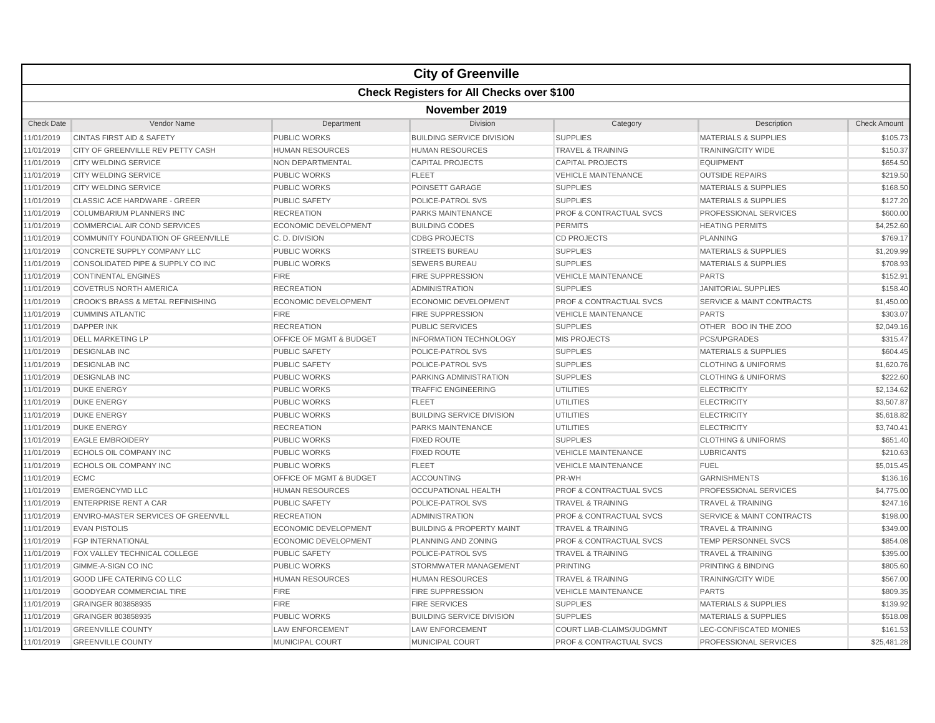|                   |                                              |                                    | <b>City of Greenville</b>                        |                                    |                                      |                     |  |  |  |
|-------------------|----------------------------------------------|------------------------------------|--------------------------------------------------|------------------------------------|--------------------------------------|---------------------|--|--|--|
|                   |                                              |                                    | <b>Check Registers for All Checks over \$100</b> |                                    |                                      |                     |  |  |  |
|                   | November 2019                                |                                    |                                                  |                                    |                                      |                     |  |  |  |
| <b>Check Date</b> | Vendor Name                                  | Department                         | Division                                         | Category                           | Description                          | <b>Check Amount</b> |  |  |  |
| 11/01/2019        | <b>CINTAS FIRST AID &amp; SAFETY</b>         | <b>PUBLIC WORKS</b>                | <b>BUILDING SERVICE DIVISION</b>                 | <b>SUPPLIES</b>                    | <b>MATERIALS &amp; SUPPLIES</b>      | \$105.73            |  |  |  |
| 11/01/2019        | CITY OF GREENVILLE REV PETTY CASH            | <b>HUMAN RESOURCES</b>             | <b>HUMAN RESOURCES</b>                           | <b>TRAVEL &amp; TRAINING</b>       | <b>TRAINING/CITY WIDE</b>            | \$150.37            |  |  |  |
| 11/01/2019        | <b>CITY WELDING SERVICE</b>                  | <b>NON DEPARTMENTAL</b>            | <b>CAPITAL PROJECTS</b>                          | <b>CAPITAL PROJECTS</b>            | <b>EQUIPMENT</b>                     | \$654.50            |  |  |  |
| 11/01/2019        | <b>CITY WELDING SERVICE</b>                  | <b>PUBLIC WORKS</b>                | <b>FLEET</b>                                     | <b>VEHICLE MAINTENANCE</b>         | <b>OUTSIDE REPAIRS</b>               | \$219.50            |  |  |  |
| 11/01/2019        | <b>CITY WELDING SERVICE</b>                  | <b>PUBLIC WORKS</b>                | POINSETT GARAGE                                  | <b>SUPPLIES</b>                    | <b>MATERIALS &amp; SUPPLIES</b>      | \$168.50            |  |  |  |
| 11/01/2019        | CLASSIC ACE HARDWARE - GREER                 | <b>PUBLIC SAFETY</b>               | POLICE-PATROL SVS                                | <b>SUPPLIES</b>                    | <b>MATERIALS &amp; SUPPLIES</b>      | \$127.20            |  |  |  |
| 11/01/2019        | <b>COLUMBARIUM PLANNERS INC</b>              | <b>RECREATION</b>                  | <b>PARKS MAINTENANCE</b>                         | <b>PROF &amp; CONTRACTUAL SVCS</b> | <b>PROFESSIONAL SERVICES</b>         | \$600.00            |  |  |  |
| 11/01/2019        | COMMERCIAL AIR COND SERVICES                 | <b>ECONOMIC DEVELOPMENT</b>        | <b>BUILDING CODES</b>                            | <b>PERMITS</b>                     | <b>HEATING PERMITS</b>               | \$4,252.60          |  |  |  |
| 11/01/2019        | COMMUNITY FOUNDATION OF GREENVILLE           | C. D. DIVISION                     | <b>CDBG PROJECTS</b>                             | <b>CD PROJECTS</b>                 | <b>PLANNING</b>                      | \$769.17            |  |  |  |
| 11/01/2019        | CONCRETE SUPPLY COMPANY LLC                  | <b>PUBLIC WORKS</b>                | <b>STREETS BUREAU</b>                            | <b>SUPPLIES</b>                    | <b>MATERIALS &amp; SUPPLIES</b>      | \$1,209.99          |  |  |  |
| 11/01/2019        | CONSOLIDATED PIPE & SUPPLY CO INC            | <b>PUBLIC WORKS</b>                | <b>SEWERS BUREAU</b>                             | <b>SUPPLIES</b>                    | <b>MATERIALS &amp; SUPPLIES</b>      | \$708.93            |  |  |  |
| 11/01/2019        | <b>CONTINENTAL ENGINES</b>                   | <b>FIRE</b>                        | <b>FIRE SUPPRESSION</b>                          | <b>VEHICLE MAINTENANCE</b>         | <b>PARTS</b>                         | \$152.91            |  |  |  |
| 11/01/2019        | <b>COVETRUS NORTH AMERICA</b>                | <b>RECREATION</b>                  | <b>ADMINISTRATION</b>                            | <b>SUPPLIES</b>                    | <b>JANITORIAL SUPPLIES</b>           | \$158.40            |  |  |  |
| 11/01/2019        | <b>CROOK'S BRASS &amp; METAL REFINISHING</b> | <b>ECONOMIC DEVELOPMENT</b>        | <b>ECONOMIC DEVELOPMENT</b>                      | <b>PROF &amp; CONTRACTUAL SVCS</b> | <b>SERVICE &amp; MAINT CONTRACTS</b> | \$1,450.00          |  |  |  |
| 11/01/2019        | <b>CUMMINS ATLANTIC</b>                      | <b>FIRE</b>                        | <b>FIRE SUPPRESSION</b>                          | <b>VEHICLE MAINTENANCE</b>         | <b>PARTS</b>                         | \$303.07            |  |  |  |
| 11/01/2019        | <b>DAPPER INK</b>                            | <b>RECREATION</b>                  | <b>PUBLIC SERVICES</b>                           | <b>SUPPLIES</b>                    | OTHER BOO IN THE ZOO                 | \$2,049.16          |  |  |  |
| 11/01/2019        | <b>DELL MARKETING LP</b>                     | OFFICE OF MGMT & BUDGET            | <b>INFORMATION TECHNOLOGY</b>                    | <b>MIS PROJECTS</b>                | <b>PCS/UPGRADES</b>                  | \$315.47            |  |  |  |
| 11/01/2019        | <b>DESIGNLAB INC</b>                         | <b>PUBLIC SAFETY</b>               | POLICE-PATROL SVS                                | <b>SUPPLIES</b>                    | <b>MATERIALS &amp; SUPPLIES</b>      | \$604.45            |  |  |  |
| 11/01/2019        | <b>DESIGNLAB INC</b>                         | <b>PUBLIC SAFETY</b>               | <b>POLICE-PATROL SVS</b>                         | <b>SUPPLIES</b>                    | <b>CLOTHING &amp; UNIFORMS</b>       | \$1,620.76          |  |  |  |
| 11/01/2019        | <b>DESIGNLAB INC</b>                         | <b>PUBLIC WORKS</b>                | PARKING ADMINISTRATION                           | <b>SUPPLIES</b>                    | <b>CLOTHING &amp; UNIFORMS</b>       | \$222.60            |  |  |  |
| 11/01/2019        | <b>DUKE ENERGY</b>                           | <b>PUBLIC WORKS</b>                | <b>TRAFFIC ENGINEERING</b>                       | <b>UTILITIES</b>                   | <b>ELECTRICITY</b>                   | \$2,134.62          |  |  |  |
| 11/01/2019        | <b>DUKE ENERGY</b>                           | <b>PUBLIC WORKS</b>                | <b>FLEET</b>                                     | <b>UTILITIES</b>                   | <b>ELECTRICITY</b>                   | \$3,507.87          |  |  |  |
| 11/01/2019        | <b>DUKE ENERGY</b>                           | <b>PUBLIC WORKS</b>                | <b>BUILDING SERVICE DIVISION</b>                 | <b>UTILITIES</b>                   | <b>ELECTRICITY</b>                   | \$5,618.82          |  |  |  |
| 11/01/2019        | <b>DUKE ENERGY</b>                           | <b>RECREATION</b>                  | <b>PARKS MAINTENANCE</b>                         | <b>UTILITIES</b>                   | <b>ELECTRICITY</b>                   | \$3,740.41          |  |  |  |
| 11/01/2019        | <b>EAGLE EMBROIDERY</b>                      | <b>PUBLIC WORKS</b>                | <b>FIXED ROUTE</b>                               | <b>SUPPLIES</b>                    | <b>CLOTHING &amp; UNIFORMS</b>       | \$651.40            |  |  |  |
| 11/01/2019        | ECHOLS OIL COMPANY INC                       | <b>PUBLIC WORKS</b>                | <b>FIXED ROUTE</b>                               | <b>VEHICLE MAINTENANCE</b>         | <b>LUBRICANTS</b>                    | \$210.63            |  |  |  |
| 11/01/2019        | ECHOLS OIL COMPANY INC                       | <b>PUBLIC WORKS</b>                | <b>FLEET</b>                                     | <b>VEHICLE MAINTENANCE</b>         | <b>FUEL</b>                          | \$5,015.45          |  |  |  |
| 11/01/2019        | <b>ECMC</b>                                  | <b>OFFICE OF MGMT &amp; BUDGET</b> | <b>ACCOUNTING</b>                                | PR-WH                              | <b>GARNISHMENTS</b>                  | \$136.16            |  |  |  |
| 11/01/2019        | <b>EMERGENCYMD LLC</b>                       | <b>HUMAN RESOURCES</b>             | <b>OCCUPATIONAL HEALTH</b>                       | <b>PROF &amp; CONTRACTUAL SVCS</b> | PROFESSIONAL SERVICES                | \$4,775.00          |  |  |  |
| 11/01/2019        | <b>ENTERPRISE RENT A CAR</b>                 | <b>PUBLIC SAFETY</b>               | POLICE-PATROL SVS                                | <b>TRAVEL &amp; TRAINING</b>       | <b>TRAVEL &amp; TRAINING</b>         | \$247.16            |  |  |  |
| 11/01/2019        | <b>ENVIRO-MASTER SERVICES OF GREENVILL</b>   | <b>RECREATION</b>                  | ADMINISTRATION                                   | <b>PROF &amp; CONTRACTUAL SVCS</b> | <b>SERVICE &amp; MAINT CONTRACTS</b> | \$198.00            |  |  |  |
| 11/01/2019        | <b>EVAN PISTOLIS</b>                         | <b>ECONOMIC DEVELOPMENT</b>        | <b>BUILDING &amp; PROPERTY MAINT</b>             | <b>TRAVEL &amp; TRAINING</b>       | <b>TRAVEL &amp; TRAINING</b>         | \$349.00            |  |  |  |
| 11/01/2019        | <b>FGP INTERNATIONAL</b>                     | <b>ECONOMIC DEVELOPMENT</b>        | PLANNING AND ZONING                              | <b>PROF &amp; CONTRACTUAL SVCS</b> | <b>TEMP PERSONNEL SVCS</b>           | \$854.08            |  |  |  |
| 11/01/2019        | FOX VALLEY TECHNICAL COLLEGE                 | <b>PUBLIC SAFETY</b>               | POLICE-PATROL SVS                                | <b>TRAVEL &amp; TRAINING</b>       | <b>TRAVEL &amp; TRAINING</b>         | \$395.00            |  |  |  |
| 11/01/2019        | <b>GIMME-A-SIGN CO INC</b>                   | <b>PUBLIC WORKS</b>                | STORMWATER MANAGEMENT                            | <b>PRINTING</b>                    | PRINTING & BINDING                   | \$805.60            |  |  |  |
| 11/01/2019        | <b>GOOD LIFE CATERING CO LLC</b>             | <b>HUMAN RESOURCES</b>             | <b>HUMAN RESOURCES</b>                           | <b>TRAVEL &amp; TRAINING</b>       | <b>TRAINING/CITY WIDE</b>            | \$567.00            |  |  |  |
| 11/01/2019        | <b>GOODYEAR COMMERCIAL TIRE</b>              | <b>FIRE</b>                        | <b>FIRE SUPPRESSION</b>                          | <b>VEHICLE MAINTENANCE</b>         | <b>PARTS</b>                         | \$809.35            |  |  |  |
| 11/01/2019        | GRAINGER 803858935                           | <b>FIRE</b>                        | <b>FIRE SERVICES</b>                             | <b>SUPPLIES</b>                    | <b>MATERIALS &amp; SUPPLIES</b>      | \$139.92            |  |  |  |
| 11/01/2019        | GRAINGER 803858935                           | <b>PUBLIC WORKS</b>                | <b>BUILDING SERVICE DIVISION</b>                 | <b>SUPPLIES</b>                    | <b>MATERIALS &amp; SUPPLIES</b>      | \$518.08            |  |  |  |
| 11/01/2019        | <b>GREENVILLE COUNTY</b>                     | <b>LAW ENFORCEMENT</b>             | <b>LAW ENFORCEMENT</b>                           | COURT LIAB-CLAIMS/JUDGMNT          | LEC-CONFISCATED MONIES               | \$161.53            |  |  |  |
| 11/01/2019        | <b>GREENVILLE COUNTY</b>                     | <b>MUNICIPAL COURT</b>             | <b>MUNICIPAL COURT</b>                           | <b>PROF &amp; CONTRACTUAL SVCS</b> | PROFESSIONAL SERVICES                | \$25,481.28         |  |  |  |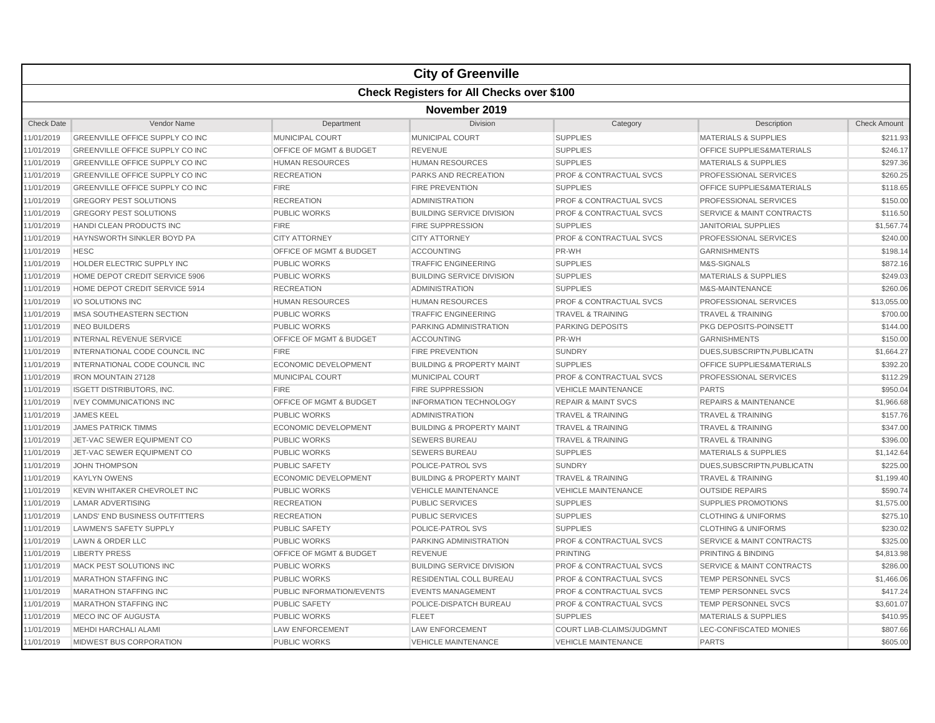|                   |                                        |                                    | <b>City of Greenville</b>                        |                                    |                                      |                     |  |  |  |
|-------------------|----------------------------------------|------------------------------------|--------------------------------------------------|------------------------------------|--------------------------------------|---------------------|--|--|--|
|                   |                                        |                                    | <b>Check Registers for All Checks over \$100</b> |                                    |                                      |                     |  |  |  |
|                   | November 2019                          |                                    |                                                  |                                    |                                      |                     |  |  |  |
| <b>Check Date</b> | Vendor Name                            | Department                         | Division                                         | Category                           | Description                          | <b>Check Amount</b> |  |  |  |
| 11/01/2019        | GREENVILLE OFFICE SUPPLY CO INC        | MUNICIPAL COURT                    | <b>MUNICIPAL COURT</b>                           | <b>SUPPLIES</b>                    | <b>MATERIALS &amp; SUPPLIES</b>      | \$211.93            |  |  |  |
| 11/01/2019        | GREENVILLE OFFICE SUPPLY CO INC        | OFFICE OF MGMT & BUDGET            | <b>REVENUE</b>                                   | <b>SUPPLIES</b>                    | OFFICE SUPPLIES&MATERIALS            | \$246.17            |  |  |  |
| 11/01/2019        | <b>GREENVILLE OFFICE SUPPLY CO INC</b> | <b>HUMAN RESOURCES</b>             | <b>HUMAN RESOURCES</b>                           | <b>SUPPLIES</b>                    | <b>MATERIALS &amp; SUPPLIES</b>      | \$297.36            |  |  |  |
| 11/01/2019        | <b>GREENVILLE OFFICE SUPPLY CO INC</b> | <b>RECREATION</b>                  | <b>PARKS AND RECREATION</b>                      | <b>PROF &amp; CONTRACTUAL SVCS</b> | PROFESSIONAL SERVICES                | \$260.25            |  |  |  |
| 11/01/2019        | <b>GREENVILLE OFFICE SUPPLY CO INC</b> | <b>FIRE</b>                        | <b>FIRE PREVENTION</b>                           | <b>SUPPLIES</b>                    | <b>OFFICE SUPPLIES&amp;MATERIALS</b> | \$118.65            |  |  |  |
| 11/01/2019        | <b>GREGORY PEST SOLUTIONS</b>          | <b>RECREATION</b>                  | <b>ADMINISTRATION</b>                            | PROF & CONTRACTUAL SVCS            | PROFESSIONAL SERVICES                | \$150.00            |  |  |  |
| 11/01/2019        | <b>GREGORY PEST SOLUTIONS</b>          | <b>PUBLIC WORKS</b>                | <b>BUILDING SERVICE DIVISION</b>                 | <b>PROF &amp; CONTRACTUAL SVCS</b> | <b>SERVICE &amp; MAINT CONTRACTS</b> | \$116.50            |  |  |  |
| 11/01/2019        | HANDI CLEAN PRODUCTS INC               | <b>FIRE</b>                        | <b>FIRE SUPPRESSION</b>                          | <b>SUPPLIES</b>                    | <b>JANITORIAL SUPPLIES</b>           | \$1,567.74          |  |  |  |
| 11/01/2019        | HAYNSWORTH SINKLER BOYD PA             | <b>CITY ATTORNEY</b>               | <b>CITY ATTORNEY</b>                             | <b>PROF &amp; CONTRACTUAL SVCS</b> | PROFESSIONAL SERVICES                | \$240.00            |  |  |  |
| 11/01/2019        | <b>HESC</b>                            | OFFICE OF MGMT & BUDGET            | <b>ACCOUNTING</b>                                | PR-WH                              | <b>GARNISHMENTS</b>                  | \$198.14            |  |  |  |
| 11/01/2019        | HOLDER ELECTRIC SUPPLY INC             | <b>PUBLIC WORKS</b>                | <b>TRAFFIC ENGINEERING</b>                       | <b>SUPPLIES</b>                    | M&S-SIGNALS                          | \$872.16            |  |  |  |
| 11/01/2019        | HOME DEPOT CREDIT SERVICE 5906         | <b>PUBLIC WORKS</b>                | <b>BUILDING SERVICE DIVISION</b>                 | <b>SUPPLIES</b>                    | <b>MATERIALS &amp; SUPPLIES</b>      | \$249.03            |  |  |  |
| 11/01/2019        | HOME DEPOT CREDIT SERVICE 5914         | <b>RECREATION</b>                  | <b>ADMINISTRATION</b>                            | <b>SUPPLIES</b>                    | M&S-MAINTENANCE                      | \$260.06            |  |  |  |
| 11/01/2019        | I/O SOLUTIONS INC                      | <b>HUMAN RESOURCES</b>             | <b>HUMAN RESOURCES</b>                           | <b>PROF &amp; CONTRACTUAL SVCS</b> | PROFESSIONAL SERVICES                | \$13,055.00         |  |  |  |
| 11/01/2019        | IMSA SOUTHEASTERN SECTION              | <b>PUBLIC WORKS</b>                | <b>TRAFFIC ENGINEERING</b>                       | <b>TRAVEL &amp; TRAINING</b>       | <b>TRAVEL &amp; TRAINING</b>         | \$700.00            |  |  |  |
| 11/01/2019        | <b>INEO BUILDERS</b>                   | <b>PUBLIC WORKS</b>                | <b>PARKING ADMINISTRATION</b>                    | <b>PARKING DEPOSITS</b>            | PKG DEPOSITS-POINSETT                | \$144.00            |  |  |  |
| 11/01/2019        | <b>INTERNAL REVENUE SERVICE</b>        | <b>OFFICE OF MGMT &amp; BUDGET</b> | <b>ACCOUNTING</b>                                | PR-WH                              | <b>GARNISHMENTS</b>                  | \$150.00            |  |  |  |
| 11/01/2019        | INTERNATIONAL CODE COUNCIL INC         | <b>FIRE</b>                        | <b>FIRE PREVENTION</b>                           | <b>SUNDRY</b>                      | DUES, SUBSCRIPTN, PUBLICATN          | \$1,664.27          |  |  |  |
| 11/01/2019        | INTERNATIONAL CODE COUNCIL INC         | <b>ECONOMIC DEVELOPMENT</b>        | <b>BUILDING &amp; PROPERTY MAINT</b>             | <b>SUPPLIES</b>                    | <b>OFFICE SUPPLIES&amp;MATERIALS</b> | \$392.20            |  |  |  |
| 11/01/2019        | <b>IRON MOUNTAIN 27128</b>             | <b>MUNICIPAL COURT</b>             | MUNICIPAL COURT                                  | <b>PROF &amp; CONTRACTUAL SVCS</b> | PROFESSIONAL SERVICES                | \$112.29            |  |  |  |
| 11/01/2019        | <b>ISGETT DISTRIBUTORS, INC.</b>       | <b>FIRE</b>                        | <b>FIRE SUPPRESSION</b>                          | <b>VEHICLE MAINTENANCE</b>         | <b>PARTS</b>                         | \$950.04            |  |  |  |
| 11/01/2019        | <b>IVEY COMMUNICATIONS INC</b>         | <b>OFFICE OF MGMT &amp; BUDGET</b> | <b>INFORMATION TECHNOLOGY</b>                    | <b>REPAIR &amp; MAINT SVCS</b>     | <b>REPAIRS &amp; MAINTENANCE</b>     | \$1,966.68          |  |  |  |
| 11/01/2019        | <b>JAMES KEEL</b>                      | <b>PUBLIC WORKS</b>                | <b>ADMINISTRATION</b>                            | <b>TRAVEL &amp; TRAINING</b>       | <b>TRAVEL &amp; TRAINING</b>         | \$157.76            |  |  |  |
| 11/01/2019        | <b>JAMES PATRICK TIMMS</b>             | <b>ECONOMIC DEVELOPMENT</b>        | <b>BUILDING &amp; PROPERTY MAINT</b>             | <b>TRAVEL &amp; TRAINING</b>       | <b>TRAVEL &amp; TRAINING</b>         | \$347.00            |  |  |  |
| 11/01/2019        | JET-VAC SEWER EQUIPMENT CO             | <b>PUBLIC WORKS</b>                | <b>SEWERS BUREAU</b>                             | <b>TRAVEL &amp; TRAINING</b>       | <b>TRAVEL &amp; TRAINING</b>         | \$396.00            |  |  |  |
| 11/01/2019        | JET-VAC SEWER EQUIPMENT CO             | <b>PUBLIC WORKS</b>                | <b>SEWERS BUREAU</b>                             | <b>SUPPLIES</b>                    | <b>MATERIALS &amp; SUPPLIES</b>      | \$1,142.64          |  |  |  |
| 11/01/2019        | <b>JOHN THOMPSON</b>                   | <b>PUBLIC SAFETY</b>               | POLICE-PATROL SVS                                | <b>SUNDRY</b>                      | DUES, SUBSCRIPTN, PUBLICATN          | \$225.00            |  |  |  |
| 11/01/2019        | <b>KAYLYN OWENS</b>                    | <b>ECONOMIC DEVELOPMENT</b>        | <b>BUILDING &amp; PROPERTY MAINT</b>             | <b>TRAVEL &amp; TRAINING</b>       | <b>TRAVEL &amp; TRAINING</b>         | \$1,199.40          |  |  |  |
| 11/01/2019        | KEVIN WHITAKER CHEVROLET INC           | <b>PUBLIC WORKS</b>                | <b>VEHICLE MAINTENANCE</b>                       | <b>VEHICLE MAINTENANCE</b>         | <b>OUTSIDE REPAIRS</b>               | \$590.74            |  |  |  |
| 11/01/2019        | <b>LAMAR ADVERTISING</b>               | <b>RECREATION</b>                  | <b>PUBLIC SERVICES</b>                           | <b>SUPPLIES</b>                    | <b>SUPPLIES PROMOTIONS</b>           | \$1,575.00          |  |  |  |
| 11/01/2019        | LANDS' END BUSINESS OUTFITTERS         | <b>RECREATION</b>                  | <b>PUBLIC SERVICES</b>                           | <b>SUPPLIES</b>                    | <b>CLOTHING &amp; UNIFORMS</b>       | \$275.10            |  |  |  |
| 11/01/2019        | <b>LAWMEN'S SAFETY SUPPLY</b>          | <b>PUBLIC SAFETY</b>               | POLICE-PATROL SVS                                | <b>SUPPLIES</b>                    | <b>CLOTHING &amp; UNIFORMS</b>       | \$230.02            |  |  |  |
| 11/01/2019        | LAWN & ORDER LLC                       | <b>PUBLIC WORKS</b>                | PARKING ADMINISTRATION                           | <b>PROF &amp; CONTRACTUAL SVCS</b> | <b>SERVICE &amp; MAINT CONTRACTS</b> | \$325.00            |  |  |  |
| 11/01/2019        | <b>LIBERTY PRESS</b>                   | OFFICE OF MGMT & BUDGET            | <b>REVENUE</b>                                   | <b>PRINTING</b>                    | PRINTING & BINDING                   | \$4,813.98          |  |  |  |
| 11/01/2019        | MACK PEST SOLUTIONS INC                | <b>PUBLIC WORKS</b>                | <b>BUILDING SERVICE DIVISION</b>                 | <b>PROF &amp; CONTRACTUAL SVCS</b> | <b>SERVICE &amp; MAINT CONTRACTS</b> | \$286.00            |  |  |  |
| 11/01/2019        | <b>MARATHON STAFFING INC</b>           | <b>PUBLIC WORKS</b>                | <b>RESIDENTIAL COLL BUREAU</b>                   | <b>PROF &amp; CONTRACTUAL SVCS</b> | <b>TEMP PERSONNEL SVCS</b>           | \$1,466.06          |  |  |  |
| 11/01/2019        | <b>MARATHON STAFFING INC</b>           | PUBLIC INFORMATION/EVENTS          | <b>EVENTS MANAGEMENT</b>                         | <b>PROF &amp; CONTRACTUAL SVCS</b> | TEMP PERSONNEL SVCS                  | \$417.24            |  |  |  |
| 11/01/2019        | <b>MARATHON STAFFING INC</b>           | <b>PUBLIC SAFETY</b>               | POLICE-DISPATCH BUREAU                           | <b>PROF &amp; CONTRACTUAL SVCS</b> | TEMP PERSONNEL SVCS                  | \$3,601.07          |  |  |  |
| 11/01/2019        | MECO INC OF AUGUSTA                    | <b>PUBLIC WORKS</b>                | <b>FLEET</b>                                     | <b>SUPPLIES</b>                    | <b>MATERIALS &amp; SUPPLIES</b>      | \$410.95            |  |  |  |
| 11/01/2019        | MEHDI HARCHALI ALAMI                   | <b>LAW ENFORCEMENT</b>             | <b>LAW ENFORCEMENT</b>                           | COURT LIAB-CLAIMS/JUDGMNT          | LEC-CONFISCATED MONIES               | \$807.66            |  |  |  |
| 11/01/2019        | <b>MIDWEST BUS CORPORATION</b>         | <b>PUBLIC WORKS</b>                | <b>VEHICLE MAINTENANCE</b>                       | <b>VEHICLE MAINTENANCE</b>         | <b>PARTS</b>                         | \$605.00            |  |  |  |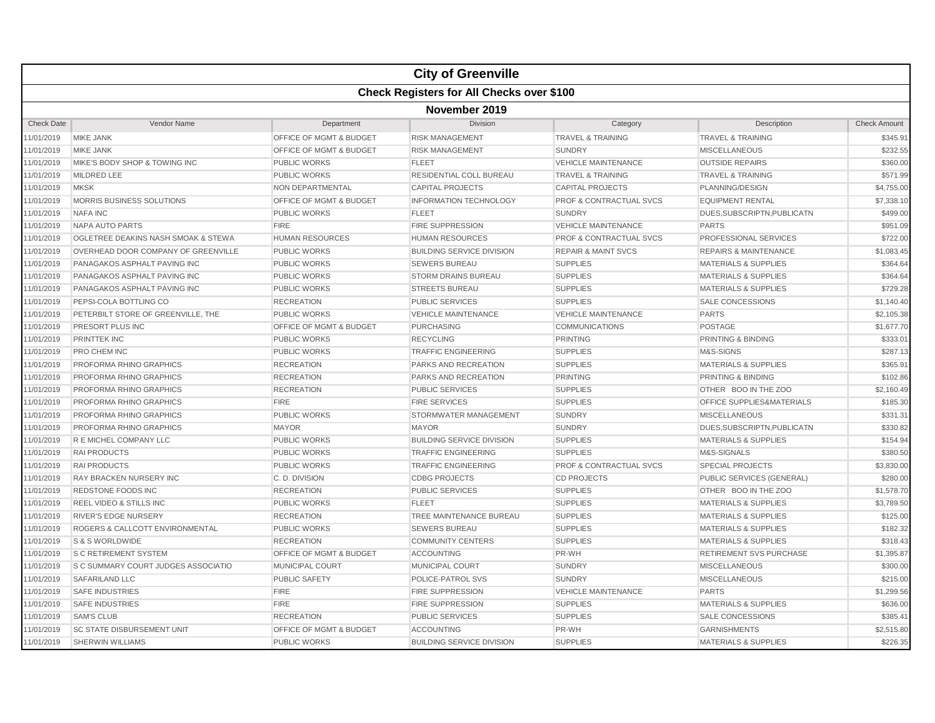|                   |                                            |                                    | <b>City of Greenville</b>                        |                                    |                                  |                     |  |  |
|-------------------|--------------------------------------------|------------------------------------|--------------------------------------------------|------------------------------------|----------------------------------|---------------------|--|--|
|                   |                                            |                                    | <b>Check Registers for All Checks over \$100</b> |                                    |                                  |                     |  |  |
|                   | November 2019                              |                                    |                                                  |                                    |                                  |                     |  |  |
| <b>Check Date</b> | Vendor Name                                | Department                         | Division                                         | Category                           | Description                      | <b>Check Amount</b> |  |  |
| 11/01/2019        | <b>MIKE JANK</b>                           | OFFICE OF MGMT & BUDGET            | <b>RISK MANAGEMENT</b>                           | <b>TRAVEL &amp; TRAINING</b>       | <b>TRAVEL &amp; TRAINING</b>     | \$345.91            |  |  |
| 11/01/2019        | <b>MIKE JANK</b>                           | OFFICE OF MGMT & BUDGET            | <b>RISK MANAGEMENT</b>                           | <b>SUNDRY</b>                      | <b>MISCELLANEOUS</b>             | \$232.55            |  |  |
| 11/01/2019        | MIKE'S BODY SHOP & TOWING INC              | PUBLIC WORKS                       | <b>FLEET</b>                                     | <b>VEHICLE MAINTENANCE</b>         | <b>OUTSIDE REPAIRS</b>           | \$360.00            |  |  |
| 11/01/2019        | <b>MILDRED LEE</b>                         | <b>PUBLIC WORKS</b>                | <b>RESIDENTIAL COLL BUREAU</b>                   | <b>TRAVEL &amp; TRAINING</b>       | <b>TRAVEL &amp; TRAINING</b>     | \$571.99            |  |  |
| 11/01/2019        | <b>MKSK</b>                                | <b>NON DEPARTMENTAL</b>            | <b>CAPITAL PROJECTS</b>                          | <b>CAPITAL PROJECTS</b>            | PLANNING/DESIGN                  | \$4,755.00          |  |  |
| 11/01/2019        | MORRIS BUSINESS SOLUTIONS                  | OFFICE OF MGMT & BUDGET            | <b>INFORMATION TECHNOLOGY</b>                    | <b>PROF &amp; CONTRACTUAL SVCS</b> | <b>EQUIPMENT RENTAL</b>          | \$7,338.10          |  |  |
| 11/01/2019        | <b>NAFA INC</b>                            | <b>PUBLIC WORKS</b>                | <b>FLEET</b>                                     | <b>SUNDRY</b>                      | DUES, SUBSCRIPTN, PUBLICATN      | \$499.00            |  |  |
| 11/01/2019        | <b>NAPA AUTO PARTS</b>                     | <b>FIRE</b>                        | <b>FIRE SUPPRESSION</b>                          | <b>VEHICLE MAINTENANCE</b>         | <b>PARTS</b>                     | \$951.09            |  |  |
| 11/01/2019        | OGLETREE DEAKINS NASH SMOAK & STEWA        | <b>HUMAN RESOURCES</b>             | <b>HUMAN RESOURCES</b>                           | PROF & CONTRACTUAL SVCS            | PROFESSIONAL SERVICES            | \$722.00            |  |  |
| 11/01/2019        | OVERHEAD DOOR COMPANY OF GREENVILLE        | <b>PUBLIC WORKS</b>                | <b>BUILDING SERVICE DIVISION</b>                 | <b>REPAIR &amp; MAINT SVCS</b>     | <b>REPAIRS &amp; MAINTENANCE</b> | \$1,083.45          |  |  |
| 11/01/2019        | PANAGAKOS ASPHALT PAVING INC               | <b>PUBLIC WORKS</b>                | <b>SEWERS BUREAU</b>                             | <b>SUPPLIES</b>                    | <b>MATERIALS &amp; SUPPLIES</b>  | \$364.64            |  |  |
| 11/01/2019        | <b>PANAGAKOS ASPHALT PAVING INC</b>        | <b>PUBLIC WORKS</b>                | <b>STORM DRAINS BUREAU</b>                       | <b>SUPPLIES</b>                    | <b>MATERIALS &amp; SUPPLIES</b>  | \$364.64            |  |  |
| 11/01/2019        | <b>PANAGAKOS ASPHALT PAVING INC</b>        | <b>PUBLIC WORKS</b>                | <b>STREETS BUREAU</b>                            | <b>SUPPLIES</b>                    | <b>MATERIALS &amp; SUPPLIES</b>  | \$729.28            |  |  |
| 11/01/2019        | PEPSI-COLA BOTTLING CO                     | <b>RECREATION</b>                  | <b>PUBLIC SERVICES</b>                           | <b>SUPPLIES</b>                    | <b>SALE CONCESSIONS</b>          | \$1,140.40          |  |  |
| 11/01/2019        | PETERBILT STORE OF GREENVILLE. THE         | <b>PUBLIC WORKS</b>                | <b>VEHICLE MAINTENANCE</b>                       | <b>VEHICLE MAINTENANCE</b>         | <b>PARTS</b>                     | \$2,105.38          |  |  |
| 11/01/2019        | PRESORT PLUS INC                           | OFFICE OF MGMT & BUDGET            | PURCHASING                                       | <b>COMMUNICATIONS</b>              | <b>POSTAGE</b>                   | \$1,677.70          |  |  |
| 11/01/2019        | PRINTTEK INC                               | <b>PUBLIC WORKS</b>                | <b>RECYCLING</b>                                 | <b>PRINTING</b>                    | PRINTING & BINDING               | \$333.01            |  |  |
| 11/01/2019        | PRO CHEM INC                               | <b>PUBLIC WORKS</b>                | <b>TRAFFIC ENGINEERING</b>                       | <b>SUPPLIES</b>                    | M&S-SIGNS                        | \$287.13            |  |  |
| 11/01/2019        | PROFORMA RHINO GRAPHICS                    | <b>RECREATION</b>                  | <b>PARKS AND RECREATION</b>                      | <b>SUPPLIES</b>                    | <b>MATERIALS &amp; SUPPLIES</b>  | \$365.91            |  |  |
| 11/01/2019        | PROFORMA RHINO GRAPHICS                    | <b>RECREATION</b>                  | PARKS AND RECREATION                             | <b>PRINTING</b>                    | <b>PRINTING &amp; BINDING</b>    | \$102.86            |  |  |
| 11/01/2019        | PROFORMA RHINO GRAPHICS                    | <b>RECREATION</b>                  | <b>PUBLIC SERVICES</b>                           | <b>SUPPLIES</b>                    | OTHER BOO IN THE ZOO             | \$2,160.49          |  |  |
| 11/01/2019        | PROFORMA RHINO GRAPHICS                    | <b>FIRE</b>                        | <b>FIRE SERVICES</b>                             | <b>SUPPLIES</b>                    | OFFICE SUPPLIES&MATERIALS        | \$185.30            |  |  |
| 11/01/2019        | PROFORMA RHINO GRAPHICS                    | PUBLIC WORKS                       | STORMWATER MANAGEMENT                            | <b>SUNDRY</b>                      | <b>MISCELLANEOUS</b>             | \$331.31            |  |  |
| 11/01/2019        | PROFORMA RHINO GRAPHICS                    | <b>MAYOR</b>                       | <b>MAYOR</b>                                     | <b>SUNDRY</b>                      | DUES, SUBSCRIPTN, PUBLICATN      | \$330.82            |  |  |
| 11/01/2019        | R E MICHEL COMPANY LLC                     | PUBLIC WORKS                       | <b>BUILDING SERVICE DIVISION</b>                 | <b>SUPPLIES</b>                    | <b>MATERIALS &amp; SUPPLIES</b>  | \$154.94            |  |  |
| 11/01/2019        | <b>RAI PRODUCTS</b>                        | <b>PUBLIC WORKS</b>                | <b>TRAFFIC ENGINEERING</b>                       | <b>SUPPLIES</b>                    | M&S-SIGNALS                      | \$380.50            |  |  |
| 11/01/2019        | <b>RAI PRODUCTS</b>                        | <b>PUBLIC WORKS</b>                | <b>TRAFFIC ENGINEERING</b>                       | <b>PROF &amp; CONTRACTUAL SVCS</b> | <b>SPECIAL PROJECTS</b>          | \$3,830.00          |  |  |
| 11/01/2019        | RAY BRACKEN NURSERY INC                    | C. D. DIVISION                     | <b>CDBG PROJECTS</b>                             | <b>CD PROJECTS</b>                 | PUBLIC SERVICES (GENERAL)        | \$280.00            |  |  |
| 11/01/2019        | REDSTONE FOODS INC                         | <b>RECREATION</b>                  | <b>PUBLIC SERVICES</b>                           | <b>SUPPLIES</b>                    | OTHER BOO IN THE ZOO             | \$1,578.70          |  |  |
| 11/01/2019        | REEL VIDEO & STILLS INC                    | <b>PUBLIC WORKS</b>                | <b>FLEET</b>                                     | <b>SUPPLIES</b>                    | <b>MATERIALS &amp; SUPPLIES</b>  | \$3,789.50          |  |  |
| 11/01/2019        | <b>RIVER'S EDGE NURSERY</b>                | <b>RECREATION</b>                  | TREE MAINTENANCE BUREAU                          | <b>SUPPLIES</b>                    | <b>MATERIALS &amp; SUPPLIES</b>  | \$125.00            |  |  |
| 11/01/2019        | ROGERS & CALLCOTT ENVIRONMENTAL            | <b>PUBLIC WORKS</b>                | <b>SEWERS BUREAU</b>                             | <b>SUPPLIES</b>                    | <b>MATERIALS &amp; SUPPLIES</b>  | \$182.32            |  |  |
| 11/01/2019        | S & S WORLDWIDE                            | <b>RECREATION</b>                  | <b>COMMUNITY CENTERS</b>                         | <b>SUPPLIES</b>                    | <b>MATERIALS &amp; SUPPLIES</b>  | \$318.43            |  |  |
| 11/01/2019        | <b>S C RETIREMENT SYSTEM</b>               | <b>OFFICE OF MGMT &amp; BUDGET</b> | <b>ACCOUNTING</b>                                | PR-WH                              | <b>RETIREMENT SVS PURCHASE</b>   | \$1,395.87          |  |  |
| 11/01/2019        | <b>S C SUMMARY COURT JUDGES ASSOCIATIO</b> | MUNICIPAL COURT                    | <b>MUNICIPAL COURT</b>                           | <b>SUNDRY</b>                      | <b>MISCELLANEOUS</b>             | \$300.00            |  |  |
| 11/01/2019        | <b>SAFARILAND LLC</b>                      | <b>PUBLIC SAFETY</b>               | POLICE-PATROL SVS                                | <b>SUNDRY</b>                      | <b>MISCELLANEOUS</b>             | \$215.00            |  |  |
| 11/01/2019        | <b>SAFE INDUSTRIES</b>                     | <b>FIRE</b>                        | <b>FIRE SUPPRESSION</b>                          | <b>VEHICLE MAINTENANCE</b>         | <b>PARTS</b>                     | \$1,299.56          |  |  |
| 11/01/2019        | <b>SAFE INDUSTRIES</b>                     | <b>FIRE</b>                        | <b>FIRE SUPPRESSION</b>                          | <b>SUPPLIES</b>                    | <b>MATERIALS &amp; SUPPLIES</b>  | \$636.00            |  |  |
| 11/01/2019        | <b>SAM'S CLUB</b>                          | <b>RECREATION</b>                  | <b>PUBLIC SERVICES</b>                           | <b>SUPPLIES</b>                    | <b>SALE CONCESSIONS</b>          | \$385.41            |  |  |
| 11/01/2019        | <b>SC STATE DISBURSEMENT UNIT</b>          | <b>OFFICE OF MGMT &amp; BUDGET</b> | <b>ACCOUNTING</b>                                | PR-WH                              | <b>GARNISHMENTS</b>              | \$2,515.80          |  |  |
| 11/01/2019        | <b>SHERWIN WILLIAMS</b>                    | <b>PUBLIC WORKS</b>                | <b>BUILDING SERVICE DIVISION</b>                 | <b>SUPPLIES</b>                    | <b>MATERIALS &amp; SUPPLIES</b>  | \$226.35            |  |  |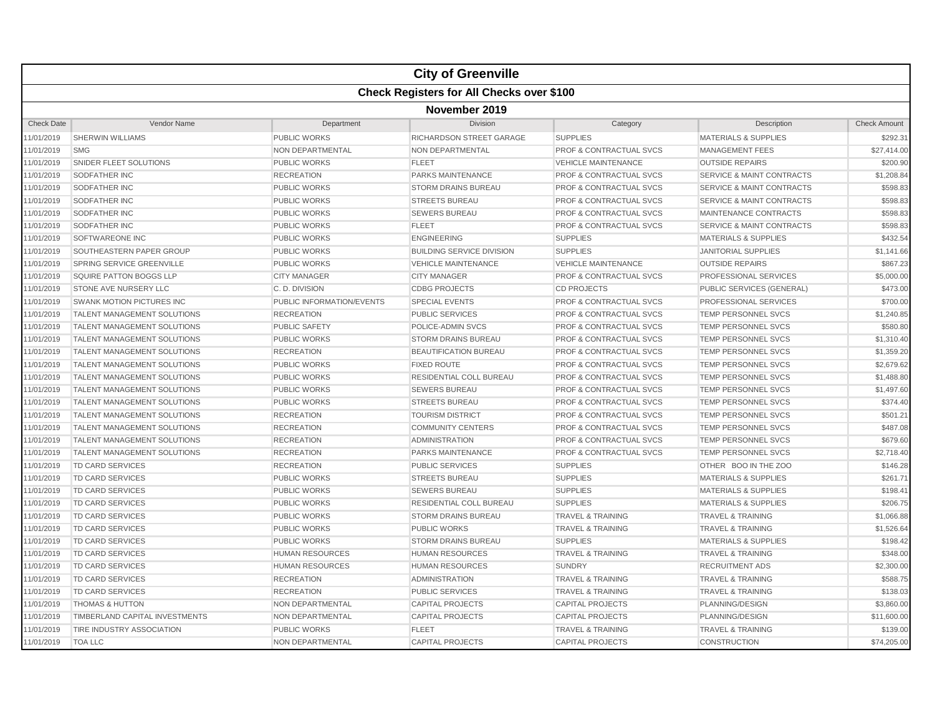|                   |                                    |                           | <b>City of Greenville</b>                        |                                    |                                      |                     |  |  |
|-------------------|------------------------------------|---------------------------|--------------------------------------------------|------------------------------------|--------------------------------------|---------------------|--|--|
|                   |                                    |                           | <b>Check Registers for All Checks over \$100</b> |                                    |                                      |                     |  |  |
| November 2019     |                                    |                           |                                                  |                                    |                                      |                     |  |  |
| <b>Check Date</b> | Vendor Name                        | Department                | Division                                         | Category                           | Description                          | <b>Check Amount</b> |  |  |
| 11/01/2019        | <b>SHERWIN WILLIAMS</b>            | <b>PUBLIC WORKS</b>       | RICHARDSON STREET GARAGE                         | <b>SUPPLIES</b>                    | <b>MATERIALS &amp; SUPPLIES</b>      | \$292.31            |  |  |
| 11/01/2019        | <b>SMG</b>                         | <b>NON DEPARTMENTAL</b>   | NON DEPARTMENTAL                                 | PROF & CONTRACTUAL SVCS            | <b>MANAGEMENT FEES</b>               | \$27,414.00         |  |  |
| 11/01/2019        | SNIDER FLEET SOLUTIONS             | <b>PUBLIC WORKS</b>       | <b>FLEET</b>                                     | <b>VEHICLE MAINTENANCE</b>         | <b>OUTSIDE REPAIRS</b>               | \$200.90            |  |  |
| 11/01/2019        | SODFATHER INC                      | <b>RECREATION</b>         | <b>PARKS MAINTENANCE</b>                         | PROF & CONTRACTUAL SVCS            | <b>SERVICE &amp; MAINT CONTRACTS</b> | \$1,208.84          |  |  |
| 11/01/2019        | SODFATHER INC                      | <b>PUBLIC WORKS</b>       | <b>STORM DRAINS BUREAU</b>                       | <b>PROF &amp; CONTRACTUAL SVCS</b> | <b>SERVICE &amp; MAINT CONTRACTS</b> | \$598.83            |  |  |
| 11/01/2019        | SODFATHER INC                      | PUBLIC WORKS              | <b>STREETS BUREAU</b>                            | PROF & CONTRACTUAL SVCS            | <b>SERVICE &amp; MAINT CONTRACTS</b> | \$598.83            |  |  |
| 11/01/2019        | SODFATHER INC                      | <b>PUBLIC WORKS</b>       | <b>SEWERS BUREAU</b>                             | <b>PROF &amp; CONTRACTUAL SVCS</b> | MAINTENANCE CONTRACTS                | \$598.83            |  |  |
| 11/01/2019        | <b>SODFATHER INC</b>               | <b>PUBLIC WORKS</b>       | <b>FLEET</b>                                     | <b>PROF &amp; CONTRACTUAL SVCS</b> | <b>SERVICE &amp; MAINT CONTRACTS</b> | \$598.83            |  |  |
| 11/01/2019        | SOFTWAREONE INC                    | <b>PUBLIC WORKS</b>       | <b>ENGINEERING</b>                               | <b>SUPPLIES</b>                    | <b>MATERIALS &amp; SUPPLIES</b>      | \$432.54            |  |  |
| 11/01/2019        | SOUTHEASTERN PAPER GROUP           | <b>PUBLIC WORKS</b>       | <b>BUILDING SERVICE DIVISION</b>                 | <b>SUPPLIES</b>                    | <b>JANITORIAL SUPPLIES</b>           | \$1,141.66          |  |  |
| 11/01/2019        | SPRING SERVICE GREENVILLE          | <b>PUBLIC WORKS</b>       | <b>VEHICLE MAINTENANCE</b>                       | <b>VEHICLE MAINTENANCE</b>         | <b>OUTSIDE REPAIRS</b>               | \$867.23            |  |  |
| 11/01/2019        | SQUIRE PATTON BOGGS LLP            | <b>CITY MANAGER</b>       | <b>CITY MANAGER</b>                              | PROF & CONTRACTUAL SVCS            | PROFESSIONAL SERVICES                | \$5,000.00          |  |  |
| 11/01/2019        | STONE AVE NURSERY LLC              | C.D. DIVISION             | <b>CDBG PROJECTS</b>                             | <b>CD PROJECTS</b>                 | PUBLIC SERVICES (GENERAL)            | \$473.00            |  |  |
| 11/01/2019        | SWANK MOTION PICTURES INC          | PUBLIC INFORMATION/EVENTS | <b>SPECIAL EVENTS</b>                            | PROF & CONTRACTUAL SVCS            | PROFESSIONAL SERVICES                | \$700.00            |  |  |
| 11/01/2019        | TALENT MANAGEMENT SOLUTIONS        | <b>RECREATION</b>         | <b>PUBLIC SERVICES</b>                           | <b>PROF &amp; CONTRACTUAL SVCS</b> | TEMP PERSONNEL SVCS                  | \$1,240.85          |  |  |
| 11/01/2019        | TALENT MANAGEMENT SOLUTIONS        | PUBLIC SAFETY             | POLICE-ADMIN SVCS                                | PROF & CONTRACTUAL SVCS            | TEMP PERSONNEL SVCS                  | \$580.80            |  |  |
| 11/01/2019        | TALENT MANAGEMENT SOLUTIONS        | <b>PUBLIC WORKS</b>       | <b>STORM DRAINS BUREAU</b>                       | <b>PROF &amp; CONTRACTUAL SVCS</b> | TEMP PERSONNEL SVCS                  | \$1,310.40          |  |  |
| 11/01/2019        | <b>TALENT MANAGEMENT SOLUTIONS</b> | <b>RECREATION</b>         | <b>BEAUTIFICATION BUREAU</b>                     | <b>PROF &amp; CONTRACTUAL SVCS</b> | <b>TEMP PERSONNEL SVCS</b>           | \$1,359.20          |  |  |
| 11/01/2019        | <b>TALENT MANAGEMENT SOLUTIONS</b> | <b>PUBLIC WORKS</b>       | <b>FIXED ROUTE</b>                               | <b>PROF &amp; CONTRACTUAL SVCS</b> | TEMP PERSONNEL SVCS                  | \$2,679.62          |  |  |
| 11/01/2019        | <b>TALENT MANAGEMENT SOLUTIONS</b> | <b>PUBLIC WORKS</b>       | <b>RESIDENTIAL COLL BUREAU</b>                   | <b>PROF &amp; CONTRACTUAL SVCS</b> | <b>TEMP PERSONNEL SVCS</b>           | \$1,488.80          |  |  |
| 11/01/2019        | TALENT MANAGEMENT SOLUTIONS        | <b>PUBLIC WORKS</b>       | <b>SEWERS BUREAU</b>                             | <b>PROF &amp; CONTRACTUAL SVCS</b> | TEMP PERSONNEL SVCS                  | \$1,497.60          |  |  |
| 11/01/2019        | TALENT MANAGEMENT SOLUTIONS        | <b>PUBLIC WORKS</b>       | <b>STREETS BUREAU</b>                            | <b>PROF &amp; CONTRACTUAL SVCS</b> | TEMP PERSONNEL SVCS                  | \$374.40            |  |  |
| 11/01/2019        | TALENT MANAGEMENT SOLUTIONS        | <b>RECREATION</b>         | <b>TOURISM DISTRICT</b>                          | <b>PROF &amp; CONTRACTUAL SVCS</b> | TEMP PERSONNEL SVCS                  | \$501.21            |  |  |
| 11/01/2019        | TALENT MANAGEMENT SOLUTIONS        | <b>RECREATION</b>         | <b>COMMUNITY CENTERS</b>                         | <b>PROF &amp; CONTRACTUAL SVCS</b> | TEMP PERSONNEL SVCS                  | \$487.08            |  |  |
| 11/01/2019        | <b>TALENT MANAGEMENT SOLUTIONS</b> | <b>RECREATION</b>         | <b>ADMINISTRATION</b>                            | <b>PROF &amp; CONTRACTUAL SVCS</b> | TEMP PERSONNEL SVCS                  | \$679.60            |  |  |
| 11/01/2019        | TALENT MANAGEMENT SOLUTIONS        | <b>RECREATION</b>         | PARKS MAINTENANCE                                | <b>PROF &amp; CONTRACTUAL SVCS</b> | TEMP PERSONNEL SVCS                  | \$2,718.40          |  |  |
| 11/01/2019        | TD CARD SERVICES                   | <b>RECREATION</b>         | <b>PUBLIC SERVICES</b>                           | <b>SUPPLIES</b>                    | OTHER BOO IN THE ZOO                 | \$146.28            |  |  |
| 11/01/2019        | <b>TD CARD SERVICES</b>            | <b>PUBLIC WORKS</b>       | <b>STREETS BUREAU</b>                            | <b>SUPPLIES</b>                    | <b>MATERIALS &amp; SUPPLIES</b>      | \$261.71            |  |  |
| 11/01/2019        | <b>TD CARD SERVICES</b>            | <b>PUBLIC WORKS</b>       | <b>SEWERS BUREAU</b>                             | <b>SUPPLIES</b>                    | <b>MATERIALS &amp; SUPPLIES</b>      | \$198.41            |  |  |
| 11/01/2019        | <b>TD CARD SERVICES</b>            | <b>PUBLIC WORKS</b>       | <b>RESIDENTIAL COLL BUREAU</b>                   | <b>SUPPLIES</b>                    | <b>MATERIALS &amp; SUPPLIES</b>      | \$206.75            |  |  |
| 11/01/2019        | <b>TD CARD SERVICES</b>            | <b>PUBLIC WORKS</b>       | <b>STORM DRAINS BUREAU</b>                       | <b>TRAVEL &amp; TRAINING</b>       | <b>TRAVEL &amp; TRAINING</b>         | \$1,066.88          |  |  |
| 11/01/2019        | TD CARD SERVICES                   | <b>PUBLIC WORKS</b>       | <b>PUBLIC WORKS</b>                              | <b>TRAVEL &amp; TRAINING</b>       | <b>TRAVEL &amp; TRAINING</b>         | \$1,526.64          |  |  |
| 11/01/2019        | <b>TD CARD SERVICES</b>            | <b>PUBLIC WORKS</b>       | <b>STORM DRAINS BUREAU</b>                       | <b>SUPPLIES</b>                    | <b>MATERIALS &amp; SUPPLIES</b>      | \$198.42            |  |  |
| 11/01/2019        | TD CARD SERVICES                   | <b>HUMAN RESOURCES</b>    | <b>HUMAN RESOURCES</b>                           | <b>TRAVEL &amp; TRAINING</b>       | <b>TRAVEL &amp; TRAINING</b>         | \$348.00            |  |  |
| 11/01/2019        | <b>TD CARD SERVICES</b>            | <b>HUMAN RESOURCES</b>    | <b>HUMAN RESOURCES</b>                           | <b>SUNDRY</b>                      | <b>RECRUITMENT ADS</b>               | \$2,300.00          |  |  |
| 11/01/2019        | TD CARD SERVICES                   | <b>RECREATION</b>         | <b>ADMINISTRATION</b>                            | <b>TRAVEL &amp; TRAINING</b>       | <b>TRAVEL &amp; TRAINING</b>         | \$588.75            |  |  |
| 11/01/2019        | TD CARD SERVICES                   | <b>RECREATION</b>         | PUBLIC SERVICES                                  | <b>TRAVEL &amp; TRAINING</b>       | <b>TRAVEL &amp; TRAINING</b>         | \$138.03            |  |  |
| 11/01/2019        | <b>THOMAS &amp; HUTTON</b>         | <b>NON DEPARTMENTAL</b>   | <b>CAPITAL PROJECTS</b>                          | <b>CAPITAL PROJECTS</b>            | PLANNING/DESIGN                      | \$3,860.00          |  |  |
| 11/01/2019        | TIMBERLAND CAPITAL INVESTMENTS     | NON DEPARTMENTAL          | <b>CAPITAL PROJECTS</b>                          | <b>CAPITAL PROJECTS</b>            | PLANNING/DESIGN                      | \$11,600.00         |  |  |
| 11/01/2019        | <b>TIRE INDUSTRY ASSOCIATION</b>   | <b>PUBLIC WORKS</b>       | <b>FLEET</b>                                     | <b>TRAVEL &amp; TRAINING</b>       | <b>TRAVEL &amp; TRAINING</b>         | \$139.00            |  |  |
| 11/01/2019        | <b>TOA LLC</b>                     | <b>NON DEPARTMENTAL</b>   | <b>CAPITAL PROJECTS</b>                          | <b>CAPITAL PROJECTS</b>            | <b>CONSTRUCTION</b>                  | \$74,205.00         |  |  |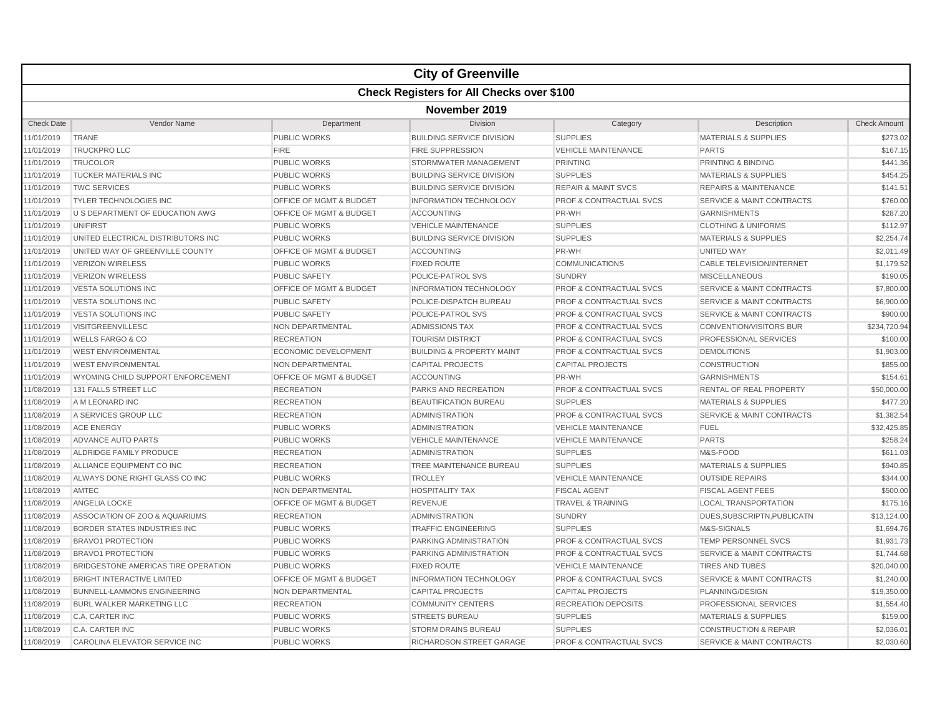|                   |                                     |                                    | <b>City of Greenville</b>                        |                                    |                                      |                     |  |  |  |
|-------------------|-------------------------------------|------------------------------------|--------------------------------------------------|------------------------------------|--------------------------------------|---------------------|--|--|--|
|                   |                                     |                                    | <b>Check Registers for All Checks over \$100</b> |                                    |                                      |                     |  |  |  |
|                   | November 2019                       |                                    |                                                  |                                    |                                      |                     |  |  |  |
| <b>Check Date</b> | Vendor Name                         | Department                         | Division                                         | Category                           | Description                          | <b>Check Amount</b> |  |  |  |
| 11/01/2019        | <b>TRANE</b>                        | PUBLIC WORKS                       | <b>BUILDING SERVICE DIVISION</b>                 | <b>SUPPLIES</b>                    | <b>MATERIALS &amp; SUPPLIES</b>      | \$273.02            |  |  |  |
| 11/01/2019        | <b>TRUCKPRO LLC</b>                 | <b>FIRE</b>                        | <b>FIRE SUPPRESSION</b>                          | <b>VEHICLE MAINTENANCE</b>         | <b>PARTS</b>                         | \$167.15            |  |  |  |
| 11/01/2019        | <b>TRUCOLOR</b>                     | <b>PUBLIC WORKS</b>                | STORMWATER MANAGEMENT                            | <b>PRINTING</b>                    | PRINTING & BINDING                   | \$441.36            |  |  |  |
| 11/01/2019        | <b>TUCKER MATERIALS INC</b>         | <b>PUBLIC WORKS</b>                | <b>BUILDING SERVICE DIVISION</b>                 | <b>SUPPLIES</b>                    | <b>MATERIALS &amp; SUPPLIES</b>      | \$454.25            |  |  |  |
| 11/01/2019        | <b>TWC SERVICES</b>                 | <b>PUBLIC WORKS</b>                | <b>BUILDING SERVICE DIVISION</b>                 | <b>REPAIR &amp; MAINT SVCS</b>     | <b>REPAIRS &amp; MAINTENANCE</b>     | \$141.51            |  |  |  |
| 11/01/2019        | <b>TYLER TECHNOLOGIES INC</b>       | OFFICE OF MGMT & BUDGET            | <b>INFORMATION TECHNOLOGY</b>                    | <b>PROF &amp; CONTRACTUAL SVCS</b> | <b>SERVICE &amp; MAINT CONTRACTS</b> | \$760.00            |  |  |  |
| 11/01/2019        | U S DEPARTMENT OF EDUCATION AWG     | OFFICE OF MGMT & BUDGET            | <b>ACCOUNTING</b>                                | PR-WH                              | <b>GARNISHMENTS</b>                  | \$287.20            |  |  |  |
| 11/01/2019        | UNIFIRST                            | <b>PUBLIC WORKS</b>                | <b>VEHICLE MAINTENANCE</b>                       | <b>SUPPLIES</b>                    | <b>CLOTHING &amp; UNIFORMS</b>       | \$112.97            |  |  |  |
| 11/01/2019        | UNITED ELECTRICAL DISTRIBUTORS INC  | <b>PUBLIC WORKS</b>                | <b>BUILDING SERVICE DIVISION</b>                 | <b>SUPPLIES</b>                    | <b>MATERIALS &amp; SUPPLIES</b>      | \$2,254.74          |  |  |  |
| 11/01/2019        | UNITED WAY OF GREENVILLE COUNTY     | <b>OFFICE OF MGMT &amp; BUDGET</b> | <b>ACCOUNTING</b>                                | PR-WH                              | UNITED WAY                           | \$2,011.49          |  |  |  |
| 11/01/2019        | <b>VERIZON WIRELESS</b>             | <b>PUBLIC WORKS</b>                | <b>FIXED ROUTE</b>                               | <b>COMMUNICATIONS</b>              | <b>CABLE TELEVISION/INTERNET</b>     | \$1,179.52          |  |  |  |
| 11/01/2019        | <b>VERIZON WIRELESS</b>             | <b>PUBLIC SAFETY</b>               | POLICE-PATROL SVS                                | <b>SUNDRY</b>                      | <b>MISCELLANEOUS</b>                 | \$190.05            |  |  |  |
| 11/01/2019        | <b>VESTA SOLUTIONS INC</b>          | OFFICE OF MGMT & BUDGET            | <b>INFORMATION TECHNOLOGY</b>                    | <b>PROF &amp; CONTRACTUAL SVCS</b> | <b>SERVICE &amp; MAINT CONTRACTS</b> | \$7,800.00          |  |  |  |
| 11/01/2019        | <b>VESTA SOLUTIONS INC</b>          | <b>PUBLIC SAFETY</b>               | POLICE-DISPATCH BUREAU                           | <b>PROF &amp; CONTRACTUAL SVCS</b> | <b>SERVICE &amp; MAINT CONTRACTS</b> | \$6,900.00          |  |  |  |
| 11/01/2019        | <b>VESTA SOLUTIONS INC</b>          | <b>PUBLIC SAFETY</b>               | <b>POLICE-PATROL SVS</b>                         | <b>PROF &amp; CONTRACTUAL SVCS</b> | <b>SERVICE &amp; MAINT CONTRACTS</b> | \$900.00            |  |  |  |
| 11/01/2019        | <b>VISITGREENVILLESC</b>            | <b>NON DEPARTMENTAL</b>            | <b>ADMISSIONS TAX</b>                            | <b>PROF &amp; CONTRACTUAL SVCS</b> | <b>CONVENTION/VISITORS BUR</b>       | \$234,720.94        |  |  |  |
| 11/01/2019        | <b>WELLS FARGO &amp; CO</b>         | <b>RECREATION</b>                  | <b>TOURISM DISTRICT</b>                          | <b>PROF &amp; CONTRACTUAL SVCS</b> | PROFESSIONAL SERVICES                | \$100.00            |  |  |  |
| 11/01/2019        | <b>WEST ENVIRONMENTAL</b>           | <b>ECONOMIC DEVELOPMENT</b>        | <b>BUILDING &amp; PROPERTY MAINT</b>             | <b>PROF &amp; CONTRACTUAL SVCS</b> | <b>DEMOLITIONS</b>                   | \$1,903.00          |  |  |  |
| 11/01/2019        | <b>WEST ENVIRONMENTAL</b>           | NON DEPARTMENTAL                   | <b>CAPITAL PROJECTS</b>                          | <b>CAPITAL PROJECTS</b>            | <b>CONSTRUCTION</b>                  | \$855.00            |  |  |  |
| 11/01/2019        | WYOMING CHILD SUPPORT ENFORCEMENT   | OFFICE OF MGMT & BUDGET            | ACCOUNTING                                       | PR-WH                              | <b>GARNISHMENTS</b>                  | \$154.61            |  |  |  |
| 11/08/2019        | 131 FALLS STREET LLC                | <b>RECREATION</b>                  | <b>PARKS AND RECREATION</b>                      | <b>PROF &amp; CONTRACTUAL SVCS</b> | <b>RENTAL OF REAL PROPERTY</b>       | \$50,000.00         |  |  |  |
| 11/08/2019        | A M LEONARD INC                     | <b>RECREATION</b>                  | <b>BEAUTIFICATION BUREAU</b>                     | <b>SUPPLIES</b>                    | <b>MATERIALS &amp; SUPPLIES</b>      | \$477.20            |  |  |  |
| 11/08/2019        | A SERVICES GROUP LLC                | <b>RECREATION</b>                  | <b>ADMINISTRATION</b>                            | <b>PROF &amp; CONTRACTUAL SVCS</b> | <b>SERVICE &amp; MAINT CONTRACTS</b> | \$1,382.54          |  |  |  |
| 11/08/2019        | <b>ACE ENERGY</b>                   | <b>PUBLIC WORKS</b>                | <b>ADMINISTRATION</b>                            | <b>VEHICLE MAINTENANCE</b>         | <b>FUEL</b>                          | \$32,425.85         |  |  |  |
| 11/08/2019        | ADVANCE AUTO PARTS                  | <b>PUBLIC WORKS</b>                | <b>VEHICLE MAINTENANCE</b>                       | <b>VEHICLE MAINTENANCE</b>         | <b>PARTS</b>                         | \$258.24            |  |  |  |
| 11/08/2019        | ALDRIDGE FAMILY PRODUCE             | <b>RECREATION</b>                  | <b>ADMINISTRATION</b>                            | <b>SUPPLIES</b>                    | M&S-FOOD                             | \$611.03            |  |  |  |
| 11/08/2019        | ALLIANCE EQUIPMENT CO INC           | <b>RECREATION</b>                  | TREE MAINTENANCE BUREAU                          | <b>SUPPLIES</b>                    | <b>MATERIALS &amp; SUPPLIES</b>      | \$940.85            |  |  |  |
| 11/08/2019        | ALWAYS DONE RIGHT GLASS CO INC      | <b>PUBLIC WORKS</b>                | <b>TROLLEY</b>                                   | <b>VEHICLE MAINTENANCE</b>         | <b>OUTSIDE REPAIRS</b>               | \$344.00            |  |  |  |
| 11/08/2019        | AMTEC                               | NON DEPARTMENTAL                   | <b>HOSPITALITY TAX</b>                           | <b>FISCAL AGENT</b>                | <b>FISCAL AGENT FEES</b>             | \$500.00            |  |  |  |
| 11/08/2019        | <b>ANGELIA LOCKE</b>                | OFFICE OF MGMT & BUDGET            | <b>REVENUE</b>                                   | <b>TRAVEL &amp; TRAINING</b>       | <b>LOCAL TRANSPORTATION</b>          | \$175.16            |  |  |  |
| 11/08/2019        | ASSOCIATION OF ZOO & AQUARIUMS      | <b>RECREATION</b>                  | <b>ADMINISTRATION</b>                            | <b>SUNDRY</b>                      | DUES.SUBSCRIPTN.PUBLICATN            | \$13,124.00         |  |  |  |
| 11/08/2019        | <b>BORDER STATES INDUSTRIES INC</b> | <b>PUBLIC WORKS</b>                | <b>TRAFFIC ENGINEERING</b>                       | <b>SUPPLIES</b>                    | M&S-SIGNALS                          | \$1,694.76          |  |  |  |
| 11/08/2019        | <b>BRAVO1 PROTECTION</b>            | <b>PUBLIC WORKS</b>                | <b>PARKING ADMINISTRATION</b>                    | <b>PROF &amp; CONTRACTUAL SVCS</b> | <b>TEMP PERSONNEL SVCS</b>           | \$1,931.73          |  |  |  |
| 11/08/2019        | <b>BRAVO1 PROTECTION</b>            | <b>PUBLIC WORKS</b>                | PARKING ADMINISTRATION                           | PROF & CONTRACTUAL SVCS            | <b>SERVICE &amp; MAINT CONTRACTS</b> | \$1,744.68          |  |  |  |
| 11/08/2019        | BRIDGESTONE AMERICAS TIRE OPERATION | <b>PUBLIC WORKS</b>                | <b>FIXED ROUTE</b>                               | <b>VEHICLE MAINTENANCE</b>         | <b>TIRES AND TUBES</b>               | \$20,040.00         |  |  |  |
| 11/08/2019        | <b>BRIGHT INTERACTIVE LIMITED</b>   | OFFICE OF MGMT & BUDGET            | <b>INFORMATION TECHNOLOGY</b>                    | <b>PROF &amp; CONTRACTUAL SVCS</b> | SERVICE & MAINT CONTRACTS            | \$1,240.00          |  |  |  |
| 11/08/2019        | <b>BUNNELL-LAMMONS ENGINEERING</b>  | NON DEPARTMENTAL                   | <b>CAPITAL PROJECTS</b>                          | <b>CAPITAL PROJECTS</b>            | PLANNING/DESIGN                      | \$19,350.00         |  |  |  |
| 11/08/2019        | <b>BURL WALKER MARKETING LLC</b>    | <b>RECREATION</b>                  | <b>COMMUNITY CENTERS</b>                         | <b>RECREATION DEPOSITS</b>         | PROFESSIONAL SERVICES                | \$1,554.40          |  |  |  |
| 11/08/2019        | C.A. CARTER INC                     | <b>PUBLIC WORKS</b>                | <b>STREETS BUREAU</b>                            | <b>SUPPLIES</b>                    | <b>MATERIALS &amp; SUPPLIES</b>      | \$159.00            |  |  |  |
| 11/08/2019        | C.A. CARTER INC                     | <b>PUBLIC WORKS</b>                | <b>STORM DRAINS BUREAU</b>                       | <b>SUPPLIES</b>                    | <b>CONSTRUCTION &amp; REPAIR</b>     | \$2,036.01          |  |  |  |
| 11/08/2019        | CAROLINA ELEVATOR SERVICE INC       | <b>PUBLIC WORKS</b>                | RICHARDSON STREET GARAGE                         | <b>PROF &amp; CONTRACTUAL SVCS</b> | <b>SERVICE &amp; MAINT CONTRACTS</b> | \$2,030.60          |  |  |  |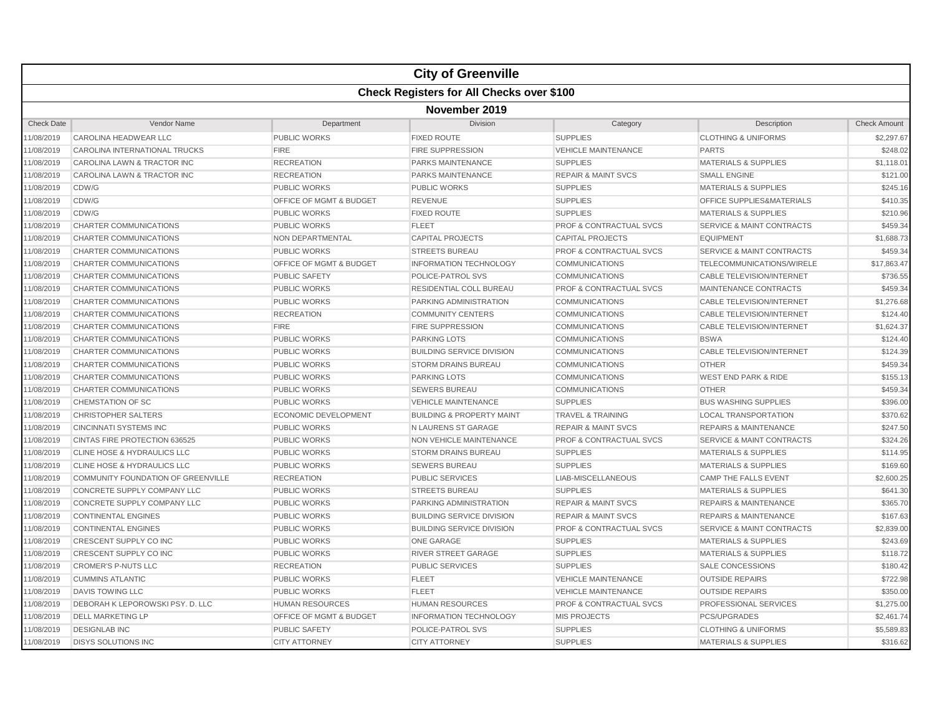|                   |                                    |                             | <b>City of Greenville</b>                        |                                    |                                      |                     |  |  |  |
|-------------------|------------------------------------|-----------------------------|--------------------------------------------------|------------------------------------|--------------------------------------|---------------------|--|--|--|
|                   |                                    |                             | <b>Check Registers for All Checks over \$100</b> |                                    |                                      |                     |  |  |  |
|                   | November 2019                      |                             |                                                  |                                    |                                      |                     |  |  |  |
| <b>Check Date</b> | Vendor Name                        | Department                  | Division                                         | Category                           | Description                          | <b>Check Amount</b> |  |  |  |
| 11/08/2019        | CAROLINA HEADWEAR LLC              | <b>PUBLIC WORKS</b>         | <b>FIXED ROUTE</b>                               | <b>SUPPLIES</b>                    | <b>CLOTHING &amp; UNIFORMS</b>       | \$2,297.67          |  |  |  |
| 11/08/2019        | CAROLINA INTERNATIONAL TRUCKS      | <b>FIRE</b>                 | <b>FIRE SUPPRESSION</b>                          | <b>VEHICLE MAINTENANCE</b>         | <b>PARTS</b>                         | \$248.02            |  |  |  |
| 11/08/2019        | CAROLINA LAWN & TRACTOR INC        | <b>RECREATION</b>           | <b>PARKS MAINTENANCE</b>                         | <b>SUPPLIES</b>                    | <b>MATERIALS &amp; SUPPLIES</b>      | \$1,118.01          |  |  |  |
| 11/08/2019        | CAROLINA LAWN & TRACTOR INC        | <b>RECREATION</b>           | <b>PARKS MAINTENANCE</b>                         | <b>REPAIR &amp; MAINT SVCS</b>     | <b>SMALL ENGINE</b>                  | \$121.00            |  |  |  |
| 11/08/2019        | CDW/G                              | <b>PUBLIC WORKS</b>         | <b>PUBLIC WORKS</b>                              | <b>SUPPLIES</b>                    | <b>MATERIALS &amp; SUPPLIES</b>      | \$245.16            |  |  |  |
| 11/08/2019        | CDW/G                              | OFFICE OF MGMT & BUDGET     | <b>REVENUE</b>                                   | <b>SUPPLIES</b>                    | OFFICE SUPPLIES&MATERIALS            | \$410.35            |  |  |  |
| 11/08/2019        | CDW/G                              | <b>PUBLIC WORKS</b>         | <b>FIXED ROUTE</b>                               | <b>SUPPLIES</b>                    | <b>MATERIALS &amp; SUPPLIES</b>      | \$210.96            |  |  |  |
| 11/08/2019        | <b>CHARTER COMMUNICATIONS</b>      | <b>PUBLIC WORKS</b>         | <b>FLEET</b>                                     | <b>PROF &amp; CONTRACTUAL SVCS</b> | <b>SERVICE &amp; MAINT CONTRACTS</b> | \$459.34            |  |  |  |
| 11/08/2019        | CHARTER COMMUNICATIONS             | <b>NON DEPARTMENTAL</b>     | <b>CAPITAL PROJECTS</b>                          | <b>CAPITAL PROJECTS</b>            | <b>EQUIPMENT</b>                     | \$1,688.73          |  |  |  |
| 11/08/2019        | CHARTER COMMUNICATIONS             | <b>PUBLIC WORKS</b>         | <b>STREETS BUREAU</b>                            | <b>PROF &amp; CONTRACTUAL SVCS</b> | <b>SERVICE &amp; MAINT CONTRACTS</b> | \$459.34            |  |  |  |
| 11/08/2019        | CHARTER COMMUNICATIONS             | OFFICE OF MGMT & BUDGET     | <b>INFORMATION TECHNOLOGY</b>                    | <b>COMMUNICATIONS</b>              | TELECOMMUNICATIONS/WIRELE            | \$17,863.47         |  |  |  |
| 11/08/2019        | CHARTER COMMUNICATIONS             | <b>PUBLIC SAFETY</b>        | POLICE-PATROL SVS                                | <b>COMMUNICATIONS</b>              | <b>CABLE TELEVISION/INTERNET</b>     | \$736.55            |  |  |  |
| 11/08/2019        | CHARTER COMMUNICATIONS             | <b>PUBLIC WORKS</b>         | RESIDENTIAL COLL BUREAU                          | PROF & CONTRACTUAL SVCS            | MAINTENANCE CONTRACTS                | \$459.34            |  |  |  |
| 11/08/2019        | CHARTER COMMUNICATIONS             | <b>PUBLIC WORKS</b>         | PARKING ADMINISTRATION                           | <b>COMMUNICATIONS</b>              | <b>CABLE TELEVISION/INTERNET</b>     | \$1,276.68          |  |  |  |
| 11/08/2019        | CHARTER COMMUNICATIONS             | <b>RECREATION</b>           | <b>COMMUNITY CENTERS</b>                         | <b>COMMUNICATIONS</b>              | <b>CABLE TELEVISION/INTERNET</b>     | \$124.40            |  |  |  |
| 11/08/2019        | CHARTER COMMUNICATIONS             | <b>FIRE</b>                 | <b>FIRE SUPPRESSION</b>                          | <b>COMMUNICATIONS</b>              | <b>CABLE TELEVISION/INTERNET</b>     | \$1,624.37          |  |  |  |
| 11/08/2019        | CHARTER COMMUNICATIONS             | <b>PUBLIC WORKS</b>         | <b>PARKING LOTS</b>                              | <b>COMMUNICATIONS</b>              | <b>BSWA</b>                          | \$124.40            |  |  |  |
| 11/08/2019        | <b>CHARTER COMMUNICATIONS</b>      | <b>PUBLIC WORKS</b>         | <b>BUILDING SERVICE DIVISION</b>                 | <b>COMMUNICATIONS</b>              | <b>CABLE TELEVISION/INTERNET</b>     | \$124.39            |  |  |  |
| 11/08/2019        | <b>CHARTER COMMUNICATIONS</b>      | <b>PUBLIC WORKS</b>         | <b>STORM DRAINS BUREAU</b>                       | <b>COMMUNICATIONS</b>              | <b>OTHER</b>                         | \$459.34            |  |  |  |
| 11/08/2019        | CHARTER COMMUNICATIONS             | <b>PUBLIC WORKS</b>         | <b>PARKING LOTS</b>                              | <b>COMMUNICATIONS</b>              | <b>WEST END PARK &amp; RIDE</b>      | \$155.13            |  |  |  |
| 11/08/2019        | CHARTER COMMUNICATIONS             | <b>PUBLIC WORKS</b>         | <b>SEWERS BUREAU</b>                             | <b>COMMUNICATIONS</b>              | <b>OTHER</b>                         | \$459.34            |  |  |  |
| 11/08/2019        | <b>CHEMSTATION OF SC</b>           | <b>PUBLIC WORKS</b>         | <b>VEHICLE MAINTENANCE</b>                       | <b>SUPPLIES</b>                    | <b>BUS WASHING SUPPLIES</b>          | \$396.00            |  |  |  |
| 11/08/2019        | <b>CHRISTOPHER SALTERS</b>         | <b>ECONOMIC DEVELOPMENT</b> | <b>BUILDING &amp; PROPERTY MAINT</b>             | <b>TRAVEL &amp; TRAINING</b>       | <b>LOCAL TRANSPORTATION</b>          | \$370.62            |  |  |  |
| 11/08/2019        | <b>CINCINNATI SYSTEMS INC</b>      | <b>PUBLIC WORKS</b>         | N LAURENS ST GARAGE                              | <b>REPAIR &amp; MAINT SVCS</b>     | <b>REPAIRS &amp; MAINTENANCE</b>     | \$247.50            |  |  |  |
| 11/08/2019        | CINTAS FIRE PROTECTION 636525      | <b>PUBLIC WORKS</b>         | <b>NON VEHICLE MAINTENANCE</b>                   | <b>PROF &amp; CONTRACTUAL SVCS</b> | <b>SERVICE &amp; MAINT CONTRACTS</b> | \$324.26            |  |  |  |
| 11/08/2019        | CLINE HOSE & HYDRAULICS LLC        | PUBLIC WORKS                | <b>STORM DRAINS BUREAU</b>                       | <b>SUPPLIES</b>                    | <b>MATERIALS &amp; SUPPLIES</b>      | \$114.95            |  |  |  |
| 11/08/2019        | CLINE HOSE & HYDRAULICS LLC        | <b>PUBLIC WORKS</b>         | <b>SEWERS BUREAU</b>                             | <b>SUPPLIES</b>                    | <b>MATERIALS &amp; SUPPLIES</b>      | \$169.60            |  |  |  |
| 11/08/2019        | COMMUNITY FOUNDATION OF GREENVILLE | <b>RECREATION</b>           | <b>PUBLIC SERVICES</b>                           | <b>LIAB-MISCELLANEOUS</b>          | <b>CAMP THE FALLS EVENT</b>          | \$2,600.25          |  |  |  |
| 11/08/2019        | CONCRETE SUPPLY COMPANY LLC        | <b>PUBLIC WORKS</b>         | <b>STREETS BUREAU</b>                            | <b>SUPPLIES</b>                    | <b>MATERIALS &amp; SUPPLIES</b>      | \$641.30            |  |  |  |
| 11/08/2019        | <b>CONCRETE SUPPLY COMPANY LLC</b> | <b>PUBLIC WORKS</b>         | <b>PARKING ADMINISTRATION</b>                    | <b>REPAIR &amp; MAINT SVCS</b>     | <b>REPAIRS &amp; MAINTENANCE</b>     | \$365.70            |  |  |  |
| 11/08/2019        | <b>CONTINENTAL ENGINES</b>         | <b>PUBLIC WORKS</b>         | <b>BUILDING SERVICE DIVISION</b>                 | <b>REPAIR &amp; MAINT SVCS</b>     | <b>REPAIRS &amp; MAINTENANCE</b>     | \$167.63            |  |  |  |
| 11/08/2019        | <b>CONTINENTAL ENGINES</b>         | <b>PUBLIC WORKS</b>         | <b>BUILDING SERVICE DIVISION</b>                 | <b>PROF &amp; CONTRACTUAL SVCS</b> | <b>SERVICE &amp; MAINT CONTRACTS</b> | \$2,839.00          |  |  |  |
| 11/08/2019        | <b>CRESCENT SUPPLY CO INC</b>      | <b>PUBLIC WORKS</b>         | <b>ONE GARAGE</b>                                | <b>SUPPLIES</b>                    | <b>MATERIALS &amp; SUPPLIES</b>      | \$243.69            |  |  |  |
| 11/08/2019        | CRESCENT SUPPLY CO INC             | <b>PUBLIC WORKS</b>         | <b>RIVER STREET GARAGE</b>                       | <b>SUPPLIES</b>                    | <b>MATERIALS &amp; SUPPLIES</b>      | \$118.72            |  |  |  |
| 11/08/2019        | <b>CROMER'S P-NUTS LLC</b>         | <b>RECREATION</b>           | <b>PUBLIC SERVICES</b>                           | <b>SUPPLIES</b>                    | <b>SALE CONCESSIONS</b>              | \$180.42            |  |  |  |
| 11/08/2019        | <b>CUMMINS ATLANTIC</b>            | <b>PUBLIC WORKS</b>         | <b>FLEET</b>                                     | <b>VEHICLE MAINTENANCE</b>         | <b>OUTSIDE REPAIRS</b>               | \$722.98            |  |  |  |
| 11/08/2019        | DAVIS TOWING LLC                   | <b>PUBLIC WORKS</b>         | <b>FLEET</b>                                     | <b>VEHICLE MAINTENANCE</b>         | <b>OUTSIDE REPAIRS</b>               | \$350.00            |  |  |  |
| 11/08/2019        | DEBORAH K LEPOROWSKI PSY. D. LLC   | <b>HUMAN RESOURCES</b>      | <b>HUMAN RESOURCES</b>                           | <b>PROF &amp; CONTRACTUAL SVCS</b> | PROFESSIONAL SERVICES                | \$1,275.00          |  |  |  |
| 11/08/2019        | <b>DELL MARKETING LP</b>           | OFFICE OF MGMT & BUDGET     | <b>INFORMATION TECHNOLOGY</b>                    | <b>MIS PROJECTS</b>                | PCS/UPGRADES                         | \$2,461.74          |  |  |  |
| 11/08/2019        | <b>DESIGNLAB INC</b>               | <b>PUBLIC SAFETY</b>        | POLICE-PATROL SVS                                | <b>SUPPLIES</b>                    | <b>CLOTHING &amp; UNIFORMS</b>       | \$5,589.83          |  |  |  |
| 11/08/2019        | <b>DISYS SOLUTIONS INC</b>         | <b>CITY ATTORNEY</b>        | <b>CITY ATTORNEY</b>                             | <b>SUPPLIES</b>                    | <b>MATERIALS &amp; SUPPLIES</b>      | \$316.62            |  |  |  |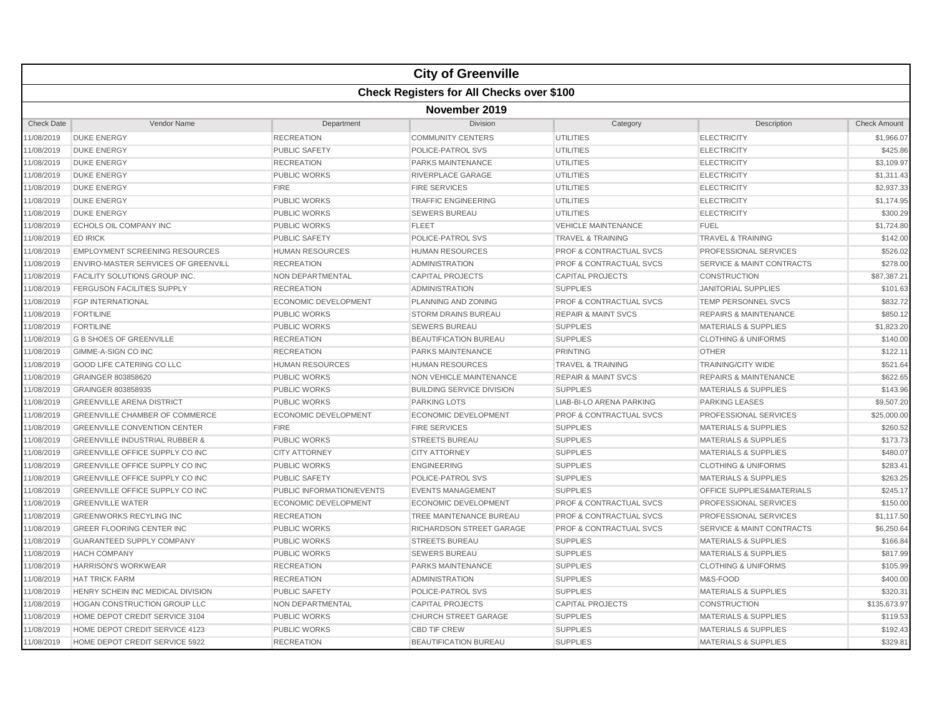|                   |                                                  |                             | <b>City of Greenville</b>        |                                    |                                      |                     |  |  |  |
|-------------------|--------------------------------------------------|-----------------------------|----------------------------------|------------------------------------|--------------------------------------|---------------------|--|--|--|
|                   | <b>Check Registers for All Checks over \$100</b> |                             |                                  |                                    |                                      |                     |  |  |  |
|                   | November 2019                                    |                             |                                  |                                    |                                      |                     |  |  |  |
| <b>Check Date</b> | Vendor Name                                      | Department                  | Division                         | Category                           | Description                          | <b>Check Amount</b> |  |  |  |
| 11/08/2019        | <b>DUKE ENERGY</b>                               | <b>RECREATION</b>           | <b>COMMUNITY CENTERS</b>         | <b>UTILITIES</b>                   | <b>ELECTRICITY</b>                   | \$1,966.07          |  |  |  |
| 11/08/2019        | <b>DUKE ENERGY</b>                               | <b>PUBLIC SAFETY</b>        | POLICE-PATROL SVS                | <b>UTILITIES</b>                   | <b>ELECTRICITY</b>                   | \$425.86            |  |  |  |
| 11/08/2019        | <b>DUKE ENERGY</b>                               | <b>RECREATION</b>           | PARKS MAINTENANCE                | <b>UTILITIES</b>                   | <b>ELECTRICITY</b>                   | \$3,109.97          |  |  |  |
| 11/08/2019        | <b>DUKE ENERGY</b>                               | <b>PUBLIC WORKS</b>         | <b>RIVERPLACE GARAGE</b>         | <b>UTILITIES</b>                   | <b>ELECTRICITY</b>                   | \$1,311.43          |  |  |  |
| 11/08/2019        | <b>DUKE ENERGY</b>                               | <b>FIRE</b>                 | <b>FIRE SERVICES</b>             | <b>UTILITIES</b>                   | <b>ELECTRICITY</b>                   | \$2,937.33          |  |  |  |
| 11/08/2019        | <b>DUKE ENERGY</b>                               | <b>PUBLIC WORKS</b>         | <b>TRAFFIC ENGINEERING</b>       | <b>UTILITIES</b>                   | <b>ELECTRICITY</b>                   | \$1,174.95          |  |  |  |
| 11/08/2019        | <b>DUKE ENERGY</b>                               | <b>PUBLIC WORKS</b>         | <b>SEWERS BUREAU</b>             | <b>UTILITIES</b>                   | <b>ELECTRICITY</b>                   | \$300.29            |  |  |  |
| 11/08/2019        | ECHOLS OIL COMPANY INC                           | <b>PUBLIC WORKS</b>         | <b>FLEET</b>                     | <b>VEHICLE MAINTENANCE</b>         | <b>FUEL</b>                          | \$1,724.80          |  |  |  |
| 11/08/2019        | <b>ED IRICK</b>                                  | <b>PUBLIC SAFETY</b>        | POLICE-PATROL SVS                | <b>TRAVEL &amp; TRAINING</b>       | <b>TRAVEL &amp; TRAINING</b>         | \$142.00            |  |  |  |
| 11/08/2019        | <b>EMPLOYMENT SCREENING RESOURCES</b>            | <b>HUMAN RESOURCES</b>      | <b>HUMAN RESOURCES</b>           | <b>PROF &amp; CONTRACTUAL SVCS</b> | PROFESSIONAL SERVICES                | \$526.02            |  |  |  |
| 11/08/2019        | <b>ENVIRO-MASTER SERVICES OF GREENVILL</b>       | <b>RECREATION</b>           | <b>ADMINISTRATION</b>            | <b>PROF &amp; CONTRACTUAL SVCS</b> | <b>SERVICE &amp; MAINT CONTRACTS</b> | \$278.00            |  |  |  |
| 11/08/2019        | <b>FACILITY SOLUTIONS GROUP INC</b>              | <b>NON DEPARTMENTAL</b>     | <b>CAPITAL PROJECTS</b>          | <b>CAPITAL PROJECTS</b>            | <b>CONSTRUCTION</b>                  | \$87,387,21         |  |  |  |
| 11/08/2019        | <b>FERGUSON FACILITIES SUPPLY</b>                | <b>RECREATION</b>           | <b>ADMINISTRATION</b>            | <b>SUPPLIES</b>                    | <b>JANITORIAL SUPPLIES</b>           | \$101.63            |  |  |  |
| 11/08/2019        | <b>FGP INTERNATIONAL</b>                         | <b>ECONOMIC DEVELOPMENT</b> | PLANNING AND ZONING              | <b>PROF &amp; CONTRACTUAL SVCS</b> | TEMP PERSONNEL SVCS                  | \$832.72            |  |  |  |
| 11/08/2019        | <b>FORTILINE</b>                                 | PUBLIC WORKS                | <b>STORM DRAINS BUREAU</b>       | <b>REPAIR &amp; MAINT SVCS</b>     | <b>REPAIRS &amp; MAINTENANCE</b>     | \$850.12            |  |  |  |
| 11/08/2019        | <b>FORTILINE</b>                                 | <b>PUBLIC WORKS</b>         | <b>SEWERS BUREAU</b>             | <b>SUPPLIES</b>                    | <b>MATERIALS &amp; SUPPLIES</b>      | \$1,823.20          |  |  |  |
| 11/08/2019        | <b>G B SHOES OF GREENVILLE</b>                   | <b>RECREATION</b>           | <b>BEAUTIFICATION BUREAU</b>     | <b>SUPPLIES</b>                    | <b>CLOTHING &amp; UNIFORMS</b>       | \$140.00            |  |  |  |
| 11/08/2019        | <b>GIMME-A-SIGN CO INC</b>                       | <b>RECREATION</b>           | PARKS MAINTENANCE                | <b>PRINTING</b>                    | <b>OTHER</b>                         | \$122.11            |  |  |  |
| 11/08/2019        | <b>GOOD LIFE CATERING CO LLC</b>                 | <b>HUMAN RESOURCES</b>      | <b>HUMAN RESOURCES</b>           | <b>TRAVEL &amp; TRAINING</b>       | <b>TRAINING/CITY WIDE</b>            | \$521.64            |  |  |  |
| 11/08/2019        | GRAINGER 803858620                               | <b>PUBLIC WORKS</b>         | <b>NON VEHICLE MAINTENANCE</b>   | <b>REPAIR &amp; MAINT SVCS</b>     | <b>REPAIRS &amp; MAINTENANCE</b>     | \$622.65            |  |  |  |
| 11/08/2019        | GRAINGER 803858935                               | <b>PUBLIC WORKS</b>         | <b>BUILDING SERVICE DIVISION</b> | <b>SUPPLIES</b>                    | <b>MATERIALS &amp; SUPPLIES</b>      | \$143.96            |  |  |  |
| 11/08/2019        | <b>GREENVILLE ARENA DISTRICT</b>                 | <b>PUBLIC WORKS</b>         | <b>PARKING LOTS</b>              | LIAB-BI-LO ARENA PARKING           | <b>PARKING LEASES</b>                | \$9,507.20          |  |  |  |
| 11/08/2019        | <b>GREENVILLE CHAMBER OF COMMERCE</b>            | <b>ECONOMIC DEVELOPMENT</b> | ECONOMIC DEVELOPMENT             | <b>PROF &amp; CONTRACTUAL SVCS</b> | PROFESSIONAL SERVICES                | \$25,000.00         |  |  |  |
| 11/08/2019        | <b>GREENVILLE CONVENTION CENTER</b>              | <b>FIRE</b>                 | <b>FIRE SERVICES</b>             | <b>SUPPLIES</b>                    | <b>MATERIALS &amp; SUPPLIES</b>      | \$260.52            |  |  |  |
| 11/08/2019        | <b>GREENVILLE INDUSTRIAL RUBBER &amp;</b>        | <b>PUBLIC WORKS</b>         | <b>STREETS BUREAU</b>            | <b>SUPPLIES</b>                    | <b>MATERIALS &amp; SUPPLIES</b>      | \$173.73            |  |  |  |
| 11/08/2019        | GREENVILLE OFFICE SUPPLY CO INC                  | <b>CITY ATTORNEY</b>        | <b>CITY ATTORNEY</b>             | <b>SUPPLIES</b>                    | <b>MATERIALS &amp; SUPPLIES</b>      | \$480.07            |  |  |  |
| 11/08/2019        | GREENVILLE OFFICE SUPPLY CO INC                  | <b>PUBLIC WORKS</b>         | <b>ENGINEERING</b>               | <b>SUPPLIES</b>                    | <b>CLOTHING &amp; UNIFORMS</b>       | \$283.41            |  |  |  |
| 11/08/2019        | <b>GREENVILLE OFFICE SUPPLY CO INC</b>           | <b>PUBLIC SAFETY</b>        | POLICE-PATROL SVS                | <b>SUPPLIES</b>                    | <b>MATERIALS &amp; SUPPLIES</b>      | \$263.25            |  |  |  |
| 11/08/2019        | <b>GREENVILLE OFFICE SUPPLY CO INC</b>           | PUBLIC INFORMATION/EVENTS   | <b>EVENTS MANAGEMENT</b>         | <b>SUPPLIES</b>                    | OFFICE SUPPLIES&MATERIALS            | \$245.17            |  |  |  |
| 11/08/2019        | <b>GREENVILLE WATER</b>                          | <b>ECONOMIC DEVELOPMENT</b> | <b>ECONOMIC DEVELOPMENT</b>      | PROF & CONTRACTUAL SVCS            | PROFESSIONAL SERVICES                | \$150.00            |  |  |  |
| 11/08/2019        | <b>GREENWORKS RECYLING INC</b>                   | <b>RECREATION</b>           | TREE MAINTENANCE BUREAU          | <b>PROF &amp; CONTRACTUAL SVCS</b> | PROFESSIONAL SERVICES                | \$1,117.50          |  |  |  |
| 11/08/2019        | <b>GREER FLOORING CENTER INC</b>                 | <b>PUBLIC WORKS</b>         | RICHARDSON STREET GARAGE         | <b>PROF &amp; CONTRACTUAL SVCS</b> | <b>SERVICE &amp; MAINT CONTRACTS</b> | \$6,250.64          |  |  |  |
| 11/08/2019        | <b>GUARANTEED SUPPLY COMPANY</b>                 | <b>PUBLIC WORKS</b>         | <b>STREETS BUREAU</b>            | <b>SUPPLIES</b>                    | <b>MATERIALS &amp; SUPPLIES</b>      | \$166.84            |  |  |  |
| 11/08/2019        | <b>HACH COMPANY</b>                              | <b>PUBLIC WORKS</b>         | <b>SEWERS BUREAU</b>             | <b>SUPPLIES</b>                    | <b>MATERIALS &amp; SUPPLIES</b>      | \$817.99            |  |  |  |
| 11/08/2019        | <b>HARRISON'S WORKWEAR</b>                       | <b>RECREATION</b>           | <b>PARKS MAINTENANCE</b>         | <b>SUPPLIES</b>                    | <b>CLOTHING &amp; UNIFORMS</b>       | \$105.99            |  |  |  |
| 11/08/2019        | <b>HAT TRICK FARM</b>                            | <b>RECREATION</b>           | <b>ADMINISTRATION</b>            | <b>SUPPLIES</b>                    | M&S-FOOD                             | \$400.00            |  |  |  |
| 11/08/2019        | HENRY SCHEIN INC MEDICAL DIVISION                | <b>PUBLIC SAFETY</b>        | POLICE-PATROL SVS                | <b>SUPPLIES</b>                    | <b>MATERIALS &amp; SUPPLIES</b>      | \$320.31            |  |  |  |
| 11/08/2019        | <b>HOGAN CONSTRUCTION GROUP LLC</b>              | NON DEPARTMENTAL            | <b>CAPITAL PROJECTS</b>          | <b>CAPITAL PROJECTS</b>            | <b>CONSTRUCTION</b>                  | \$135,673.97        |  |  |  |
| 11/08/2019        | HOME DEPOT CREDIT SERVICE 3104                   | <b>PUBLIC WORKS</b>         | <b>CHURCH STREET GARAGE</b>      | <b>SUPPLIES</b>                    | <b>MATERIALS &amp; SUPPLIES</b>      | \$119.53            |  |  |  |
| 11/08/2019        | HOME DEPOT CREDIT SERVICE 4123                   | <b>PUBLIC WORKS</b>         | <b>CBD TIF CREW</b>              | <b>SUPPLIES</b>                    | <b>MATERIALS &amp; SUPPLIES</b>      | \$192.43            |  |  |  |
| 11/08/2019        | HOME DEPOT CREDIT SERVICE 5922                   | <b>RECREATION</b>           | <b>BEAUTIFICATION BUREAU</b>     | <b>SUPPLIES</b>                    | <b>MATERIALS &amp; SUPPLIES</b>      | \$329.81            |  |  |  |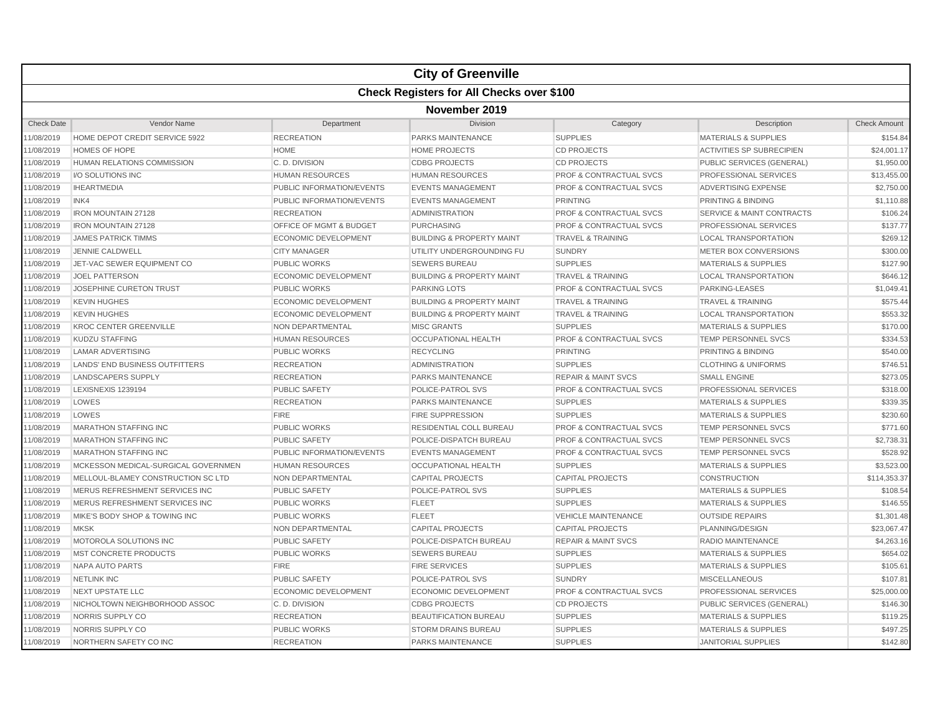|                   | <b>City of Greenville</b>                        |                                  |                                      |                                    |                                      |                     |  |  |  |
|-------------------|--------------------------------------------------|----------------------------------|--------------------------------------|------------------------------------|--------------------------------------|---------------------|--|--|--|
|                   | <b>Check Registers for All Checks over \$100</b> |                                  |                                      |                                    |                                      |                     |  |  |  |
|                   | November 2019                                    |                                  |                                      |                                    |                                      |                     |  |  |  |
| <b>Check Date</b> | Vendor Name                                      | Department                       | Division                             | Category                           | Description                          | <b>Check Amount</b> |  |  |  |
| 1/08/2019         | HOME DEPOT CREDIT SERVICE 5922                   | <b>RECREATION</b>                | PARKS MAINTENANCE                    | <b>SUPPLIES</b>                    | <b>MATERIALS &amp; SUPPLIES</b>      | \$154.84            |  |  |  |
| 11/08/2019        | <b>HOMES OF HOPE</b>                             | <b>HOME</b>                      | <b>HOME PROJECTS</b>                 | <b>CD PROJECTS</b>                 | <b>ACTIVITIES SP SUBRECIPIEN</b>     | \$24,001.17         |  |  |  |
| 1/08/2019         | HUMAN RELATIONS COMMISSION                       | C.D. DIVISION                    | <b>CDBG PROJECTS</b>                 | <b>CD PROJECTS</b>                 | PUBLIC SERVICES (GENERAL)            | \$1,950.00          |  |  |  |
| 1/08/2019         | I/O SOLUTIONS INC                                | <b>HUMAN RESOURCES</b>           | <b>HUMAN RESOURCES</b>               | PROF & CONTRACTUAL SVCS            | PROFESSIONAL SERVICES                | \$13,455.00         |  |  |  |
| 11/08/2019        | <b>IHEARTMEDIA</b>                               | <b>PUBLIC INFORMATION/EVENTS</b> | <b>EVENTS MANAGEMENT</b>             | <b>PROF &amp; CONTRACTUAL SVCS</b> | <b>ADVERTISING EXPENSE</b>           | \$2,750.00          |  |  |  |
| 1/08/2019         | INK4                                             | <b>PUBLIC INFORMATION/EVENTS</b> | <b>EVENTS MANAGEMENT</b>             | <b>PRINTING</b>                    | PRINTING & BINDING                   | \$1,110.88          |  |  |  |
| 1/08/2019         | <b>IRON MOUNTAIN 27128</b>                       | <b>RECREATION</b>                | <b>ADMINISTRATION</b>                | <b>PROF &amp; CONTRACTUAL SVCS</b> | <b>SERVICE &amp; MAINT CONTRACTS</b> | \$106.24            |  |  |  |
| 1/08/2019         | <b>IRON MOUNTAIN 27128</b>                       | OFFICE OF MGMT & BUDGET          | <b>PURCHASING</b>                    | <b>PROF &amp; CONTRACTUAL SVCS</b> | PROFESSIONAL SERVICES                | \$137.77            |  |  |  |
| 1/08/2019         | <b>JAMES PATRICK TIMMS</b>                       | <b>ECONOMIC DEVELOPMENT</b>      | <b>BUILDING &amp; PROPERTY MAINT</b> | <b>TRAVEL &amp; TRAINING</b>       | <b>LOCAL TRANSPORTATION</b>          | \$269.12            |  |  |  |
| 11/08/2019        | <b>JENNIE CALDWELL</b>                           | <b>CITY MANAGER</b>              | UTILITY UNDERGROUNDING FU            | <b>SUNDRY</b>                      | METER BOX CONVERSIONS                | \$300.00            |  |  |  |
| 1/08/2019         | JET-VAC SEWER EQUIPMENT CO                       | <b>PUBLIC WORKS</b>              | <b>SEWERS BUREAU</b>                 | <b>SUPPLIES</b>                    | <b>MATERIALS &amp; SUPPLIES</b>      | \$127.90            |  |  |  |
| 1/08/2019         | <b>JOEL PATTERSON</b>                            | <b>ECONOMIC DEVELOPMENT</b>      | <b>BUILDING &amp; PROPERTY MAINT</b> | <b>TRAVEL &amp; TRAINING</b>       | <b>LOCAL TRANSPORTATION</b>          | \$646.12            |  |  |  |
| 1/08/2019         | JOSEPHINE CURETON TRUST                          | <b>PUBLIC WORKS</b>              | <b>PARKING LOTS</b>                  | <b>PROF &amp; CONTRACTUAL SVCS</b> | PARKING-LEASES                       | \$1,049.41          |  |  |  |
| 1/08/2019         | <b>KEVIN HUGHES</b>                              | <b>ECONOMIC DEVELOPMENT</b>      | <b>BUILDING &amp; PROPERTY MAINT</b> | <b>TRAVEL &amp; TRAINING</b>       | <b>TRAVEL &amp; TRAINING</b>         | \$575.44            |  |  |  |
| 11/08/2019        | <b>KEVIN HUGHES</b>                              | <b>ECONOMIC DEVELOPMENT</b>      | <b>BUILDING &amp; PROPERTY MAINT</b> | <b>TRAVEL &amp; TRAINING</b>       | <b>LOCAL TRANSPORTATION</b>          | \$553.32            |  |  |  |
| 1/08/2019         | <b>KROC CENTER GREENVILLE</b>                    | <b>NON DEPARTMENTAL</b>          | <b>MISC GRANTS</b>                   | <b>SUPPLIES</b>                    | <b>MATERIALS &amp; SUPPLIES</b>      | \$170.00            |  |  |  |
| 1/08/2019         | <b>KUDZU STAFFING</b>                            | <b>HUMAN RESOURCES</b>           | <b>OCCUPATIONAL HEALTH</b>           | <b>PROF &amp; CONTRACTUAL SVCS</b> | <b>TEMP PERSONNEL SVCS</b>           | \$334.53            |  |  |  |
| 1/08/2019         | <b>LAMAR ADVERTISING</b>                         | <b>PUBLIC WORKS</b>              | <b>RECYCLING</b>                     | <b>PRINTING</b>                    | <b>PRINTING &amp; BINDING</b>        | \$540.00            |  |  |  |
| 1/08/2019         | LANDS' END BUSINESS OUTFITTERS                   | <b>RECREATION</b>                | <b>ADMINISTRATION</b>                | <b>SUPPLIES</b>                    | <b>CLOTHING &amp; UNIFORMS</b>       | \$746.51            |  |  |  |
| 11/08/2019        | <b>LANDSCAPERS SUPPLY</b>                        | <b>RECREATION</b>                | <b>PARKS MAINTENANCE</b>             | <b>REPAIR &amp; MAINT SVCS</b>     | <b>SMALL ENGINE</b>                  | \$273.05            |  |  |  |
| 1/08/2019         | LEXISNEXIS 1239194                               | <b>PUBLIC SAFETY</b>             | POLICE-PATROL SVS                    | <b>PROF &amp; CONTRACTUAL SVCS</b> | PROFESSIONAL SERVICES                | \$318.00            |  |  |  |
| 1/08/2019         | LOWES                                            | <b>RECREATION</b>                | <b>PARKS MAINTENANCE</b>             | <b>SUPPLIES</b>                    | <b>MATERIALS &amp; SUPPLIES</b>      | \$339.35            |  |  |  |
| 1/08/2019         | LOWES                                            | <b>FIRE</b>                      | <b>FIRE SUPPRESSION</b>              | <b>SUPPLIES</b>                    | <b>MATERIALS &amp; SUPPLIES</b>      | \$230.60            |  |  |  |
| 1/08/2019         | <b>MARATHON STAFFING INC</b>                     | <b>PUBLIC WORKS</b>              | <b>RESIDENTIAL COLL BUREAU</b>       | <b>PROF &amp; CONTRACTUAL SVCS</b> | <b>TEMP PERSONNEL SVCS</b>           | \$771.60            |  |  |  |
| 11/08/2019        | <b>MARATHON STAFFING INC</b>                     | <b>PUBLIC SAFETY</b>             | POLICE-DISPATCH BUREAU               | <b>PROF &amp; CONTRACTUAL SVCS</b> | <b>TEMP PERSONNEL SVCS</b>           | \$2,738.31          |  |  |  |
| 1/08/2019         | <b>MARATHON STAFFING INC</b>                     | <b>PUBLIC INFORMATION/EVENTS</b> | <b>EVENTS MANAGEMENT</b>             | PROF & CONTRACTUAL SVCS            | <b>TEMP PERSONNEL SVCS</b>           | \$528.92            |  |  |  |
| 11/08/2019        | MCKESSON MEDICAL-SURGICAL GOVERNMEN              | <b>HUMAN RESOURCES</b>           | OCCUPATIONAL HEALTH                  | <b>SUPPLIES</b>                    | <b>MATERIALS &amp; SUPPLIES</b>      | \$3,523.00          |  |  |  |
| 1/08/2019         | MELLOUL-BLAMEY CONSTRUCTION SC LTD               | NON DEPARTMENTAL                 | <b>CAPITAL PROJECTS</b>              | <b>CAPITAL PROJECTS</b>            | <b>CONSTRUCTION</b>                  | \$114,353.37        |  |  |  |
| 1/08/2019         | MERUS REFRESHMENT SERVICES INC                   | <b>PUBLIC SAFETY</b>             | POLICE-PATROL SVS                    | <b>SUPPLIES</b>                    | <b>MATERIALS &amp; SUPPLIES</b>      | \$108.54            |  |  |  |
| 11/08/2019        | MERUS REFRESHMENT SERVICES INC                   | <b>PUBLIC WORKS</b>              | <b>FLEET</b>                         | <b>SUPPLIES</b>                    | <b>MATERIALS &amp; SUPPLIES</b>      | \$146.55            |  |  |  |
| 1/08/2019         | MIKE'S BODY SHOP & TOWING INC                    | <b>PUBLIC WORKS</b>              | <b>FLEET</b>                         | <b>VEHICLE MAINTENANCE</b>         | <b>OUTSIDE REPAIRS</b>               | \$1,301.48          |  |  |  |
| 1/08/2019         | <b>MKSK</b>                                      | <b>NON DEPARTMENTAL</b>          | <b>CAPITAL PROJECTS</b>              | <b>CAPITAL PROJECTS</b>            | PLANNING/DESIGN                      | \$23.067.47         |  |  |  |
| 1/08/2019         | MOTOROLA SOLUTIONS INC                           | <b>PUBLIC SAFETY</b>             | POLICE-DISPATCH BUREAU               | <b>REPAIR &amp; MAINT SVCS</b>     | <b>RADIO MAINTENANCE</b>             | \$4,263.16          |  |  |  |
| 1/08/2019         | <b>MST CONCRETE PRODUCTS</b>                     | <b>PUBLIC WORKS</b>              | <b>SEWERS BUREAU</b>                 | <b>SUPPLIES</b>                    | <b>MATERIALS &amp; SUPPLIES</b>      | \$654.02            |  |  |  |
| 11/08/2019        | <b>NAPA AUTO PARTS</b>                           | <b>FIRE</b>                      | <b>FIRE SERVICES</b>                 | <b>SUPPLIES</b>                    | <b>MATERIALS &amp; SUPPLIES</b>      | \$105.61            |  |  |  |
| 1/08/2019         | <b>NETLINK INC</b>                               | <b>PUBLIC SAFETY</b>             | POLICE-PATROL SVS                    | <b>SUNDRY</b>                      | <b>MISCELLANEOUS</b>                 | \$107.81            |  |  |  |
| 1/08/2019         | <b>NEXT UPSTATE LLC</b>                          | <b>ECONOMIC DEVELOPMENT</b>      | <b>ECONOMIC DEVELOPMENT</b>          | PROF & CONTRACTUAL SVCS            | PROFESSIONAL SERVICES                | \$25,000.00         |  |  |  |
| 1/08/2019         | NICHOLTOWN NEIGHBORHOOD ASSOC                    | C.D. DIVISION                    | <b>CDBG PROJECTS</b>                 | <b>CD PROJECTS</b>                 | PUBLIC SERVICES (GENERAL)            | \$146.30            |  |  |  |
| 1/08/2019         | NORRIS SUPPLY CO                                 | <b>RECREATION</b>                | <b>BEAUTIFICATION BUREAU</b>         | <b>SUPPLIES</b>                    | <b>MATERIALS &amp; SUPPLIES</b>      | \$119.25            |  |  |  |
| 11/08/2019        | NORRIS SUPPLY CO                                 | <b>PUBLIC WORKS</b>              | <b>STORM DRAINS BUREAU</b>           | <b>SUPPLIES</b>                    | <b>MATERIALS &amp; SUPPLIES</b>      | \$497.25            |  |  |  |
| 11/08/2019        | NORTHERN SAFETY CO INC                           | <b>RECREATION</b>                | <b>PARKS MAINTENANCE</b>             | <b>SUPPLIES</b>                    | <b>JANITORIAL SUPPLIES</b>           | \$142.80            |  |  |  |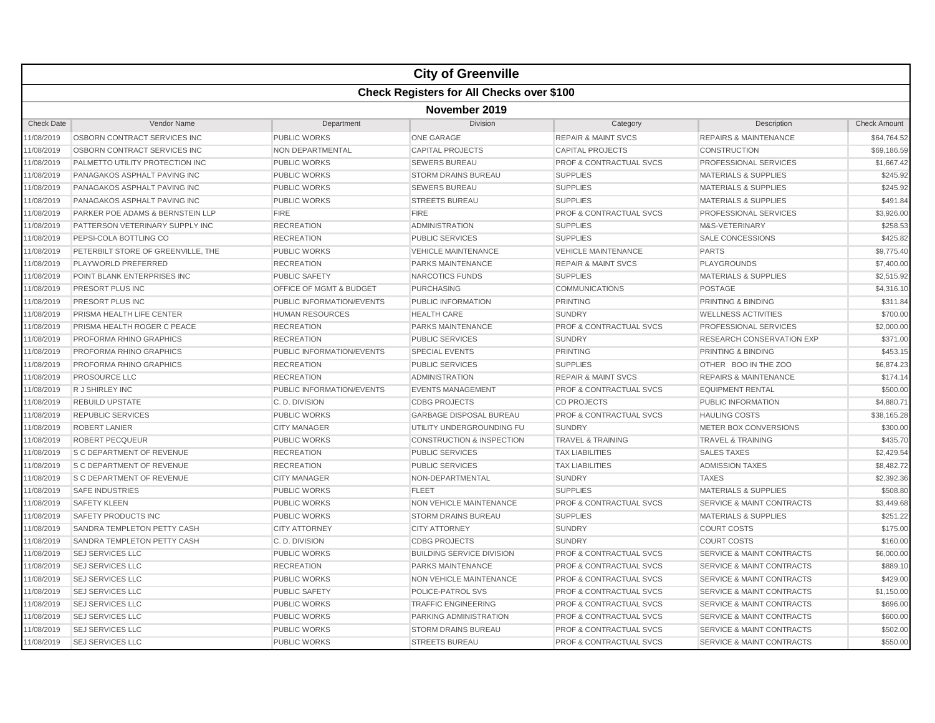|                   |                                                  |                           | <b>City of Greenville</b>            |                                    |                                      |                     |  |  |  |
|-------------------|--------------------------------------------------|---------------------------|--------------------------------------|------------------------------------|--------------------------------------|---------------------|--|--|--|
|                   | <b>Check Registers for All Checks over \$100</b> |                           |                                      |                                    |                                      |                     |  |  |  |
|                   | November 2019                                    |                           |                                      |                                    |                                      |                     |  |  |  |
| <b>Check Date</b> | Vendor Name                                      | Department                | Division                             | Category                           | Description                          | <b>Check Amount</b> |  |  |  |
| 11/08/2019        | OSBORN CONTRACT SERVICES INC                     | <b>PUBLIC WORKS</b>       | <b>ONE GARAGE</b>                    | <b>REPAIR &amp; MAINT SVCS</b>     | <b>REPAIRS &amp; MAINTENANCE</b>     | \$64,764.52         |  |  |  |
| 11/08/2019        | OSBORN CONTRACT SERVICES INC                     | <b>NON DEPARTMENTAL</b>   | <b>CAPITAL PROJECTS</b>              | <b>CAPITAL PROJECTS</b>            | <b>CONSTRUCTION</b>                  | \$69,186.59         |  |  |  |
| 11/08/2019        | PALMETTO UTILITY PROTECTION INC                  | <b>PUBLIC WORKS</b>       | <b>SEWERS BUREAU</b>                 | <b>PROF &amp; CONTRACTUAL SVCS</b> | PROFESSIONAL SERVICES                | \$1,667.42          |  |  |  |
| 11/08/2019        | PANAGAKOS ASPHALT PAVING INC                     | <b>PUBLIC WORKS</b>       | <b>STORM DRAINS BUREAU</b>           | <b>SUPPLIES</b>                    | <b>MATERIALS &amp; SUPPLIES</b>      | \$245.92            |  |  |  |
| 11/08/2019        | PANAGAKOS ASPHALT PAVING INC                     | <b>PUBLIC WORKS</b>       | <b>SEWERS BUREAU</b>                 | <b>SUPPLIES</b>                    | <b>MATERIALS &amp; SUPPLIES</b>      | \$245.92            |  |  |  |
| 11/08/2019        | PANAGAKOS ASPHALT PAVING INC                     | <b>PUBLIC WORKS</b>       | <b>STREETS BUREAU</b>                | <b>SUPPLIES</b>                    | <b>MATERIALS &amp; SUPPLIES</b>      | \$491.84            |  |  |  |
| 11/08/2019        | PARKER POE ADAMS & BERNSTEIN LLP                 | <b>FIRE</b>               | <b>FIRE</b>                          | <b>PROF &amp; CONTRACTUAL SVCS</b> | PROFESSIONAL SERVICES                | \$3,926.00          |  |  |  |
| 11/08/2019        | PATTERSON VETERINARY SUPPLY INC                  | <b>RECREATION</b>         | ADMINISTRATION                       | <b>SUPPLIES</b>                    | M&S-VETERINARY                       | \$258.53            |  |  |  |
| 11/08/2019        | PEPSI-COLA BOTTLING CO                           | <b>RECREATION</b>         | <b>PUBLIC SERVICES</b>               | <b>SUPPLIES</b>                    | <b>SALE CONCESSIONS</b>              | \$425.82            |  |  |  |
| 11/08/2019        | PETERBILT STORE OF GREENVILLE, THE               | <b>PUBLIC WORKS</b>       | <b>VEHICLE MAINTENANCE</b>           | <b>VEHICLE MAINTENANCE</b>         | <b>PARTS</b>                         | \$9,775.40          |  |  |  |
| 11/08/2019        | PLAYWORLD PREFERRED                              | <b>RECREATION</b>         | PARKS MAINTENANCE                    | <b>REPAIR &amp; MAINT SVCS</b>     | <b>PLAYGROUNDS</b>                   | \$7,400.00          |  |  |  |
| 11/08/2019        | POINT BLANK ENTERPRISES INC                      | <b>PUBLIC SAFETY</b>      | NARCOTICS FUNDS                      | <b>SUPPLIES</b>                    | <b>MATERIALS &amp; SUPPLIES</b>      | \$2,515.92          |  |  |  |
| 11/08/2019        | PRESORT PLUS INC                                 | OFFICE OF MGMT & BUDGET   | <b>PURCHASING</b>                    | <b>COMMUNICATIONS</b>              | POSTAGE                              | \$4,316.10          |  |  |  |
| 11/08/2019        | PRESORT PLUS INC                                 | PUBLIC INFORMATION/EVENTS | PUBLIC INFORMATION                   | <b>PRINTING</b>                    | PRINTING & BINDING                   | \$311.84            |  |  |  |
| 11/08/2019        | PRISMA HEALTH LIFE CENTER                        | <b>HUMAN RESOURCES</b>    | <b>HEALTH CARE</b>                   | <b>SUNDRY</b>                      | <b>WELLNESS ACTIVITIES</b>           | \$700.00            |  |  |  |
| 11/08/2019        | <b>PRISMA HEALTH ROGER C PEACE</b>               | <b>RECREATION</b>         | <b>PARKS MAINTENANCE</b>             | <b>PROF &amp; CONTRACTUAL SVCS</b> | PROFESSIONAL SERVICES                | \$2,000.00          |  |  |  |
| 11/08/2019        | PROFORMA RHINO GRAPHICS                          | <b>RECREATION</b>         | <b>PUBLIC SERVICES</b>               | <b>SUNDRY</b>                      | <b>RESEARCH CONSERVATION EXP</b>     | \$371.00            |  |  |  |
| 11/08/2019        | PROFORMA RHINO GRAPHICS                          | PUBLIC INFORMATION/EVENTS | <b>SPECIAL EVENTS</b>                | <b>PRINTING</b>                    | PRINTING & BINDING                   | \$453.15            |  |  |  |
| 11/08/2019        | PROFORMA RHINO GRAPHICS                          | <b>RECREATION</b>         | <b>PUBLIC SERVICES</b>               | <b>SUPPLIES</b>                    | OTHER BOO IN THE ZOO                 | \$6,874.23          |  |  |  |
| 11/08/2019        | PROSOURCE LLC                                    | <b>RECREATION</b>         | <b>ADMINISTRATION</b>                | <b>REPAIR &amp; MAINT SVCS</b>     | <b>REPAIRS &amp; MAINTENANCE</b>     | \$174.14            |  |  |  |
| 11/08/2019        | R J SHIRLEY INC                                  | PUBLIC INFORMATION/EVENTS | <b>EVENTS MANAGEMENT</b>             | <b>PROF &amp; CONTRACTUAL SVCS</b> | <b>EQUIPMENT RENTAL</b>              | \$500.00            |  |  |  |
| 11/08/2019        | <b>REBUILD UPSTATE</b>                           | C.D. DIVISION             | <b>CDBG PROJECTS</b>                 | <b>CD PROJECTS</b>                 | PUBLIC INFORMATION                   | \$4,880.71          |  |  |  |
| 11/08/2019        | <b>REPUBLIC SERVICES</b>                         | <b>PUBLIC WORKS</b>       | <b>GARBAGE DISPOSAL BUREAU</b>       | PROF & CONTRACTUAL SVCS            | <b>HAULING COSTS</b>                 | \$38,165.28         |  |  |  |
| 11/08/2019        | <b>ROBERT LANIER</b>                             | <b>CITY MANAGER</b>       | UTILITY UNDERGROUNDING FU            | <b>SUNDRY</b>                      | METER BOX CONVERSIONS                | \$300.00            |  |  |  |
| 11/08/2019        | <b>ROBERT PECQUEUR</b>                           | <b>PUBLIC WORKS</b>       | <b>CONSTRUCTION &amp; INSPECTION</b> | <b>TRAVEL &amp; TRAINING</b>       | <b>TRAVEL &amp; TRAINING</b>         | \$435.70            |  |  |  |
| 11/08/2019        | <b>S C DEPARTMENT OF REVENUE</b>                 | <b>RECREATION</b>         | <b>PUBLIC SERVICES</b>               | <b>TAX LIABILITIES</b>             | <b>SALES TAXES</b>                   | \$2,429.54          |  |  |  |
| 11/08/2019        | <b>S C DEPARTMENT OF REVENUE</b>                 | <b>RECREATION</b>         | <b>PUBLIC SERVICES</b>               | <b>TAX LIABILITIES</b>             | <b>ADMISSION TAXES</b>               | \$8,482.72          |  |  |  |
| 11/08/2019        | <b>S C DEPARTMENT OF REVENUE</b>                 | <b>CITY MANAGER</b>       | NON-DEPARTMENTAL                     | <b>SUNDRY</b>                      | <b>TAXES</b>                         | \$2,392.36          |  |  |  |
| 11/08/2019        | <b>SAFE INDUSTRIES</b>                           | <b>PUBLIC WORKS</b>       | <b>FLEET</b>                         | <b>SUPPLIES</b>                    | <b>MATERIALS &amp; SUPPLIES</b>      | \$508.80            |  |  |  |
| 11/08/2019        | <b>SAFETY KLEEN</b>                              | <b>PUBLIC WORKS</b>       | <b>NON VEHICLE MAINTENANCE</b>       | <b>PROF &amp; CONTRACTUAL SVCS</b> | <b>SERVICE &amp; MAINT CONTRACTS</b> | \$3,449.68          |  |  |  |
| 11/08/2019        | <b>SAFETY PRODUCTS INC</b>                       | <b>PUBLIC WORKS</b>       | <b>STORM DRAINS BUREAU</b>           | <b>SUPPLIES</b>                    | <b>MATERIALS &amp; SUPPLIES</b>      | \$251.22            |  |  |  |
| 11/08/2019        | SANDRA TEMPLETON PETTY CASH                      | <b>CITY ATTORNEY</b>      | <b>CITY ATTORNEY</b>                 | <b>SUNDRY</b>                      | <b>COURT COSTS</b>                   | \$175.00            |  |  |  |
| 11/08/2019        | SANDRA TEMPLETON PETTY CASH                      | C.D. DIVISION             | <b>CDBG PROJECTS</b>                 | <b>SUNDRY</b>                      | <b>COURT COSTS</b>                   | \$160.00            |  |  |  |
| 11/08/2019        | <b>SEJ SERVICES LLC</b>                          | <b>PUBLIC WORKS</b>       | <b>BUILDING SERVICE DIVISION</b>     | <b>PROF &amp; CONTRACTUAL SVCS</b> | <b>SERVICE &amp; MAINT CONTRACTS</b> | \$6,000.00          |  |  |  |
| 11/08/2019        | <b>SEJ SERVICES LLC</b>                          | <b>RECREATION</b>         | <b>PARKS MAINTENANCE</b>             | <b>PROF &amp; CONTRACTUAL SVCS</b> | <b>SERVICE &amp; MAINT CONTRACTS</b> | \$889.10            |  |  |  |
| 11/08/2019        | <b>SEJ SERVICES LLC</b>                          | <b>PUBLIC WORKS</b>       | NON VEHICLE MAINTENANCE              | <b>PROF &amp; CONTRACTUAL SVCS</b> | <b>SERVICE &amp; MAINT CONTRACTS</b> | \$429.00            |  |  |  |
| 11/08/2019        | <b>SEJ SERVICES LLC</b>                          | <b>PUBLIC SAFETY</b>      | POLICE-PATROL SVS                    | <b>PROF &amp; CONTRACTUAL SVCS</b> | <b>SERVICE &amp; MAINT CONTRACTS</b> | \$1,150.00          |  |  |  |
| 11/08/2019        | <b>SEJ SERVICES LLC</b>                          | <b>PUBLIC WORKS</b>       | <b>TRAFFIC ENGINEERING</b>           | <b>PROF &amp; CONTRACTUAL SVCS</b> | <b>SERVICE &amp; MAINT CONTRACTS</b> | \$696.00            |  |  |  |
| 11/08/2019        | <b>SEJ SERVICES LLC</b>                          | <b>PUBLIC WORKS</b>       | PARKING ADMINISTRATION               | <b>PROF &amp; CONTRACTUAL SVCS</b> | <b>SERVICE &amp; MAINT CONTRACTS</b> | \$600.00            |  |  |  |
| 11/08/2019        | <b>SEJ SERVICES LLC</b>                          | PUBLIC WORKS              | STORM DRAINS BUREAU                  | PROF & CONTRACTUAL SVCS            | <b>SERVICE &amp; MAINT CONTRACTS</b> | \$502.00            |  |  |  |
| 11/08/2019        | <b>SEJ SERVICES LLC</b>                          | <b>PUBLIC WORKS</b>       | <b>STREETS BUREAU</b>                | <b>PROF &amp; CONTRACTUAL SVCS</b> | <b>SERVICE &amp; MAINT CONTRACTS</b> | \$550.00            |  |  |  |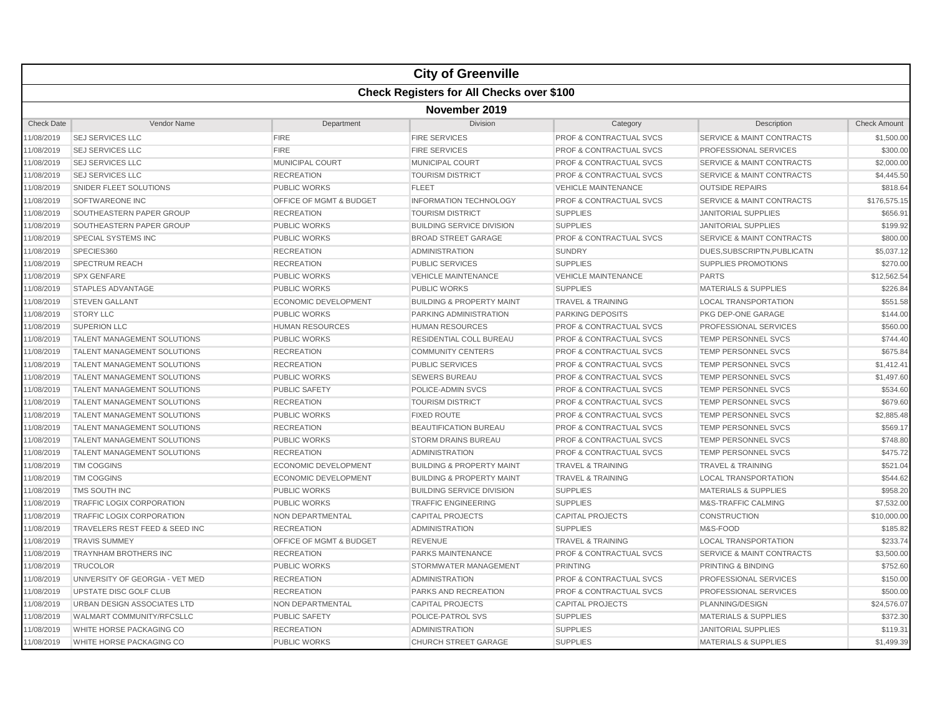|                   |                                                  |                                    | <b>City of Greenville</b>            |                                    |                                      |                     |  |  |  |
|-------------------|--------------------------------------------------|------------------------------------|--------------------------------------|------------------------------------|--------------------------------------|---------------------|--|--|--|
|                   | <b>Check Registers for All Checks over \$100</b> |                                    |                                      |                                    |                                      |                     |  |  |  |
|                   | November 2019                                    |                                    |                                      |                                    |                                      |                     |  |  |  |
| <b>Check Date</b> | Vendor Name                                      | Department                         | Division                             | Category                           | Description                          | <b>Check Amount</b> |  |  |  |
| 11/08/2019        | <b>SEJ SERVICES LLC</b>                          | <b>FIRE</b>                        | <b>FIRE SERVICES</b>                 | <b>PROF &amp; CONTRACTUAL SVCS</b> | <b>SERVICE &amp; MAINT CONTRACTS</b> | \$1,500.00          |  |  |  |
| 11/08/2019        | <b>SEJ SERVICES LLC</b>                          | <b>FIRE</b>                        | <b>FIRE SERVICES</b>                 | <b>PROF &amp; CONTRACTUAL SVCS</b> | PROFESSIONAL SERVICES                | \$300.00            |  |  |  |
| 11/08/2019        | <b>SEJ SERVICES LLC</b>                          | <b>MUNICIPAL COURT</b>             | MUNICIPAL COURT                      | <b>PROF &amp; CONTRACTUAL SVCS</b> | <b>SERVICE &amp; MAINT CONTRACTS</b> | \$2,000.00          |  |  |  |
| 11/08/2019        | <b>SEJ SERVICES LLC</b>                          | <b>RECREATION</b>                  | <b>TOURISM DISTRICT</b>              | <b>PROF &amp; CONTRACTUAL SVCS</b> | <b>SERVICE &amp; MAINT CONTRACTS</b> | \$4,445.50          |  |  |  |
| 11/08/2019        | SNIDER FLEET SOLUTIONS                           | <b>PUBLIC WORKS</b>                | <b>FLEET</b>                         | <b>VEHICLE MAINTENANCE</b>         | <b>OUTSIDE REPAIRS</b>               | \$818.64            |  |  |  |
| 11/08/2019        | <b>SOFTWAREONE INC</b>                           | OFFICE OF MGMT & BUDGET            | <b>INFORMATION TECHNOLOGY</b>        | <b>PROF &amp; CONTRACTUAL SVCS</b> | <b>SERVICE &amp; MAINT CONTRACTS</b> | \$176,575.15        |  |  |  |
| 11/08/2019        | SOUTHEASTERN PAPER GROUP                         | <b>RECREATION</b>                  | <b>TOURISM DISTRICT</b>              | <b>SUPPLIES</b>                    | <b>JANITORIAL SUPPLIES</b>           | \$656.91            |  |  |  |
| 11/08/2019        | SOUTHEASTERN PAPER GROUP                         | <b>PUBLIC WORKS</b>                | <b>BUILDING SERVICE DIVISION</b>     | <b>SUPPLIES</b>                    | <b>JANITORIAL SUPPLIES</b>           | \$199.92            |  |  |  |
| 11/08/2019        | SPECIAL SYSTEMS INC                              | <b>PUBLIC WORKS</b>                | <b>BROAD STREET GARAGE</b>           | <b>PROF &amp; CONTRACTUAL SVCS</b> | <b>SERVICE &amp; MAINT CONTRACTS</b> | \$800.00            |  |  |  |
| 11/08/2019        | SPECIES360                                       | <b>RECREATION</b>                  | <b>ADMINISTRATION</b>                | <b>SUNDRY</b>                      | DUES, SUBSCRIPTN, PUBLICATN          | \$5,037.12          |  |  |  |
| 11/08/2019        | SPECTRUM REACH                                   | <b>RECREATION</b>                  | <b>PUBLIC SERVICES</b>               | <b>SUPPLIES</b>                    | <b>SUPPLIES PROMOTIONS</b>           | \$270.00            |  |  |  |
| 11/08/2019        | <b>SPX GENFARE</b>                               | <b>PUBLIC WORKS</b>                | <b>VEHICLE MAINTENANCE</b>           | <b>VEHICLE MAINTENANCE</b>         | <b>PARTS</b>                         | \$12.562.54         |  |  |  |
| 11/08/2019        | <b>STAPLES ADVANTAGE</b>                         | <b>PUBLIC WORKS</b>                | <b>PUBLIC WORKS</b>                  | <b>SUPPLIES</b>                    | <b>MATERIALS &amp; SUPPLIES</b>      | \$226.84            |  |  |  |
| 11/08/2019        | <b>STEVEN GALLANT</b>                            | <b>ECONOMIC DEVELOPMENT</b>        | <b>BUILDING &amp; PROPERTY MAINT</b> | <b>TRAVEL &amp; TRAINING</b>       | <b>LOCAL TRANSPORTATION</b>          | \$551.58            |  |  |  |
| 11/08/2019        | <b>STORY LLC</b>                                 | PUBLIC WORKS                       | PARKING ADMINISTRATION               | PARKING DEPOSITS                   | PKG DEP-ONE GARAGE                   | \$144.00            |  |  |  |
| 11/08/2019        | <b>SUPERION LLC</b>                              | <b>HUMAN RESOURCES</b>             | <b>HUMAN RESOURCES</b>               | <b>PROF &amp; CONTRACTUAL SVCS</b> | PROFESSIONAL SERVICES                | \$560.00            |  |  |  |
| 11/08/2019        | TALENT MANAGEMENT SOLUTIONS                      | <b>PUBLIC WORKS</b>                | RESIDENTIAL COLL BUREAU              | <b>PROF &amp; CONTRACTUAL SVCS</b> | TEMP PERSONNEL SVCS                  | \$744.40            |  |  |  |
| 11/08/2019        | TALENT MANAGEMENT SOLUTIONS                      | <b>RECREATION</b>                  | <b>COMMUNITY CENTERS</b>             | PROF & CONTRACTUAL SVCS            | TEMP PERSONNEL SVCS                  | \$675.84            |  |  |  |
| 11/08/2019        | <b>TALENT MANAGEMENT SOLUTIONS</b>               | <b>RECREATION</b>                  | <b>PUBLIC SERVICES</b>               | <b>PROF &amp; CONTRACTUAL SVCS</b> | <b>TEMP PERSONNEL SVCS</b>           | \$1.412.41          |  |  |  |
| 11/08/2019        | <b>TALENT MANAGEMENT SOLUTIONS</b>               | <b>PUBLIC WORKS</b>                | <b>SEWERS BUREAU</b>                 | <b>PROF &amp; CONTRACTUAL SVCS</b> | <b>TEMP PERSONNEL SVCS</b>           | \$1,497.60          |  |  |  |
| 11/08/2019        | TALENT MANAGEMENT SOLUTIONS                      | <b>PUBLIC SAFETY</b>               | POLICE-ADMIN SVCS                    | <b>PROF &amp; CONTRACTUAL SVCS</b> | TEMP PERSONNEL SVCS                  | \$534.60            |  |  |  |
| 11/08/2019        | <b>TALENT MANAGEMENT SOLUTIONS</b>               | <b>RECREATION</b>                  | <b>TOURISM DISTRICT</b>              | <b>PROF &amp; CONTRACTUAL SVCS</b> | TEMP PERSONNEL SVCS                  | \$679.60            |  |  |  |
| 11/08/2019        | TALENT MANAGEMENT SOLUTIONS                      | <b>PUBLIC WORKS</b>                | <b>FIXED ROUTE</b>                   | PROF & CONTRACTUAL SVCS            | TEMP PERSONNEL SVCS                  | \$2,885.48          |  |  |  |
| 11/08/2019        | TALENT MANAGEMENT SOLUTIONS                      | <b>RECREATION</b>                  | <b>BEAUTIFICATION BUREAU</b>         | <b>PROF &amp; CONTRACTUAL SVCS</b> | TEMP PERSONNEL SVCS                  | \$569.17            |  |  |  |
| 11/08/2019        | TALENT MANAGEMENT SOLUTIONS                      | <b>PUBLIC WORKS</b>                | <b>STORM DRAINS BUREAU</b>           | <b>PROF &amp; CONTRACTUAL SVCS</b> | TEMP PERSONNEL SVCS                  | \$748.80            |  |  |  |
| 11/08/2019        | TALENT MANAGEMENT SOLUTIONS                      | <b>RECREATION</b>                  | <b>ADMINISTRATION</b>                | <b>PROF &amp; CONTRACTUAL SVCS</b> | TEMP PERSONNEL SVCS                  | \$475.72            |  |  |  |
| 11/08/2019        | <b>TIM COGGINS</b>                               | <b>ECONOMIC DEVELOPMENT</b>        | <b>BUILDING &amp; PROPERTY MAINT</b> | <b>TRAVEL &amp; TRAINING</b>       | <b>TRAVEL &amp; TRAINING</b>         | \$521.04            |  |  |  |
| 11/08/2019        | <b>TIM COGGINS</b>                               | <b>ECONOMIC DEVELOPMENT</b>        | <b>BUILDING &amp; PROPERTY MAINT</b> | <b>TRAVEL &amp; TRAINING</b>       | <b>LOCAL TRANSPORTATION</b>          | \$544.62            |  |  |  |
| 11/08/2019        | TMS SOUTH INC                                    | <b>PUBLIC WORKS</b>                | <b>BUILDING SERVICE DIVISION</b>     | <b>SUPPLIES</b>                    | <b>MATERIALS &amp; SUPPLIES</b>      | \$958.20            |  |  |  |
| 11/08/2019        | TRAFFIC LOGIX CORPORATION                        | <b>PUBLIC WORKS</b>                | <b>TRAFFIC ENGINEERING</b>           | <b>SUPPLIES</b>                    | <b>M&amp;S-TRAFFIC CALMING</b>       | \$7,532.00          |  |  |  |
| 11/08/2019        | <b>TRAFFIC LOGIX CORPORATION</b>                 | NON DEPARTMENTAL                   | <b>CAPITAL PROJECTS</b>              | <b>CAPITAL PROJECTS</b>            | <b>CONSTRUCTION</b>                  | \$10,000.00         |  |  |  |
| 11/08/2019        | TRAVELERS REST FEED & SEED INC                   | <b>RECREATION</b>                  | <b>ADMINISTRATION</b>                | <b>SUPPLIES</b>                    | M&S-FOOD                             | \$185.82            |  |  |  |
| 11/08/2019        | <b>TRAVIS SUMMEY</b>                             | <b>OFFICE OF MGMT &amp; BUDGET</b> | <b>REVENUE</b>                       | <b>TRAVEL &amp; TRAINING</b>       | <b>LOCAL TRANSPORTATION</b>          | \$233.74            |  |  |  |
| 11/08/2019        | <b>TRAYNHAM BROTHERS INC</b>                     | <b>RECREATION</b>                  | <b>PARKS MAINTENANCE</b>             | <b>PROF &amp; CONTRACTUAL SVCS</b> | <b>SERVICE &amp; MAINT CONTRACTS</b> | \$3,500.00          |  |  |  |
| 11/08/2019        | <b>TRUCOLOR</b>                                  | <b>PUBLIC WORKS</b>                | STORMWATER MANAGEMENT                | <b>PRINTING</b>                    | PRINTING & BINDING                   | \$752.60            |  |  |  |
| 11/08/2019        | UNIVERSITY OF GEORGIA - VET MED                  | <b>RECREATION</b>                  | <b>ADMINISTRATION</b>                | <b>PROF &amp; CONTRACTUAL SVCS</b> | PROFESSIONAL SERVICES                | \$150.00            |  |  |  |
| 11/08/2019        | UPSTATE DISC GOLF CLUB                           | <b>RECREATION</b>                  | PARKS AND RECREATION                 | <b>PROF &amp; CONTRACTUAL SVCS</b> | PROFESSIONAL SERVICES                | \$500.00            |  |  |  |
| 11/08/2019        | URBAN DESIGN ASSOCIATES LTD                      | NON DEPARTMENTAL                   | <b>CAPITAL PROJECTS</b>              | <b>CAPITAL PROJECTS</b>            | PLANNING/DESIGN                      | \$24,576.07         |  |  |  |
| 11/08/2019        | WALMART COMMUNITY/RFCSLLC                        | <b>PUBLIC SAFETY</b>               | POLICE-PATROL SVS                    | <b>SUPPLIES</b>                    | <b>MATERIALS &amp; SUPPLIES</b>      | \$372.30            |  |  |  |
| 11/08/2019        | WHITE HORSE PACKAGING CO                         | <b>RECREATION</b>                  | <b>ADMINISTRATION</b>                | <b>SUPPLIES</b>                    | <b>JANITORIAL SUPPLIES</b>           | \$119.31            |  |  |  |
| 11/08/2019        | WHITE HORSE PACKAGING CO                         | <b>PUBLIC WORKS</b>                | <b>CHURCH STREET GARAGE</b>          | <b>SUPPLIES</b>                    | <b>MATERIALS &amp; SUPPLIES</b>      | \$1,499.39          |  |  |  |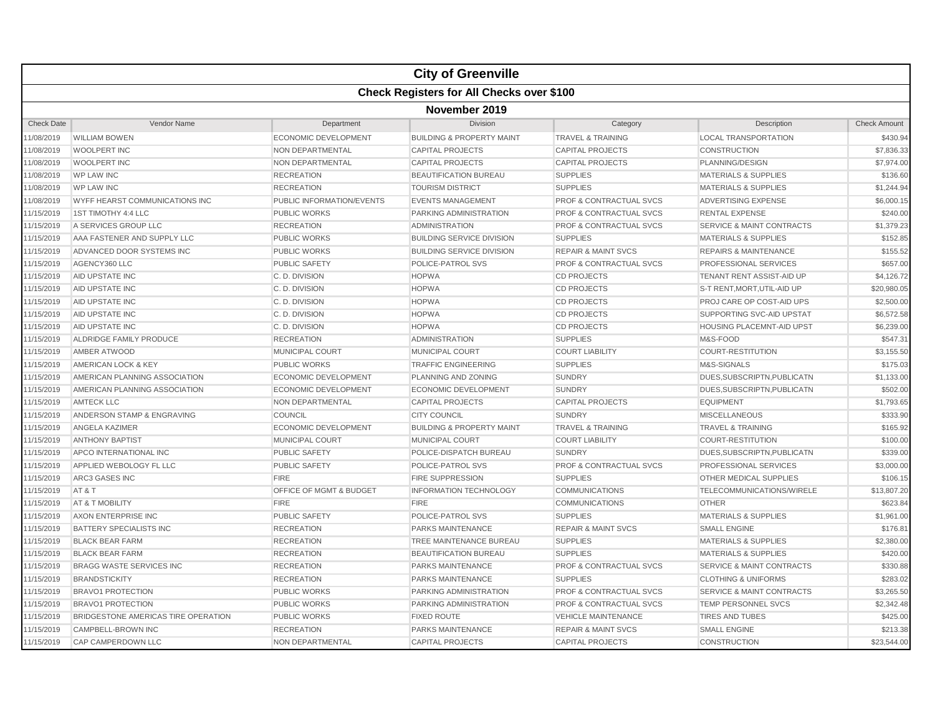|                   |                                     |                                  | <b>City of Greenville</b>                        |                                    |                                      |                     |  |  |
|-------------------|-------------------------------------|----------------------------------|--------------------------------------------------|------------------------------------|--------------------------------------|---------------------|--|--|
|                   |                                     |                                  | <b>Check Registers for All Checks over \$100</b> |                                    |                                      |                     |  |  |
|                   | November 2019                       |                                  |                                                  |                                    |                                      |                     |  |  |
| <b>Check Date</b> | Vendor Name                         | Department                       | Division                                         | Category                           | Description                          | <b>Check Amount</b> |  |  |
| 1/08/2019         | <b>WILLIAM BOWEN</b>                | <b>ECONOMIC DEVELOPMENT</b>      | <b>BUILDING &amp; PROPERTY MAINT</b>             | <b>TRAVEL &amp; TRAINING</b>       | <b>LOCAL TRANSPORTATION</b>          | \$430.94            |  |  |
| 1/08/2019         | WOOLPERT INC                        | <b>NON DEPARTMENTAL</b>          | <b>CAPITAL PROJECTS</b>                          | <b>CAPITAL PROJECTS</b>            | <b>CONSTRUCTION</b>                  | \$7,836.33          |  |  |
| 1/08/2019         | <b>WOOLPERT INC</b>                 | NON DEPARTMENTAL                 | <b>CAPITAL PROJECTS</b>                          | <b>CAPITAL PROJECTS</b>            | PLANNING/DESIGN                      | \$7,974.00          |  |  |
| 1/08/2019         | <b>WP LAW INC</b>                   | <b>RECREATION</b>                | <b>BEAUTIFICATION BUREAU</b>                     | <b>SUPPLIES</b>                    | <b>MATERIALS &amp; SUPPLIES</b>      | \$136.60            |  |  |
| 11/08/2019        | <b>WP LAW INC</b>                   | <b>RECREATION</b>                | <b>TOURISM DISTRICT</b>                          | <b>SUPPLIES</b>                    | <b>MATERIALS &amp; SUPPLIES</b>      | \$1,244.94          |  |  |
| 1/08/2019         | WYFF HEARST COMMUNICATIONS INC      | <b>PUBLIC INFORMATION/EVENTS</b> | <b>EVENTS MANAGEMENT</b>                         | <b>PROF &amp; CONTRACTUAL SVCS</b> | ADVERTISING EXPENSE                  | \$6,000.15          |  |  |
| 11/15/2019        | 1ST TIMOTHY 4:4 LLC                 | <b>PUBLIC WORKS</b>              | PARKING ADMINISTRATION                           | <b>PROF &amp; CONTRACTUAL SVCS</b> | <b>RENTAL EXPENSE</b>                | \$240.00            |  |  |
| 1/15/2019         | A SERVICES GROUP LLC                | <b>RECREATION</b>                | <b>ADMINISTRATION</b>                            | <b>PROF &amp; CONTRACTUAL SVCS</b> | <b>SERVICE &amp; MAINT CONTRACTS</b> | \$1,379.23          |  |  |
| 11/15/2019        | AAA FASTENER AND SUPPLY LLC         | <b>PUBLIC WORKS</b>              | <b>BUILDING SERVICE DIVISION</b>                 | <b>SUPPLIES</b>                    | <b>MATERIALS &amp; SUPPLIES</b>      | \$152.85            |  |  |
| 11/15/2019        | ADVANCED DOOR SYSTEMS INC           | <b>PUBLIC WORKS</b>              | <b>BUILDING SERVICE DIVISION</b>                 | <b>REPAIR &amp; MAINT SVCS</b>     | <b>REPAIRS &amp; MAINTENANCE</b>     | \$155.52            |  |  |
| 1/15/2019         | AGENCY360 LLC                       | <b>PUBLIC SAFETY</b>             | POLICE-PATROL SVS                                | PROF & CONTRACTUAL SVCS            | PROFESSIONAL SERVICES                | \$657.00            |  |  |
| 11/15/2019        | AID UPSTATE INC                     | C.D. DIVISION                    | <b>HOPWA</b>                                     | <b>CD PROJECTS</b>                 | TENANT RENT ASSIST-AID UP            | \$4,126.72          |  |  |
| 1/15/2019         | AID UPSTATE INC                     | C.D. DIVISION                    | <b>HOPWA</b>                                     | <b>CD PROJECTS</b>                 | S-T RENT, MORT, UTIL-AID UP          | \$20,980.05         |  |  |
| 1/15/2019         | AID UPSTATE INC                     | C.D. DIVISION                    | <b>HOPWA</b>                                     | <b>CD PROJECTS</b>                 | PROJ CARE OP COST-AID UPS            | \$2,500.00          |  |  |
| 11/15/2019        | AID UPSTATE INC                     | C.D. DIVISION                    | <b>HOPWA</b>                                     | <b>CD PROJECTS</b>                 | SUPPORTING SVC-AID UPSTAT            | \$6,572.58          |  |  |
| 11/15/2019        | AID UPSTATE INC                     | C.D. DIVISION                    | <b>HOPWA</b>                                     | <b>CD PROJECTS</b>                 | HOUSING PLACEMNT-AID UPST            | \$6,239.00          |  |  |
| 11/15/2019        | ALDRIDGE FAMILY PRODUCE             | <b>RECREATION</b>                | <b>ADMINISTRATION</b>                            | <b>SUPPLIES</b>                    | M&S-FOOD                             | \$547.31            |  |  |
| 1/15/2019         | AMBER ATWOOD                        | MUNICIPAL COURT                  | <b>MUNICIPAL COURT</b>                           | <b>COURT LIABILITY</b>             | COURT-RESTITUTION                    | \$3,155.50          |  |  |
| 11/15/2019        | AMERICAN LOCK & KEY                 | <b>PUBLIC WORKS</b>              | <b>TRAFFIC ENGINEERING</b>                       | <b>SUPPLIES</b>                    | M&S-SIGNALS                          | \$175.03            |  |  |
| 11/15/2019        | AMERICAN PLANNING ASSOCIATION       | <b>ECONOMIC DEVELOPMENT</b>      | <b>PLANNING AND ZONING</b>                       | <b>SUNDRY</b>                      | DUES, SUBSCRIPTN, PUBLICATN          | \$1,133.00          |  |  |
| 1/15/2019         | AMERICAN PLANNING ASSOCIATION       | <b>ECONOMIC DEVELOPMENT</b>      | <b>ECONOMIC DEVELOPMENT</b>                      | <b>SUNDRY</b>                      | DUES, SUBSCRIPTN, PUBLICATN          | \$502.00            |  |  |
| 11/15/2019        | <b>AMTECK LLC</b>                   | <b>NON DEPARTMENTAL</b>          | <b>CAPITAL PROJECTS</b>                          | <b>CAPITAL PROJECTS</b>            | <b>EQUIPMENT</b>                     | \$1,793.65          |  |  |
| 1/15/2019         | ANDERSON STAMP & ENGRAVING          | COUNCIL                          | <b>CITY COUNCIL</b>                              | <b>SUNDRY</b>                      | <b>MISCELLANEOUS</b>                 | \$333.90            |  |  |
| 1/15/2019         | ANGELA KAZIMER                      | <b>ECONOMIC DEVELOPMENT</b>      | <b>BUILDING &amp; PROPERTY MAINT</b>             | <b>TRAVEL &amp; TRAINING</b>       | <b>TRAVEL &amp; TRAINING</b>         | \$165.92            |  |  |
| 11/15/2019        | <b>ANTHONY BAPTIST</b>              | <b>MUNICIPAL COURT</b>           | MUNICIPAL COURT                                  | <b>COURT LIABILITY</b>             | <b>COURT-RESTITUTION</b>             | \$100.00            |  |  |
| 1/15/2019         | APCO INTERNATIONAL INC              | <b>PUBLIC SAFETY</b>             | POLICE-DISPATCH BUREAU                           | <b>SUNDRY</b>                      | DUES, SUBSCRIPTN, PUBLICATN          | \$339.00            |  |  |
| 11/15/2019        | APPLIED WEBOLOGY FL LLC             | <b>PUBLIC SAFETY</b>             | <b>POLICE-PATROL SVS</b>                         | <b>PROF &amp; CONTRACTUAL SVCS</b> | <b>PROFESSIONAL SERVICES</b>         | \$3,000.00          |  |  |
| 1/15/2019         | <b>ARC3 GASES INC</b>               | <b>FIRE</b>                      | <b>FIRE SUPPRESSION</b>                          | <b>SUPPLIES</b>                    | OTHER MEDICAL SUPPLIES               | \$106.15            |  |  |
| 1/15/2019         | AT&T                                | OFFICE OF MGMT & BUDGET          | <b>INFORMATION TECHNOLOGY</b>                    | <b>COMMUNICATIONS</b>              | TELECOMMUNICATIONS/WIRELE            | \$13,807.20         |  |  |
| 11/15/2019        | AT & T MOBILITY                     | <b>FIRE</b>                      | <b>FIRE</b>                                      | <b>COMMUNICATIONS</b>              | <b>OTHER</b>                         | \$623.84            |  |  |
| 11/15/2019        | AXON ENTERPRISE INC                 | <b>PUBLIC SAFETY</b>             | POLICE-PATROL SVS                                | <b>SUPPLIES</b>                    | <b>MATERIALS &amp; SUPPLIES</b>      | \$1,961.00          |  |  |
| 11/15/2019        | BATTERY SPECIALISTS INC             | <b>RECREATION</b>                | PARKS MAINTENANCE                                | <b>REPAIR &amp; MAINT SVCS</b>     | <b>SMALL ENGINE</b>                  | \$176.81            |  |  |
| 1/15/2019         | <b>BLACK BEAR FARM</b>              | <b>RECREATION</b>                | TREE MAINTENANCE BUREAU                          | <b>SUPPLIES</b>                    | <b>MATERIALS &amp; SUPPLIES</b>      | \$2,380.00          |  |  |
| 11/15/2019        | <b>BLACK BEAR FARM</b>              | <b>RECREATION</b>                | <b>BEAUTIFICATION BUREAU</b>                     | <b>SUPPLIES</b>                    | <b>MATERIALS &amp; SUPPLIES</b>      | \$420.00            |  |  |
| 11/15/2019        | <b>BRAGG WASTE SERVICES INC</b>     | <b>RECREATION</b>                | <b>PARKS MAINTENANCE</b>                         | <b>PROF &amp; CONTRACTUAL SVCS</b> | <b>SERVICE &amp; MAINT CONTRACTS</b> | \$330.88            |  |  |
| 1/15/2019         | <b>BRANDSTICKITY</b>                | <b>RECREATION</b>                | <b>PARKS MAINTENANCE</b>                         | <b>SUPPLIES</b>                    | <b>CLOTHING &amp; UNIFORMS</b>       | \$283.02            |  |  |
| 11/15/2019        | <b>BRAVO1 PROTECTION</b>            | <b>PUBLIC WORKS</b>              | PARKING ADMINISTRATION                           | PROF & CONTRACTUAL SVCS            | <b>SERVICE &amp; MAINT CONTRACTS</b> | \$3,265.50          |  |  |
| 11/15/2019        | <b>BRAVO1 PROTECTION</b>            | <b>PUBLIC WORKS</b>              | PARKING ADMINISTRATION                           | PROF & CONTRACTUAL SVCS            | <b>TEMP PERSONNEL SVCS</b>           | \$2,342.48          |  |  |
| 1/15/2019         | BRIDGESTONE AMERICAS TIRE OPERATION | <b>PUBLIC WORKS</b>              | <b>FIXED ROUTE</b>                               | <b>VEHICLE MAINTENANCE</b>         | <b>TIRES AND TUBES</b>               | \$425.00            |  |  |
| 11/15/2019        | CAMPBELL-BROWN INC                  | <b>RECREATION</b>                | <b>PARKS MAINTENANCE</b>                         | <b>REPAIR &amp; MAINT SVCS</b>     | <b>SMALL ENGINE</b>                  | \$213.38            |  |  |
| 11/15/2019        | <b>CAP CAMPERDOWN LLC</b>           | <b>NON DEPARTMENTAL</b>          | <b>CAPITAL PROJECTS</b>                          | <b>CAPITAL PROJECTS</b>            | <b>CONSTRUCTION</b>                  | \$23,544.00         |  |  |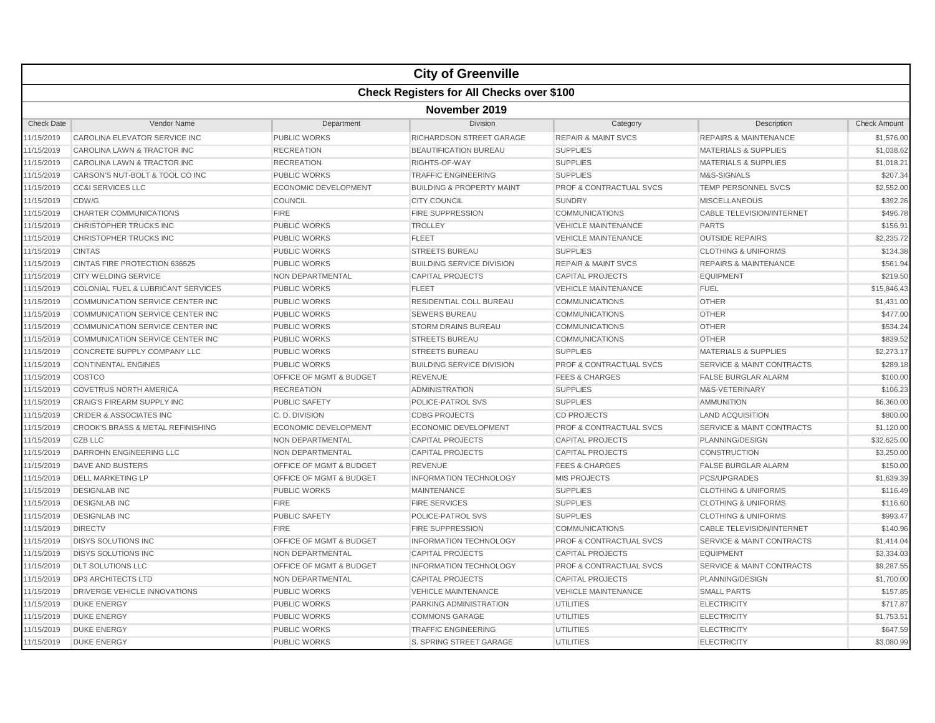|                   |                                              |                                    | <b>City of Greenville</b>                        |                                    |                                      |                     |  |  |  |
|-------------------|----------------------------------------------|------------------------------------|--------------------------------------------------|------------------------------------|--------------------------------------|---------------------|--|--|--|
|                   |                                              |                                    | <b>Check Registers for All Checks over \$100</b> |                                    |                                      |                     |  |  |  |
|                   | November 2019                                |                                    |                                                  |                                    |                                      |                     |  |  |  |
| <b>Check Date</b> | Vendor Name                                  | Department                         | Division                                         | Category                           | Description                          | <b>Check Amount</b> |  |  |  |
| 1/15/2019         | CAROLINA ELEVATOR SERVICE INC                | PUBLIC WORKS                       | RICHARDSON STREET GARAGE                         | <b>REPAIR &amp; MAINT SVCS</b>     | <b>REPAIRS &amp; MAINTENANCE</b>     | \$1,576.00          |  |  |  |
| 11/15/2019        | CAROLINA LAWN & TRACTOR INC                  | <b>RECREATION</b>                  | <b>BEAUTIFICATION BUREAU</b>                     | <b>SUPPLIES</b>                    | <b>MATERIALS &amp; SUPPLIES</b>      | \$1,038.62          |  |  |  |
| 1/15/2019         | CAROLINA LAWN & TRACTOR INC                  | <b>RECREATION</b>                  | RIGHTS-OF-WAY                                    | <b>SUPPLIES</b>                    | <b>MATERIALS &amp; SUPPLIES</b>      | \$1,018.21          |  |  |  |
| 1/15/2019         | CARSON'S NUT-BOLT & TOOL CO INC              | <b>PUBLIC WORKS</b>                | <b>TRAFFIC ENGINEERING</b>                       | <b>SUPPLIES</b>                    | M&S-SIGNALS                          | \$207.34            |  |  |  |
| 11/15/2019        | <b>CC&amp;I SERVICES LLC</b>                 | <b>ECONOMIC DEVELOPMENT</b>        | <b>BUILDING &amp; PROPERTY MAINT</b>             | <b>PROF &amp; CONTRACTUAL SVCS</b> | <b>TEMP PERSONNEL SVCS</b>           | \$2,552.00          |  |  |  |
| 1/15/2019         | CDW/G                                        | COUNCIL                            | <b>CITY COUNCIL</b>                              | <b>SUNDRY</b>                      | <b>MISCELLANEOUS</b>                 | \$392.26            |  |  |  |
| 11/15/2019        | <b>CHARTER COMMUNICATIONS</b>                | <b>FIRE</b>                        | <b>FIRE SUPPRESSION</b>                          | <b>COMMUNICATIONS</b>              | <b>CABLE TELEVISION/INTERNET</b>     | \$496.78            |  |  |  |
| 1/15/2019         | CHRISTOPHER TRUCKS INC                       | <b>PUBLIC WORKS</b>                | <b>TROLLEY</b>                                   | <b>VEHICLE MAINTENANCE</b>         | <b>PARTS</b>                         | \$156.91            |  |  |  |
| 1/15/2019         | CHRISTOPHER TRUCKS INC                       | <b>PUBLIC WORKS</b>                | <b>FLEET</b>                                     | <b>VEHICLE MAINTENANCE</b>         | <b>OUTSIDE REPAIRS</b>               | \$2,235.72          |  |  |  |
| 11/15/2019        | <b>CINTAS</b>                                | <b>PUBLIC WORKS</b>                | <b>STREETS BUREAU</b>                            | <b>SUPPLIES</b>                    | <b>CLOTHING &amp; UNIFORMS</b>       | \$134.38            |  |  |  |
| 1/15/2019         | CINTAS FIRE PROTECTION 636525                | <b>PUBLIC WORKS</b>                | <b>BUILDING SERVICE DIVISION</b>                 | <b>REPAIR &amp; MAINT SVCS</b>     | <b>REPAIRS &amp; MAINTENANCE</b>     | \$561.94            |  |  |  |
| 1/15/2019         | <b>CITY WELDING SERVICE</b>                  | NON DEPARTMENTAL                   | <b>CAPITAL PROJECTS</b>                          | <b>CAPITAL PROJECTS</b>            | <b>EQUIPMENT</b>                     | \$219.50            |  |  |  |
| 1/15/2019         | COLONIAL FUEL & LUBRICANT SERVICES           | <b>PUBLIC WORKS</b>                | <b>FLEET</b>                                     | <b>VEHICLE MAINTENANCE</b>         | <b>FUEL</b>                          | \$15,846.43         |  |  |  |
| 1/15/2019         | COMMUNICATION SERVICE CENTER INC             | <b>PUBLIC WORKS</b>                | RESIDENTIAL COLL BUREAU                          | <b>COMMUNICATIONS</b>              | <b>OTHER</b>                         | \$1,431.00          |  |  |  |
| 11/15/2019        | COMMUNICATION SERVICE CENTER INC             | <b>PUBLIC WORKS</b>                | <b>SEWERS BUREAU</b>                             | <b>COMMUNICATIONS</b>              | <b>OTHER</b>                         | \$477.00            |  |  |  |
| 11/15/2019        | <b>COMMUNICATION SERVICE CENTER INC</b>      | <b>PUBLIC WORKS</b>                | <b>STORM DRAINS BUREAU</b>                       | <b>COMMUNICATIONS</b>              | <b>OTHER</b>                         | \$534.24            |  |  |  |
| 11/15/2019        | <b>COMMUNICATION SERVICE CENTER INC</b>      | <b>PUBLIC WORKS</b>                | <b>STREETS BUREAU</b>                            | <b>COMMUNICATIONS</b>              | <b>OTHER</b>                         | \$839.52            |  |  |  |
| 1/15/2019         | CONCRETE SUPPLY COMPANY LLC                  | <b>PUBLIC WORKS</b>                | <b>STREETS BUREAU</b>                            | <b>SUPPLIES</b>                    | <b>MATERIALS &amp; SUPPLIES</b>      | \$2,273.17          |  |  |  |
| 1/15/2019         | <b>CONTINENTAL ENGINES</b>                   | <b>PUBLIC WORKS</b>                | <b>BUILDING SERVICE DIVISION</b>                 | <b>PROF &amp; CONTRACTUAL SVCS</b> | <b>SERVICE &amp; MAINT CONTRACTS</b> | \$289.18            |  |  |  |
| 11/15/2019        | COSTCO                                       | <b>OFFICE OF MGMT &amp; BUDGET</b> | <b>REVENUE</b>                                   | <b>FEES &amp; CHARGES</b>          | <b>FALSE BURGLAR ALARM</b>           | \$100.00            |  |  |  |
| 1/15/2019         | <b>COVETRUS NORTH AMERICA</b>                | <b>RECREATION</b>                  | <b>ADMINISTRATION</b>                            | <b>SUPPLIES</b>                    | M&S-VETERINARY                       | \$106.23            |  |  |  |
| 11/15/2019        | <b>CRAIG'S FIREARM SUPPLY INC</b>            | <b>PUBLIC SAFETY</b>               | <b>POLICE-PATROL SVS</b>                         | <b>SUPPLIES</b>                    | <b>AMMUNITION</b>                    | \$6,360.00          |  |  |  |
| 1/15/2019         | <b>CRIDER &amp; ASSOCIATES INC</b>           | C. D. DIVISION                     | <b>CDBG PROJECTS</b>                             | <b>CD PROJECTS</b>                 | <b>LAND ACQUISITION</b>              | \$800.00            |  |  |  |
| 1/15/2019         | <b>CROOK'S BRASS &amp; METAL REFINISHING</b> | <b>ECONOMIC DEVELOPMENT</b>        | <b>ECONOMIC DEVELOPMENT</b>                      | <b>PROF &amp; CONTRACTUAL SVCS</b> | <b>SERVICE &amp; MAINT CONTRACTS</b> | \$1,120.00          |  |  |  |
| 11/15/2019        | <b>CZB LLC</b>                               | NON DEPARTMENTAL                   | <b>CAPITAL PROJECTS</b>                          | <b>CAPITAL PROJECTS</b>            | PLANNING/DESIGN                      | \$32,625.00         |  |  |  |
| 1/15/2019         | <b>DARROHN ENGINEERING LLC</b>               | <b>NON DEPARTMENTAL</b>            | <b>CAPITAL PROJECTS</b>                          | <b>CAPITAL PROJECTS</b>            | <b>CONSTRUCTION</b>                  | \$3,250.00          |  |  |  |
| 1/15/2019         | DAVE AND BUSTERS                             | <b>OFFICE OF MGMT &amp; BUDGET</b> | <b>REVENUE</b>                                   | <b>FEES &amp; CHARGES</b>          | <b>FALSE BURGLAR ALARM</b>           | \$150.00            |  |  |  |
| 1/15/2019         | <b>DELL MARKETING LP</b>                     | OFFICE OF MGMT & BUDGET            | <b>INFORMATION TECHNOLOGY</b>                    | <b>MIS PROJECTS</b>                | <b>PCS/UPGRADES</b>                  | \$1,639.39          |  |  |  |
| 1/15/2019         | <b>DESIGNLAB INC</b>                         | PUBLIC WORKS                       | <b>MAINTENANCE</b>                               | <b>SUPPLIES</b>                    | <b>CLOTHING &amp; UNIFORMS</b>       | \$116.49            |  |  |  |
| 11/15/2019        | <b>DESIGNLAB INC</b>                         | <b>FIRE</b>                        | <b>FIRE SERVICES</b>                             | <b>SUPPLIES</b>                    | <b>CLOTHING &amp; UNIFORMS</b>       | \$116.60            |  |  |  |
| 1/15/2019         | <b>DESIGNLAB INC</b>                         | <b>PUBLIC SAFETY</b>               | POLICE-PATROL SVS                                | <b>SUPPLIES</b>                    | <b>CLOTHING &amp; UNIFORMS</b>       | \$993.47            |  |  |  |
| 11/15/2019        | <b>DIRECTV</b>                               | FIRE                               | <b>FIRE SUPPRESSION</b>                          | <b>COMMUNICATIONS</b>              | <b>CABLE TELEVISION/INTERNET</b>     | \$140.96            |  |  |  |
| 1/15/2019         | <b>DISYS SOLUTIONS INC</b>                   | OFFICE OF MGMT & BUDGET            | <b>INFORMATION TECHNOLOGY</b>                    | <b>PROF &amp; CONTRACTUAL SVCS</b> | <b>SERVICE &amp; MAINT CONTRACTS</b> | \$1,414.04          |  |  |  |
| 1/15/2019         | <b>DISYS SOLUTIONS INC</b>                   | <b>NON DEPARTMENTAL</b>            | <b>CAPITAL PROJECTS</b>                          | <b>CAPITAL PROJECTS</b>            | <b>EQUIPMENT</b>                     | \$3,334.03          |  |  |  |
| 11/15/2019        | <b>DLT SOLUTIONS LLC</b>                     | <b>OFFICE OF MGMT &amp; BUDGET</b> | <b>INFORMATION TECHNOLOGY</b>                    | PROF & CONTRACTUAL SVCS            | <b>SERVICE &amp; MAINT CONTRACTS</b> | \$9,287.55          |  |  |  |
| 1/15/2019         | <b>DP3 ARCHITECTS LTD</b>                    | NON DEPARTMENTAL                   | <b>CAPITAL PROJECTS</b>                          | <b>CAPITAL PROJECTS</b>            | PLANNING/DESIGN                      | \$1,700.00          |  |  |  |
| 11/15/2019        | DRIVERGE VEHICLE INNOVATIONS                 | <b>PUBLIC WORKS</b>                | <b>VEHICLE MAINTENANCE</b>                       | <b>VEHICLE MAINTENANCE</b>         | <b>SMALL PARTS</b>                   | \$157.85            |  |  |  |
| 1/15/2019         | <b>DUKE ENERGY</b>                           | <b>PUBLIC WORKS</b>                | PARKING ADMINISTRATION                           | <b>UTILITIES</b>                   | <b>ELECTRICITY</b>                   | \$717.87            |  |  |  |
| 1/15/2019         | <b>DUKE ENERGY</b>                           | <b>PUBLIC WORKS</b>                | <b>COMMONS GARAGE</b>                            | <b>UTILITIES</b>                   | <b>ELECTRICITY</b>                   | \$1,753.51          |  |  |  |
| 11/15/2019        | <b>DUKE ENERGY</b>                           | PUBLIC WORKS                       | <b>TRAFFIC ENGINEERING</b>                       | <b>UTILITIES</b>                   | <b>ELECTRICITY</b>                   | \$647.59            |  |  |  |
| 11/15/2019        | <b>DUKE ENERGY</b>                           | <b>PUBLIC WORKS</b>                | S. SPRING STREET GARAGE                          | <b>UTILITIES</b>                   | <b>ELECTRICITY</b>                   | \$3,080.99          |  |  |  |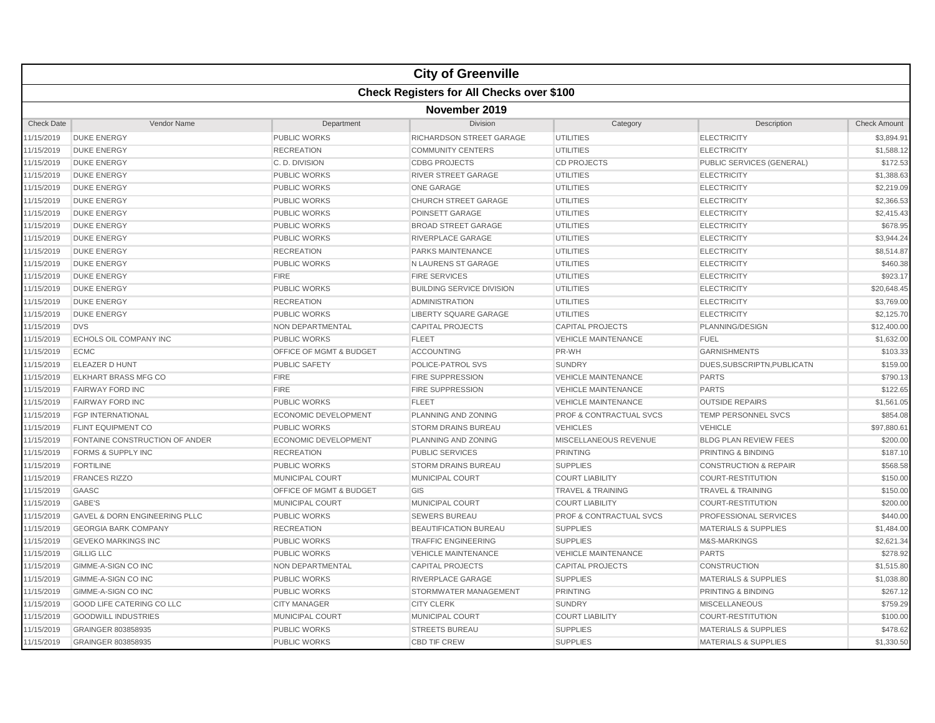|                   |                                          |                                    | <b>City of Greenville</b>                        |                                    |                                  |                     |  |  |  |
|-------------------|------------------------------------------|------------------------------------|--------------------------------------------------|------------------------------------|----------------------------------|---------------------|--|--|--|
|                   |                                          |                                    | <b>Check Registers for All Checks over \$100</b> |                                    |                                  |                     |  |  |  |
|                   | November 2019                            |                                    |                                                  |                                    |                                  |                     |  |  |  |
| <b>Check Date</b> | Vendor Name                              | Department                         | Division                                         | Category                           | Description                      | <b>Check Amount</b> |  |  |  |
| 11/15/2019        | <b>DUKE ENERGY</b>                       | PUBLIC WORKS                       | RICHARDSON STREET GARAGE                         | <b>UTILITIES</b>                   | <b>ELECTRICITY</b>               | \$3,894.91          |  |  |  |
| 11/15/2019        | <b>DUKE ENERGY</b>                       | <b>RECREATION</b>                  | <b>COMMUNITY CENTERS</b>                         | <b>UTILITIES</b>                   | <b>ELECTRICITY</b>               | \$1,588.12          |  |  |  |
| 11/15/2019        | <b>DUKE ENERGY</b>                       | C. D. DIVISION                     | <b>CDBG PROJECTS</b>                             | <b>CD PROJECTS</b>                 | PUBLIC SERVICES (GENERAL)        | \$172.53            |  |  |  |
| 11/15/2019        | <b>DUKE ENERGY</b>                       | PUBLIC WORKS                       | <b>RIVER STREET GARAGE</b>                       | <b>UTILITIES</b>                   | <b>ELECTRICITY</b>               | \$1,388.63          |  |  |  |
| 11/15/2019        | <b>DUKE ENERGY</b>                       | <b>PUBLIC WORKS</b>                | <b>ONE GARAGE</b>                                | <b>UTILITIES</b>                   | <b>ELECTRICITY</b>               | \$2,219.09          |  |  |  |
| 11/15/2019        | <b>DUKE ENERGY</b>                       | <b>PUBLIC WORKS</b>                | <b>CHURCH STREET GARAGE</b>                      | <b>UTILITIES</b>                   | <b>ELECTRICITY</b>               | \$2,366.53          |  |  |  |
| 11/15/2019        | <b>DUKE ENERGY</b>                       | <b>PUBLIC WORKS</b>                | <b>POINSETT GARAGE</b>                           | <b>UTILITIES</b>                   | <b>ELECTRICITY</b>               | \$2,415.43          |  |  |  |
| 11/15/2019        | <b>DUKE ENERGY</b>                       | <b>PUBLIC WORKS</b>                | <b>BROAD STREET GARAGE</b>                       | <b>UTILITIES</b>                   | <b>ELECTRICITY</b>               | \$678.95            |  |  |  |
| 11/15/2019        | <b>DUKE ENERGY</b>                       | PUBLIC WORKS                       | RIVERPLACE GARAGE                                | <b>UTILITIES</b>                   | <b>ELECTRICITY</b>               | \$3,944.24          |  |  |  |
| 11/15/2019        | <b>DUKE ENERGY</b>                       | <b>RECREATION</b>                  | <b>PARKS MAINTENANCE</b>                         | <b>UTILITIES</b>                   | <b>ELECTRICITY</b>               | \$8,514.87          |  |  |  |
| 11/15/2019        | <b>DUKE ENERGY</b>                       | PUBLIC WORKS                       | N LAURENS ST GARAGE                              | <b>UTILITIES</b>                   | <b>ELECTRICITY</b>               | \$460.38            |  |  |  |
| 11/15/2019        | <b>DUKE ENERGY</b>                       | <b>FIRE</b>                        | <b>FIRE SERVICES</b>                             | <b>UTILITIES</b>                   | <b>ELECTRICITY</b>               | \$923.17            |  |  |  |
| 11/15/2019        | <b>DUKE ENERGY</b>                       | <b>PUBLIC WORKS</b>                | <b>BUILDING SERVICE DIVISION</b>                 | <b>UTILITIES</b>                   | <b>ELECTRICITY</b>               | \$20,648.45         |  |  |  |
| 11/15/2019        | <b>DUKE ENERGY</b>                       | <b>RECREATION</b>                  | <b>ADMINISTRATION</b>                            | <b>UTILITIES</b>                   | <b>ELECTRICITY</b>               | \$3,769.00          |  |  |  |
| 11/15/2019        | <b>DUKE ENERGY</b>                       | <b>PUBLIC WORKS</b>                | <b>LIBERTY SQUARE GARAGE</b>                     | <b>UTILITIES</b>                   | <b>ELECTRICITY</b>               | \$2,125.70          |  |  |  |
| 11/15/2019        | <b>DVS</b>                               | NON DEPARTMENTAL                   | <b>CAPITAL PROJECTS</b>                          | <b>CAPITAL PROJECTS</b>            | PLANNING/DESIGN                  | \$12,400.00         |  |  |  |
| 11/15/2019        | ECHOLS OIL COMPANY INC                   | <b>PUBLIC WORKS</b>                | <b>FLEET</b>                                     | <b>VEHICLE MAINTENANCE</b>         | <b>FUEL</b>                      | \$1,632.00          |  |  |  |
| 11/15/2019        | <b>ECMC</b>                              | OFFICE OF MGMT & BUDGET            | <b>ACCOUNTING</b>                                | PR-WH                              | <b>GARNISHMENTS</b>              | \$103.33            |  |  |  |
| 11/15/2019        | <b>ELEAZER D HUNT</b>                    | <b>PUBLIC SAFETY</b>               | POLICE-PATROL SVS                                | <b>SUNDRY</b>                      | DUES.SUBSCRIPTN.PUBLICATN        | \$159.00            |  |  |  |
| 11/15/2019        | <b>ELKHART BRASS MFG CO</b>              | <b>FIRE</b>                        | <b>FIRE SUPPRESSION</b>                          | <b>VEHICLE MAINTENANCE</b>         | <b>PARTS</b>                     | \$790.13            |  |  |  |
| 11/15/2019        | <b>FAIRWAY FORD INC</b>                  | <b>FIRE</b>                        | <b>FIRE SUPPRESSION</b>                          | <b>VEHICLE MAINTENANCE</b>         | <b>PARTS</b>                     | \$122.65            |  |  |  |
| 11/15/2019        | <b>FAIRWAY FORD INC</b>                  | <b>PUBLIC WORKS</b>                | <b>FLEET</b>                                     | <b>VEHICLE MAINTENANCE</b>         | <b>OUTSIDE REPAIRS</b>           | \$1,561.05          |  |  |  |
| 11/15/2019        | <b>FGP INTERNATIONAL</b>                 | <b>ECONOMIC DEVELOPMENT</b>        | PLANNING AND ZONING                              | PROF & CONTRACTUAL SVCS            | TEMP PERSONNEL SVCS              | \$854.08            |  |  |  |
| 11/15/2019        | <b>FLINT EQUIPMENT CO</b>                | <b>PUBLIC WORKS</b>                | <b>STORM DRAINS BUREAU</b>                       | <b>VEHICLES</b>                    | <b>VEHICLE</b>                   | \$97,880.61         |  |  |  |
| 11/15/2019        | FONTAINE CONSTRUCTION OF ANDER           | <b>ECONOMIC DEVELOPMENT</b>        | PLANNING AND ZONING                              | MISCELLANEOUS REVENUE              | <b>BLDG PLAN REVIEW FEES</b>     | \$200.00            |  |  |  |
| 11/15/2019        | <b>FORMS &amp; SUPPLY INC</b>            | <b>RECREATION</b>                  | <b>PUBLIC SERVICES</b>                           | <b>PRINTING</b>                    | <b>PRINTING &amp; BINDING</b>    | \$187.10            |  |  |  |
| 11/15/2019        | <b>FORTILINE</b>                         | <b>PUBLIC WORKS</b>                | <b>STORM DRAINS BUREAU</b>                       | <b>SUPPLIES</b>                    | <b>CONSTRUCTION &amp; REPAIR</b> | \$568.58            |  |  |  |
| 11/15/2019        | <b>FRANCES RIZZO</b>                     | <b>MUNICIPAL COURT</b>             | MUNICIPAL COURT                                  | <b>COURT LIABILITY</b>             | <b>COURT-RESTITUTION</b>         | \$150.00            |  |  |  |
| 11/15/2019        | GAASC                                    | <b>OFFICE OF MGMT &amp; BUDGET</b> | GIS                                              | <b>TRAVEL &amp; TRAINING</b>       | <b>TRAVEL &amp; TRAINING</b>     | \$150.00            |  |  |  |
| 11/15/2019        | GABE'S                                   | <b>MUNICIPAL COURT</b>             | MUNICIPAL COURT                                  | <b>COURT LIABILITY</b>             | <b>COURT-RESTITUTION</b>         | \$200.00            |  |  |  |
| 11/15/2019        | <b>GAVEL &amp; DORN ENGINEERING PLLC</b> | <b>PUBLIC WORKS</b>                | <b>SEWERS BUREAU</b>                             | <b>PROF &amp; CONTRACTUAL SVCS</b> | <b>PROFESSIONAL SERVICES</b>     | \$440.00            |  |  |  |
| 11/15/2019        | <b>GEORGIA BARK COMPANY</b>              | <b>RECREATION</b>                  | <b>BEAUTIFICATION BUREAU</b>                     | <b>SUPPLIES</b>                    | <b>MATERIALS &amp; SUPPLIES</b>  | \$1,484.00          |  |  |  |
| 11/15/2019        | <b>GEVEKO MARKINGS INC</b>               | <b>PUBLIC WORKS</b>                | <b>TRAFFIC ENGINEERING</b>                       | <b>SUPPLIES</b>                    | M&S-MARKINGS                     | \$2,621.34          |  |  |  |
| 11/15/2019        | <b>GILLIG LLC</b>                        | <b>PUBLIC WORKS</b>                | <b>VEHICLE MAINTENANCE</b>                       | <b>VEHICLE MAINTENANCE</b>         | <b>PARTS</b>                     | \$278.92            |  |  |  |
| 11/15/2019        | GIMME-A-SIGN CO INC                      | <b>NON DEPARTMENTAL</b>            | <b>CAPITAL PROJECTS</b>                          | <b>CAPITAL PROJECTS</b>            | <b>CONSTRUCTION</b>              | \$1,515.80          |  |  |  |
| 11/15/2019        | GIMME-A-SIGN CO INC                      | <b>PUBLIC WORKS</b>                | RIVERPLACE GARAGE                                | <b>SUPPLIES</b>                    | <b>MATERIALS &amp; SUPPLIES</b>  | \$1,038.80          |  |  |  |
| 11/15/2019        | GIMME-A-SIGN CO INC                      | <b>PUBLIC WORKS</b>                | STORMWATER MANAGEMENT                            | <b>PRINTING</b>                    | <b>PRINTING &amp; BINDING</b>    | \$267.12            |  |  |  |
| 11/15/2019        | GOOD LIFE CATERING CO LLC                | <b>CITY MANAGER</b>                | <b>CITY CLERK</b>                                | <b>SUNDRY</b>                      | <b>MISCELLANEOUS</b>             | \$759.29            |  |  |  |
| 11/15/2019        | <b>GOODWILL INDUSTRIES</b>               | <b>MUNICIPAL COURT</b>             | MUNICIPAL COURT                                  | <b>COURT LIABILITY</b>             | <b>COURT-RESTITUTION</b>         | \$100.00            |  |  |  |
| 11/15/2019        | GRAINGER 803858935                       | PUBLIC WORKS                       | <b>STREETS BUREAU</b>                            | <b>SUPPLIES</b>                    | <b>MATERIALS &amp; SUPPLIES</b>  | \$478.62            |  |  |  |
| 11/15/2019        | GRAINGER 803858935                       | <b>PUBLIC WORKS</b>                | <b>CBD TIF CREW</b>                              | <b>SUPPLIES</b>                    | <b>MATERIALS &amp; SUPPLIES</b>  | \$1,330.50          |  |  |  |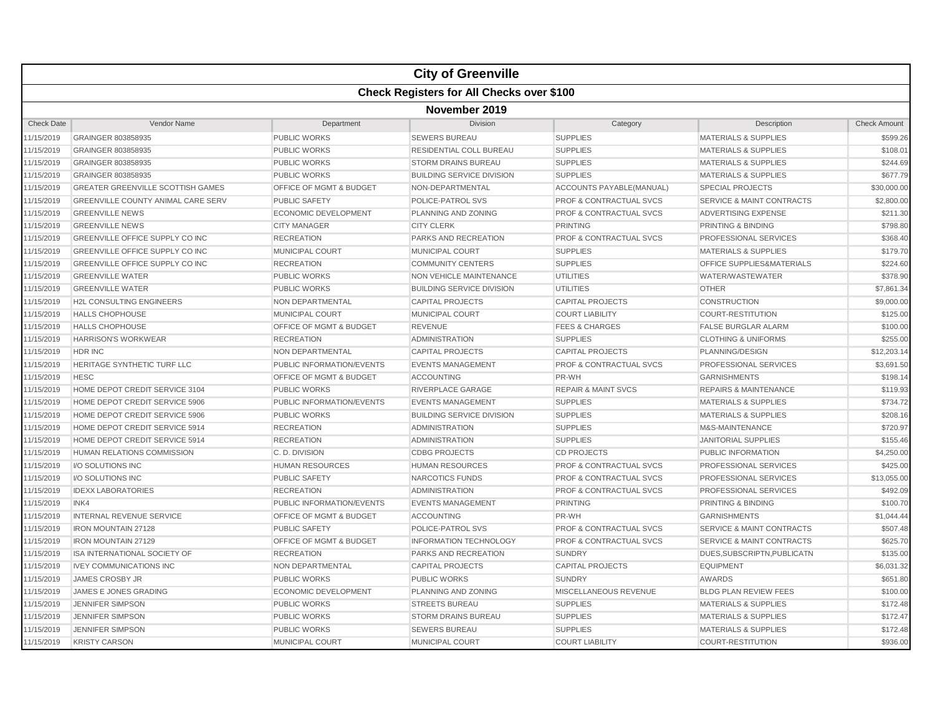|                   | <b>City of Greenville</b>                        |                             |                                  |                                    |                                      |                     |  |  |  |
|-------------------|--------------------------------------------------|-----------------------------|----------------------------------|------------------------------------|--------------------------------------|---------------------|--|--|--|
|                   | <b>Check Registers for All Checks over \$100</b> |                             |                                  |                                    |                                      |                     |  |  |  |
|                   | November 2019                                    |                             |                                  |                                    |                                      |                     |  |  |  |
| <b>Check Date</b> | Vendor Name                                      | Department                  | Division                         | Category                           | Description                          | <b>Check Amount</b> |  |  |  |
| 11/15/2019        | GRAINGER 803858935                               | PUBLIC WORKS                | <b>SEWERS BUREAU</b>             | <b>SUPPLIES</b>                    | <b>MATERIALS &amp; SUPPLIES</b>      | \$599.26            |  |  |  |
| 11/15/2019        | GRAINGER 803858935                               | <b>PUBLIC WORKS</b>         | RESIDENTIAL COLL BUREAU          | <b>SUPPLIES</b>                    | <b>MATERIALS &amp; SUPPLIES</b>      | \$108.01            |  |  |  |
| 11/15/2019        | GRAINGER 803858935                               | <b>PUBLIC WORKS</b>         | <b>STORM DRAINS BUREAU</b>       | <b>SUPPLIES</b>                    | <b>MATERIALS &amp; SUPPLIES</b>      | \$244.69            |  |  |  |
| 11/15/2019        | GRAINGER 803858935                               | <b>PUBLIC WORKS</b>         | <b>BUILDING SERVICE DIVISION</b> | <b>SUPPLIES</b>                    | <b>MATERIALS &amp; SUPPLIES</b>      | \$677.79            |  |  |  |
| 11/15/2019        | <b>GREATER GREENVILLE SCOTTISH GAMES</b>         | OFFICE OF MGMT & BUDGET     | NON-DEPARTMENTAL                 | ACCOUNTS PAYABLE(MANUAL)           | <b>SPECIAL PROJECTS</b>              | \$30,000.00         |  |  |  |
| 11/15/2019        | <b>GREENVILLE COUNTY ANIMAL CARE SERV</b>        | <b>PUBLIC SAFETY</b>        | POLICE-PATROL SVS                | <b>PROF &amp; CONTRACTUAL SVCS</b> | <b>SERVICE &amp; MAINT CONTRACTS</b> | \$2,800.00          |  |  |  |
| 11/15/2019        | <b>GREENVILLE NEWS</b>                           | <b>ECONOMIC DEVELOPMENT</b> | PLANNING AND ZONING              | <b>PROF &amp; CONTRACTUAL SVCS</b> | <b>ADVERTISING EXPENSE</b>           | \$211.30            |  |  |  |
| 11/15/2019        | <b>GREENVILLE NEWS</b>                           | <b>CITY MANAGER</b>         | <b>CITY CLERK</b>                | <b>PRINTING</b>                    | PRINTING & BINDING                   | \$798.80            |  |  |  |
| 11/15/2019        | GREENVILLE OFFICE SUPPLY CO INC                  | <b>RECREATION</b>           | PARKS AND RECREATION             | <b>PROF &amp; CONTRACTUAL SVCS</b> | PROFESSIONAL SERVICES                | \$368.40            |  |  |  |
| 11/15/2019        | <b>GREENVILLE OFFICE SUPPLY CO INC</b>           | <b>MUNICIPAL COURT</b>      | <b>MUNICIPAL COURT</b>           | <b>SUPPLIES</b>                    | <b>MATERIALS &amp; SUPPLIES</b>      | \$179.70            |  |  |  |
| 11/15/2019        | GREENVILLE OFFICE SUPPLY CO INC                  | <b>RECREATION</b>           | <b>COMMUNITY CENTERS</b>         | <b>SUPPLIES</b>                    | OFFICE SUPPLIES&MATERIALS            | \$224.60            |  |  |  |
| 11/15/2019        | <b>GREENVILLE WATER</b>                          | <b>PUBLIC WORKS</b>         | <b>NON VEHICLE MAINTENANCE</b>   | <b>UTILITIES</b>                   | <b>WATER/WASTEWATER</b>              | \$378.90            |  |  |  |
| 11/15/2019        | <b>GREENVILLE WATER</b>                          | <b>PUBLIC WORKS</b>         | <b>BUILDING SERVICE DIVISION</b> | <b>UTILITIES</b>                   | <b>OTHER</b>                         | \$7,861.34          |  |  |  |
| 11/15/2019        | H2L CONSULTING ENGINEERS                         | NON DEPARTMENTAL            | <b>CAPITAL PROJECTS</b>          | <b>CAPITAL PROJECTS</b>            | <b>CONSTRUCTION</b>                  | \$9,000.00          |  |  |  |
| 11/15/2019        | <b>HALLS CHOPHOUSE</b>                           | <b>MUNICIPAL COURT</b>      | <b>MUNICIPAL COURT</b>           | <b>COURT LIABILITY</b>             | COURT-RESTITUTION                    | \$125.00            |  |  |  |
| 11/15/2019        | <b>HALLS CHOPHOUSE</b>                           | OFFICE OF MGMT & BUDGET     | <b>REVENUE</b>                   | <b>FEES &amp; CHARGES</b>          | <b>FALSE BURGLAR ALARM</b>           | \$100.00            |  |  |  |
| 11/15/2019        | <b>HARRISON'S WORKWEAR</b>                       | <b>RECREATION</b>           | <b>ADMINISTRATION</b>            | <b>SUPPLIES</b>                    | <b>CLOTHING &amp; UNIFORMS</b>       | \$255.00            |  |  |  |
| 11/15/2019        | <b>HDR INC</b>                                   | NON DEPARTMENTAL            | <b>CAPITAL PROJECTS</b>          | <b>CAPITAL PROJECTS</b>            | PLANNING/DESIGN                      | \$12,203.14         |  |  |  |
| 11/15/2019        | HERITAGE SYNTHETIC TURF LLC                      | PUBLIC INFORMATION/EVENTS   | <b>EVENTS MANAGEMENT</b>         | <b>PROF &amp; CONTRACTUAL SVCS</b> | PROFESSIONAL SERVICES                | \$3,691.50          |  |  |  |
| 11/15/2019        | <b>HESC</b>                                      | OFFICE OF MGMT & BUDGET     | <b>ACCOUNTING</b>                | PR-WH                              | <b>GARNISHMENTS</b>                  | \$198.14            |  |  |  |
| 11/15/2019        | HOME DEPOT CREDIT SERVICE 3104                   | <b>PUBLIC WORKS</b>         | <b>RIVERPLACE GARAGE</b>         | <b>REPAIR &amp; MAINT SVCS</b>     | <b>REPAIRS &amp; MAINTENANCE</b>     | \$119.93            |  |  |  |
| 11/15/2019        | HOME DEPOT CREDIT SERVICE 5906                   | PUBLIC INFORMATION/EVENTS   | <b>EVENTS MANAGEMENT</b>         | <b>SUPPLIES</b>                    | <b>MATERIALS &amp; SUPPLIES</b>      | \$734.72            |  |  |  |
| 11/15/2019        | HOME DEPOT CREDIT SERVICE 5906                   | <b>PUBLIC WORKS</b>         | <b>BUILDING SERVICE DIVISION</b> | <b>SUPPLIES</b>                    | <b>MATERIALS &amp; SUPPLIES</b>      | \$208.16            |  |  |  |
| 11/15/2019        | HOME DEPOT CREDIT SERVICE 5914                   | <b>RECREATION</b>           | <b>ADMINISTRATION</b>            | <b>SUPPLIES</b>                    | M&S-MAINTENANCE                      | \$720.97            |  |  |  |
| 11/15/2019        | HOME DEPOT CREDIT SERVICE 5914                   | <b>RECREATION</b>           | <b>ADMINISTRATION</b>            | <b>SUPPLIES</b>                    | <b>JANITORIAL SUPPLIES</b>           | \$155.46            |  |  |  |
| 11/15/2019        | HUMAN RELATIONS COMMISSION                       | C. D. DIVISION              | <b>CDBG PROJECTS</b>             | <b>CD PROJECTS</b>                 | PUBLIC INFORMATION                   | \$4,250.00          |  |  |  |
| 11/15/2019        | I/O SOLUTIONS INC                                | <b>HUMAN RESOURCES</b>      | <b>HUMAN RESOURCES</b>           | <b>PROF &amp; CONTRACTUAL SVCS</b> | PROFESSIONAL SERVICES                | \$425.00            |  |  |  |
| 11/15/2019        | <b>VO SOLUTIONS INC</b>                          | <b>PUBLIC SAFETY</b>        | NARCOTICS FUNDS                  | <b>PROF &amp; CONTRACTUAL SVCS</b> | PROFESSIONAL SERVICES                | \$13,055.00         |  |  |  |
| 11/15/2019        | <b>IDEXX LABORATORIES</b>                        | <b>RECREATION</b>           | <b>ADMINISTRATION</b>            | <b>PROF &amp; CONTRACTUAL SVCS</b> | <b>PROFESSIONAL SERVICES</b>         | \$492.09            |  |  |  |
| 11/15/2019        | INK4                                             | PUBLIC INFORMATION/EVENTS   | <b>EVENTS MANAGEMENT</b>         | <b>PRINTING</b>                    | PRINTING & BINDING                   | \$100.70            |  |  |  |
| 11/15/2019        | <b>INTERNAL REVENUE SERVICE</b>                  | OFFICE OF MGMT & BUDGET     | <b>ACCOUNTING</b>                | PR-WH                              | <b>GARNISHMENTS</b>                  | \$1,044.44          |  |  |  |
| 11/15/2019        | <b>IRON MOUNTAIN 27128</b>                       | <b>PUBLIC SAFETY</b>        | POLICE-PATROL SVS                | <b>PROF &amp; CONTRACTUAL SVCS</b> | <b>SERVICE &amp; MAINT CONTRACTS</b> | \$507.48            |  |  |  |
| 11/15/2019        | <b>IRON MOUNTAIN 27129</b>                       | OFFICE OF MGMT & BUDGET     | <b>INFORMATION TECHNOLOGY</b>    | <b>PROF &amp; CONTRACTUAL SVCS</b> | <b>SERVICE &amp; MAINT CONTRACTS</b> | \$625.70            |  |  |  |
| 11/15/2019        | ISA INTERNATIONAL SOCIETY OF                     | <b>RECREATION</b>           | PARKS AND RECREATION             | <b>SUNDRY</b>                      | DUES, SUBSCRIPTN, PUBLICATN          | \$135.00            |  |  |  |
| 11/15/2019        | <b>IVEY COMMUNICATIONS INC</b>                   | NON DEPARTMENTAL            | <b>CAPITAL PROJECTS</b>          | <b>CAPITAL PROJECTS</b>            | <b>EQUIPMENT</b>                     | \$6,031.32          |  |  |  |
| 11/15/2019        | <b>JAMES CROSBY JR</b>                           | <b>PUBLIC WORKS</b>         | <b>PUBLIC WORKS</b>              | <b>SUNDRY</b>                      | <b>AWARDS</b>                        | \$651.80            |  |  |  |
| 11/15/2019        | JAMES E JONES GRADING                            | <b>ECONOMIC DEVELOPMENT</b> | PLANNING AND ZONING              | MISCELLANEOUS REVENUE              | <b>BLDG PLAN REVIEW FEES</b>         | \$100.00            |  |  |  |
| 11/15/2019        | <b>JENNIFER SIMPSON</b>                          | <b>PUBLIC WORKS</b>         | <b>STREETS BUREAU</b>            | <b>SUPPLIES</b>                    | <b>MATERIALS &amp; SUPPLIES</b>      | \$172.48            |  |  |  |
| 11/15/2019        | <b>JENNIFER SIMPSON</b>                          | <b>PUBLIC WORKS</b>         | <b>STORM DRAINS BUREAU</b>       | <b>SUPPLIES</b>                    | <b>MATERIALS &amp; SUPPLIES</b>      | \$172.47            |  |  |  |
| 11/15/2019        | <b>JENNIFER SIMPSON</b>                          | <b>PUBLIC WORKS</b>         | <b>SEWERS BUREAU</b>             | <b>SUPPLIES</b>                    | <b>MATERIALS &amp; SUPPLIES</b>      | \$172.48            |  |  |  |
| 11/15/2019        | <b>KRISTY CARSON</b>                             | <b>MUNICIPAL COURT</b>      | <b>MUNICIPAL COURT</b>           | <b>COURT LIABILITY</b>             | <b>COURT-RESTITUTION</b>             | \$936.00            |  |  |  |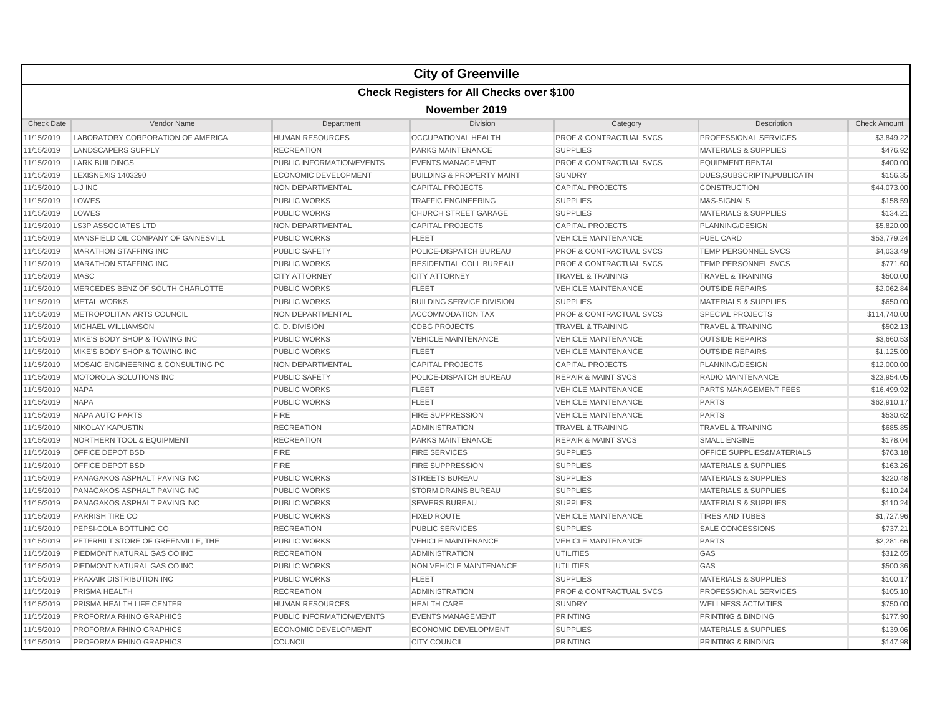|                   | <b>City of Greenville</b>                        |                             |                                      |                                    |                                 |                     |  |  |  |
|-------------------|--------------------------------------------------|-----------------------------|--------------------------------------|------------------------------------|---------------------------------|---------------------|--|--|--|
|                   | <b>Check Registers for All Checks over \$100</b> |                             |                                      |                                    |                                 |                     |  |  |  |
|                   | November 2019                                    |                             |                                      |                                    |                                 |                     |  |  |  |
| <b>Check Date</b> | Vendor Name                                      | Department                  | Division                             | Category                           | Description                     | <b>Check Amount</b> |  |  |  |
| 1/15/2019         | LABORATORY CORPORATION OF AMERICA                | <b>HUMAN RESOURCES</b>      | <b>OCCUPATIONAL HEALTH</b>           | <b>PROF &amp; CONTRACTUAL SVCS</b> | PROFESSIONAL SERVICES           | \$3,849.22          |  |  |  |
| 11/15/2019        | <b>LANDSCAPERS SUPPLY</b>                        | <b>RECREATION</b>           | <b>PARKS MAINTENANCE</b>             | <b>SUPPLIES</b>                    | <b>MATERIALS &amp; SUPPLIES</b> | \$476.92            |  |  |  |
| 1/15/2019         | <b>LARK BUILDINGS</b>                            | PUBLIC INFORMATION/EVENTS   | <b>EVENTS MANAGEMENT</b>             | PROF & CONTRACTUAL SVCS            | <b>EQUIPMENT RENTAL</b>         | \$400.00            |  |  |  |
| 1/15/2019         | <b>LEXISNEXIS 1403290</b>                        | <b>ECONOMIC DEVELOPMENT</b> | <b>BUILDING &amp; PROPERTY MAINT</b> | <b>SUNDRY</b>                      | DUES, SUBSCRIPTN, PUBLICATN     | \$156.35            |  |  |  |
| 11/15/2019        | L-J INC                                          | NON DEPARTMENTAL            | <b>CAPITAL PROJECTS</b>              | <b>CAPITAL PROJECTS</b>            | <b>CONSTRUCTION</b>             | \$44,073.00         |  |  |  |
| 11/15/2019        | LOWES                                            | <b>PUBLIC WORKS</b>         | <b>TRAFFIC ENGINEERING</b>           | <b>SUPPLIES</b>                    | M&S-SIGNALS                     | \$158.59            |  |  |  |
| 11/15/2019        | LOWES                                            | <b>PUBLIC WORKS</b>         | <b>CHURCH STREET GARAGE</b>          | <b>SUPPLIES</b>                    | <b>MATERIALS &amp; SUPPLIES</b> | \$134.21            |  |  |  |
| 1/15/2019         | <b>LS3P ASSOCIATES LTD</b>                       | <b>NON DEPARTMENTAL</b>     | <b>CAPITAL PROJECTS</b>              | <b>CAPITAL PROJECTS</b>            | PLANNING/DESIGN                 | \$5,820.00          |  |  |  |
| 11/15/2019        | MANSFIELD OIL COMPANY OF GAINESVILL              | <b>PUBLIC WORKS</b>         | <b>FLEET</b>                         | <b>VEHICLE MAINTENANCE</b>         | <b>FUEL CARD</b>                | \$53,779.24         |  |  |  |
| 11/15/2019        | <b>MARATHON STAFFING INC</b>                     | <b>PUBLIC SAFETY</b>        | POLICE-DISPATCH BUREAU               | <b>PROF &amp; CONTRACTUAL SVCS</b> | <b>TEMP PERSONNEL SVCS</b>      | \$4,033.49          |  |  |  |
| 11/15/2019        | <b>MARATHON STAFFING INC</b>                     | <b>PUBLIC WORKS</b>         | RESIDENTIAL COLL BUREAU              | <b>PROF &amp; CONTRACTUAL SVCS</b> | <b>TEMP PERSONNEL SVCS</b>      | \$771.60            |  |  |  |
| 11/15/2019        | <b>MASC</b>                                      | <b>CITY ATTORNEY</b>        | <b>CITY ATTORNEY</b>                 | <b>TRAVEL &amp; TRAINING</b>       | <b>TRAVEL &amp; TRAINING</b>    | \$500.00            |  |  |  |
| 1/15/2019         | MERCEDES BENZ OF SOUTH CHARLOTTE                 | <b>PUBLIC WORKS</b>         | <b>FLEET</b>                         | <b>VEHICLE MAINTENANCE</b>         | <b>OUTSIDE REPAIRS</b>          | \$2,062.84          |  |  |  |
| 11/15/2019        | <b>METAL WORKS</b>                               | <b>PUBLIC WORKS</b>         | <b>BUILDING SERVICE DIVISION</b>     | <b>SUPPLIES</b>                    | <b>MATERIALS &amp; SUPPLIES</b> | \$650.00            |  |  |  |
| 11/15/2019        | METROPOLITAN ARTS COUNCIL                        | NON DEPARTMENTAL            | <b>ACCOMMODATION TAX</b>             | <b>PROF &amp; CONTRACTUAL SVCS</b> | <b>SPECIAL PROJECTS</b>         | \$114,740.00        |  |  |  |
| 11/15/2019        | MICHAEL WILLIAMSON                               | C.D. DIVISION               | <b>CDBG PROJECTS</b>                 | <b>TRAVEL &amp; TRAINING</b>       | <b>TRAVEL &amp; TRAINING</b>    | \$502.13            |  |  |  |
| 11/15/2019        | MIKE'S BODY SHOP & TOWING INC                    | <b>PUBLIC WORKS</b>         | <b>VEHICLE MAINTENANCE</b>           | <b>VEHICLE MAINTENANCE</b>         | <b>OUTSIDE REPAIRS</b>          | \$3,660.53          |  |  |  |
| 1/15/2019         | MIKE'S BODY SHOP & TOWING INC                    | <b>PUBLIC WORKS</b>         | <b>FLEET</b>                         | <b>VEHICLE MAINTENANCE</b>         | <b>OUTSIDE REPAIRS</b>          | \$1,125.00          |  |  |  |
| 11/15/2019        | MOSAIC ENGINEERING & CONSULTING PC               | NON DEPARTMENTAL            | <b>CAPITAL PROJECTS</b>              | <b>CAPITAL PROJECTS</b>            | PLANNING/DESIGN                 | \$12,000.00         |  |  |  |
| 11/15/2019        | <b>MOTOROLA SOLUTIONS INC</b>                    | <b>PUBLIC SAFETY</b>        | POLICE-DISPATCH BUREAU               | <b>REPAIR &amp; MAINT SVCS</b>     | <b>RADIO MAINTENANCE</b>        | \$23,954.05         |  |  |  |
| 11/15/2019        | <b>NAPA</b>                                      | <b>PUBLIC WORKS</b>         | <b>FLEET</b>                         | <b>VEHICLE MAINTENANCE</b>         | PARTS MANAGEMENT FEES           | \$16,499.92         |  |  |  |
| 11/15/2019        | <b>NAPA</b>                                      | <b>PUBLIC WORKS</b>         | <b>FLEET</b>                         | <b>VEHICLE MAINTENANCE</b>         | <b>PARTS</b>                    | \$62,910.17         |  |  |  |
| 1/15/2019         | <b>NAPA AUTO PARTS</b>                           | <b>FIRE</b>                 | <b>FIRE SUPPRESSION</b>              | <b>VEHICLE MAINTENANCE</b>         | <b>PARTS</b>                    | \$530.62            |  |  |  |
| 11/15/2019        | <b>NIKOLAY KAPUSTIN</b>                          | <b>RECREATION</b>           | <b>ADMINISTRATION</b>                | <b>TRAVEL &amp; TRAINING</b>       | <b>TRAVEL &amp; TRAINING</b>    | \$685.85            |  |  |  |
| 11/15/2019        | <b>NORTHERN TOOL &amp; EQUIPMENT</b>             | <b>RECREATION</b>           | <b>PARKS MAINTENANCE</b>             | <b>REPAIR &amp; MAINT SVCS</b>     | <b>SMALL ENGINE</b>             | \$178.04            |  |  |  |
| 11/15/2019        | OFFICE DEPOT BSD                                 | <b>FIRE</b>                 | <b>FIRE SERVICES</b>                 | <b>SUPPLIES</b>                    | OFFICE SUPPLIES&MATERIALS       | \$763.18            |  |  |  |
| 11/15/2019        | OFFICE DEPOT BSD                                 | <b>FIRE</b>                 | FIRE SUPPRESSION                     | <b>SUPPLIES</b>                    | MATERIALS & SUPPLIES            | \$163.26            |  |  |  |
| 1/15/2019         | PANAGAKOS ASPHALT PAVING INC                     | <b>PUBLIC WORKS</b>         | <b>STREETS BUREAU</b>                | <b>SUPPLIES</b>                    | <b>MATERIALS &amp; SUPPLIES</b> | \$220.48            |  |  |  |
| 11/15/2019        | PANAGAKOS ASPHALT PAVING INC                     | <b>PUBLIC WORKS</b>         | <b>STORM DRAINS BUREAU</b>           | <b>SUPPLIES</b>                    | <b>MATERIALS &amp; SUPPLIES</b> | \$110.24            |  |  |  |
| 11/15/2019        | PANAGAKOS ASPHALT PAVING INC                     | <b>PUBLIC WORKS</b>         | <b>SEWERS BUREAU</b>                 | <b>SUPPLIES</b>                    | <b>MATERIALS &amp; SUPPLIES</b> | \$110.24            |  |  |  |
| 11/15/2019        | PARRISH TIRE CO                                  | <b>PUBLIC WORKS</b>         | <b>FIXED ROUTE</b>                   | <b>VEHICLE MAINTENANCE</b>         | <b>TIRES AND TUBES</b>          | \$1,727.96          |  |  |  |
| 11/15/2019        | PEPSI-COLA BOTTLING CO                           | <b>RECREATION</b>           | <b>PUBLIC SERVICES</b>               | <b>SUPPLIES</b>                    | <b>SALE CONCESSIONS</b>         | \$737.21            |  |  |  |
| 11/15/2019        | PETERBILT STORE OF GREENVILLE, THE               | <b>PUBLIC WORKS</b>         | <b>VEHICLE MAINTENANCE</b>           | <b>VEHICLE MAINTENANCE</b>         | <b>PARTS</b>                    | \$2,281.66          |  |  |  |
| 11/15/2019        | PIEDMONT NATURAL GAS CO INC                      | <b>RECREATION</b>           | <b>ADMINISTRATION</b>                | <b>UTILITIES</b>                   | GAS                             | \$312.65            |  |  |  |
| 11/15/2019        | PIEDMONT NATURAL GAS CO INC                      | <b>PUBLIC WORKS</b>         | <b>NON VEHICLE MAINTENANCE</b>       | <b>UTILITIES</b>                   | GAS                             | \$500.36            |  |  |  |
| 11/15/2019        | PRAXAIR DISTRIBUTION INC                         | <b>PUBLIC WORKS</b>         | <b>FLEET</b>                         | <b>SUPPLIES</b>                    | <b>MATERIALS &amp; SUPPLIES</b> | \$100.17            |  |  |  |
| 11/15/2019        | PRISMA HEALTH                                    | <b>RECREATION</b>           | <b>ADMINISTRATION</b>                | <b>PROF &amp; CONTRACTUAL SVCS</b> | PROFESSIONAL SERVICES           | \$105.10            |  |  |  |
| 1/15/2019         | PRISMA HEALTH LIFE CENTER                        | <b>HUMAN RESOURCES</b>      | <b>HEALTH CARE</b>                   | <b>SUNDRY</b>                      | <b>WELLNESS ACTIVITIES</b>      | \$750.00            |  |  |  |
| 11/15/2019        | PROFORMA RHINO GRAPHICS                          | PUBLIC INFORMATION/EVENTS   | <b>EVENTS MANAGEMENT</b>             | <b>PRINTING</b>                    | <b>PRINTING &amp; BINDING</b>   | \$177.90            |  |  |  |
| 11/15/2019        | <b>PROFORMA RHINO GRAPHICS</b>                   | <b>ECONOMIC DEVELOPMENT</b> | <b>ECONOMIC DEVELOPMENT</b>          | <b>SUPPLIES</b>                    | <b>MATERIALS &amp; SUPPLIES</b> | \$139.06            |  |  |  |
| 11/15/2019        | PROFORMA RHINO GRAPHICS                          | COUNCIL                     | <b>CITY COUNCIL</b>                  | <b>PRINTING</b>                    | <b>PRINTING &amp; BINDING</b>   | \$147.98            |  |  |  |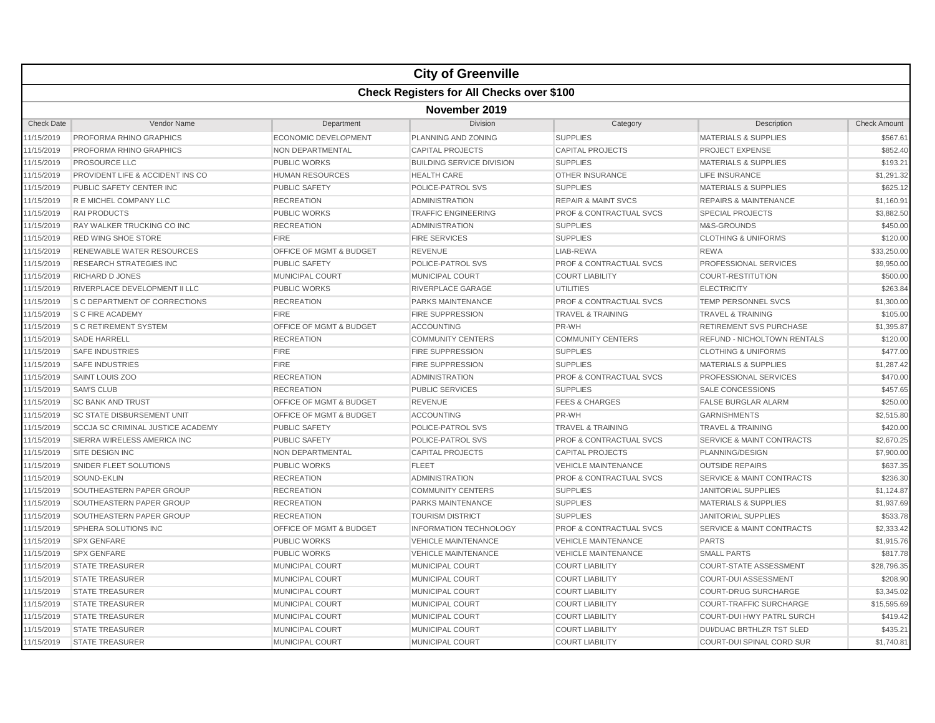|                   |                                                  |                         | <b>City of Greenville</b>        |                                    |                                      |                     |  |  |  |
|-------------------|--------------------------------------------------|-------------------------|----------------------------------|------------------------------------|--------------------------------------|---------------------|--|--|--|
|                   | <b>Check Registers for All Checks over \$100</b> |                         |                                  |                                    |                                      |                     |  |  |  |
|                   | November 2019                                    |                         |                                  |                                    |                                      |                     |  |  |  |
| <b>Check Date</b> | Vendor Name                                      | Department              | Division                         | Category                           | Description                          | <b>Check Amount</b> |  |  |  |
| 11/15/2019        | PROFORMA RHINO GRAPHICS                          | ECONOMIC DEVELOPMENT    | PLANNING AND ZONING              | <b>SUPPLIES</b>                    | <b>MATERIALS &amp; SUPPLIES</b>      | \$567.61            |  |  |  |
| 11/15/2019        | PROFORMA RHINO GRAPHICS                          | NON DEPARTMENTAL        | <b>CAPITAL PROJECTS</b>          | <b>CAPITAL PROJECTS</b>            | <b>PROJECT EXPENSE</b>               | \$852.40            |  |  |  |
| 11/15/2019        | <b>PROSOURCE LLC</b>                             | <b>PUBLIC WORKS</b>     | <b>BUILDING SERVICE DIVISION</b> | <b>SUPPLIES</b>                    | <b>MATERIALS &amp; SUPPLIES</b>      | \$193.21            |  |  |  |
| 11/15/2019        | PROVIDENT LIFE & ACCIDENT INS CO                 | <b>HUMAN RESOURCES</b>  | <b>HEALTH CARE</b>               | <b>OTHER INSURANCE</b>             | <b>LIFE INSURANCE</b>                | \$1,291.32          |  |  |  |
| 11/15/2019        | PUBLIC SAFETY CENTER INC                         | <b>PUBLIC SAFETY</b>    | POLICE-PATROL SVS                | <b>SUPPLIES</b>                    | <b>MATERIALS &amp; SUPPLIES</b>      | \$625.12            |  |  |  |
| 11/15/2019        | R E MICHEL COMPANY LLC                           | <b>RECREATION</b>       | <b>ADMINISTRATION</b>            | <b>REPAIR &amp; MAINT SVCS</b>     | <b>REPAIRS &amp; MAINTENANCE</b>     | \$1,160.91          |  |  |  |
| 11/15/2019        | <b>RAI PRODUCTS</b>                              | <b>PUBLIC WORKS</b>     | <b>TRAFFIC ENGINEERING</b>       | <b>PROF &amp; CONTRACTUAL SVCS</b> | <b>SPECIAL PROJECTS</b>              | \$3,882.50          |  |  |  |
| 11/15/2019        | RAY WALKER TRUCKING CO INC                       | <b>RECREATION</b>       | <b>ADMINISTRATION</b>            | <b>SUPPLIES</b>                    | M&S-GROUNDS                          | \$450.00            |  |  |  |
| 11/15/2019        | <b>RED WING SHOE STORE</b>                       | <b>FIRE</b>             | <b>FIRE SERVICES</b>             | <b>SUPPLIES</b>                    | <b>CLOTHING &amp; UNIFORMS</b>       | \$120.00            |  |  |  |
| 11/15/2019        | RENEWABLE WATER RESOURCES                        | OFFICE OF MGMT & BUDGET | <b>REVENUE</b>                   | LIAB-REWA                          | <b>REWA</b>                          | \$33,250.00         |  |  |  |
| 11/15/2019        | <b>RESEARCH STRATEGIES INC</b>                   | PUBLIC SAFETY           | POLICE-PATROL SVS                | <b>PROF &amp; CONTRACTUAL SVCS</b> | PROFESSIONAL SERVICES                | \$9,950.00          |  |  |  |
| 11/15/2019        | <b>RICHARD D JONES</b>                           | <b>MUNICIPAL COURT</b>  | <b>MUNICIPAL COURT</b>           | <b>COURT LIABILITY</b>             | <b>COURT-RESTITUTION</b>             | \$500.00            |  |  |  |
| 11/15/2019        | RIVERPLACE DEVELOPMENT II LLC                    | <b>PUBLIC WORKS</b>     | RIVERPLACE GARAGE                | <b>UTILITIES</b>                   | <b>ELECTRICITY</b>                   | \$263.84            |  |  |  |
| 11/15/2019        | <b>S C DEPARTMENT OF CORRECTIONS</b>             | <b>RECREATION</b>       | PARKS MAINTENANCE                | <b>PROF &amp; CONTRACTUAL SVCS</b> | <b>TEMP PERSONNEL SVCS</b>           | \$1,300.00          |  |  |  |
| 11/15/2019        | S C FIRE ACADEMY                                 | <b>FIRE</b>             | <b>FIRE SUPPRESSION</b>          | <b>TRAVEL &amp; TRAINING</b>       | <b>TRAVEL &amp; TRAINING</b>         | \$105.00            |  |  |  |
| 11/15/2019        | <b>S C RETIREMENT SYSTEM</b>                     | OFFICE OF MGMT & BUDGET | <b>ACCOUNTING</b>                | PR-WH                              | <b>RETIREMENT SVS PURCHASE</b>       | \$1,395.87          |  |  |  |
| 11/15/2019        | <b>SADE HARRELL</b>                              | <b>RECREATION</b>       | <b>COMMUNITY CENTERS</b>         | <b>COMMUNITY CENTERS</b>           | <b>REFUND - NICHOLTOWN RENTALS</b>   | \$120.00            |  |  |  |
| 11/15/2019        | <b>SAFE INDUSTRIES</b>                           | <b>FIRE</b>             | <b>FIRE SUPPRESSION</b>          | <b>SUPPLIES</b>                    | <b>CLOTHING &amp; UNIFORMS</b>       | \$477.00            |  |  |  |
| 11/15/2019        | <b>SAFE INDUSTRIES</b>                           | <b>FIRE</b>             | <b>FIRE SUPPRESSION</b>          | <b>SUPPLIES</b>                    | <b>MATERIALS &amp; SUPPLIES</b>      | \$1.287.42          |  |  |  |
| 11/15/2019        | SAINT LOUIS ZOO                                  | <b>RECREATION</b>       | <b>ADMINISTRATION</b>            | <b>PROF &amp; CONTRACTUAL SVCS</b> | PROFESSIONAL SERVICES                | \$470.00            |  |  |  |
| 11/15/2019        | <b>SAM'S CLUB</b>                                | <b>RECREATION</b>       | <b>PUBLIC SERVICES</b>           | <b>SUPPLIES</b>                    | <b>SALE CONCESSIONS</b>              | \$457.65            |  |  |  |
| 11/15/2019        | <b>SC BANK AND TRUST</b>                         | OFFICE OF MGMT & BUDGET | <b>REVENUE</b>                   | <b>FEES &amp; CHARGES</b>          | <b>FALSE BURGLAR ALARM</b>           | \$250.00            |  |  |  |
| 11/15/2019        | <b>SC STATE DISBURSEMENT UNIT</b>                | OFFICE OF MGMT & BUDGET | <b>ACCOUNTING</b>                | PR-WH                              | <b>GARNISHMENTS</b>                  | \$2,515.80          |  |  |  |
| 11/15/2019        | <b>SCCJA SC CRIMINAL JUSTICE ACADEMY</b>         | <b>PUBLIC SAFETY</b>    | POLICE-PATROL SVS                | <b>TRAVEL &amp; TRAINING</b>       | <b>TRAVEL &amp; TRAINING</b>         | \$420.00            |  |  |  |
| 11/15/2019        | SIERRA WIRELESS AMERICA INC                      | <b>PUBLIC SAFETY</b>    | POLICE-PATROL SVS                | <b>PROF &amp; CONTRACTUAL SVCS</b> | <b>SERVICE &amp; MAINT CONTRACTS</b> | \$2,670.25          |  |  |  |
| 11/15/2019        | <b>SITE DESIGN INC</b>                           | NON DEPARTMENTAL        | <b>CAPITAL PROJECTS</b>          | <b>CAPITAL PROJECTS</b>            | PLANNING/DESIGN                      | \$7,900.00          |  |  |  |
| 11/15/2019        | SNIDER FLEET SOLUTIONS                           | <b>PUBLIC WORKS</b>     | <b>FLEET</b>                     | <b>VEHICLE MAINTENANCE</b>         | <b>OUTSIDE REPAIRS</b>               | \$637.35            |  |  |  |
| 11/15/2019        | SOUND-EKLIN                                      | <b>RECREATION</b>       | <b>ADMINISTRATION</b>            | <b>PROF &amp; CONTRACTUAL SVCS</b> | <b>SERVICE &amp; MAINT CONTRACTS</b> | \$236.30            |  |  |  |
| 11/15/2019        | SOUTHEASTERN PAPER GROUP                         | <b>RECREATION</b>       | <b>COMMUNITY CENTERS</b>         | <b>SUPPLIES</b>                    | <b>JANITORIAL SUPPLIES</b>           | \$1,124.87          |  |  |  |
| 11/15/2019        | SOUTHEASTERN PAPER GROUP                         | <b>RECREATION</b>       | PARKS MAINTENANCE                | <b>SUPPLIES</b>                    | <b>MATERIALS &amp; SUPPLIES</b>      | \$1,937.69          |  |  |  |
| 11/15/2019        | SOUTHEASTERN PAPER GROUP                         | <b>RECREATION</b>       | <b>TOURISM DISTRICT</b>          | <b>SUPPLIES</b>                    | <b>JANITORIAL SUPPLIES</b>           | \$533.78            |  |  |  |
| 11/15/2019        | SPHERA SOLUTIONS INC                             | OFFICE OF MGMT & BUDGET | <b>INFORMATION TECHNOLOGY</b>    | <b>PROF &amp; CONTRACTUAL SVCS</b> | <b>SERVICE &amp; MAINT CONTRACTS</b> | \$2,333.42          |  |  |  |
| 11/15/2019        | <b>SPX GENFARE</b>                               | <b>PUBLIC WORKS</b>     | <b>VEHICLE MAINTENANCE</b>       | <b>VEHICLE MAINTENANCE</b>         | <b>PARTS</b>                         | \$1,915.76          |  |  |  |
| 11/15/2019        | <b>SPX GENFARE</b>                               | <b>PUBLIC WORKS</b>     | <b>VEHICLE MAINTENANCE</b>       | <b>VEHICLE MAINTENANCE</b>         | <b>SMALL PARTS</b>                   | \$817.78            |  |  |  |
| 11/15/2019        | <b>STATE TREASURER</b>                           | <b>MUNICIPAL COURT</b>  | <b>MUNICIPAL COURT</b>           | <b>COURT LIABILITY</b>             | <b>COURT-STATE ASSESSMENT</b>        | \$28,796.35         |  |  |  |
| 11/15/2019        | <b>STATE TREASURER</b>                           | <b>MUNICIPAL COURT</b>  | <b>MUNICIPAL COURT</b>           | <b>COURT LIABILITY</b>             | <b>COURT-DUI ASSESSMENT</b>          | \$208.90            |  |  |  |
| 11/15/2019        | <b>STATE TREASURER</b>                           | <b>MUNICIPAL COURT</b>  | <b>MUNICIPAL COURT</b>           | <b>COURT LIABILITY</b>             | <b>COURT-DRUG SURCHARGE</b>          | \$3,345.02          |  |  |  |
| 11/15/2019        | <b>STATE TREASURER</b>                           | <b>MUNICIPAL COURT</b>  | <b>MUNICIPAL COURT</b>           | <b>COURT LIABILITY</b>             | <b>COURT-TRAFFIC SURCHARGE</b>       | \$15,595.69         |  |  |  |
| 11/15/2019        | <b>STATE TREASURER</b>                           | MUNICIPAL COURT         | <b>MUNICIPAL COURT</b>           | <b>COURT LIABILITY</b>             | <b>COURT-DUI HWY PATRL SURCH</b>     | \$419.42            |  |  |  |
| 11/15/2019        | <b>STATE TREASURER</b>                           | MUNICIPAL COURT         | MUNICIPAL COURT                  | <b>COURT LIABILITY</b>             | DUI/DUAC BRTHLZR TST SLED            | \$435.21            |  |  |  |
| 11/15/2019        | <b>STATE TREASURER</b>                           | MUNICIPAL COURT         | <b>MUNICIPAL COURT</b>           | <b>COURT LIABILITY</b>             | <b>COURT-DUI SPINAL CORD SUR</b>     | \$1,740.81          |  |  |  |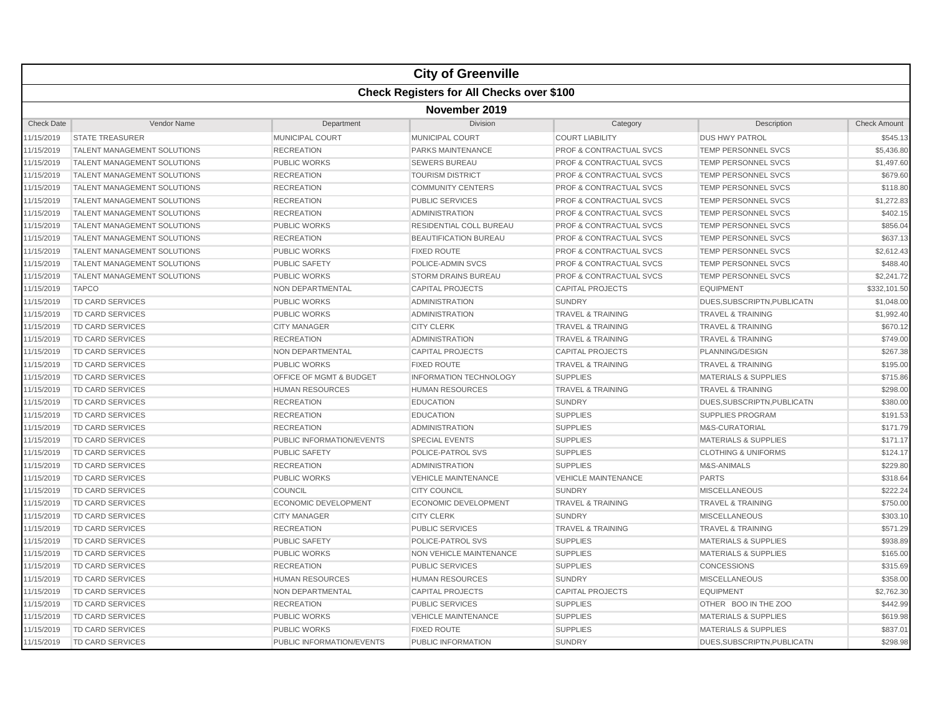|                   | <b>City of Greenville</b>                        |                           |                                |                                    |                                 |                     |  |  |  |  |
|-------------------|--------------------------------------------------|---------------------------|--------------------------------|------------------------------------|---------------------------------|---------------------|--|--|--|--|
|                   | <b>Check Registers for All Checks over \$100</b> |                           |                                |                                    |                                 |                     |  |  |  |  |
|                   | November 2019                                    |                           |                                |                                    |                                 |                     |  |  |  |  |
| <b>Check Date</b> | Vendor Name                                      | Department                | Division                       | Category                           | Description                     | <b>Check Amount</b> |  |  |  |  |
| 11/15/2019        | <b>STATE TREASURER</b>                           | <b>MUNICIPAL COURT</b>    | <b>MUNICIPAL COURT</b>         | <b>COURT LIABILITY</b>             | <b>DUS HWY PATROL</b>           | \$545.13            |  |  |  |  |
| 11/15/2019        | <b>TALENT MANAGEMENT SOLUTIONS</b>               | <b>RECREATION</b>         | PARKS MAINTENANCE              | <b>PROF &amp; CONTRACTUAL SVCS</b> | <b>TEMP PERSONNEL SVCS</b>      | \$5,436.80          |  |  |  |  |
| 11/15/2019        | <b>TALENT MANAGEMENT SOLUTIONS</b>               | PUBLIC WORKS              | <b>SEWERS BUREAU</b>           | <b>PROF &amp; CONTRACTUAL SVCS</b> | <b>TEMP PERSONNEL SVCS</b>      | \$1,497.60          |  |  |  |  |
| 11/15/2019        | <b>TALENT MANAGEMENT SOLUTIONS</b>               | <b>RECREATION</b>         | <b>TOURISM DISTRICT</b>        | <b>PROF &amp; CONTRACTUAL SVCS</b> | TEMP PERSONNEL SVCS             | \$679.60            |  |  |  |  |
| 11/15/2019        | <b>TALENT MANAGEMENT SOLUTIONS</b>               | <b>RECREATION</b>         | <b>COMMUNITY CENTERS</b>       | PROF & CONTRACTUAL SVCS            | TEMP PERSONNEL SVCS             | \$118.80            |  |  |  |  |
| 11/15/2019        | <b>TALENT MANAGEMENT SOLUTIONS</b>               | <b>RECREATION</b>         | <b>PUBLIC SERVICES</b>         | PROF & CONTRACTUAL SVCS            | <b>TEMP PERSONNEL SVCS</b>      | \$1,272.83          |  |  |  |  |
| 11/15/2019        | <b>TALENT MANAGEMENT SOLUTIONS</b>               | <b>RECREATION</b>         | <b>ADMINISTRATION</b>          | <b>PROF &amp; CONTRACTUAL SVCS</b> | <b>TEMP PERSONNEL SVCS</b>      | \$402.15            |  |  |  |  |
| 11/15/2019        | <b>TALENT MANAGEMENT SOLUTIONS</b>               | <b>PUBLIC WORKS</b>       | RESIDENTIAL COLL BUREAU        | <b>PROF &amp; CONTRACTUAL SVCS</b> | <b>TEMP PERSONNEL SVCS</b>      | \$856.04            |  |  |  |  |
| 11/15/2019        | <b>TALENT MANAGEMENT SOLUTIONS</b>               | <b>RECREATION</b>         | <b>BEAUTIFICATION BUREAU</b>   | <b>PROF &amp; CONTRACTUAL SVCS</b> | <b>TEMP PERSONNEL SVCS</b>      | \$637.13            |  |  |  |  |
| 11/15/2019        | <b>TALENT MANAGEMENT SOLUTIONS</b>               | <b>PUBLIC WORKS</b>       | <b>FIXED ROUTE</b>             | <b>PROF &amp; CONTRACTUAL SVCS</b> | <b>TEMP PERSONNEL SVCS</b>      | \$2,612.43          |  |  |  |  |
| 11/15/2019        | <b>TALENT MANAGEMENT SOLUTIONS</b>               | <b>PUBLIC SAFETY</b>      | POLICE-ADMIN SVCS              | <b>PROF &amp; CONTRACTUAL SVCS</b> | <b>TEMP PERSONNEL SVCS</b>      | \$488.40            |  |  |  |  |
| 11/15/2019        | TALENT MANAGEMENT SOLUTIONS                      | <b>PUBLIC WORKS</b>       | <b>STORM DRAINS BUREAU</b>     | <b>PROF &amp; CONTRACTUAL SVCS</b> | <b>TEMP PERSONNEL SVCS</b>      | \$2,241.72          |  |  |  |  |
| 11/15/2019        | <b>TAPCO</b>                                     | NON DEPARTMENTAL          | <b>CAPITAL PROJECTS</b>        | <b>CAPITAL PROJECTS</b>            | <b>EQUIPMENT</b>                | \$332,101.50        |  |  |  |  |
| 11/15/2019        | TD CARD SERVICES                                 | <b>PUBLIC WORKS</b>       | <b>ADMINISTRATION</b>          | <b>SUNDRY</b>                      | DUES, SUBSCRIPTN, PUBLICATN     | \$1,048.00          |  |  |  |  |
| 11/15/2019        | TD CARD SERVICES                                 | PUBLIC WORKS              | <b>ADMINISTRATION</b>          | <b>TRAVEL &amp; TRAINING</b>       | <b>TRAVEL &amp; TRAINING</b>    | \$1,992.40          |  |  |  |  |
| 11/15/2019        | TD CARD SERVICES                                 | <b>CITY MANAGER</b>       | <b>CITY CLERK</b>              | <b>TRAVEL &amp; TRAINING</b>       | <b>TRAVEL &amp; TRAINING</b>    | \$670.12            |  |  |  |  |
| 11/15/2019        | TD CARD SERVICES                                 | <b>RECREATION</b>         | <b>ADMINISTRATION</b>          | <b>TRAVEL &amp; TRAINING</b>       | <b>TRAVEL &amp; TRAINING</b>    | \$749.00            |  |  |  |  |
| 11/15/2019        | <b>TD CARD SERVICES</b>                          | NON DEPARTMENTAL          | <b>CAPITAL PROJECTS</b>        | <b>CAPITAL PROJECTS</b>            | PLANNING/DESIGN                 | \$267.38            |  |  |  |  |
| 11/15/2019        | TD CARD SERVICES                                 | <b>PUBLIC WORKS</b>       | <b>FIXED ROUTE</b>             | <b>TRAVEL &amp; TRAINING</b>       | <b>TRAVEL &amp; TRAINING</b>    | \$195.00            |  |  |  |  |
| 11/15/2019        | <b>TD CARD SERVICES</b>                          | OFFICE OF MGMT & BUDGET   | <b>INFORMATION TECHNOLOGY</b>  | <b>SUPPLIES</b>                    | <b>MATERIALS &amp; SUPPLIES</b> | \$715.86            |  |  |  |  |
| 11/15/2019        | TD CARD SERVICES                                 | <b>HUMAN RESOURCES</b>    | <b>HUMAN RESOURCES</b>         | <b>TRAVEL &amp; TRAINING</b>       | <b>TRAVEL &amp; TRAINING</b>    | \$298.00            |  |  |  |  |
| 11/15/2019        | TD CARD SERVICES                                 | <b>RECREATION</b>         | <b>EDUCATION</b>               | <b>SUNDRY</b>                      | DUES, SUBSCRIPTN, PUBLICATN     | \$380.00            |  |  |  |  |
| 11/15/2019        | <b>TD CARD SERVICES</b>                          | <b>RECREATION</b>         | <b>EDUCATION</b>               | <b>SUPPLIES</b>                    | SUPPLIES PROGRAM                | \$191.53            |  |  |  |  |
| 11/15/2019        | <b>TD CARD SERVICES</b>                          | <b>RECREATION</b>         | <b>ADMINISTRATION</b>          | <b>SUPPLIES</b>                    | M&S-CURATORIAL                  | \$171.79            |  |  |  |  |
| 11/15/2019        | <b>TD CARD SERVICES</b>                          | PUBLIC INFORMATION/EVENTS | <b>SPECIAL EVENTS</b>          | <b>SUPPLIES</b>                    | <b>MATERIALS &amp; SUPPLIES</b> | \$171.17            |  |  |  |  |
| 11/15/2019        | TD CARD SERVICES                                 | <b>PUBLIC SAFETY</b>      | POLICE-PATROL SVS              | <b>SUPPLIES</b>                    | <b>CLOTHING &amp; UNIFORMS</b>  | \$124.17            |  |  |  |  |
| 11/15/2019        | TD CARD SERVICES                                 | <b>RECREATION</b>         | <b>ADMINISTRATION</b>          | <b>SUPPLIES</b>                    | M&S-ANIMALS                     | \$229.80            |  |  |  |  |
| 11/15/2019        | TD CARD SERVICES                                 | <b>PUBLIC WORKS</b>       | <b>VEHICLE MAINTENANCE</b>     | <b>VEHICLE MAINTENANCE</b>         | <b>PARTS</b>                    | \$318.64            |  |  |  |  |
| 11/15/2019        | <b>TD CARD SERVICES</b>                          | COUNCIL                   | <b>CITY COUNCIL</b>            | <b>SUNDRY</b>                      | <b>MISCELLANEOUS</b>            | \$222.24            |  |  |  |  |
| 11/15/2019        | TD CARD SERVICES                                 | ECONOMIC DEVELOPMENT      | <b>ECONOMIC DEVELOPMENT</b>    | <b>TRAVEL &amp; TRAINING</b>       | <b>TRAVEL &amp; TRAINING</b>    | \$750.00            |  |  |  |  |
| 11/15/2019        | TD CARD SERVICES                                 | <b>CITY MANAGER</b>       | <b>CITY CLERK</b>              | <b>SUNDRY</b>                      | <b>MISCELLANEOUS</b>            | \$303.10            |  |  |  |  |
| 11/15/2019        | <b>TD CARD SERVICES</b>                          | <b>RECREATION</b>         | <b>PUBLIC SERVICES</b>         | <b>TRAVEL &amp; TRAINING</b>       | <b>TRAVEL &amp; TRAINING</b>    | \$571.29            |  |  |  |  |
| 11/15/2019        | <b>TD CARD SERVICES</b>                          | <b>PUBLIC SAFETY</b>      | POLICE-PATROL SVS              | <b>SUPPLIES</b>                    | <b>MATERIALS &amp; SUPPLIES</b> | \$938.89            |  |  |  |  |
| 11/15/2019        | <b>TD CARD SERVICES</b>                          | <b>PUBLIC WORKS</b>       | <b>NON VEHICLE MAINTENANCE</b> | <b>SUPPLIES</b>                    | <b>MATERIALS &amp; SUPPLIES</b> | \$165.00            |  |  |  |  |
| 11/15/2019        | TD CARD SERVICES                                 | <b>RECREATION</b>         | <b>PUBLIC SERVICES</b>         | <b>SUPPLIES</b>                    | <b>CONCESSIONS</b>              | \$315.69            |  |  |  |  |
| 11/15/2019        | TD CARD SERVICES                                 | <b>HUMAN RESOURCES</b>    | <b>HUMAN RESOURCES</b>         | <b>SUNDRY</b>                      | <b>MISCELLANEOUS</b>            | \$358.00            |  |  |  |  |
| 11/15/2019        | TD CARD SERVICES                                 | NON DEPARTMENTAL          | <b>CAPITAL PROJECTS</b>        | <b>CAPITAL PROJECTS</b>            | <b>EQUIPMENT</b>                | \$2,762.30          |  |  |  |  |
| 11/15/2019        | <b>TD CARD SERVICES</b>                          | <b>RECREATION</b>         | <b>PUBLIC SERVICES</b>         | <b>SUPPLIES</b>                    | OTHER BOO IN THE ZOO            | \$442.99            |  |  |  |  |
| 11/15/2019        | <b>TD CARD SERVICES</b>                          | <b>PUBLIC WORKS</b>       | <b>VEHICLE MAINTENANCE</b>     | <b>SUPPLIES</b>                    | <b>MATERIALS &amp; SUPPLIES</b> | \$619.98            |  |  |  |  |
| 11/15/2019        | TD CARD SERVICES                                 | <b>PUBLIC WORKS</b>       | <b>FIXED ROUTE</b>             | <b>SUPPLIES</b>                    | <b>MATERIALS &amp; SUPPLIES</b> | \$837.01            |  |  |  |  |
| 11/15/2019        | <b>TD CARD SERVICES</b>                          | PUBLIC INFORMATION/EVENTS | PUBLIC INFORMATION             | <b>SUNDRY</b>                      | DUES, SUBSCRIPTN, PUBLICATN     | \$298.98            |  |  |  |  |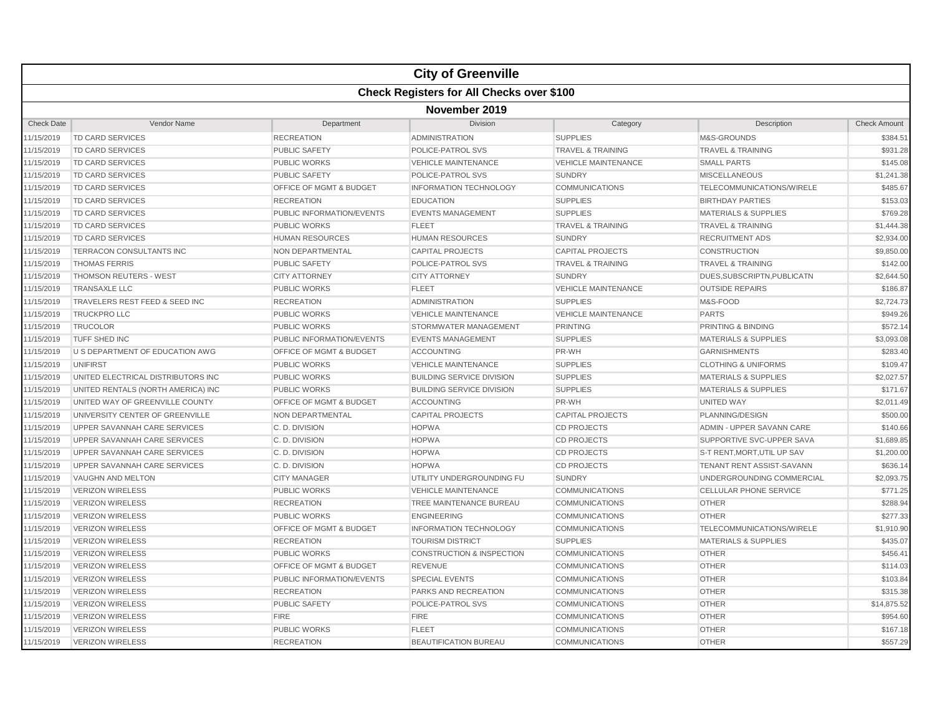|                   |                                    |                                    | <b>City of Greenville</b>                 |                              |                                  |                     |  |  |  |
|-------------------|------------------------------------|------------------------------------|-------------------------------------------|------------------------------|----------------------------------|---------------------|--|--|--|
|                   |                                    |                                    | Check Registers for All Checks over \$100 |                              |                                  |                     |  |  |  |
|                   | November 2019                      |                                    |                                           |                              |                                  |                     |  |  |  |
| <b>Check Date</b> | Vendor Name                        | Department                         | Division                                  | Category                     | Description                      | <b>Check Amount</b> |  |  |  |
| 11/15/2019        | <b>TD CARD SERVICES</b>            | <b>RECREATION</b>                  | <b>ADMINISTRATION</b>                     | <b>SUPPLIES</b>              | M&S-GROUNDS                      | \$384.51            |  |  |  |
| 11/15/2019        | <b>TD CARD SERVICES</b>            | <b>PUBLIC SAFETY</b>               | POLICE-PATROL SVS                         | <b>TRAVEL &amp; TRAINING</b> | <b>TRAVEL &amp; TRAINING</b>     | \$931.28            |  |  |  |
| 11/15/2019        | <b>TD CARD SERVICES</b>            | <b>PUBLIC WORKS</b>                | <b>VEHICLE MAINTENANCE</b>                | <b>VEHICLE MAINTENANCE</b>   | <b>SMALL PARTS</b>               | \$145.08            |  |  |  |
| 11/15/2019        | TD CARD SERVICES                   | <b>PUBLIC SAFETY</b>               | POLICE-PATROL SVS                         | <b>SUNDRY</b>                | <b>MISCELLANEOUS</b>             | \$1,241.38          |  |  |  |
| 11/15/2019        | <b>TD CARD SERVICES</b>            | <b>OFFICE OF MGMT &amp; BUDGET</b> | <b>INFORMATION TECHNOLOGY</b>             | <b>COMMUNICATIONS</b>        | TELECOMMUNICATIONS/WIRELE        | \$485.67            |  |  |  |
| 11/15/2019        | <b>TD CARD SERVICES</b>            | <b>RECREATION</b>                  | <b>EDUCATION</b>                          | <b>SUPPLIES</b>              | <b>BIRTHDAY PARTIES</b>          | \$153.03            |  |  |  |
| 11/15/2019        | <b>TD CARD SERVICES</b>            | PUBLIC INFORMATION/EVENTS          | <b>EVENTS MANAGEMENT</b>                  | <b>SUPPLIES</b>              | <b>MATERIALS &amp; SUPPLIES</b>  | \$769.28            |  |  |  |
| 11/15/2019        | <b>TD CARD SERVICES</b>            | <b>PUBLIC WORKS</b>                | <b>FLEET</b>                              | <b>TRAVEL &amp; TRAINING</b> | <b>TRAVEL &amp; TRAINING</b>     | \$1,444.38          |  |  |  |
| 11/15/2019        | <b>TD CARD SERVICES</b>            | <b>HUMAN RESOURCES</b>             | <b>HUMAN RESOURCES</b>                    | <b>SUNDRY</b>                | <b>RECRUITMENT ADS</b>           | \$2,934.00          |  |  |  |
| 11/15/2019        | TERRACON CONSULTANTS INC           | <b>NON DEPARTMENTAL</b>            | <b>CAPITAL PROJECTS</b>                   | <b>CAPITAL PROJECTS</b>      | <b>CONSTRUCTION</b>              | \$9,850.00          |  |  |  |
| 11/15/2019        | <b>THOMAS FERRIS</b>               | PUBLIC SAFETY                      | POLICE-PATROL SVS                         | <b>TRAVEL &amp; TRAINING</b> | <b>TRAVEL &amp; TRAINING</b>     | \$142.00            |  |  |  |
| 11/15/2019        | <b>THOMSON REUTERS - WEST</b>      | <b>CITY ATTORNEY</b>               | <b>CITY ATTORNEY</b>                      | <b>SUNDRY</b>                | DUES.SUBSCRIPTN.PUBLICATN        | \$2,644.50          |  |  |  |
| 11/15/2019        | <b>TRANSAXLE LLC</b>               | <b>PUBLIC WORKS</b>                | <b>FLEET</b>                              | <b>VEHICLE MAINTENANCE</b>   | <b>OUTSIDE REPAIRS</b>           | \$186.87            |  |  |  |
| 11/15/2019        | TRAVELERS REST FEED & SEED INC     | <b>RECREATION</b>                  | <b>ADMINISTRATION</b>                     | <b>SUPPLIES</b>              | M&S-FOOD                         | \$2,724.73          |  |  |  |
| 11/15/2019        | <b>TRUCKPRO LLC</b>                | PUBLIC WORKS                       | <b>VEHICLE MAINTENANCE</b>                | <b>VEHICLE MAINTENANCE</b>   | <b>PARTS</b>                     | \$949.26            |  |  |  |
| 11/15/2019        | <b>TRUCOLOR</b>                    | <b>PUBLIC WORKS</b>                | STORMWATER MANAGEMENT                     | <b>PRINTING</b>              | <b>PRINTING &amp; BINDING</b>    | \$572.14            |  |  |  |
| 11/15/2019        | TUFF SHED INC                      | PUBLIC INFORMATION/EVENTS          | <b>EVENTS MANAGEMENT</b>                  | <b>SUPPLIES</b>              | <b>MATERIALS &amp; SUPPLIES</b>  | \$3,093.08          |  |  |  |
| 11/15/2019        | U S DEPARTMENT OF EDUCATION AWG    | OFFICE OF MGMT & BUDGET            | <b>ACCOUNTING</b>                         | PR-WH                        | <b>GARNISHMENTS</b>              | \$283.40            |  |  |  |
| 11/15/2019        | UNIFIRST                           | <b>PUBLIC WORKS</b>                | <b>VEHICLE MAINTENANCE</b>                | <b>SUPPLIES</b>              | <b>CLOTHING &amp; UNIFORMS</b>   | \$109.47            |  |  |  |
| 11/15/2019        | UNITED ELECTRICAL DISTRIBUTORS INC | <b>PUBLIC WORKS</b>                | <b>BUILDING SERVICE DIVISION</b>          | <b>SUPPLIES</b>              | <b>MATERIALS &amp; SUPPLIES</b>  | \$2,027.57          |  |  |  |
| 11/15/2019        | UNITED RENTALS (NORTH AMERICA) INC | <b>PUBLIC WORKS</b>                | <b>BUILDING SERVICE DIVISION</b>          | <b>SUPPLIES</b>              | <b>MATERIALS &amp; SUPPLIES</b>  | \$171.67            |  |  |  |
| 11/15/2019        | UNITED WAY OF GREENVILLE COUNTY    | <b>OFFICE OF MGMT &amp; BUDGET</b> | <b>ACCOUNTING</b>                         | PR-WH                        | UNITED WAY                       | \$2,011.49          |  |  |  |
| 11/15/2019        | UNIVERSITY CENTER OF GREENVILLE    | <b>NON DEPARTMENTAL</b>            | <b>CAPITAL PROJECTS</b>                   | <b>CAPITAL PROJECTS</b>      | PLANNING/DESIGN                  | \$500.00            |  |  |  |
| 11/15/2019        | UPPER SAVANNAH CARE SERVICES       | C.D. DIVISION                      | <b>HOPWA</b>                              | <b>CD PROJECTS</b>           | ADMIN - UPPER SAVANN CARE        | \$140.66            |  |  |  |
| 11/15/2019        | UPPER SAVANNAH CARE SERVICES       | C. D. DIVISION                     | <b>HOPWA</b>                              | <b>CD PROJECTS</b>           | SUPPORTIVE SVC-UPPER SAVA        | \$1,689.85          |  |  |  |
| 11/15/2019        | UPPER SAVANNAH CARE SERVICES       | C.D. DIVISION                      | <b>HOPWA</b>                              | <b>CD PROJECTS</b>           | S-T RENT, MORT, UTIL UP SAV      | \$1,200.00          |  |  |  |
| 11/15/2019        | UPPER SAVANNAH CARE SERVICES       | C.D. DIVISION                      | <b>HOPWA</b>                              | <b>CD PROJECTS</b>           | <b>TENANT RENT ASSIST-SAVANN</b> | \$636.14            |  |  |  |
| 11/15/2019        | VAUGHN AND MELTON                  | <b>CITY MANAGER</b>                | UTILITY UNDERGROUNDING FU                 | <b>SUNDRY</b>                | UNDERGROUNDING COMMERCIAL        | \$2,093.75          |  |  |  |
| 11/15/2019        | <b>VERIZON WIRELESS</b>            | <b>PUBLIC WORKS</b>                | <b>VEHICLE MAINTENANCE</b>                | <b>COMMUNICATIONS</b>        | <b>CELLULAR PHONE SERVICE</b>    | \$771.25            |  |  |  |
| 11/15/2019        | <b>VERIZON WIRELESS</b>            | <b>RECREATION</b>                  | TREE MAINTENANCE BUREAU                   | <b>COMMUNICATIONS</b>        | <b>OTHER</b>                     | \$288.94            |  |  |  |
| 11/15/2019        | <b>VERIZON WIRELESS</b>            | <b>PUBLIC WORKS</b>                | <b>ENGINEERING</b>                        | <b>COMMUNICATIONS</b>        | <b>OTHER</b>                     | \$277.33            |  |  |  |
| 11/15/2019        | <b>VERIZON WIRELESS</b>            | OFFICE OF MGMT & BUDGET            | <b>INFORMATION TECHNOLOGY</b>             | <b>COMMUNICATIONS</b>        | TELECOMMUNICATIONS/WIRELE        | \$1,910.90          |  |  |  |
| 11/15/2019        | <b>VERIZON WIRELESS</b>            | <b>RECREATION</b>                  | <b>TOURISM DISTRICT</b>                   | <b>SUPPLIES</b>              | <b>MATERIALS &amp; SUPPLIES</b>  | \$435.07            |  |  |  |
| 11/15/2019        | <b>VERIZON WIRELESS</b>            | <b>PUBLIC WORKS</b>                | <b>CONSTRUCTION &amp; INSPECTION</b>      | <b>COMMUNICATIONS</b>        | <b>OTHER</b>                     | \$456.41            |  |  |  |
| 11/15/2019        | <b>VERIZON WIRELESS</b>            | OFFICE OF MGMT & BUDGET            | <b>REVENUE</b>                            | <b>COMMUNICATIONS</b>        | <b>OTHER</b>                     | \$114.03            |  |  |  |
| 11/15/2019        | <b>VERIZON WIRELESS</b>            | PUBLIC INFORMATION/EVENTS          | <b>SPECIAL EVENTS</b>                     | <b>COMMUNICATIONS</b>        | <b>OTHER</b>                     | \$103.84            |  |  |  |
| 11/15/2019        | <b>VERIZON WIRELESS</b>            | <b>RECREATION</b>                  | PARKS AND RECREATION                      | <b>COMMUNICATIONS</b>        | <b>OTHER</b>                     | \$315.38            |  |  |  |
| 11/15/2019        | <b>VERIZON WIRELESS</b>            | <b>PUBLIC SAFETY</b>               | POLICE-PATROL SVS                         | <b>COMMUNICATIONS</b>        | <b>OTHER</b>                     | \$14,875.52         |  |  |  |
| 11/15/2019        | <b>VERIZON WIRELESS</b>            | <b>FIRE</b>                        | <b>FIRE</b>                               | <b>COMMUNICATIONS</b>        | <b>OTHER</b>                     | \$954.60            |  |  |  |
| 11/15/2019        | <b>VERIZON WIRELESS</b>            | <b>PUBLIC WORKS</b>                | <b>FLEET</b>                              | <b>COMMUNICATIONS</b>        | <b>OTHER</b>                     | \$167.18            |  |  |  |
| 11/15/2019        | <b>VERIZON WIRELESS</b>            | <b>RECREATION</b>                  | <b>BEAUTIFICATION BUREAU</b>              | <b>COMMUNICATIONS</b>        | <b>OTHER</b>                     | \$557.29            |  |  |  |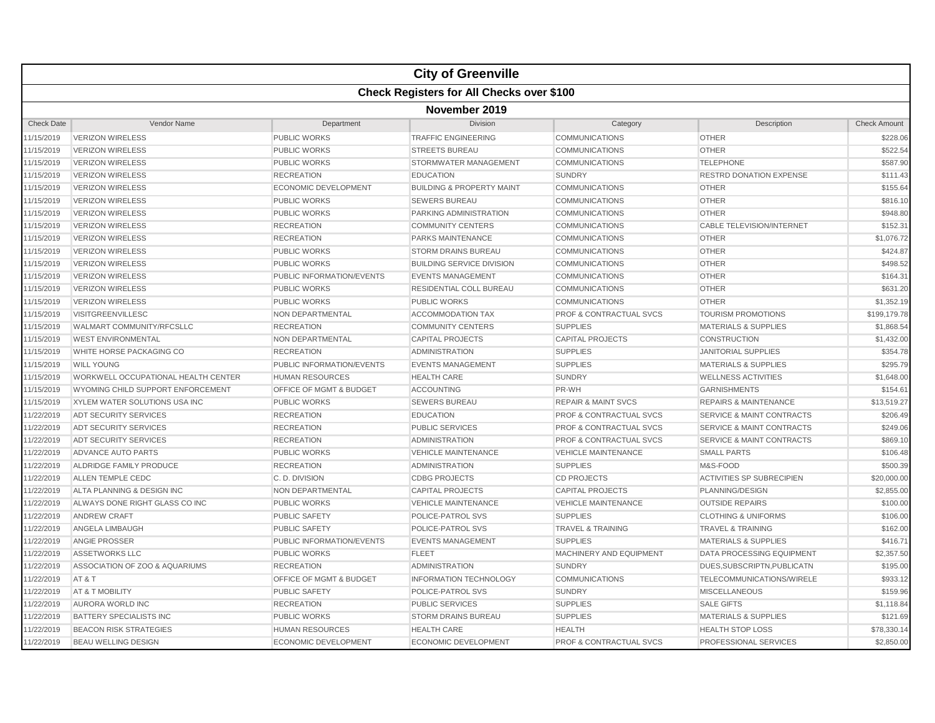|                   | <b>City of Greenville</b>                        |                                    |                                      |                                    |                                      |                     |  |  |  |
|-------------------|--------------------------------------------------|------------------------------------|--------------------------------------|------------------------------------|--------------------------------------|---------------------|--|--|--|
|                   | <b>Check Registers for All Checks over \$100</b> |                                    |                                      |                                    |                                      |                     |  |  |  |
|                   | November 2019                                    |                                    |                                      |                                    |                                      |                     |  |  |  |
| <b>Check Date</b> | Vendor Name                                      | Department                         | Division                             | Category                           | Description                          | <b>Check Amount</b> |  |  |  |
| 11/15/2019        | <b>VERIZON WIRELESS</b>                          | PUBLIC WORKS                       | <b>TRAFFIC ENGINEERING</b>           | <b>COMMUNICATIONS</b>              | <b>OTHER</b>                         | \$228.06            |  |  |  |
| 11/15/2019        | <b>VERIZON WIRELESS</b>                          | <b>PUBLIC WORKS</b>                | <b>STREETS BUREAU</b>                | <b>COMMUNICATIONS</b>              | <b>OTHER</b>                         | \$522.54            |  |  |  |
| 11/15/2019        | <b>VERIZON WIRELESS</b>                          | <b>PUBLIC WORKS</b>                | STORMWATER MANAGEMENT                | <b>COMMUNICATIONS</b>              | <b>TELEPHONE</b>                     | \$587.90            |  |  |  |
| 11/15/2019        | <b>VERIZON WIRELESS</b>                          | <b>RECREATION</b>                  | <b>EDUCATION</b>                     | <b>SUNDRY</b>                      | <b>RESTRD DONATION EXPENSE</b>       | \$111.43            |  |  |  |
| 11/15/2019        | <b>VERIZON WIRELESS</b>                          | <b>ECONOMIC DEVELOPMENT</b>        | <b>BUILDING &amp; PROPERTY MAINT</b> | <b>COMMUNICATIONS</b>              | <b>OTHER</b>                         | \$155.64            |  |  |  |
| 11/15/2019        | <b>VERIZON WIRELESS</b>                          | <b>PUBLIC WORKS</b>                | <b>SEWERS BUREAU</b>                 | <b>COMMUNICATIONS</b>              | <b>OTHER</b>                         | \$816.10            |  |  |  |
| 11/15/2019        | <b>VERIZON WIRELESS</b>                          | <b>PUBLIC WORKS</b>                | PARKING ADMINISTRATION               | <b>COMMUNICATIONS</b>              | <b>OTHER</b>                         | \$948.80            |  |  |  |
| 11/15/2019        | <b>VERIZON WIRELESS</b>                          | <b>RECREATION</b>                  | <b>COMMUNITY CENTERS</b>             | <b>COMMUNICATIONS</b>              | <b>CABLE TELEVISION/INTERNET</b>     | \$152.31            |  |  |  |
| 11/15/2019        | <b>VERIZON WIRELESS</b>                          | <b>RECREATION</b>                  | <b>PARKS MAINTENANCE</b>             | <b>COMMUNICATIONS</b>              | <b>OTHER</b>                         | \$1,076.72          |  |  |  |
| 11/15/2019        | <b>VERIZON WIRELESS</b>                          | <b>PUBLIC WORKS</b>                | <b>STORM DRAINS BUREAU</b>           | <b>COMMUNICATIONS</b>              | <b>OTHER</b>                         | \$424.87            |  |  |  |
| 11/15/2019        | <b>VERIZON WIRELESS</b>                          | <b>PUBLIC WORKS</b>                | <b>BUILDING SERVICE DIVISION</b>     | <b>COMMUNICATIONS</b>              | <b>OTHER</b>                         | \$498.52            |  |  |  |
| 11/15/2019        | <b>VERIZON WIRELESS</b>                          | PUBLIC INFORMATION/EVENTS          | <b>EVENTS MANAGEMENT</b>             | <b>COMMUNICATIONS</b>              | <b>OTHER</b>                         | \$164.31            |  |  |  |
| 11/15/2019        | <b>VERIZON WIRELESS</b>                          | <b>PUBLIC WORKS</b>                | RESIDENTIAL COLL BUREAU              | <b>COMMUNICATIONS</b>              | <b>OTHER</b>                         | \$631.20            |  |  |  |
| 11/15/2019        | <b>VERIZON WIRELESS</b>                          | <b>PUBLIC WORKS</b>                | <b>PUBLIC WORKS</b>                  | <b>COMMUNICATIONS</b>              | <b>OTHER</b>                         | \$1,352.19          |  |  |  |
| 11/15/2019        | <b>VISITGREENVILLESC</b>                         | NON DEPARTMENTAL                   | <b>ACCOMMODATION TAX</b>             | <b>PROF &amp; CONTRACTUAL SVCS</b> | TOURISM PROMOTIONS                   | \$199,179.78        |  |  |  |
| 11/15/2019        | WALMART COMMUNITY/RFCSLLC                        | <b>RECREATION</b>                  | <b>COMMUNITY CENTERS</b>             | <b>SUPPLIES</b>                    | <b>MATERIALS &amp; SUPPLIES</b>      | \$1,868.54          |  |  |  |
| 11/15/2019        | <b>WEST ENVIRONMENTAL</b>                        | NON DEPARTMENTAL                   | <b>CAPITAL PROJECTS</b>              | <b>CAPITAL PROJECTS</b>            | <b>CONSTRUCTION</b>                  | \$1,432.00          |  |  |  |
| 11/15/2019        | WHITE HORSE PACKAGING CO                         | <b>RECREATION</b>                  | <b>ADMINISTRATION</b>                | <b>SUPPLIES</b>                    | <b>JANITORIAL SUPPLIES</b>           | \$354.78            |  |  |  |
| 11/15/2019        | <b>WILL YOUNG</b>                                | PUBLIC INFORMATION/EVENTS          | <b>EVENTS MANAGEMENT</b>             | <b>SUPPLIES</b>                    | <b>MATERIALS &amp; SUPPLIES</b>      | \$295.79            |  |  |  |
| 11/15/2019        | WORKWELL OCCUPATIONAL HEALTH CENTER              | <b>HUMAN RESOURCES</b>             | <b>HEALTH CARE</b>                   | <b>SUNDRY</b>                      | <b>WELLNESS ACTIVITIES</b>           | \$1,648.00          |  |  |  |
| 11/15/2019        | WYOMING CHILD SUPPORT ENFORCEMENT                | OFFICE OF MGMT & BUDGET            | <b>ACCOUNTING</b>                    | PR-WH                              | <b>GARNISHMENTS</b>                  | \$154.61            |  |  |  |
| 11/15/2019        | XYLEM WATER SOLUTIONS USA INC                    | <b>PUBLIC WORKS</b>                | <b>SEWERS BUREAU</b>                 | <b>REPAIR &amp; MAINT SVCS</b>     | <b>REPAIRS &amp; MAINTENANCE</b>     | \$13,519,27         |  |  |  |
| 11/22/2019        | <b>ADT SECURITY SERVICES</b>                     | <b>RECREATION</b>                  | <b>EDUCATION</b>                     | <b>PROF &amp; CONTRACTUAL SVCS</b> | <b>SERVICE &amp; MAINT CONTRACTS</b> | \$206.49            |  |  |  |
| 11/22/2019        | ADT SECURITY SERVICES                            | <b>RECREATION</b>                  | <b>PUBLIC SERVICES</b>               | <b>PROF &amp; CONTRACTUAL SVCS</b> | <b>SERVICE &amp; MAINT CONTRACTS</b> | \$249.06            |  |  |  |
| 11/22/2019        | ADT SECURITY SERVICES                            | <b>RECREATION</b>                  | <b>ADMINISTRATION</b>                | <b>PROF &amp; CONTRACTUAL SVCS</b> | <b>SERVICE &amp; MAINT CONTRACTS</b> | \$869.10            |  |  |  |
| 11/22/2019        | <b>ADVANCE AUTO PARTS</b>                        | <b>PUBLIC WORKS</b>                | <b>VEHICLE MAINTENANCE</b>           | <b>VEHICLE MAINTENANCE</b>         | <b>SMALL PARTS</b>                   | \$106.48            |  |  |  |
| 11/22/2019        | ALDRIDGE FAMILY PRODUCE                          | <b>RECREATION</b>                  | <b>ADMINISTRATION</b>                | <b>SUPPLIES</b>                    | M&S-FOOD                             | \$500.39            |  |  |  |
| 11/22/2019        | ALLEN TEMPLE CEDC                                | C.D. DIVISION                      | <b>CDBG PROJECTS</b>                 | <b>CD PROJECTS</b>                 | <b>ACTIVITIES SP SUBRECIPIEN</b>     | \$20,000.00         |  |  |  |
| 11/22/2019        | ALTA PLANNING & DESIGN INC                       | NON DEPARTMENTAL                   | <b>CAPITAL PROJECTS</b>              | <b>CAPITAL PROJECTS</b>            | PLANNING/DESIGN                      | \$2,855.00          |  |  |  |
| 11/22/2019        | ALWAYS DONE RIGHT GLASS CO INC                   | <b>PUBLIC WORKS</b>                | <b>VEHICLE MAINTENANCE</b>           | <b>VEHICLE MAINTENANCE</b>         | <b>OUTSIDE REPAIRS</b>               | \$100.00            |  |  |  |
| 11/22/2019        | <b>ANDREW CRAFT</b>                              | <b>PUBLIC SAFETY</b>               | POLICE-PATROL SVS                    | <b>SUPPLIES</b>                    | <b>CLOTHING &amp; UNIFORMS</b>       | \$106.00            |  |  |  |
| 11/22/2019        | ANGELA LIMBAUGH                                  | <b>PUBLIC SAFETY</b>               | POLICE-PATROL SVS                    | <b>TRAVEL &amp; TRAINING</b>       | <b>TRAVEL &amp; TRAINING</b>         | \$162.00            |  |  |  |
| 11/22/2019        | ANGIE PROSSER                                    | PUBLIC INFORMATION/EVENTS          | <b>EVENTS MANAGEMENT</b>             | <b>SUPPLIES</b>                    | <b>MATERIALS &amp; SUPPLIES</b>      | \$416.71            |  |  |  |
| 11/22/2019        | ASSETWORKS LLC                                   | <b>PUBLIC WORKS</b>                | <b>FLEET</b>                         | MACHINERY AND EQUIPMENT            | DATA PROCESSING EQUIPMENT            | \$2,357.50          |  |  |  |
| 11/22/2019        | ASSOCIATION OF ZOO & AQUARIUMS                   | <b>RECREATION</b>                  | <b>ADMINISTRATION</b>                | <b>SUNDRY</b>                      | DUES, SUBSCRIPTN, PUBLICATN          | \$195.00            |  |  |  |
| 11/22/2019        | AT&T                                             | <b>OFFICE OF MGMT &amp; BUDGET</b> | <b>INFORMATION TECHNOLOGY</b>        | <b>COMMUNICATIONS</b>              | TELECOMMUNICATIONS/WIRELE            | \$933.12            |  |  |  |
| 11/22/2019        | AT & T MOBILITY                                  | <b>PUBLIC SAFETY</b>               | POLICE-PATROL SVS                    | <b>SUNDRY</b>                      | <b>MISCELLANEOUS</b>                 | \$159.96            |  |  |  |
| 11/22/2019        | AURORA WORLD INC                                 | <b>RECREATION</b>                  | <b>PUBLIC SERVICES</b>               | <b>SUPPLIES</b>                    | <b>SALE GIFTS</b>                    | \$1,118.84          |  |  |  |
| 11/22/2019        | BATTERY SPECIALISTS INC                          | <b>PUBLIC WORKS</b>                | <b>STORM DRAINS BUREAU</b>           | <b>SUPPLIES</b>                    | <b>MATERIALS &amp; SUPPLIES</b>      | \$121.69            |  |  |  |
| 11/22/2019        | <b>BEACON RISK STRATEGIES</b>                    | <b>HUMAN RESOURCES</b>             | <b>HEALTH CARE</b>                   | <b>HEALTH</b>                      | <b>HEALTH STOP LOSS</b>              | \$78,330.14         |  |  |  |
| 11/22/2019        | <b>BEAU WELLING DESIGN</b>                       | <b>ECONOMIC DEVELOPMENT</b>        | <b>ECONOMIC DEVELOPMENT</b>          | <b>PROF &amp; CONTRACTUAL SVCS</b> | PROFESSIONAL SERVICES                | \$2,850.00          |  |  |  |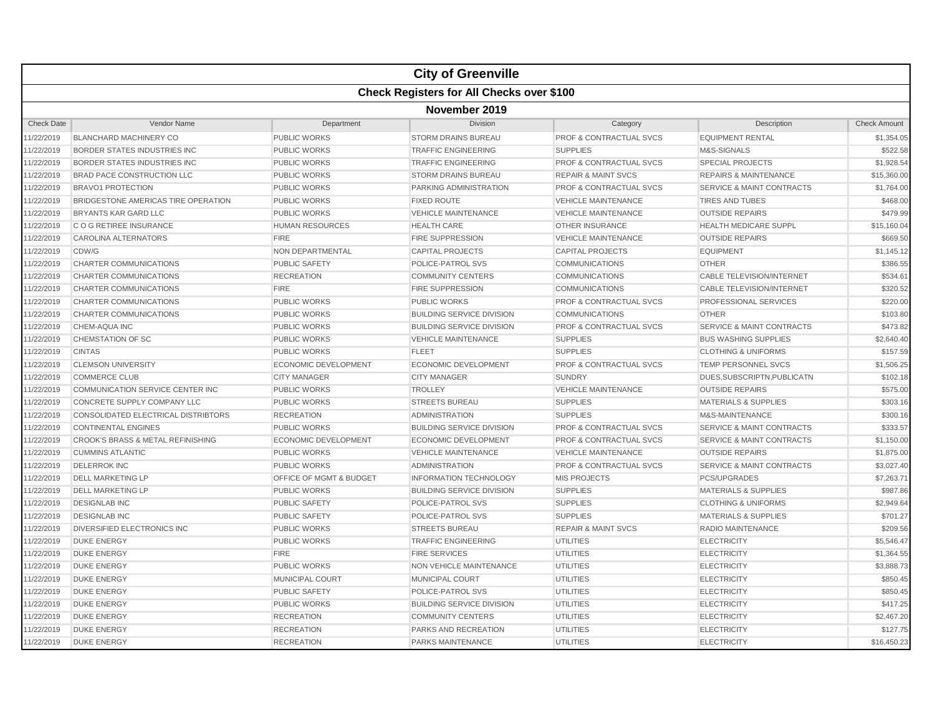|                   |                                              |                             | <b>City of Greenville</b>        |                                    |                                      |                     |  |  |  |
|-------------------|----------------------------------------------|-----------------------------|----------------------------------|------------------------------------|--------------------------------------|---------------------|--|--|--|
|                   | Check Registers for All Checks over \$100    |                             |                                  |                                    |                                      |                     |  |  |  |
|                   | November 2019                                |                             |                                  |                                    |                                      |                     |  |  |  |
| <b>Check Date</b> | Vendor Name                                  | Department                  | <b>Division</b>                  | Category                           | Description                          | <b>Check Amount</b> |  |  |  |
| 11/22/2019        | <b>BLANCHARD MACHINERY CO</b>                | <b>PUBLIC WORKS</b>         | <b>STORM DRAINS BUREAU</b>       | <b>PROF &amp; CONTRACTUAL SVCS</b> | <b>EQUIPMENT RENTAL</b>              | \$1,354.05          |  |  |  |
| 11/22/2019        | <b>BORDER STATES INDUSTRIES INC</b>          | <b>PUBLIC WORKS</b>         | <b>TRAFFIC ENGINEERING</b>       | <b>SUPPLIES</b>                    | M&S-SIGNALS                          | \$522.58            |  |  |  |
| 11/22/2019        | <b>BORDER STATES INDUSTRIES INC</b>          | <b>PUBLIC WORKS</b>         | <b>TRAFFIC ENGINEERING</b>       | PROF & CONTRACTUAL SVCS            | <b>SPECIAL PROJECTS</b>              | \$1,928.54          |  |  |  |
| 11/22/2019        | BRAD PACE CONSTRUCTION LLC                   | <b>PUBLIC WORKS</b>         | <b>STORM DRAINS BUREAU</b>       | <b>REPAIR &amp; MAINT SVCS</b>     | <b>REPAIRS &amp; MAINTENANCE</b>     | \$15,360.00         |  |  |  |
| 11/22/2019        | <b>BRAVO1 PROTECTION</b>                     | <b>PUBLIC WORKS</b>         | PARKING ADMINISTRATION           | <b>PROF &amp; CONTRACTUAL SVCS</b> | <b>SERVICE &amp; MAINT CONTRACTS</b> | \$1,764.00          |  |  |  |
| 11/22/2019        | BRIDGESTONE AMERICAS TIRE OPERATION          | <b>PUBLIC WORKS</b>         | <b>FIXED ROUTE</b>               | <b>VEHICLE MAINTENANCE</b>         | <b>TIRES AND TUBES</b>               | \$468.00            |  |  |  |
| 11/22/2019        | <b>BRYANTS KAR GARD LLC</b>                  | <b>PUBLIC WORKS</b>         | <b>VEHICLE MAINTENANCE</b>       | <b>VEHICLE MAINTENANCE</b>         | <b>OUTSIDE REPAIRS</b>               | \$479.99            |  |  |  |
| 11/22/2019        | C O G RETIREE INSURANCE                      | <b>HUMAN RESOURCES</b>      | <b>HEALTH CARE</b>               | <b>OTHER INSURANCE</b>             | <b>HEALTH MEDICARE SUPPL</b>         | \$15,160.04         |  |  |  |
| 11/22/2019        | <b>CAROLINA ALTERNATORS</b>                  | <b>FIRE</b>                 | <b>FIRE SUPPRESSION</b>          | <b>VEHICLE MAINTENANCE</b>         | <b>OUTSIDE REPAIRS</b>               | \$669.50            |  |  |  |
| 11/22/2019        | CDW/G                                        | NON DEPARTMENTAL            | <b>CAPITAL PROJECTS</b>          | <b>CAPITAL PROJECTS</b>            | <b>EQUIPMENT</b>                     | \$1,145.12          |  |  |  |
| 11/22/2019        | <b>CHARTER COMMUNICATIONS</b>                | <b>PUBLIC SAFETY</b>        | POLICE-PATROL SVS                | <b>COMMUNICATIONS</b>              | <b>OTHER</b>                         | \$386.55            |  |  |  |
| 11/22/2019        | <b>CHARTER COMMUNICATIONS</b>                | <b>RECREATION</b>           | <b>COMMUNITY CENTERS</b>         | <b>COMMUNICATIONS</b>              | <b>CABLE TELEVISION/INTERNET</b>     | \$534.61            |  |  |  |
| 11/22/2019        | CHARTER COMMUNICATIONS                       | <b>FIRE</b>                 | <b>FIRE SUPPRESSION</b>          | <b>COMMUNICATIONS</b>              | <b>CABLE TELEVISION/INTERNET</b>     | \$320.52            |  |  |  |
| 11/22/2019        | <b>CHARTER COMMUNICATIONS</b>                | <b>PUBLIC WORKS</b>         | <b>PUBLIC WORKS</b>              | <b>PROF &amp; CONTRACTUAL SVCS</b> | PROFESSIONAL SERVICES                | \$220.00            |  |  |  |
| 11/22/2019        | CHARTER COMMUNICATIONS                       | <b>PUBLIC WORKS</b>         | <b>BUILDING SERVICE DIVISION</b> | <b>COMMUNICATIONS</b>              | <b>OTHER</b>                         | \$103.80            |  |  |  |
| 11/22/2019        | CHEM-AQUA INC                                | <b>PUBLIC WORKS</b>         | <b>BUILDING SERVICE DIVISION</b> | <b>PROF &amp; CONTRACTUAL SVCS</b> | <b>SERVICE &amp; MAINT CONTRACTS</b> | \$473.82            |  |  |  |
| 11/22/2019        | <b>CHEMSTATION OF SC</b>                     | <b>PUBLIC WORKS</b>         | <b>VEHICLE MAINTENANCE</b>       | <b>SUPPLIES</b>                    | <b>BUS WASHING SUPPLIES</b>          | \$2,640.40          |  |  |  |
| 11/22/2019        | <b>CINTAS</b>                                | <b>PUBLIC WORKS</b>         | <b>FLEET</b>                     | <b>SUPPLIES</b>                    | <b>CLOTHING &amp; UNIFORMS</b>       | \$157.59            |  |  |  |
| 11/22/2019        | <b>CLEMSON UNIVERSITY</b>                    | <b>ECONOMIC DEVELOPMENT</b> | <b>ECONOMIC DEVELOPMENT</b>      | <b>PROF &amp; CONTRACTUAL SVCS</b> | <b>TEMP PERSONNEL SVCS</b>           | \$1,506.25          |  |  |  |
| 11/22/2019        | <b>COMMERCE CLUB</b>                         | <b>CITY MANAGER</b>         | <b>CITY MANAGER</b>              | <b>SUNDRY</b>                      | DUES, SUBSCRIPTN, PUBLICATN          | \$102.18            |  |  |  |
| 11/22/2019        | COMMUNICATION SERVICE CENTER INC             | <b>PUBLIC WORKS</b>         | <b>TROLLEY</b>                   | <b>VEHICLE MAINTENANCE</b>         | <b>OUTSIDE REPAIRS</b>               | \$575.00            |  |  |  |
| 11/22/2019        | CONCRETE SUPPLY COMPANY LLC                  | <b>PUBLIC WORKS</b>         | <b>STREETS BUREAU</b>            | <b>SUPPLIES</b>                    | <b>MATERIALS &amp; SUPPLIES</b>      | \$303.16            |  |  |  |
| 11/22/2019        | CONSOLIDATED ELECTRICAL DISTRIBTORS          | <b>RECREATION</b>           | <b>ADMINISTRATION</b>            | <b>SUPPLIES</b>                    | M&S-MAINTENANCE                      | \$300.16            |  |  |  |
| 11/22/2019        | <b>CONTINENTAL ENGINES</b>                   | <b>PUBLIC WORKS</b>         | <b>BUILDING SERVICE DIVISION</b> | <b>PROF &amp; CONTRACTUAL SVCS</b> | <b>SERVICE &amp; MAINT CONTRACTS</b> | \$333.57            |  |  |  |
| 11/22/2019        | <b>CROOK'S BRASS &amp; METAL REFINISHING</b> | <b>ECONOMIC DEVELOPMENT</b> | <b>ECONOMIC DEVELOPMENT</b>      | <b>PROF &amp; CONTRACTUAL SVCS</b> | <b>SERVICE &amp; MAINT CONTRACTS</b> | \$1,150.00          |  |  |  |
| 11/22/2019        | <b>CUMMINS ATLANTIC</b>                      | <b>PUBLIC WORKS</b>         | <b>VEHICLE MAINTENANCE</b>       | <b>VEHICLE MAINTENANCE</b>         | <b>OUTSIDE REPAIRS</b>               | \$1,875.00          |  |  |  |
| 11/22/2019        | <b>DELERROK INC</b>                          | <b>PUBLIC WORKS</b>         | <b>ADMINISTRATION</b>            | <b>PROF &amp; CONTRACTUAL SVCS</b> | <b>SERVICE &amp; MAINT CONTRACTS</b> | \$3,027.40          |  |  |  |
| 11/22/2019        | <b>DELL MARKETING LP</b>                     | OFFICE OF MGMT & BUDGET     | <b>INFORMATION TECHNOLOGY</b>    | <b>MIS PROJECTS</b>                | PCS/UPGRADES                         | \$7,263.71          |  |  |  |
| 11/22/2019        | <b>DELL MARKETING LP</b>                     | <b>PUBLIC WORKS</b>         | <b>BUILDING SERVICE DIVISION</b> | <b>SUPPLIES</b>                    | <b>MATERIALS &amp; SUPPLIES</b>      | \$987.86            |  |  |  |
| 11/22/2019        | <b>DESIGNLAB INC</b>                         | PUBLIC SAFETY               | POLICE-PATROL SVS                | <b>SUPPLIES</b>                    | <b>CLOTHING &amp; UNIFORMS</b>       | \$2,949.64          |  |  |  |
| 11/22/2019        | <b>DESIGNLAB INC</b>                         | <b>PUBLIC SAFETY</b>        | POLICE-PATROL SVS                | <b>SUPPLIES</b>                    | <b>MATERIALS &amp; SUPPLIES</b>      | \$701.27            |  |  |  |
| 11/22/2019        | DIVERSIFIED ELECTRONICS INC                  | <b>PUBLIC WORKS</b>         | <b>STREETS BUREAU</b>            | <b>REPAIR &amp; MAINT SVCS</b>     | <b>RADIO MAINTENANCE</b>             | \$209.56            |  |  |  |
| 11/22/2019        | <b>DUKE ENERGY</b>                           | <b>PUBLIC WORKS</b>         | <b>TRAFFIC ENGINEERING</b>       | <b>UTILITIES</b>                   | <b>ELECTRICITY</b>                   | \$5,546.47          |  |  |  |
| 11/22/2019        | <b>DUKE ENERGY</b>                           | <b>FIRE</b>                 | <b>FIRE SERVICES</b>             | <b>UTILITIES</b>                   | <b>ELECTRICITY</b>                   | \$1,364.55          |  |  |  |
| 11/22/2019        | <b>DUKE ENERGY</b>                           | <b>PUBLIC WORKS</b>         | <b>NON VEHICLE MAINTENANCE</b>   | <b>UTILITIES</b>                   | <b>ELECTRICITY</b>                   | \$3,888.73          |  |  |  |
| 11/22/2019        | <b>DUKE ENERGY</b>                           | <b>MUNICIPAL COURT</b>      | <b>MUNICIPAL COURT</b>           | <b>UTILITIES</b>                   | <b>ELECTRICITY</b>                   | \$850.45            |  |  |  |
| 11/22/2019        | <b>DUKE ENERGY</b>                           | <b>PUBLIC SAFETY</b>        | POLICE-PATROL SVS                | <b>UTILITIES</b>                   | <b>ELECTRICITY</b>                   | \$850.45            |  |  |  |
| 11/22/2019        | <b>DUKE ENERGY</b>                           | <b>PUBLIC WORKS</b>         | <b>BUILDING SERVICE DIVISION</b> | <b>UTILITIES</b>                   | <b>ELECTRICITY</b>                   | \$417.25            |  |  |  |
| 11/22/2019        | <b>DUKE ENERGY</b>                           | <b>RECREATION</b>           | <b>COMMUNITY CENTERS</b>         | <b>UTILITIES</b>                   | <b>ELECTRICITY</b>                   | \$2,467.20          |  |  |  |
| 11/22/2019        | <b>DUKE ENERGY</b>                           | <b>RECREATION</b>           | PARKS AND RECREATION             | <b>UTILITIES</b>                   | <b>ELECTRICITY</b>                   | \$127.75            |  |  |  |
| 11/22/2019        | <b>DUKE ENERGY</b>                           | <b>RECREATION</b>           | PARKS MAINTENANCE                | <b>UTILITIES</b>                   | <b>ELECTRICITY</b>                   | \$16,450.23         |  |  |  |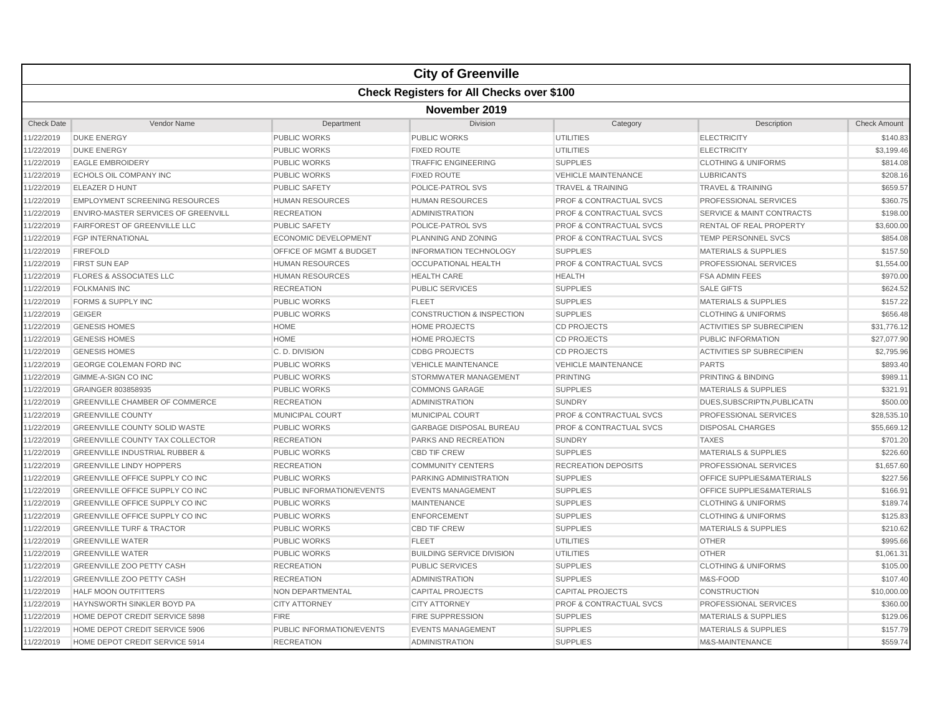|                   | <b>City of Greenville</b>                  |                           |                                      |                                    |                                      |                     |  |  |  |
|-------------------|--------------------------------------------|---------------------------|--------------------------------------|------------------------------------|--------------------------------------|---------------------|--|--|--|
|                   | Check Registers for All Checks over \$100  |                           |                                      |                                    |                                      |                     |  |  |  |
|                   | November 2019                              |                           |                                      |                                    |                                      |                     |  |  |  |
| <b>Check Date</b> | Vendor Name                                | Department                | Division                             | Category                           | Description                          | <b>Check Amount</b> |  |  |  |
| 11/22/2019        | <b>DUKE ENERGY</b>                         | <b>PUBLIC WORKS</b>       | <b>PUBLIC WORKS</b>                  | <b>UTILITIES</b>                   | <b>ELECTRICITY</b>                   | \$140.83            |  |  |  |
| 11/22/2019        | <b>DUKE ENERGY</b>                         | <b>PUBLIC WORKS</b>       | <b>FIXED ROUTE</b>                   | <b>UTILITIES</b>                   | <b>ELECTRICITY</b>                   | \$3,199.46          |  |  |  |
| 11/22/2019        | <b>EAGLE EMBROIDERY</b>                    | <b>PUBLIC WORKS</b>       | <b>TRAFFIC ENGINEERING</b>           | <b>SUPPLIES</b>                    | <b>CLOTHING &amp; UNIFORMS</b>       | \$814.08            |  |  |  |
| 11/22/2019        | ECHOLS OIL COMPANY INC                     | <b>PUBLIC WORKS</b>       | <b>FIXED ROUTE</b>                   | <b>VEHICLE MAINTENANCE</b>         | <b>LUBRICANTS</b>                    | \$208.16            |  |  |  |
| 11/22/2019        | ELEAZER D HUNT                             | <b>PUBLIC SAFETY</b>      | POLICE-PATROL SVS                    | <b>TRAVEL &amp; TRAINING</b>       | <b>TRAVEL &amp; TRAINING</b>         | \$659.57            |  |  |  |
| 11/22/2019        | <b>EMPLOYMENT SCREENING RESOURCES</b>      | <b>HUMAN RESOURCES</b>    | <b>HUMAN RESOURCES</b>               | <b>PROF &amp; CONTRACTUAL SVCS</b> | PROFESSIONAL SERVICES                | \$360.75            |  |  |  |
| 11/22/2019        | <b>ENVIRO-MASTER SERVICES OF GREENVILL</b> | <b>RECREATION</b>         | <b>ADMINISTRATION</b>                | <b>PROF &amp; CONTRACTUAL SVCS</b> | <b>SERVICE &amp; MAINT CONTRACTS</b> | \$198.00            |  |  |  |
| 11/22/2019        | FAIRFOREST OF GREENVILLE LLC               | <b>PUBLIC SAFETY</b>      | POLICE-PATROL SVS                    | <b>PROF &amp; CONTRACTUAL SVCS</b> | RENTAL OF REAL PROPERTY              | \$3,600.00          |  |  |  |
| 11/22/2019        | <b>FGP INTERNATIONAL</b>                   | ECONOMIC DEVELOPMENT      | <b>PLANNING AND ZONING</b>           | <b>PROF &amp; CONTRACTUAL SVCS</b> | TEMP PERSONNEL SVCS                  | \$854.08            |  |  |  |
| 11/22/2019        | <b>FIREFOLD</b>                            | OFFICE OF MGMT & BUDGET   | INFORMATION TECHNOLOGY               | <b>SUPPLIES</b>                    | <b>MATERIALS &amp; SUPPLIES</b>      | \$157.50            |  |  |  |
| 11/22/2019        | <b>FIRST SUN EAP</b>                       | <b>HUMAN RESOURCES</b>    | <b>OCCUPATIONAL HEALTH</b>           | PROF & CONTRACTUAL SVCS            | PROFESSIONAL SERVICES                | \$1,554.00          |  |  |  |
| 11/22/2019        | <b>FLORES &amp; ASSOCIATES LLC</b>         | <b>HUMAN RESOURCES</b>    | <b>HEALTH CARE</b>                   | <b>HEALTH</b>                      | <b>FSA ADMIN FEES</b>                | \$970.00            |  |  |  |
| 11/22/2019        | <b>FOLKMANIS INC</b>                       | <b>RECREATION</b>         | <b>PUBLIC SERVICES</b>               | <b>SUPPLIES</b>                    | <b>SALE GIFTS</b>                    | \$624.52            |  |  |  |
| 11/22/2019        | <b>FORMS &amp; SUPPLY INC</b>              | <b>PUBLIC WORKS</b>       | <b>FLEET</b>                         | <b>SUPPLIES</b>                    | <b>MATERIALS &amp; SUPPLIES</b>      | \$157.22            |  |  |  |
| 11/22/2019        | <b>GEIGER</b>                              | <b>PUBLIC WORKS</b>       | <b>CONSTRUCTION &amp; INSPECTION</b> | <b>SUPPLIES</b>                    | <b>CLOTHING &amp; UNIFORMS</b>       | \$656.48            |  |  |  |
| 11/22/2019        | <b>GENESIS HOMES</b>                       | <b>HOME</b>               | <b>HOME PROJECTS</b>                 | <b>CD PROJECTS</b>                 | <b>ACTIVITIES SP SUBRECIPIEN</b>     | \$31,776.12         |  |  |  |
| 11/22/2019        | <b>GENESIS HOMES</b>                       | <b>HOME</b>               | <b>HOME PROJECTS</b>                 | <b>CD PROJECTS</b>                 | <b>PUBLIC INFORMATION</b>            | \$27,077.90         |  |  |  |
| 11/22/2019        | <b>GENESIS HOMES</b>                       | C.D. DIVISION             | <b>CDBG PROJECTS</b>                 | <b>CD PROJECTS</b>                 | <b>ACTIVITIES SP SUBRECIPIEN</b>     | \$2,795.96          |  |  |  |
| 11/22/2019        | <b>GEORGE COLEMAN FORD INC</b>             | <b>PUBLIC WORKS</b>       | <b>VEHICLE MAINTENANCE</b>           | <b>VEHICLE MAINTENANCE</b>         | <b>PARTS</b>                         | \$893.40            |  |  |  |
| 11/22/2019        | <b>GIMME-A-SIGN CO INC</b>                 | <b>PUBLIC WORKS</b>       | STORMWATER MANAGEMENT                | <b>PRINTING</b>                    | PRINTING & BINDING                   | \$989.11            |  |  |  |
| 11/22/2019        | GRAINGER 803858935                         | <b>PUBLIC WORKS</b>       | <b>COMMONS GARAGE</b>                | <b>SUPPLIES</b>                    | <b>MATERIALS &amp; SUPPLIES</b>      | \$321.91            |  |  |  |
| 11/22/2019        | <b>GREENVILLE CHAMBER OF COMMERCE</b>      | <b>RECREATION</b>         | <b>ADMINISTRATION</b>                | <b>SUNDRY</b>                      | DUES, SUBSCRIPTN, PUBLICATN          | \$500.00            |  |  |  |
| 11/22/2019        | <b>GREENVILLE COUNTY</b>                   | <b>MUNICIPAL COURT</b>    | MUNICIPAL COURT                      | <b>PROF &amp; CONTRACTUAL SVCS</b> | PROFESSIONAL SERVICES                | \$28,535.10         |  |  |  |
| 11/22/2019        | <b>GREENVILLE COUNTY SOLID WASTE</b>       | <b>PUBLIC WORKS</b>       | <b>GARBAGE DISPOSAL BUREAU</b>       | <b>PROF &amp; CONTRACTUAL SVCS</b> | <b>DISPOSAL CHARGES</b>              | \$55,669.12         |  |  |  |
| 11/22/2019        | <b>GREENVILLE COUNTY TAX COLLECTOR</b>     | <b>RECREATION</b>         | PARKS AND RECREATION                 | <b>SUNDRY</b>                      | <b>TAXES</b>                         | \$701.20            |  |  |  |
| 11/22/2019        | <b>GREENVILLE INDUSTRIAL RUBBER &amp;</b>  | <b>PUBLIC WORKS</b>       | <b>CBD TIF CREW</b>                  | <b>SUPPLIES</b>                    | <b>MATERIALS &amp; SUPPLIES</b>      | \$226.60            |  |  |  |
| 11/22/2019        | <b>GREENVILLE LINDY HOPPERS</b>            | <b>RECREATION</b>         | <b>COMMUNITY CENTERS</b>             | <b>RECREATION DEPOSITS</b>         | PROFESSIONAL SERVICES                | \$1,657.60          |  |  |  |
| 11/22/2019        | GREENVILLE OFFICE SUPPLY CO INC            | <b>PUBLIC WORKS</b>       | PARKING ADMINISTRATION               | <b>SUPPLIES</b>                    | <b>OFFICE SUPPLIES&amp;MATERIALS</b> | \$227.56            |  |  |  |
| 11/22/2019        | GREENVILLE OFFICE SUPPLY CO INC            | PUBLIC INFORMATION/EVENTS | <b>EVENTS MANAGEMENT</b>             | <b>SUPPLIES</b>                    | OFFICE SUPPLIES&MATERIALS            | \$166.91            |  |  |  |
| 11/22/2019        | <b>GREENVILLE OFFICE SUPPLY CO INC</b>     | <b>PUBLIC WORKS</b>       | <b>MAINTENANCE</b>                   | <b>SUPPLIES</b>                    | <b>CLOTHING &amp; UNIFORMS</b>       | \$189.74            |  |  |  |
| 11/22/2019        | GREENVILLE OFFICE SUPPLY CO INC            | <b>PUBLIC WORKS</b>       | <b>ENFORCEMENT</b>                   | <b>SUPPLIES</b>                    | <b>CLOTHING &amp; UNIFORMS</b>       | \$125.83            |  |  |  |
| 11/22/2019        | <b>GREENVILLE TURF &amp; TRACTOR</b>       | <b>PUBLIC WORKS</b>       | <b>CBD TIF CREW</b>                  | <b>SUPPLIES</b>                    | <b>MATERIALS &amp; SUPPLIES</b>      | \$210.62            |  |  |  |
| 11/22/2019        | <b>GREENVILLE WATER</b>                    | <b>PUBLIC WORKS</b>       | <b>FLEET</b>                         | <b>UTILITIES</b>                   | <b>OTHER</b>                         | \$995.66            |  |  |  |
| 11/22/2019        | <b>GREENVILLE WATER</b>                    | <b>PUBLIC WORKS</b>       | <b>BUILDING SERVICE DIVISION</b>     | <b>UTILITIES</b>                   | <b>OTHER</b>                         | \$1,061.31          |  |  |  |
| 11/22/2019        | <b>GREENVILLE ZOO PETTY CASH</b>           | <b>RECREATION</b>         | <b>PUBLIC SERVICES</b>               | <b>SUPPLIES</b>                    | <b>CLOTHING &amp; UNIFORMS</b>       | \$105.00            |  |  |  |
| 11/22/2019        | GREENVILLE ZOO PETTY CASH                  | <b>RECREATION</b>         | <b>ADMINISTRATION</b>                | <b>SUPPLIES</b>                    | M&S-FOOD                             | \$107.40            |  |  |  |
| 11/22/2019        | <b>HALF MOON OUTFITTERS</b>                | NON DEPARTMENTAL          | <b>CAPITAL PROJECTS</b>              | <b>CAPITAL PROJECTS</b>            | <b>CONSTRUCTION</b>                  | \$10,000.00         |  |  |  |
| 11/22/2019        | HAYNSWORTH SINKLER BOYD PA                 | <b>CITY ATTORNEY</b>      | <b>CITY ATTORNEY</b>                 | <b>PROF &amp; CONTRACTUAL SVCS</b> | PROFESSIONAL SERVICES                | \$360.00            |  |  |  |
| 11/22/2019        | HOME DEPOT CREDIT SERVICE 5898             | <b>FIRE</b>               | <b>FIRE SUPPRESSION</b>              | <b>SUPPLIES</b>                    | <b>MATERIALS &amp; SUPPLIES</b>      | \$129.06            |  |  |  |
| 11/22/2019        | HOME DEPOT CREDIT SERVICE 5906             | PUBLIC INFORMATION/EVENTS | <b>EVENTS MANAGEMENT</b>             | <b>SUPPLIES</b>                    | <b>MATERIALS &amp; SUPPLIES</b>      | \$157.79            |  |  |  |
| 11/22/2019        | HOME DEPOT CREDIT SERVICE 5914             | <b>RECREATION</b>         | <b>ADMINISTRATION</b>                | <b>SUPPLIES</b>                    | M&S-MAINTENANCE                      | \$559.74            |  |  |  |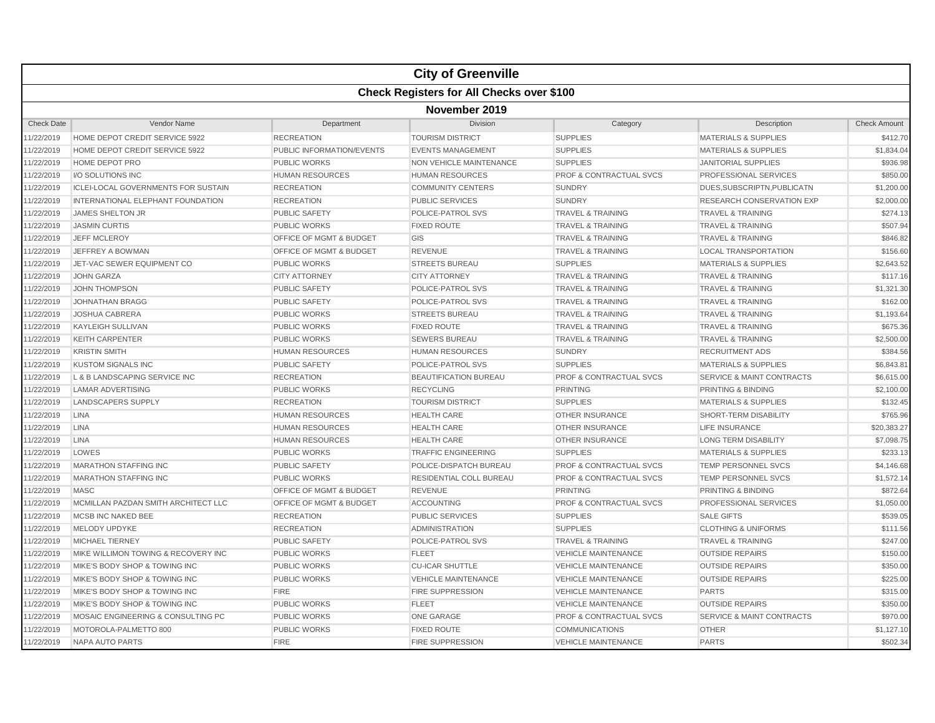|                   | <b>City of Greenville</b>                        |                                    |                                |                                    |                                      |                     |  |  |  |  |
|-------------------|--------------------------------------------------|------------------------------------|--------------------------------|------------------------------------|--------------------------------------|---------------------|--|--|--|--|
|                   | <b>Check Registers for All Checks over \$100</b> |                                    |                                |                                    |                                      |                     |  |  |  |  |
|                   | November 2019                                    |                                    |                                |                                    |                                      |                     |  |  |  |  |
| <b>Check Date</b> | Vendor Name                                      | Department                         | Division                       | Category                           | Description                          | <b>Check Amount</b> |  |  |  |  |
| 11/22/2019        | HOME DEPOT CREDIT SERVICE 5922                   | <b>RECREATION</b>                  | <b>TOURISM DISTRICT</b>        | <b>SUPPLIES</b>                    | <b>MATERIALS &amp; SUPPLIES</b>      | \$412.70            |  |  |  |  |
| 11/22/2019        | HOME DEPOT CREDIT SERVICE 5922                   | PUBLIC INFORMATION/EVENTS          | <b>EVENTS MANAGEMENT</b>       | <b>SUPPLIES</b>                    | <b>MATERIALS &amp; SUPPLIES</b>      | \$1,834.04          |  |  |  |  |
| 11/22/2019        | <b>HOME DEPOT PRO</b>                            | <b>PUBLIC WORKS</b>                | <b>NON VEHICLE MAINTENANCE</b> | <b>SUPPLIES</b>                    | <b>JANITORIAL SUPPLIES</b>           | \$936.98            |  |  |  |  |
| 11/22/2019        | I/O SOLUTIONS INC                                | <b>HUMAN RESOURCES</b>             | <b>HUMAN RESOURCES</b>         | <b>PROF &amp; CONTRACTUAL SVCS</b> | PROFESSIONAL SERVICES                | \$850.00            |  |  |  |  |
| 11/22/2019        | <b>ICLEI-LOCAL GOVERNMENTS FOR SUSTAIN</b>       | <b>RECREATION</b>                  | <b>COMMUNITY CENTERS</b>       | <b>SUNDRY</b>                      | DUES, SUBSCRIPTN, PUBLICATN          | \$1,200.00          |  |  |  |  |
| 11/22/2019        | INTERNATIONAL ELEPHANT FOUNDATION                | <b>RECREATION</b>                  | <b>PUBLIC SERVICES</b>         | <b>SUNDRY</b>                      | RESEARCH CONSERVATION EXP            | \$2,000.00          |  |  |  |  |
| 11/22/2019        | <b>JAMES SHELTON JR</b>                          | <b>PUBLIC SAFETY</b>               | POLICE-PATROL SVS              | <b>TRAVEL &amp; TRAINING</b>       | <b>TRAVEL &amp; TRAINING</b>         | \$274.13            |  |  |  |  |
| 11/22/2019        | <b>JASMIN CURTIS</b>                             | <b>PUBLIC WORKS</b>                | <b>FIXED ROUTE</b>             | <b>TRAVEL &amp; TRAINING</b>       | <b>TRAVEL &amp; TRAINING</b>         | \$507.94            |  |  |  |  |
| 11/22/2019        | <b>JEFF MCLEROY</b>                              | OFFICE OF MGMT & BUDGET            | GIS                            | <b>TRAVEL &amp; TRAINING</b>       | <b>TRAVEL &amp; TRAINING</b>         | \$846.82            |  |  |  |  |
| 11/22/2019        | JEFFREY A BOWMAN                                 | OFFICE OF MGMT & BUDGET            | <b>REVENUE</b>                 | <b>TRAVEL &amp; TRAINING</b>       | <b>LOCAL TRANSPORTATION</b>          | \$156.60            |  |  |  |  |
| 11/22/2019        | JET-VAC SEWER EQUIPMENT CO                       | PUBLIC WORKS                       | <b>STREETS BUREAU</b>          | <b>SUPPLIES</b>                    | <b>MATERIALS &amp; SUPPLIES</b>      | \$2,643.52          |  |  |  |  |
| 11/22/2019        | <b>JOHN GARZA</b>                                | <b>CITY ATTORNEY</b>               | <b>CITY ATTORNEY</b>           | <b>TRAVEL &amp; TRAINING</b>       | <b>TRAVEL &amp; TRAINING</b>         | \$117.16            |  |  |  |  |
| 11/22/2019        | <b>JOHN THOMPSON</b>                             | <b>PUBLIC SAFETY</b>               | POLICE-PATROL SVS              | <b>TRAVEL &amp; TRAINING</b>       | <b>TRAVEL &amp; TRAINING</b>         | \$1,321.30          |  |  |  |  |
| 11/22/2019        | <b>JOHNATHAN BRAGG</b>                           | <b>PUBLIC SAFETY</b>               | POLICE-PATROL SVS              | <b>TRAVEL &amp; TRAINING</b>       | <b>TRAVEL &amp; TRAINING</b>         | \$162.00            |  |  |  |  |
| 11/22/2019        | <b>JOSHUA CABRERA</b>                            | <b>PUBLIC WORKS</b>                | <b>STREETS BUREAU</b>          | <b>TRAVEL &amp; TRAINING</b>       | <b>TRAVEL &amp; TRAINING</b>         | \$1,193.64          |  |  |  |  |
| 11/22/2019        | <b>KAYLEIGH SULLIVAN</b>                         | <b>PUBLIC WORKS</b>                | <b>FIXED ROUTE</b>             | <b>TRAVEL &amp; TRAINING</b>       | <b>TRAVEL &amp; TRAINING</b>         | \$675.36            |  |  |  |  |
| 11/22/2019        | <b>KEITH CARPENTER</b>                           | <b>PUBLIC WORKS</b>                | <b>SEWERS BUREAU</b>           | <b>TRAVEL &amp; TRAINING</b>       | <b>TRAVEL &amp; TRAINING</b>         | \$2,500.00          |  |  |  |  |
| 11/22/2019        | <b>KRISTIN SMITH</b>                             | <b>HUMAN RESOURCES</b>             | <b>HUMAN RESOURCES</b>         | <b>SUNDRY</b>                      | <b>RECRUITMENT ADS</b>               | \$384.56            |  |  |  |  |
| 11/22/2019        | <b>KUSTOM SIGNALS INC</b>                        | <b>PUBLIC SAFETY</b>               | POLICE-PATROL SVS              | <b>SUPPLIES</b>                    | <b>MATERIALS &amp; SUPPLIES</b>      | \$6,843.81          |  |  |  |  |
| 11/22/2019        | L & B LANDSCAPING SERVICE INC                    | <b>RECREATION</b>                  | <b>BEAUTIFICATION BUREAU</b>   | <b>PROF &amp; CONTRACTUAL SVCS</b> | <b>SERVICE &amp; MAINT CONTRACTS</b> | \$6,615.00          |  |  |  |  |
| 11/22/2019        | <b>LAMAR ADVERTISING</b>                         | <b>PUBLIC WORKS</b>                | <b>RECYCLING</b>               | <b>PRINTING</b>                    | PRINTING & BINDING                   | \$2,100.00          |  |  |  |  |
| 11/22/2019        | <b>LANDSCAPERS SUPPLY</b>                        | <b>RECREATION</b>                  | <b>TOURISM DISTRICT</b>        | <b>SUPPLIES</b>                    | <b>MATERIALS &amp; SUPPLIES</b>      | \$132.45            |  |  |  |  |
| 11/22/2019        | <b>LINA</b>                                      | <b>HUMAN RESOURCES</b>             | <b>HEALTH CARE</b>             | <b>OTHER INSURANCE</b>             | SHORT-TERM DISABILITY                | \$765.96            |  |  |  |  |
| 11/22/2019        | <b>LINA</b>                                      | <b>HUMAN RESOURCES</b>             | <b>HEALTH CARE</b>             | <b>OTHER INSURANCE</b>             | <b>LIFE INSURANCE</b>                | \$20,383.27         |  |  |  |  |
| 11/22/2019        | <b>LINA</b>                                      | <b>HUMAN RESOURCES</b>             | <b>HEALTH CARE</b>             | <b>OTHER INSURANCE</b>             | <b>LONG TERM DISABILITY</b>          | \$7,098.75          |  |  |  |  |
| 11/22/2019        | LOWES                                            | <b>PUBLIC WORKS</b>                | <b>TRAFFIC ENGINEERING</b>     | <b>SUPPLIES</b>                    | <b>MATERIALS &amp; SUPPLIES</b>      | \$233.13            |  |  |  |  |
| 11/22/2019        | <b>MARATHON STAFFING INC</b>                     | <b>PUBLIC SAFETY</b>               | POLICE-DISPATCH BUREAU         | <b>PROF &amp; CONTRACTUAL SVCS</b> | <b>TEMP PERSONNEL SVCS</b>           | \$4,146.68          |  |  |  |  |
| 11/22/2019        | <b>MARATHON STAFFING INC</b>                     | <b>PUBLIC WORKS</b>                | RESIDENTIAL COLL BUREAU        | <b>PROF &amp; CONTRACTUAL SVCS</b> | <b>TEMP PERSONNEL SVCS</b>           | \$1,572.14          |  |  |  |  |
| 11/22/2019        | <b>MASC</b>                                      | OFFICE OF MGMT & BUDGET            | <b>REVENUE</b>                 | <b>PRINTING</b>                    | <b>PRINTING &amp; BINDING</b>        | \$872.64            |  |  |  |  |
| 11/22/2019        | MCMILLAN PAZDAN SMITH ARCHITECT LLC              | <b>OFFICE OF MGMT &amp; BUDGET</b> | <b>ACCOUNTING</b>              | <b>PROF &amp; CONTRACTUAL SVCS</b> | PROFESSIONAL SERVICES                | \$1,050.00          |  |  |  |  |
| 11/22/2019        | <b>MCSB INC NAKED BEE</b>                        | <b>RECREATION</b>                  | <b>PUBLIC SERVICES</b>         | <b>SUPPLIES</b>                    | <b>SALE GIFTS</b>                    | \$539.05            |  |  |  |  |
| 11/22/2019        | <b>MELODY UPDYKE</b>                             | <b>RECREATION</b>                  | <b>ADMINISTRATION</b>          | <b>SUPPLIES</b>                    | <b>CLOTHING &amp; UNIFORMS</b>       | \$111.56            |  |  |  |  |
| 11/22/2019        | <b>MICHAEL TIERNEY</b>                           | <b>PUBLIC SAFETY</b>               | POLICE-PATROL SVS              | <b>TRAVEL &amp; TRAINING</b>       | <b>TRAVEL &amp; TRAINING</b>         | \$247.00            |  |  |  |  |
| 11/22/2019        | MIKE WILLIMON TOWING & RECOVERY INC              | <b>PUBLIC WORKS</b>                | <b>FLEET</b>                   | <b>VEHICLE MAINTENANCE</b>         | <b>OUTSIDE REPAIRS</b>               | \$150.00            |  |  |  |  |
| 11/22/2019        | MIKE'S BODY SHOP & TOWING INC                    | PUBLIC WORKS                       | <b>CU-ICAR SHUTTLE</b>         | <b>VEHICLE MAINTENANCE</b>         | <b>OUTSIDE REPAIRS</b>               | \$350.00            |  |  |  |  |
| 11/22/2019        | MIKE'S BODY SHOP & TOWING INC                    | PUBLIC WORKS                       | <b>VEHICLE MAINTENANCE</b>     | <b>VEHICLE MAINTENANCE</b>         | <b>OUTSIDE REPAIRS</b>               | \$225.00            |  |  |  |  |
| 11/22/2019        | MIKE'S BODY SHOP & TOWING INC                    | <b>FIRE</b>                        | <b>FIRE SUPPRESSION</b>        | <b>VEHICLE MAINTENANCE</b>         | <b>PARTS</b>                         | \$315.00            |  |  |  |  |
| 11/22/2019        | MIKE'S BODY SHOP & TOWING INC                    | <b>PUBLIC WORKS</b>                | <b>FLEET</b>                   | <b>VEHICLE MAINTENANCE</b>         | <b>OUTSIDE REPAIRS</b>               | \$350.00            |  |  |  |  |
| 11/22/2019        | MOSAIC ENGINEERING & CONSULTING PC               | <b>PUBLIC WORKS</b>                | <b>ONE GARAGE</b>              | <b>PROF &amp; CONTRACTUAL SVCS</b> | <b>SERVICE &amp; MAINT CONTRACTS</b> | \$970.00            |  |  |  |  |
| 11/22/2019        | MOTOROLA-PALMETTO 800                            | <b>PUBLIC WORKS</b>                | <b>FIXED ROUTE</b>             | <b>COMMUNICATIONS</b>              | <b>OTHER</b>                         | \$1,127.10          |  |  |  |  |
| 11/22/2019        | <b>NAPA AUTO PARTS</b>                           | <b>FIRE</b>                        | <b>FIRE SUPPRESSION</b>        | <b>VEHICLE MAINTENANCE</b>         | <b>PARTS</b>                         | \$502.34            |  |  |  |  |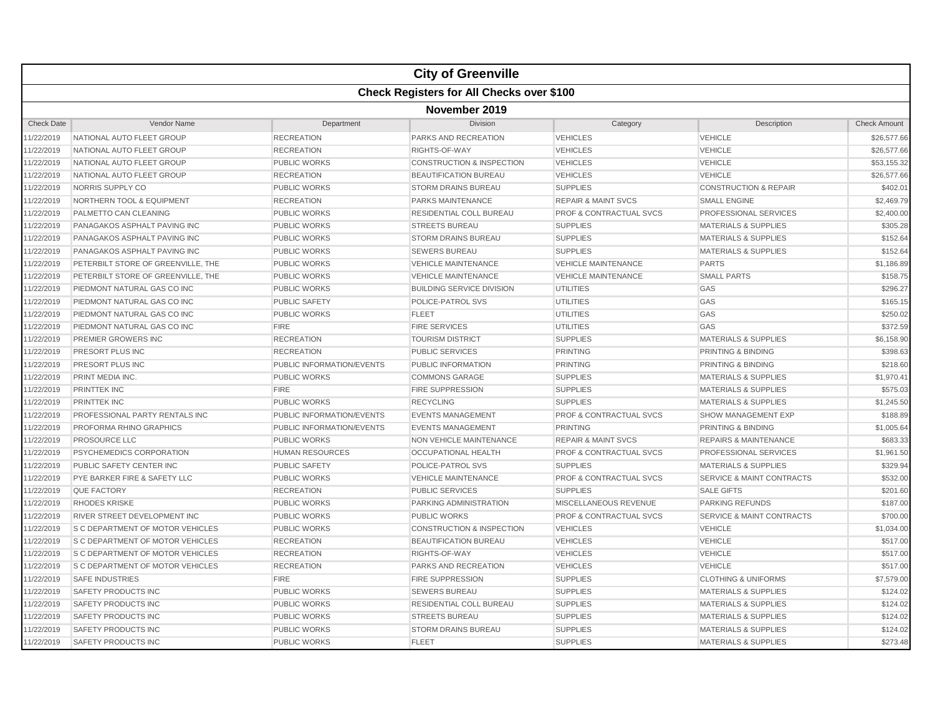|                   | <b>City of Greenville</b>                 |                           |                                      |                                    |                                      |                     |  |  |  |  |
|-------------------|-------------------------------------------|---------------------------|--------------------------------------|------------------------------------|--------------------------------------|---------------------|--|--|--|--|
|                   | Check Registers for All Checks over \$100 |                           |                                      |                                    |                                      |                     |  |  |  |  |
|                   | November 2019                             |                           |                                      |                                    |                                      |                     |  |  |  |  |
| <b>Check Date</b> | Vendor Name                               | Department                | <b>Division</b>                      | Category                           | Description                          | <b>Check Amount</b> |  |  |  |  |
| 11/22/2019        | NATIONAL AUTO FLEET GROUP                 | <b>RECREATION</b>         | PARKS AND RECREATION                 | <b>VEHICLES</b>                    | <b>VEHICLE</b>                       | \$26,577.66         |  |  |  |  |
| 11/22/2019        | NATIONAL AUTO FLEET GROUP                 | <b>RECREATION</b>         | RIGHTS-OF-WAY                        | <b>VEHICLES</b>                    | <b>VEHICLE</b>                       | \$26,577.66         |  |  |  |  |
| 11/22/2019        | NATIONAL AUTO FLEET GROUP                 | <b>PUBLIC WORKS</b>       | <b>CONSTRUCTION &amp; INSPECTION</b> | <b>VEHICLES</b>                    | <b>VEHICLE</b>                       | \$53,155.32         |  |  |  |  |
| 11/22/2019        | NATIONAL AUTO FLEET GROUP                 | <b>RECREATION</b>         | <b>BEAUTIFICATION BUREAU</b>         | <b>VEHICLES</b>                    | <b>VEHICLE</b>                       | \$26,577.66         |  |  |  |  |
| 11/22/2019        | NORRIS SUPPLY CO                          | <b>PUBLIC WORKS</b>       | <b>STORM DRAINS BUREAU</b>           | <b>SUPPLIES</b>                    | <b>CONSTRUCTION &amp; REPAIR</b>     | \$402.01            |  |  |  |  |
| 11/22/2019        | <b>NORTHERN TOOL &amp; EQUIPMENT</b>      | <b>RECREATION</b>         | <b>PARKS MAINTENANCE</b>             | <b>REPAIR &amp; MAINT SVCS</b>     | <b>SMALL ENGINE</b>                  | \$2,469.79          |  |  |  |  |
| 11/22/2019        | PALMETTO CAN CLEANING                     | <b>PUBLIC WORKS</b>       | <b>RESIDENTIAL COLL BUREAU</b>       | <b>PROF &amp; CONTRACTUAL SVCS</b> | PROFESSIONAL SERVICES                | \$2,400.00          |  |  |  |  |
| 11/22/2019        | PANAGAKOS ASPHALT PAVING INC              | <b>PUBLIC WORKS</b>       | <b>STREETS BUREAU</b>                | <b>SUPPLIES</b>                    | <b>MATERIALS &amp; SUPPLIES</b>      | \$305.28            |  |  |  |  |
| 11/22/2019        | PANAGAKOS ASPHALT PAVING INC              | <b>PUBLIC WORKS</b>       | <b>STORM DRAINS BUREAU</b>           | <b>SUPPLIES</b>                    | <b>MATERIALS &amp; SUPPLIES</b>      | \$152.64            |  |  |  |  |
| 11/22/2019        | PANAGAKOS ASPHALT PAVING INC              | <b>PUBLIC WORKS</b>       | <b>SEWERS BUREAU</b>                 | <b>SUPPLIES</b>                    | <b>MATERIALS &amp; SUPPLIES</b>      | \$152.64            |  |  |  |  |
| 11/22/2019        | PETERBILT STORE OF GREENVILLE, THE        | <b>PUBLIC WORKS</b>       | <b>VEHICLE MAINTENANCE</b>           | <b>VEHICLE MAINTENANCE</b>         | <b>PARTS</b>                         | \$1,186.89          |  |  |  |  |
| 11/22/2019        | PETERBILT STORE OF GREENVILLE, THE        | <b>PUBLIC WORKS</b>       | <b>VEHICLE MAINTENANCE</b>           | <b>VEHICLE MAINTENANCE</b>         | <b>SMALL PARTS</b>                   | \$158.75            |  |  |  |  |
| 11/22/2019        | PIEDMONT NATURAL GAS CO INC               | <b>PUBLIC WORKS</b>       | <b>BUILDING SERVICE DIVISION</b>     | <b>UTILITIES</b>                   | GAS                                  | \$296.27            |  |  |  |  |
| 11/22/2019        | PIEDMONT NATURAL GAS CO INC               | <b>PUBLIC SAFETY</b>      | POLICE-PATROL SVS                    | <b>UTILITIES</b>                   | GAS                                  | \$165.15            |  |  |  |  |
| 11/22/2019        | PIEDMONT NATURAL GAS CO INC               | <b>PUBLIC WORKS</b>       | <b>FLEET</b>                         | <b>UTILITIES</b>                   | GAS                                  | \$250.02            |  |  |  |  |
| 11/22/2019        | PIEDMONT NATURAL GAS CO INC               | <b>FIRE</b>               | <b>FIRE SERVICES</b>                 | <b>UTILITIES</b>                   | GAS                                  | \$372.59            |  |  |  |  |
| 11/22/2019        | <b>PREMIER GROWERS INC</b>                | <b>RECREATION</b>         | <b>TOURISM DISTRICT</b>              | <b>SUPPLIES</b>                    | <b>MATERIALS &amp; SUPPLIES</b>      | \$6,158.90          |  |  |  |  |
| 11/22/2019        | PRESORT PLUS INC                          | <b>RECREATION</b>         | <b>PUBLIC SERVICES</b>               | <b>PRINTING</b>                    | PRINTING & BINDING                   | \$398.63            |  |  |  |  |
| 11/22/2019        | PRESORT PLUS INC                          | PUBLIC INFORMATION/EVENTS | PUBLIC INFORMATION                   | <b>PRINTING</b>                    | <b>PRINTING &amp; BINDING</b>        | \$218.60            |  |  |  |  |
| 11/22/2019        | PRINT MEDIA INC.                          | <b>PUBLIC WORKS</b>       | <b>COMMONS GARAGE</b>                | <b>SUPPLIES</b>                    | <b>MATERIALS &amp; SUPPLIES</b>      | \$1,970.41          |  |  |  |  |
| 11/22/2019        | PRINTTEK INC                              | <b>FIRE</b>               | <b>FIRE SUPPRESSION</b>              | <b>SUPPLIES</b>                    | <b>MATERIALS &amp; SUPPLIES</b>      | \$575.03            |  |  |  |  |
| 11/22/2019        | PRINTTEK INC                              | <b>PUBLIC WORKS</b>       | <b>RECYCLING</b>                     | <b>SUPPLIES</b>                    | <b>MATERIALS &amp; SUPPLIES</b>      | \$1,245.50          |  |  |  |  |
| 11/22/2019        | PROFESSIONAL PARTY RENTALS INC            | PUBLIC INFORMATION/EVENTS | <b>EVENTS MANAGEMENT</b>             | PROF & CONTRACTUAL SVCS            | <b>SHOW MANAGEMENT EXP</b>           | \$188.89            |  |  |  |  |
| 11/22/2019        | PROFORMA RHINO GRAPHICS                   | PUBLIC INFORMATION/EVENTS | <b>EVENTS MANAGEMENT</b>             | <b>PRINTING</b>                    | <b>PRINTING &amp; BINDING</b>        | \$1,005.64          |  |  |  |  |
| 11/22/2019        | PROSOURCE LLC                             | <b>PUBLIC WORKS</b>       | <b>NON VEHICLE MAINTENANCE</b>       | <b>REPAIR &amp; MAINT SVCS</b>     | <b>REPAIRS &amp; MAINTENANCE</b>     | \$683.33            |  |  |  |  |
| 11/22/2019        | PSYCHEMEDICS CORPORATION                  | <b>HUMAN RESOURCES</b>    | <b>OCCUPATIONAL HEALTH</b>           | <b>PROF &amp; CONTRACTUAL SVCS</b> | PROFESSIONAL SERVICES                | \$1,961.50          |  |  |  |  |
| 11/22/2019        | PUBLIC SAFETY CENTER INC                  | <b>PUBLIC SAFETY</b>      | <b>POLICE-PATROL SVS</b>             | <b>SUPPLIES</b>                    | <b>MATERIALS &amp; SUPPLIES</b>      | \$329.94            |  |  |  |  |
| 11/22/2019        | PYE BARKER FIRE & SAFETY LLC              | <b>PUBLIC WORKS</b>       | <b>VEHICLE MAINTENANCE</b>           | PROF & CONTRACTUAL SVCS            | <b>SERVICE &amp; MAINT CONTRACTS</b> | \$532.00            |  |  |  |  |
| 11/22/2019        | QUE FACTORY                               | <b>RECREATION</b>         | <b>PUBLIC SERVICES</b>               | <b>SUPPLIES</b>                    | <b>SALE GIFTS</b>                    | \$201.60            |  |  |  |  |
| 11/22/2019        | <b>RHODES KRISKE</b>                      | <b>PUBLIC WORKS</b>       | PARKING ADMINISTRATION               | MISCELLANEOUS REVENUE              | <b>PARKING REFUNDS</b>               | \$187.00            |  |  |  |  |
| 11/22/2019        | <b>RIVER STREET DEVELOPMENT INC</b>       | <b>PUBLIC WORKS</b>       | <b>PUBLIC WORKS</b>                  | <b>PROF &amp; CONTRACTUAL SVCS</b> | <b>SERVICE &amp; MAINT CONTRACTS</b> | \$700.00            |  |  |  |  |
| 11/22/2019        | <b>S C DEPARTMENT OF MOTOR VEHICLES</b>   | <b>PUBLIC WORKS</b>       | <b>CONSTRUCTION &amp; INSPECTION</b> | <b>VEHICLES</b>                    | <b>VEHICLE</b>                       | \$1,034.00          |  |  |  |  |
| 11/22/2019        | S C DEPARTMENT OF MOTOR VEHICLES          | <b>RECREATION</b>         | <b>BEAUTIFICATION BUREAU</b>         | <b>VEHICLES</b>                    | <b>VEHICLE</b>                       | \$517.00            |  |  |  |  |
| 11/22/2019        | <b>S C DEPARTMENT OF MOTOR VEHICLES</b>   | <b>RECREATION</b>         | RIGHTS-OF-WAY                        | <b>VEHICLES</b>                    | <b>VEHICLE</b>                       | \$517.00            |  |  |  |  |
| 11/22/2019        | S C DEPARTMENT OF MOTOR VEHICLES          | <b>RECREATION</b>         | PARKS AND RECREATION                 | <b>VEHICLES</b>                    | <b>VEHICLE</b>                       | \$517.00            |  |  |  |  |
| 11/22/2019        | <b>SAFE INDUSTRIES</b>                    | <b>FIRE</b>               | <b>FIRE SUPPRESSION</b>              | <b>SUPPLIES</b>                    | <b>CLOTHING &amp; UNIFORMS</b>       | \$7,579.00          |  |  |  |  |
| 11/22/2019        | SAFETY PRODUCTS INC                       | <b>PUBLIC WORKS</b>       | <b>SEWERS BUREAU</b>                 | <b>SUPPLIES</b>                    | <b>MATERIALS &amp; SUPPLIES</b>      | \$124.02            |  |  |  |  |
| 11/22/2019        | SAFETY PRODUCTS INC                       | <b>PUBLIC WORKS</b>       | RESIDENTIAL COLL BUREAU              | <b>SUPPLIES</b>                    | <b>MATERIALS &amp; SUPPLIES</b>      | \$124.02            |  |  |  |  |
| 11/22/2019        | SAFETY PRODUCTS INC                       | <b>PUBLIC WORKS</b>       | <b>STREETS BUREAU</b>                | <b>SUPPLIES</b>                    | <b>MATERIALS &amp; SUPPLIES</b>      | \$124.02            |  |  |  |  |
| 11/22/2019        | SAFETY PRODUCTS INC                       | PUBLIC WORKS              | <b>STORM DRAINS BUREAU</b>           | <b>SUPPLIES</b>                    | <b>MATERIALS &amp; SUPPLIES</b>      | \$124.02            |  |  |  |  |
| 11/22/2019        | <b>SAFETY PRODUCTS INC</b>                | <b>PUBLIC WORKS</b>       | <b>FLEET</b>                         | <b>SUPPLIES</b>                    | <b>MATERIALS &amp; SUPPLIES</b>      | \$273.48            |  |  |  |  |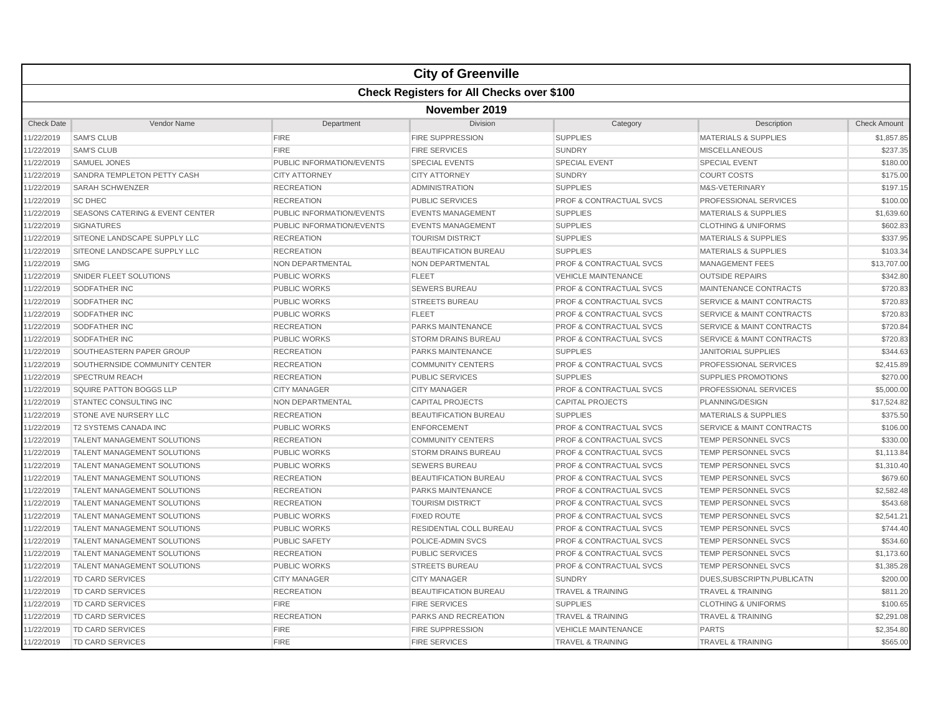|                   |                                            |                           | <b>City of Greenville</b>    |                                    |                                      |                     |  |
|-------------------|--------------------------------------------|---------------------------|------------------------------|------------------------------------|--------------------------------------|---------------------|--|
|                   | Check Registers for All Checks over \$100  |                           |                              |                                    |                                      |                     |  |
|                   |                                            |                           | November 2019                |                                    |                                      |                     |  |
| <b>Check Date</b> | Vendor Name                                | Department                | Division                     | Category                           | Description                          | <b>Check Amount</b> |  |
| 11/22/2019        | <b>SAM'S CLUB</b>                          | <b>FIRE</b>               | <b>FIRE SUPPRESSION</b>      | <b>SUPPLIES</b>                    | <b>MATERIALS &amp; SUPPLIES</b>      | \$1,857.85          |  |
| 11/22/2019        | <b>SAM'S CLUB</b>                          | <b>FIRE</b>               | <b>FIRE SERVICES</b>         | <b>SUNDRY</b>                      | <b>MISCELLANEOUS</b>                 | \$237.35            |  |
| 11/22/2019        | <b>SAMUEL JONES</b>                        | PUBLIC INFORMATION/EVENTS | <b>SPECIAL EVENTS</b>        | <b>SPECIAL EVENT</b>               | <b>SPECIAL EVENT</b>                 | \$180.00            |  |
| 11/22/2019        | SANDRA TEMPLETON PETTY CASH                | <b>CITY ATTORNEY</b>      | <b>CITY ATTORNEY</b>         | <b>SUNDRY</b>                      | <b>COURT COSTS</b>                   | \$175.00            |  |
| 11/22/2019        | <b>SARAH SCHWENZER</b>                     | <b>RECREATION</b>         | <b>ADMINISTRATION</b>        | <b>SUPPLIES</b>                    | M&S-VETERINARY                       | \$197.15            |  |
| 11/22/2019        | <b>SC DHEC</b>                             | <b>RECREATION</b>         | <b>PUBLIC SERVICES</b>       | <b>PROF &amp; CONTRACTUAL SVCS</b> | PROFESSIONAL SERVICES                | \$100.00            |  |
| 11/22/2019        | <b>SEASONS CATERING &amp; EVENT CENTER</b> | PUBLIC INFORMATION/EVENTS | <b>EVENTS MANAGEMENT</b>     | <b>SUPPLIES</b>                    | <b>MATERIALS &amp; SUPPLIES</b>      | \$1,639.60          |  |
| 11/22/2019        | <b>SIGNATURES</b>                          | PUBLIC INFORMATION/EVENTS | <b>EVENTS MANAGEMENT</b>     | <b>SUPPLIES</b>                    | <b>CLOTHING &amp; UNIFORMS</b>       | \$602.83            |  |
| 11/22/2019        | SITEONE LANDSCAPE SUPPLY LLC               | <b>RECREATION</b>         | <b>TOURISM DISTRICT</b>      | <b>SUPPLIES</b>                    | <b>MATERIALS &amp; SUPPLIES</b>      | \$337.95            |  |
| 11/22/2019        | SITEONE LANDSCAPE SUPPLY LLC               | <b>RECREATION</b>         | <b>BEAUTIFICATION BUREAU</b> | <b>SUPPLIES</b>                    | <b>MATERIALS &amp; SUPPLIES</b>      | \$103.34            |  |
| 11/22/2019        | <b>SMG</b>                                 | NON DEPARTMENTAL          | NON DEPARTMENTAL             | <b>PROF &amp; CONTRACTUAL SVCS</b> | <b>MANAGEMENT FEES</b>               | \$13,707.00         |  |
| 11/22/2019        | SNIDER FLEET SOLUTIONS                     | <b>PUBLIC WORKS</b>       | <b>FLEET</b>                 | <b>VEHICLE MAINTENANCE</b>         | <b>OUTSIDE REPAIRS</b>               | \$342.80            |  |
| 11/22/2019        | <b>SODFATHER INC</b>                       | <b>PUBLIC WORKS</b>       | <b>SEWERS BUREAU</b>         | <b>PROF &amp; CONTRACTUAL SVCS</b> | MAINTENANCE CONTRACTS                | \$720.83            |  |
| 11/22/2019        | <b>SODFATHER INC</b>                       | <b>PUBLIC WORKS</b>       | <b>STREETS BUREAU</b>        | <b>PROF &amp; CONTRACTUAL SVCS</b> | <b>SERVICE &amp; MAINT CONTRACTS</b> | \$720.83            |  |
| 11/22/2019        | SODFATHER INC                              | <b>PUBLIC WORKS</b>       | <b>FLEET</b>                 | <b>PROF &amp; CONTRACTUAL SVCS</b> | <b>SERVICE &amp; MAINT CONTRACTS</b> | \$720.83            |  |
| 11/22/2019        | SODFATHER INC                              | <b>RECREATION</b>         | <b>PARKS MAINTENANCE</b>     | <b>PROF &amp; CONTRACTUAL SVCS</b> | <b>SERVICE &amp; MAINT CONTRACTS</b> | \$720.84            |  |
| 11/22/2019        | SODFATHER INC                              | <b>PUBLIC WORKS</b>       | <b>STORM DRAINS BUREAU</b>   | <b>PROF &amp; CONTRACTUAL SVCS</b> | <b>SERVICE &amp; MAINT CONTRACTS</b> | \$720.83            |  |
| 11/22/2019        | SOUTHEASTERN PAPER GROUP                   | <b>RECREATION</b>         | PARKS MAINTENANCE            | <b>SUPPLIES</b>                    | <b>JANITORIAL SUPPLIES</b>           | \$344.63            |  |
| 11/22/2019        | SOUTHERNSIDE COMMUNITY CENTER              | <b>RECREATION</b>         | <b>COMMUNITY CENTERS</b>     | <b>PROF &amp; CONTRACTUAL SVCS</b> | PROFESSIONAL SERVICES                | \$2,415.89          |  |
| 11/22/2019        | SPECTRUM REACH                             | <b>RECREATION</b>         | <b>PUBLIC SERVICES</b>       | <b>SUPPLIES</b>                    | <b>SUPPLIES PROMOTIONS</b>           | \$270.00            |  |
| 11/22/2019        | SQUIRE PATTON BOGGS LLP                    | <b>CITY MANAGER</b>       | <b>CITY MANAGER</b>          | <b>PROF &amp; CONTRACTUAL SVCS</b> | <b>PROFESSIONAL SERVICES</b>         | \$5,000.00          |  |
| 11/22/2019        | <b>STANTEC CONSULTING INC</b>              | NON DEPARTMENTAL          | <b>CAPITAL PROJECTS</b>      | <b>CAPITAL PROJECTS</b>            | PLANNING/DESIGN                      | \$17,524.82         |  |
| 11/22/2019        | STONE AVE NURSERY LLC                      | <b>RECREATION</b>         | <b>BEAUTIFICATION BUREAU</b> | <b>SUPPLIES</b>                    | <b>MATERIALS &amp; SUPPLIES</b>      | \$375.50            |  |
| 11/22/2019        | <b>T2 SYSTEMS CANADA INC</b>               | <b>PUBLIC WORKS</b>       | <b>ENFORCEMENT</b>           | <b>PROF &amp; CONTRACTUAL SVCS</b> | <b>SERVICE &amp; MAINT CONTRACTS</b> | \$106.00            |  |
| 11/22/2019        | TALENT MANAGEMENT SOLUTIONS                | <b>RECREATION</b>         | <b>COMMUNITY CENTERS</b>     | <b>PROF &amp; CONTRACTUAL SVCS</b> | TEMP PERSONNEL SVCS                  | \$330.00            |  |
| 11/22/2019        | TALENT MANAGEMENT SOLUTIONS                | <b>PUBLIC WORKS</b>       | <b>STORM DRAINS BUREAU</b>   | <b>PROF &amp; CONTRACTUAL SVCS</b> | TEMP PERSONNEL SVCS                  | \$1,113.84          |  |
| 11/22/2019        | <b>TALENT MANAGEMENT SOLUTIONS</b>         | <b>PUBLIC WORKS</b>       | <b>SEWERS BUREAU</b>         | <b>PROF &amp; CONTRACTUAL SVCS</b> | TEMP PERSONNEL SVCS                  | \$1,310.40          |  |
| 11/22/2019        | <b>TALENT MANAGEMENT SOLUTIONS</b>         | <b>RECREATION</b>         | <b>BEAUTIFICATION BUREAU</b> | <b>PROF &amp; CONTRACTUAL SVCS</b> | <b>TEMP PERSONNEL SVCS</b>           | \$679.60            |  |
| 11/22/2019        | <b>TALENT MANAGEMENT SOLUTIONS</b>         | <b>RECREATION</b>         | <b>PARKS MAINTENANCE</b>     | <b>PROF &amp; CONTRACTUAL SVCS</b> | <b>TEMP PERSONNEL SVCS</b>           | \$2,582.48          |  |
| 11/22/2019        | TALENT MANAGEMENT SOLUTIONS                | <b>RECREATION</b>         | <b>TOURISM DISTRICT</b>      | <b>PROF &amp; CONTRACTUAL SVCS</b> | TEMP PERSONNEL SVCS                  | \$543.68            |  |
| 11/22/2019        | TALENT MANAGEMENT SOLUTIONS                | <b>PUBLIC WORKS</b>       | <b>FIXED ROUTE</b>           | <b>PROF &amp; CONTRACTUAL SVCS</b> | TEMP PERSONNEL SVCS                  | \$2,541.21          |  |
| 11/22/2019        | TALENT MANAGEMENT SOLUTIONS                | <b>PUBLIC WORKS</b>       | RESIDENTIAL COLL BUREAU      | <b>PROF &amp; CONTRACTUAL SVCS</b> | TEMP PERSONNEL SVCS                  | \$744.40            |  |
| 11/22/2019        | <b>TALENT MANAGEMENT SOLUTIONS</b>         | <b>PUBLIC SAFETY</b>      | POLICE-ADMIN SVCS            | PROF & CONTRACTUAL SVCS            | <b>TEMP PERSONNEL SVCS</b>           | \$534.60            |  |
| 11/22/2019        | <b>TALENT MANAGEMENT SOLUTIONS</b>         | <b>RECREATION</b>         | <b>PUBLIC SERVICES</b>       | <b>PROF &amp; CONTRACTUAL SVCS</b> | <b>TEMP PERSONNEL SVCS</b>           | \$1,173.60          |  |
| 11/22/2019        | TALENT MANAGEMENT SOLUTIONS                | <b>PUBLIC WORKS</b>       | <b>STREETS BUREAU</b>        | <b>PROF &amp; CONTRACTUAL SVCS</b> | TEMP PERSONNEL SVCS                  | \$1,385.28          |  |
| 11/22/2019        | <b>TD CARD SERVICES</b>                    | <b>CITY MANAGER</b>       | <b>CITY MANAGER</b>          | <b>SUNDRY</b>                      | DUES.SUBSCRIPTN.PUBLICATN            | \$200.00            |  |
| 11/22/2019        | TD CARD SERVICES                           | <b>RECREATION</b>         | <b>BEAUTIFICATION BUREAU</b> | <b>TRAVEL &amp; TRAINING</b>       | <b>TRAVEL &amp; TRAINING</b>         | \$811.20            |  |
| 11/22/2019        | <b>TD CARD SERVICES</b>                    | <b>FIRE</b>               | <b>FIRE SERVICES</b>         | <b>SUPPLIES</b>                    | <b>CLOTHING &amp; UNIFORMS</b>       | \$100.65            |  |
| 11/22/2019        | <b>TD CARD SERVICES</b>                    | <b>RECREATION</b>         | PARKS AND RECREATION         | <b>TRAVEL &amp; TRAINING</b>       | <b>TRAVEL &amp; TRAINING</b>         | \$2,291.08          |  |
| 11/22/2019        | <b>TD CARD SERVICES</b>                    | <b>FIRE</b>               | <b>FIRE SUPPRESSION</b>      | <b>VEHICLE MAINTENANCE</b>         | <b>PARTS</b>                         | \$2,354.80          |  |
| 11/22/2019        | <b>TD CARD SERVICES</b>                    | <b>FIRE</b>               | <b>FIRE SERVICES</b>         | <b>TRAVEL &amp; TRAINING</b>       | <b>TRAVEL &amp; TRAINING</b>         | \$565.00            |  |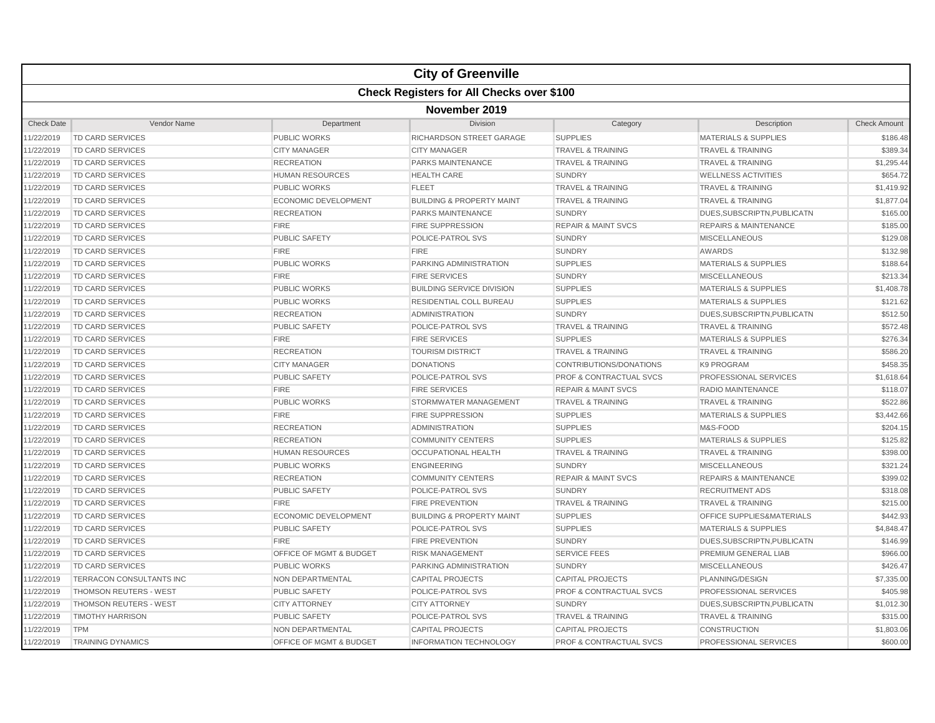|                   |                                                  |                                    | <b>City of Greenville</b>            |                                    |                                  |                     |  |  |
|-------------------|--------------------------------------------------|------------------------------------|--------------------------------------|------------------------------------|----------------------------------|---------------------|--|--|
|                   | <b>Check Registers for All Checks over \$100</b> |                                    |                                      |                                    |                                  |                     |  |  |
|                   |                                                  |                                    | November 2019                        |                                    |                                  |                     |  |  |
| <b>Check Date</b> | Vendor Name                                      | Department                         | Division                             | Category                           | Description                      | <b>Check Amount</b> |  |  |
| 11/22/2019        | TD CARD SERVICES                                 | <b>PUBLIC WORKS</b>                | RICHARDSON STREET GARAGE             | <b>SUPPLIES</b>                    | <b>MATERIALS &amp; SUPPLIES</b>  | \$186.48            |  |  |
| 11/22/2019        | <b>TD CARD SERVICES</b>                          | <b>CITY MANAGER</b>                | <b>CITY MANAGER</b>                  | <b>TRAVEL &amp; TRAINING</b>       | <b>TRAVEL &amp; TRAINING</b>     | \$389.34            |  |  |
| 11/22/2019        | <b>TD CARD SERVICES</b>                          | <b>RECREATION</b>                  | PARKS MAINTENANCE                    | <b>TRAVEL &amp; TRAINING</b>       | <b>TRAVEL &amp; TRAINING</b>     | \$1,295.44          |  |  |
| 11/22/2019        | <b>TD CARD SERVICES</b>                          | <b>HUMAN RESOURCES</b>             | <b>HEALTH CARE</b>                   | <b>SUNDRY</b>                      | <b>WELLNESS ACTIVITIES</b>       | \$654.72            |  |  |
| 11/22/2019        | TD CARD SERVICES                                 | PUBLIC WORKS                       | <b>FLEET</b>                         | <b>TRAVEL &amp; TRAINING</b>       | <b>TRAVEL &amp; TRAINING</b>     | \$1,419.92          |  |  |
| 11/22/2019        | <b>TD CARD SERVICES</b>                          | <b>ECONOMIC DEVELOPMENT</b>        | <b>BUILDING &amp; PROPERTY MAINT</b> | <b>TRAVEL &amp; TRAINING</b>       | <b>TRAVEL &amp; TRAINING</b>     | \$1,877.04          |  |  |
| 11/22/2019        | TD CARD SERVICES                                 | <b>RECREATION</b>                  | <b>PARKS MAINTENANCE</b>             | <b>SUNDRY</b>                      | DUES, SUBSCRIPTN, PUBLICATN      | \$165.00            |  |  |
| 11/22/2019        | TD CARD SERVICES                                 | <b>FIRE</b>                        | <b>FIRE SUPPRESSION</b>              | <b>REPAIR &amp; MAINT SVCS</b>     | <b>REPAIRS &amp; MAINTENANCE</b> | \$185.00            |  |  |
| 11/22/2019        | <b>TD CARD SERVICES</b>                          | <b>PUBLIC SAFETY</b>               | POLICE-PATROL SVS                    | <b>SUNDRY</b>                      | <b>MISCELLANEOUS</b>             | \$129.08            |  |  |
| 11/22/2019        | TD CARD SERVICES                                 | <b>FIRE</b>                        | <b>FIRE</b>                          | <b>SUNDRY</b>                      | <b>AWARDS</b>                    | \$132.98            |  |  |
| 11/22/2019        | <b>TD CARD SERVICES</b>                          | <b>PUBLIC WORKS</b>                | PARKING ADMINISTRATION               | <b>SUPPLIES</b>                    | <b>MATERIALS &amp; SUPPLIES</b>  | \$188.64            |  |  |
| 11/22/2019        | <b>TD CARD SERVICES</b>                          | <b>FIRE</b>                        | <b>FIRE SERVICES</b>                 | <b>SUNDRY</b>                      | <b>MISCELLANEOUS</b>             | \$213.34            |  |  |
| 11/22/2019        | <b>TD CARD SERVICES</b>                          | <b>PUBLIC WORKS</b>                | <b>BUILDING SERVICE DIVISION</b>     | <b>SUPPLIES</b>                    | <b>MATERIALS &amp; SUPPLIES</b>  | \$1,408.78          |  |  |
| 11/22/2019        | <b>TD CARD SERVICES</b>                          | <b>PUBLIC WORKS</b>                | <b>RESIDENTIAL COLL BUREAU</b>       | <b>SUPPLIES</b>                    | <b>MATERIALS &amp; SUPPLIES</b>  | \$121.62            |  |  |
| 11/22/2019        | TD CARD SERVICES                                 | <b>RECREATION</b>                  | <b>ADMINISTRATION</b>                | <b>SUNDRY</b>                      | DUES, SUBSCRIPTN, PUBLICATN      | \$512.50            |  |  |
| 11/22/2019        | <b>TD CARD SERVICES</b>                          | <b>PUBLIC SAFETY</b>               | POLICE-PATROL SVS                    | <b>TRAVEL &amp; TRAINING</b>       | <b>TRAVEL &amp; TRAINING</b>     | \$572.48            |  |  |
| 11/22/2019        | <b>TD CARD SERVICES</b>                          | <b>FIRE</b>                        | <b>FIRE SERVICES</b>                 | <b>SUPPLIES</b>                    | <b>MATERIALS &amp; SUPPLIES</b>  | \$276.34            |  |  |
| 11/22/2019        | <b>TD CARD SERVICES</b>                          | <b>RECREATION</b>                  | <b>TOURISM DISTRICT</b>              | <b>TRAVEL &amp; TRAINING</b>       | <b>TRAVEL &amp; TRAINING</b>     | \$586.20            |  |  |
| 11/22/2019        | <b>TD CARD SERVICES</b>                          | <b>CITY MANAGER</b>                | <b>DONATIONS</b>                     | CONTRIBUTIONS/DONATIONS            | K9 PROGRAM                       | \$458.35            |  |  |
| 11/22/2019        | TD CARD SERVICES                                 | <b>PUBLIC SAFETY</b>               | POLICE-PATROL SVS                    | <b>PROF &amp; CONTRACTUAL SVCS</b> | PROFESSIONAL SERVICES            | \$1,618.64          |  |  |
| 11/22/2019        | <b>TD CARD SERVICES</b>                          | <b>FIRE</b>                        | <b>FIRE SERVICES</b>                 | <b>REPAIR &amp; MAINT SVCS</b>     | <b>RADIO MAINTENANCE</b>         | \$118.07            |  |  |
| 11/22/2019        | TD CARD SERVICES                                 | <b>PUBLIC WORKS</b>                | STORMWATER MANAGEMENT                | <b>TRAVEL &amp; TRAINING</b>       | <b>TRAVEL &amp; TRAINING</b>     | \$522.86            |  |  |
| 11/22/2019        | TD CARD SERVICES                                 | <b>FIRE</b>                        | <b>FIRE SUPPRESSION</b>              | <b>SUPPLIES</b>                    | <b>MATERIALS &amp; SUPPLIES</b>  | \$3,442.66          |  |  |
| 11/22/2019        | <b>TD CARD SERVICES</b>                          | <b>RECREATION</b>                  | <b>ADMINISTRATION</b>                | <b>SUPPLIES</b>                    | M&S-FOOD                         | \$204.15            |  |  |
| 11/22/2019        | <b>TD CARD SERVICES</b>                          | <b>RECREATION</b>                  | <b>COMMUNITY CENTERS</b>             | <b>SUPPLIES</b>                    | <b>MATERIALS &amp; SUPPLIES</b>  | \$125.82            |  |  |
| 11/22/2019        | TD CARD SERVICES                                 | <b>HUMAN RESOURCES</b>             | <b>OCCUPATIONAL HEALTH</b>           | <b>TRAVEL &amp; TRAINING</b>       | <b>TRAVEL &amp; TRAINING</b>     | \$398.00            |  |  |
| 11/22/2019        | <b>TD CARD SERVICES</b>                          | <b>PUBLIC WORKS</b>                | <b>ENGINEERING</b>                   | <b>SUNDRY</b>                      | <b>MISCELLANEOUS</b>             | \$321.24            |  |  |
| 11/22/2019        | <b>TD CARD SERVICES</b>                          | <b>RECREATION</b>                  | <b>COMMUNITY CENTERS</b>             | <b>REPAIR &amp; MAINT SVCS</b>     | <b>REPAIRS &amp; MAINTENANCE</b> | \$399.02            |  |  |
| 11/22/2019        | <b>TD CARD SERVICES</b>                          | <b>PUBLIC SAFETY</b>               | <b>POLICE-PATROL SVS</b>             | <b>SUNDRY</b>                      | <b>RECRUITMENT ADS</b>           | \$318.08            |  |  |
| 11/22/2019        | TD CARD SERVICES                                 | <b>FIRE</b>                        | <b>FIRE PREVENTION</b>               | <b>TRAVEL &amp; TRAINING</b>       | <b>TRAVEL &amp; TRAINING</b>     | \$215.00            |  |  |
| 11/22/2019        | <b>TD CARD SERVICES</b>                          | <b>ECONOMIC DEVELOPMENT</b>        | <b>BUILDING &amp; PROPERTY MAINT</b> | <b>SUPPLIES</b>                    | OFFICE SUPPLIES&MATERIALS        | \$442.93            |  |  |
| 11/22/2019        | <b>TD CARD SERVICES</b>                          | PUBLIC SAFETY                      | POLICE-PATROL SVS                    | <b>SUPPLIES</b>                    | <b>MATERIALS &amp; SUPPLIES</b>  | \$4,848.47          |  |  |
| 11/22/2019        | <b>TD CARD SERVICES</b>                          | <b>FIRE</b>                        | <b>FIRE PREVENTION</b>               | <b>SUNDRY</b>                      | DUES.SUBSCRIPTN.PUBLICATN        | \$146.99            |  |  |
| 11/22/2019        | <b>TD CARD SERVICES</b>                          | <b>OFFICE OF MGMT &amp; BUDGET</b> | <b>RISK MANAGEMENT</b>               | <b>SERVICE FEES</b>                | PREMIUM GENERAL LIAB             | \$966.00            |  |  |
| 11/22/2019        | <b>TD CARD SERVICES</b>                          | <b>PUBLIC WORKS</b>                | PARKING ADMINISTRATION               | <b>SUNDRY</b>                      | <b>MISCELLANEOUS</b>             | \$426.47            |  |  |
| 11/22/2019        | <b>TERRACON CONSULTANTS INC</b>                  | <b>NON DEPARTMENTAL</b>            | <b>CAPITAL PROJECTS</b>              | <b>CAPITAL PROJECTS</b>            | PLANNING/DESIGN                  | \$7,335.00          |  |  |
| 11/22/2019        | THOMSON REUTERS - WEST                           | <b>PUBLIC SAFETY</b>               | POLICE-PATROL SVS                    | PROF & CONTRACTUAL SVCS            | PROFESSIONAL SERVICES            | \$405.98            |  |  |
| 11/22/2019        | <b>THOMSON REUTERS - WEST</b>                    | <b>CITY ATTORNEY</b>               | <b>CITY ATTORNEY</b>                 | <b>SUNDRY</b>                      | DUES, SUBSCRIPTN, PUBLICATN      | \$1,012.30          |  |  |
| 11/22/2019        | <b>TIMOTHY HARRISON</b>                          | <b>PUBLIC SAFETY</b>               | POLICE-PATROL SVS                    | <b>TRAVEL &amp; TRAINING</b>       | <b>TRAVEL &amp; TRAINING</b>     | \$315.00            |  |  |
| 11/22/2019        | <b>TPM</b>                                       | NON DEPARTMENTAL                   | <b>CAPITAL PROJECTS</b>              | <b>CAPITAL PROJECTS</b>            | <b>CONSTRUCTION</b>              | \$1,803.06          |  |  |
| 11/22/2019        | <b>TRAINING DYNAMICS</b>                         | <b>OFFICE OF MGMT &amp; BUDGET</b> | <b>INFORMATION TECHNOLOGY</b>        | <b>PROF &amp; CONTRACTUAL SVCS</b> | PROFESSIONAL SERVICES            | \$600.00            |  |  |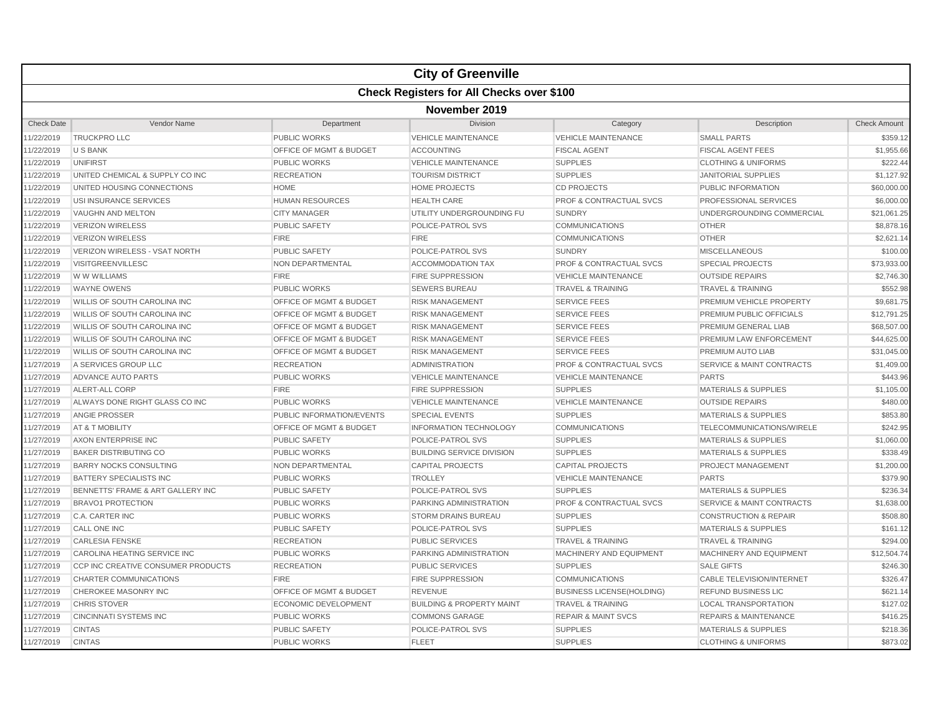|                   |                                                  |                                    | <b>City of Greenville</b>            |                                    |                                      |                     |  |  |
|-------------------|--------------------------------------------------|------------------------------------|--------------------------------------|------------------------------------|--------------------------------------|---------------------|--|--|
|                   | <b>Check Registers for All Checks over \$100</b> |                                    |                                      |                                    |                                      |                     |  |  |
|                   | November 2019                                    |                                    |                                      |                                    |                                      |                     |  |  |
| <b>Check Date</b> | Vendor Name                                      | Department                         | Division                             | Category                           | Description                          | <b>Check Amount</b> |  |  |
| 11/22/2019        | <b>TRUCKPRO LLC</b>                              | <b>PUBLIC WORKS</b>                | <b>VEHICLE MAINTENANCE</b>           | <b>VEHICLE MAINTENANCE</b>         | <b>SMALL PARTS</b>                   | \$359.12            |  |  |
| 11/22/2019        | <b>U S BANK</b>                                  | <b>OFFICE OF MGMT &amp; BUDGET</b> | <b>ACCOUNTING</b>                    | <b>FISCAL AGENT</b>                | <b>FISCAL AGENT FEES</b>             | \$1,955.66          |  |  |
| 11/22/2019        | <b>UNIFIRST</b>                                  | <b>PUBLIC WORKS</b>                | <b>VEHICLE MAINTENANCE</b>           | <b>SUPPLIES</b>                    | <b>CLOTHING &amp; UNIFORMS</b>       | \$222.44            |  |  |
| 11/22/2019        | UNITED CHEMICAL & SUPPLY CO INC                  | <b>RECREATION</b>                  | <b>TOURISM DISTRICT</b>              | <b>SUPPLIES</b>                    | <b>JANITORIAL SUPPLIES</b>           | \$1,127.92          |  |  |
| 11/22/2019        | UNITED HOUSING CONNECTIONS                       | <b>HOME</b>                        | <b>HOME PROJECTS</b>                 | <b>CD PROJECTS</b>                 | PUBLIC INFORMATION                   | \$60,000.00         |  |  |
| 11/22/2019        | USI INSURANCE SERVICES                           | <b>HUMAN RESOURCES</b>             | <b>HEALTH CARE</b>                   | PROF & CONTRACTUAL SVCS            | PROFESSIONAL SERVICES                | \$6,000.00          |  |  |
| 11/22/2019        | VAUGHN AND MELTON                                | <b>CITY MANAGER</b>                | UTILITY UNDERGROUNDING FU            | <b>SUNDRY</b>                      | UNDERGROUNDING COMMERCIAL            | \$21,061.25         |  |  |
| 11/22/2019        | <b>VERIZON WIRELESS</b>                          | <b>PUBLIC SAFETY</b>               | POLICE-PATROL SVS                    | <b>COMMUNICATIONS</b>              | <b>OTHER</b>                         | \$8,878.16          |  |  |
| 11/22/2019        | <b>VERIZON WIRELESS</b>                          | <b>FIRE</b>                        | <b>FIRE</b>                          | <b>COMMUNICATIONS</b>              | <b>OTHER</b>                         | \$2,621.14          |  |  |
| 11/22/2019        | <b>VERIZON WIRELESS - VSAT NORTH</b>             | <b>PUBLIC SAFETY</b>               | <b>POLICE-PATROL SVS</b>             | <b>SUNDRY</b>                      | <b>MISCELLANEOUS</b>                 | \$100.00            |  |  |
| 11/22/2019        | <b>VISITGREENVILLESC</b>                         | NON DEPARTMENTAL                   | <b>ACCOMMODATION TAX</b>             | <b>PROF &amp; CONTRACTUAL SVCS</b> | <b>SPECIAL PROJECTS</b>              | \$73,933.00         |  |  |
| 11/22/2019        | W W WILLIAMS                                     | <b>FIRE</b>                        | <b>FIRE SUPPRESSION</b>              | <b>VEHICLE MAINTENANCE</b>         | <b>OUTSIDE REPAIRS</b>               | \$2,746.30          |  |  |
| 11/22/2019        | <b>WAYNE OWENS</b>                               | <b>PUBLIC WORKS</b>                | <b>SEWERS BUREAU</b>                 | <b>TRAVEL &amp; TRAINING</b>       | <b>TRAVEL &amp; TRAINING</b>         | \$552.98            |  |  |
| 11/22/2019        | WILLIS OF SOUTH CAROLINA INC                     | OFFICE OF MGMT & BUDGET            | <b>RISK MANAGEMENT</b>               | <b>SERVICE FEES</b>                | PREMIUM VEHICLE PROPERTY             | \$9,681.75          |  |  |
| 11/22/2019        | WILLIS OF SOUTH CAROLINA INC                     | OFFICE OF MGMT & BUDGET            | <b>RISK MANAGEMENT</b>               | <b>SERVICE FEES</b>                | PREMIUM PUBLIC OFFICIALS             | \$12,791.25         |  |  |
| 11/22/2019        | <b>WILLIS OF SOUTH CAROLINA INC</b>              | OFFICE OF MGMT & BUDGET            | <b>RISK MANAGEMENT</b>               | <b>SERVICE FEES</b>                | PREMIUM GENERAL LIAB                 | \$68,507.00         |  |  |
| 11/22/2019        | WILLIS OF SOUTH CAROLINA INC                     | <b>OFFICE OF MGMT &amp; BUDGET</b> | <b>RISK MANAGEMENT</b>               | <b>SERVICE FEES</b>                | PREMIUM LAW ENFORCEMENT              | \$44,625.00         |  |  |
| 11/22/2019        | WILLIS OF SOUTH CAROLINA INC                     | <b>OFFICE OF MGMT &amp; BUDGET</b> | <b>RISK MANAGEMENT</b>               | <b>SERVICE FEES</b>                | PREMIUM AUTO LIAB                    | \$31,045.00         |  |  |
| 11/27/2019        | A SERVICES GROUP LLC                             | <b>RECREATION</b>                  | <b>ADMINISTRATION</b>                | <b>PROF &amp; CONTRACTUAL SVCS</b> | <b>SERVICE &amp; MAINT CONTRACTS</b> | \$1,409.00          |  |  |
| 11/27/2019        | <b>ADVANCE AUTO PARTS</b>                        | <b>PUBLIC WORKS</b>                | <b>VEHICLE MAINTENANCE</b>           | <b>VEHICLE MAINTENANCE</b>         | <b>PARTS</b>                         | \$443.96            |  |  |
| 11/27/2019        | ALERT-ALL CORP                                   | <b>FIRE</b>                        | <b>FIRE SUPPRESSION</b>              | <b>SUPPLIES</b>                    | <b>MATERIALS &amp; SUPPLIES</b>      | \$1,105.00          |  |  |
| 11/27/2019        | ALWAYS DONE RIGHT GLASS CO INC                   | <b>PUBLIC WORKS</b>                | <b>VEHICLE MAINTENANCE</b>           | <b>VEHICLE MAINTENANCE</b>         | <b>OUTSIDE REPAIRS</b>               | \$480.00            |  |  |
| 11/27/2019        | ANGIE PROSSER                                    | PUBLIC INFORMATION/EVENTS          | <b>SPECIAL EVENTS</b>                | <b>SUPPLIES</b>                    | <b>MATERIALS &amp; SUPPLIES</b>      | \$853.80            |  |  |
| 11/27/2019        | AT & T MOBILITY                                  | OFFICE OF MGMT & BUDGET            | <b>INFORMATION TECHNOLOGY</b>        | <b>COMMUNICATIONS</b>              | TELECOMMUNICATIONS/WIRELE            | \$242.95            |  |  |
| 11/27/2019        | AXON ENTERPRISE INC                              | <b>PUBLIC SAFETY</b>               | POLICE-PATROL SVS                    | <b>SUPPLIES</b>                    | <b>MATERIALS &amp; SUPPLIES</b>      | \$1,060.00          |  |  |
| 11/27/2019        | <b>BAKER DISTRIBUTING CO</b>                     | <b>PUBLIC WORKS</b>                | <b>BUILDING SERVICE DIVISION</b>     | <b>SUPPLIES</b>                    | <b>MATERIALS &amp; SUPPLIES</b>      | \$338.49            |  |  |
| 11/27/2019        | <b>BARRY NOCKS CONSULTING</b>                    | NON DEPARTMENTAL                   | <b>CAPITAL PROJECTS</b>              | CAPITAL PROJECTS                   | PROJECT MANAGEMENT                   | \$1,200.00          |  |  |
| 11/27/2019        | BATTERY SPECIALISTS INC                          | <b>PUBLIC WORKS</b>                | <b>TROLLEY</b>                       | <b>VEHICLE MAINTENANCE</b>         | <b>PARTS</b>                         | \$379.90            |  |  |
| 11/27/2019        | BENNETTS' FRAME & ART GALLERY INC                | <b>PUBLIC SAFETY</b>               | POLICE-PATROL SVS                    | <b>SUPPLIES</b>                    | <b>MATERIALS &amp; SUPPLIES</b>      | \$236.34            |  |  |
| 11/27/2019        | <b>BRAVO1 PROTECTION</b>                         | <b>PUBLIC WORKS</b>                | <b>PARKING ADMINISTRATION</b>        | <b>PROF &amp; CONTRACTUAL SVCS</b> | <b>SERVICE &amp; MAINT CONTRACTS</b> | \$1,638.00          |  |  |
| 11/27/2019        | <b>C.A. CARTER INC</b>                           | <b>PUBLIC WORKS</b>                | <b>STORM DRAINS BUREAU</b>           | <b>SUPPLIES</b>                    | <b>CONSTRUCTION &amp; REPAIR</b>     | \$508.80            |  |  |
| 11/27/2019        | <b>CALL ONE INC</b>                              | <b>PUBLIC SAFETY</b>               | POLICE-PATROL SVS                    | <b>SUPPLIES</b>                    | <b>MATERIALS &amp; SUPPLIES</b>      | \$161.12            |  |  |
| 11/27/2019        | <b>CARLESIA FENSKE</b>                           | <b>RECREATION</b>                  | <b>PUBLIC SERVICES</b>               | <b>TRAVEL &amp; TRAINING</b>       | <b>TRAVEL &amp; TRAINING</b>         | \$294.00            |  |  |
| 11/27/2019        | CAROLINA HEATING SERVICE INC                     | <b>PUBLIC WORKS</b>                | PARKING ADMINISTRATION               | MACHINERY AND EQUIPMENT            | MACHINERY AND EQUIPMENT              | \$12,504.74         |  |  |
| 11/27/2019        | CCP INC CREATIVE CONSUMER PRODUCTS               | <b>RECREATION</b>                  | <b>PUBLIC SERVICES</b>               | <b>SUPPLIES</b>                    | <b>SALE GIFTS</b>                    | \$246.30            |  |  |
| 11/27/2019        | <b>CHARTER COMMUNICATIONS</b>                    | <b>FIRE</b>                        | <b>FIRE SUPPRESSION</b>              | <b>COMMUNICATIONS</b>              | CABLE TELEVISION/INTERNET            | \$326.47            |  |  |
| 11/27/2019        | CHEROKEE MASONRY INC                             | <b>OFFICE OF MGMT &amp; BUDGET</b> | <b>REVENUE</b>                       | <b>BUSINESS LICENSE(HOLDING)</b>   | <b>REFUND BUSINESS LIC</b>           | \$621.14            |  |  |
| 11/27/2019        | <b>CHRIS STOVER</b>                              | <b>ECONOMIC DEVELOPMENT</b>        | <b>BUILDING &amp; PROPERTY MAINT</b> | <b>TRAVEL &amp; TRAINING</b>       | <b>LOCAL TRANSPORTATION</b>          | \$127.02            |  |  |
| 11/27/2019        | <b>CINCINNATI SYSTEMS INC</b>                    | <b>PUBLIC WORKS</b>                | <b>COMMONS GARAGE</b>                | <b>REPAIR &amp; MAINT SVCS</b>     | <b>REPAIRS &amp; MAINTENANCE</b>     | \$416.25            |  |  |
| 11/27/2019        | <b>CINTAS</b>                                    | <b>PUBLIC SAFETY</b>               | <b>POLICE-PATROL SVS</b>             | <b>SUPPLIES</b>                    | <b>MATERIALS &amp; SUPPLIES</b>      | \$218.36            |  |  |
| 11/27/2019        | <b>CINTAS</b>                                    | <b>PUBLIC WORKS</b>                | <b>FLEET</b>                         | <b>SUPPLIES</b>                    | <b>CLOTHING &amp; UNIFORMS</b>       | \$873.02            |  |  |
|                   |                                                  |                                    |                                      |                                    |                                      |                     |  |  |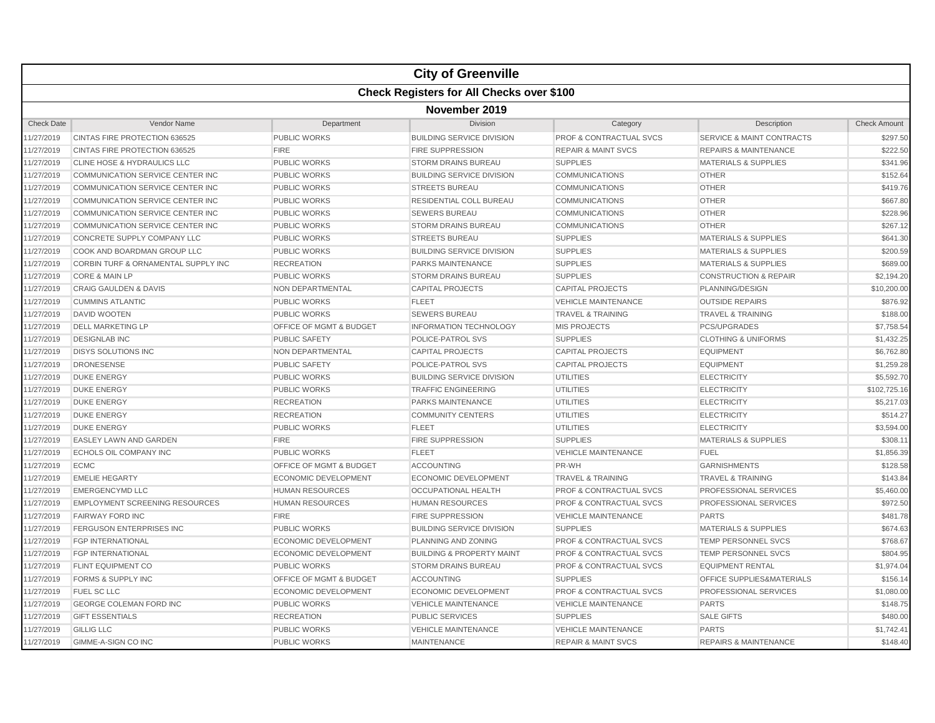|                   |                                                  |                                    | <b>City of Greenville</b>            |                                    |                                      |                     |  |  |
|-------------------|--------------------------------------------------|------------------------------------|--------------------------------------|------------------------------------|--------------------------------------|---------------------|--|--|
|                   | <b>Check Registers for All Checks over \$100</b> |                                    |                                      |                                    |                                      |                     |  |  |
|                   | November 2019                                    |                                    |                                      |                                    |                                      |                     |  |  |
| <b>Check Date</b> | Vendor Name                                      | Department                         | <b>Division</b>                      | Category                           | Description                          | <b>Check Amount</b> |  |  |
| 11/27/2019        | <b>CINTAS FIRE PROTECTION 636525</b>             | PUBLIC WORKS                       | <b>BUILDING SERVICE DIVISION</b>     | <b>PROF &amp; CONTRACTUAL SVCS</b> | <b>SERVICE &amp; MAINT CONTRACTS</b> | \$297.50            |  |  |
| 11/27/2019        | CINTAS FIRE PROTECTION 636525                    | <b>FIRE</b>                        | <b>FIRE SUPPRESSION</b>              | <b>REPAIR &amp; MAINT SVCS</b>     | <b>REPAIRS &amp; MAINTENANCE</b>     | \$222.50            |  |  |
| 11/27/2019        | CLINE HOSE & HYDRAULICS LLC                      | <b>PUBLIC WORKS</b>                | <b>STORM DRAINS BUREAU</b>           | <b>SUPPLIES</b>                    | <b>MATERIALS &amp; SUPPLIES</b>      | \$341.96            |  |  |
| 11/27/2019        | COMMUNICATION SERVICE CENTER INC                 | <b>PUBLIC WORKS</b>                | <b>BUILDING SERVICE DIVISION</b>     | <b>COMMUNICATIONS</b>              | <b>OTHER</b>                         | \$152.64            |  |  |
| 11/27/2019        | COMMUNICATION SERVICE CENTER INC                 | <b>PUBLIC WORKS</b>                | <b>STREETS BUREAU</b>                | COMMUNICATIONS                     | <b>OTHER</b>                         | \$419.76            |  |  |
| 11/27/2019        | COMMUNICATION SERVICE CENTER INC                 | <b>PUBLIC WORKS</b>                | RESIDENTIAL COLL BUREAU              | <b>COMMUNICATIONS</b>              | <b>OTHER</b>                         | \$667.80            |  |  |
| 11/27/2019        | COMMUNICATION SERVICE CENTER INC                 | <b>PUBLIC WORKS</b>                | <b>SEWERS BUREAU</b>                 | <b>COMMUNICATIONS</b>              | <b>OTHER</b>                         | \$228.96            |  |  |
| 11/27/2019        | COMMUNICATION SERVICE CENTER INC                 | <b>PUBLIC WORKS</b>                | <b>STORM DRAINS BUREAU</b>           | <b>COMMUNICATIONS</b>              | <b>OTHER</b>                         | \$267.12            |  |  |
| 11/27/2019        | CONCRETE SUPPLY COMPANY LLC                      | <b>PUBLIC WORKS</b>                | <b>STREETS BUREAU</b>                | <b>SUPPLIES</b>                    | <b>MATERIALS &amp; SUPPLIES</b>      | \$641.30            |  |  |
| 11/27/2019        | COOK AND BOARDMAN GROUP LLC                      | <b>PUBLIC WORKS</b>                | <b>BUILDING SERVICE DIVISION</b>     | <b>SUPPLIES</b>                    | <b>MATERIALS &amp; SUPPLIES</b>      | \$200.59            |  |  |
| 11/27/2019        | <b>CORBIN TURF &amp; ORNAMENTAL SUPPLY INC</b>   | <b>RECREATION</b>                  | <b>PARKS MAINTENANCE</b>             | <b>SUPPLIES</b>                    | <b>MATERIALS &amp; SUPPLIES</b>      | \$689.00            |  |  |
| 11/27/2019        | <b>CORE &amp; MAIN LP</b>                        | <b>PUBLIC WORKS</b>                | <b>STORM DRAINS BUREAU</b>           | <b>SUPPLIES</b>                    | <b>CONSTRUCTION &amp; REPAIR</b>     | \$2,194.20          |  |  |
| 11/27/2019        | <b>CRAIG GAULDEN &amp; DAVIS</b>                 | <b>NON DEPARTMENTAL</b>            | <b>CAPITAL PROJECTS</b>              | <b>CAPITAL PROJECTS</b>            | PLANNING/DESIGN                      | \$10,200.00         |  |  |
| 11/27/2019        | <b>CUMMINS ATLANTIC</b>                          | <b>PUBLIC WORKS</b>                | <b>FLEET</b>                         | <b>VEHICLE MAINTENANCE</b>         | <b>OUTSIDE REPAIRS</b>               | \$876.92            |  |  |
| 11/27/2019        | <b>DAVID WOOTEN</b>                              | <b>PUBLIC WORKS</b>                | <b>SEWERS BUREAU</b>                 | <b>TRAVEL &amp; TRAINING</b>       | <b>TRAVEL &amp; TRAINING</b>         | \$188.00            |  |  |
| 11/27/2019        | <b>DELL MARKETING LP</b>                         | <b>OFFICE OF MGMT &amp; BUDGET</b> | <b>INFORMATION TECHNOLOGY</b>        | <b>MIS PROJECTS</b>                | <b>PCS/UPGRADES</b>                  | \$7,758.54          |  |  |
| 11/27/2019        | <b>DESIGNLAB INC</b>                             | <b>PUBLIC SAFETY</b>               | POLICE-PATROL SVS                    | <b>SUPPLIES</b>                    | <b>CLOTHING &amp; UNIFORMS</b>       | \$1,432.25          |  |  |
| 11/27/2019        | <b>DISYS SOLUTIONS INC</b>                       | NON DEPARTMENTAL                   | <b>CAPITAL PROJECTS</b>              | <b>CAPITAL PROJECTS</b>            | <b>EQUIPMENT</b>                     | \$6,762.80          |  |  |
| 11/27/2019        | <b>DRONESENSE</b>                                | <b>PUBLIC SAFETY</b>               | POLICE-PATROL SVS                    | <b>CAPITAL PROJECTS</b>            | <b>EQUIPMENT</b>                     | \$1,259.28          |  |  |
| 11/27/2019        | <b>DUKE ENERGY</b>                               | <b>PUBLIC WORKS</b>                | <b>BUILDING SERVICE DIVISION</b>     | <b>UTILITIES</b>                   | <b>ELECTRICITY</b>                   | \$5,592.70          |  |  |
| 11/27/2019        | <b>DUKE ENERGY</b>                               | <b>PUBLIC WORKS</b>                | <b>TRAFFIC ENGINEERING</b>           | <b>UTILITIES</b>                   | <b>ELECTRICITY</b>                   | \$102,725.16        |  |  |
| 11/27/2019        | <b>DUKE ENERGY</b>                               | <b>RECREATION</b>                  | <b>PARKS MAINTENANCE</b>             | <b>UTILITIES</b>                   | <b>ELECTRICITY</b>                   | \$5,217.03          |  |  |
| 11/27/2019        | <b>DUKE ENERGY</b>                               | <b>RECREATION</b>                  | <b>COMMUNITY CENTERS</b>             | <b>UTILITIES</b>                   | <b>ELECTRICITY</b>                   | \$514.27            |  |  |
| 11/27/2019        | <b>DUKE ENERGY</b>                               | <b>PUBLIC WORKS</b>                | <b>FLEET</b>                         | <b>UTILITIES</b>                   | <b>ELECTRICITY</b>                   | \$3.594.00          |  |  |
| 11/27/2019        | <b>EASLEY LAWN AND GARDEN</b>                    | <b>FIRE</b>                        | <b>FIRE SUPPRESSION</b>              | <b>SUPPLIES</b>                    | <b>MATERIALS &amp; SUPPLIES</b>      | \$308.1'            |  |  |
| 11/27/2019        | <b>ECHOLS OIL COMPANY INC</b>                    | <b>PUBLIC WORKS</b>                | <b>FLEET</b>                         | <b>VEHICLE MAINTENANCE</b>         | <b>FUEL</b>                          | \$1,856.39          |  |  |
| 11/27/2019        | <b>ECMC</b>                                      | OFFICE OF MGMT & BUDGET            | <b>ACCOUNTING</b>                    | PR-WH                              | <b>GARNISHMENTS</b>                  | \$128.58            |  |  |
| 11/27/2019        | <b>EMELIE HEGARTY</b>                            | <b>ECONOMIC DEVELOPMENT</b>        | <b>ECONOMIC DEVELOPMENT</b>          | <b>TRAVEL &amp; TRAINING</b>       | <b>TRAVEL &amp; TRAINING</b>         | \$143.84            |  |  |
| 11/27/2019        | <b>EMERGENCYMD LLC</b>                           | <b>HUMAN RESOURCES</b>             | <b>OCCUPATIONAL HEALTH</b>           | <b>PROF &amp; CONTRACTUAL SVCS</b> | <b>PROFESSIONAL SERVICES</b>         | \$5,460.00          |  |  |
| 11/27/2019        | <b>EMPLOYMENT SCREENING RESOURCES</b>            | <b>HUMAN RESOURCES</b>             | <b>HUMAN RESOURCES</b>               | <b>PROF &amp; CONTRACTUAL SVCS</b> | <b>PROFESSIONAL SERVICES</b>         | \$972.50            |  |  |
| 11/27/2019        | <b>FAIRWAY FORD INC</b>                          | <b>FIRE</b>                        | <b>FIRE SUPPRESSION</b>              | <b>VEHICLE MAINTENANCE</b>         | <b>PARTS</b>                         | \$481.78            |  |  |
| 11/27/2019        | FERGUSON ENTERPRISES INC                         | <b>PUBLIC WORKS</b>                | <b>BUILDING SERVICE DIVISION</b>     | <b>SUPPLIES</b>                    | <b>MATERIALS &amp; SUPPLIES</b>      | \$674.63            |  |  |
| 11/27/2019        | <b>FGP INTERNATIONAL</b>                         | <b>ECONOMIC DEVELOPMENT</b>        | <b>PLANNING AND ZONING</b>           | <b>PROF &amp; CONTRACTUAL SVCS</b> | <b>TEMP PERSONNEL SVCS</b>           | \$768.67            |  |  |
| 11/27/2019        | <b>FGP INTERNATIONAL</b>                         | <b>ECONOMIC DEVELOPMENT</b>        | <b>BUILDING &amp; PROPERTY MAINT</b> | <b>PROF &amp; CONTRACTUAL SVCS</b> | <b>TEMP PERSONNEL SVCS</b>           | \$804.95            |  |  |
| 11/27/2019        | <b>FLINT EQUIPMENT CO</b>                        | <b>PUBLIC WORKS</b>                | <b>STORM DRAINS BUREAU</b>           | <b>PROF &amp; CONTRACTUAL SVCS</b> | <b>EQUIPMENT RENTAL</b>              | \$1,974.04          |  |  |
| 11/27/2019        | <b>FORMS &amp; SUPPLY INC</b>                    | <b>OFFICE OF MGMT &amp; BUDGET</b> | <b>ACCOUNTING</b>                    | <b>SUPPLIES</b>                    | <b>OFFICE SUPPLIES&amp;MATERIALS</b> | \$156.14            |  |  |
| 11/27/2019        | <b>FUEL SC LLC</b>                               | <b>ECONOMIC DEVELOPMENT</b>        | <b>ECONOMIC DEVELOPMENT</b>          | PROF & CONTRACTUAL SVCS            | PROFESSIONAL SERVICES                | \$1,080.00          |  |  |
| 11/27/2019        | <b>GEORGE COLEMAN FORD INC</b>                   | <b>PUBLIC WORKS</b>                | <b>VEHICLE MAINTENANCE</b>           | <b>VEHICLE MAINTENANCE</b>         | <b>PARTS</b>                         | \$148.75            |  |  |
| 11/27/2019        | <b>GIFT ESSENTIALS</b>                           | <b>RECREATION</b>                  | <b>PUBLIC SERVICES</b>               | <b>SUPPLIES</b>                    | <b>SALE GIFTS</b>                    | \$480.00            |  |  |
| 11/27/2019        | <b>GILLIG LLC</b>                                | <b>PUBLIC WORKS</b>                | <b>VEHICLE MAINTENANCE</b>           | <b>VEHICLE MAINTENANCE</b>         | <b>PARTS</b>                         | \$1,742.41          |  |  |
| 11/27/2019        | <b>GIMME-A-SIGN CO INC</b>                       | <b>PUBLIC WORKS</b>                | <b>MAINTENANCE</b>                   | <b>REPAIR &amp; MAINT SVCS</b>     | <b>REPAIRS &amp; MAINTENANCE</b>     | \$148.40            |  |  |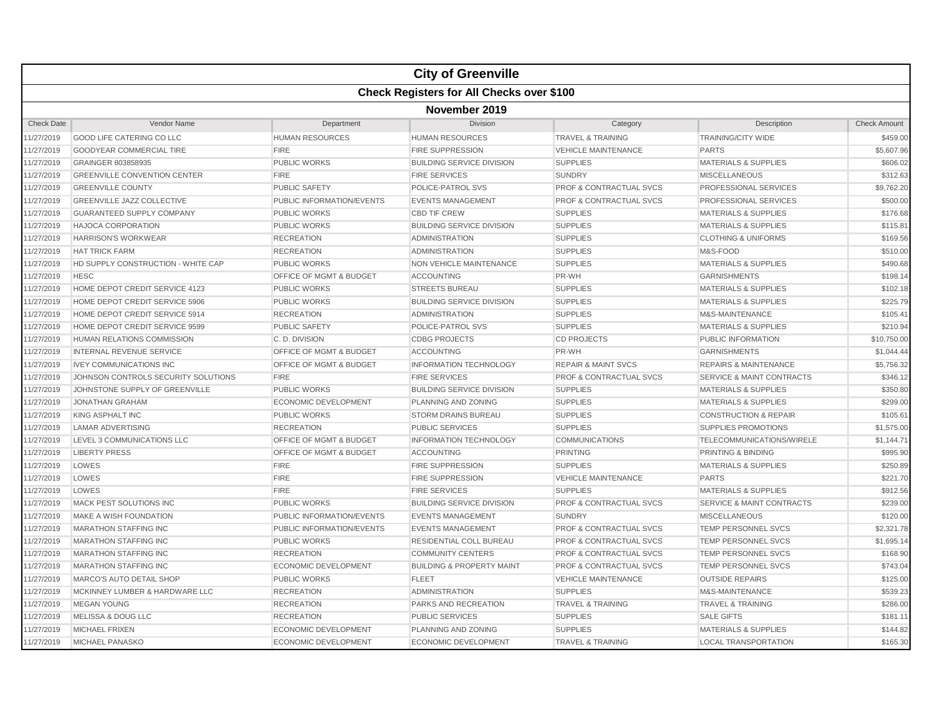|                   |                                                  |                                    | <b>City of Greenville</b>            |                                    |                                      |                     |  |  |
|-------------------|--------------------------------------------------|------------------------------------|--------------------------------------|------------------------------------|--------------------------------------|---------------------|--|--|
|                   | <b>Check Registers for All Checks over \$100</b> |                                    |                                      |                                    |                                      |                     |  |  |
|                   | November 2019                                    |                                    |                                      |                                    |                                      |                     |  |  |
| <b>Check Date</b> | Vendor Name                                      | Department                         | Division                             | Category                           | Description                          | <b>Check Amount</b> |  |  |
| 11/27/2019        | <b>GOOD LIFE CATERING CO LLC</b>                 | <b>HUMAN RESOURCES</b>             | <b>HUMAN RESOURCES</b>               | <b>TRAVEL &amp; TRAINING</b>       | <b>TRAINING/CITY WIDE</b>            | \$459.00            |  |  |
| 11/27/2019        | <b>GOODYEAR COMMERCIAL TIRE</b>                  | <b>FIRE</b>                        | <b>FIRE SUPPRESSION</b>              | <b>VEHICLE MAINTENANCE</b>         | <b>PARTS</b>                         | \$5,607.96          |  |  |
| 11/27/2019        | GRAINGER 803858935                               | <b>PUBLIC WORKS</b>                | <b>BUILDING SERVICE DIVISION</b>     | <b>SUPPLIES</b>                    | <b>MATERIALS &amp; SUPPLIES</b>      | \$606.02            |  |  |
| 11/27/2019        | <b>GREENVILLE CONVENTION CENTER</b>              | <b>FIRE</b>                        | <b>FIRE SERVICES</b>                 | <b>SUNDRY</b>                      | <b>MISCELLANEOUS</b>                 | \$312.63            |  |  |
| 11/27/2019        | <b>GREENVILLE COUNTY</b>                         | PUBLIC SAFETY                      | POLICE-PATROL SVS                    | <b>PROF &amp; CONTRACTUAL SVCS</b> | PROFESSIONAL SERVICES                | \$9,762.20          |  |  |
| 11/27/2019        | <b>GREENVILLE JAZZ COLLECTIVE</b>                | PUBLIC INFORMATION/EVENTS          | <b>EVENTS MANAGEMENT</b>             | PROF & CONTRACTUAL SVCS            | <b>PROFESSIONAL SERVICES</b>         | \$500.00            |  |  |
| 11/27/2019        | <b>GUARANTEED SUPPLY COMPANY</b>                 | <b>PUBLIC WORKS</b>                | <b>CBD TIF CREW</b>                  | <b>SUPPLIES</b>                    | <b>MATERIALS &amp; SUPPLIES</b>      | \$176.68            |  |  |
| 11/27/2019        | <b>HAJOCA CORPORATION</b>                        | <b>PUBLIC WORKS</b>                | <b>BUILDING SERVICE DIVISION</b>     | <b>SUPPLIES</b>                    | <b>MATERIALS &amp; SUPPLIES</b>      | \$115.81            |  |  |
| 11/27/2019        | <b>HARRISON'S WORKWEAR</b>                       | <b>RECREATION</b>                  | <b>ADMINISTRATION</b>                | <b>SUPPLIES</b>                    | <b>CLOTHING &amp; UNIFORMS</b>       | \$169.56            |  |  |
| 11/27/2019        | <b>HAT TRICK FARM</b>                            | <b>RECREATION</b>                  | <b>ADMINISTRATION</b>                | <b>SUPPLIES</b>                    | M&S-FOOD                             | \$510.00            |  |  |
| 11/27/2019        | HD SUPPLY CONSTRUCTION - WHITE CAP               | <b>PUBLIC WORKS</b>                | NON VEHICLE MAINTENANCE              | <b>SUPPLIES</b>                    | <b>MATERIALS &amp; SUPPLIES</b>      | \$490.68            |  |  |
| 11/27/2019        | <b>HESC</b>                                      | <b>OFFICE OF MGMT &amp; BUDGET</b> | <b>ACCOUNTING</b>                    | PR-WH                              | <b>GARNISHMENTS</b>                  | \$198.14            |  |  |
| 11/27/2019        | HOME DEPOT CREDIT SERVICE 4123                   | <b>PUBLIC WORKS</b>                | <b>STREETS BUREAU</b>                | <b>SUPPLIES</b>                    | <b>MATERIALS &amp; SUPPLIES</b>      | \$102.18            |  |  |
| 11/27/2019        | HOME DEPOT CREDIT SERVICE 5906                   | <b>PUBLIC WORKS</b>                | <b>BUILDING SERVICE DIVISION</b>     | <b>SUPPLIES</b>                    | <b>MATERIALS &amp; SUPPLIES</b>      | \$225.79            |  |  |
| 11/27/2019        | HOME DEPOT CREDIT SERVICE 5914                   | <b>RECREATION</b>                  | <b>ADMINISTRATION</b>                | <b>SUPPLIES</b>                    | M&S-MAINTENANCE                      | \$105.41            |  |  |
| 11/27/2019        | HOME DEPOT CREDIT SERVICE 9599                   | <b>PUBLIC SAFETY</b>               | <b>POLICE-PATROL SVS</b>             | <b>SUPPLIES</b>                    | <b>MATERIALS &amp; SUPPLIES</b>      | \$210.94            |  |  |
| 11/27/2019        | HUMAN RELATIONS COMMISSION                       | C.D. DIVISION                      | <b>CDBG PROJECTS</b>                 | <b>CD PROJECTS</b>                 | <b>PUBLIC INFORMATION</b>            | \$10,750.00         |  |  |
| 11/27/2019        | <b>INTERNAL REVENUE SERVICE</b>                  | OFFICE OF MGMT & BUDGET            | <b>ACCOUNTING</b>                    | PR-WH                              | <b>GARNISHMENTS</b>                  | \$1,044.44          |  |  |
| 11/27/2019        | <b>IVEY COMMUNICATIONS INC</b>                   | <b>OFFICE OF MGMT &amp; BUDGET</b> | <b>INFORMATION TECHNOLOGY</b>        | <b>REPAIR &amp; MAINT SVCS</b>     | <b>REPAIRS &amp; MAINTENANCE</b>     | \$5,756.32          |  |  |
| 11/27/2019        | JOHNSON CONTROLS SECURITY SOLUTIONS              | <b>FIRE</b>                        | <b>FIRE SERVICES</b>                 | <b>PROF &amp; CONTRACTUAL SVCS</b> | <b>SERVICE &amp; MAINT CONTRACTS</b> | \$346.12            |  |  |
| 11/27/2019        | JOHNSTONE SUPPLY OF GREENVILLE                   | <b>PUBLIC WORKS</b>                | <b>BUILDING SERVICE DIVISION</b>     | <b>SUPPLIES</b>                    | <b>MATERIALS &amp; SUPPLIES</b>      | \$350.80            |  |  |
| 11/27/2019        | <b>JONATHAN GRAHAM</b>                           | <b>ECONOMIC DEVELOPMENT</b>        | PLANNING AND ZONING                  | <b>SUPPLIES</b>                    | <b>MATERIALS &amp; SUPPLIES</b>      | \$299.00            |  |  |
| 11/27/2019        | KING ASPHALT INC                                 | <b>PUBLIC WORKS</b>                | <b>STORM DRAINS BUREAU</b>           | <b>SUPPLIES</b>                    | <b>CONSTRUCTION &amp; REPAIR</b>     | \$105.61            |  |  |
| 11/27/2019        | <b>LAMAR ADVERTISING</b>                         | <b>RECREATION</b>                  | <b>PUBLIC SERVICES</b>               | <b>SUPPLIES</b>                    | <b>SUPPLIES PROMOTIONS</b>           | \$1,575.00          |  |  |
| 11/27/2019        | LEVEL 3 COMMUNICATIONS LLC                       | OFFICE OF MGMT & BUDGET            | <b>INFORMATION TECHNOLOGY</b>        | <b>COMMUNICATIONS</b>              | TELECOMMUNICATIONS/WIRELE            | \$1,144.71          |  |  |
| 11/27/2019        | <b>LIBERTY PRESS</b>                             | <b>OFFICE OF MGMT &amp; BUDGET</b> | <b>ACCOUNTING</b>                    | <b>PRINTING</b>                    | <b>PRINTING &amp; BINDING</b>        | \$995.90            |  |  |
| 11/27/2019        | LOWES                                            | <b>FIRE</b>                        | <b>FIRE SUPPRESSION</b>              | <b>SUPPLIES</b>                    | <b>MATERIALS &amp; SUPPLIES</b>      | \$250.89            |  |  |
| 11/27/2019        | LOWES                                            | <b>FIRE</b>                        | <b>FIRE SUPPRESSION</b>              | <b>VEHICLE MAINTENANCE</b>         | <b>PARTS</b>                         | \$221.70            |  |  |
| 11/27/2019        | LOWES                                            | <b>FIRE</b>                        | <b>FIRE SERVICES</b>                 | <b>SUPPLIES</b>                    | <b>MATERIALS &amp; SUPPLIES</b>      | \$912.56            |  |  |
| 11/27/2019        | MACK PEST SOLUTIONS INC                          | <b>PUBLIC WORKS</b>                | <b>BUILDING SERVICE DIVISION</b>     | <b>PROF &amp; CONTRACTUAL SVCS</b> | <b>SERVICE &amp; MAINT CONTRACTS</b> | \$239.00            |  |  |
| 11/27/2019        | MAKE A WISH FOUNDATION                           | PUBLIC INFORMATION/EVENTS          | <b>EVENTS MANAGEMENT</b>             | <b>SUNDRY</b>                      | <b>MISCELLANEOUS</b>                 | \$120.00            |  |  |
| 11/27/2019        | <b>MARATHON STAFFING INC</b>                     | PUBLIC INFORMATION/EVENTS          | <b>EVENTS MANAGEMENT</b>             | <b>PROF &amp; CONTRACTUAL SVCS</b> | <b>TEMP PERSONNEL SVCS</b>           | \$2,321.78          |  |  |
| 11/27/2019        | <b>MARATHON STAFFING INC</b>                     | <b>PUBLIC WORKS</b>                | RESIDENTIAL COLL BUREAU              | <b>PROF &amp; CONTRACTUAL SVCS</b> | <b>TEMP PERSONNEL SVCS</b>           | \$1,695.14          |  |  |
| 11/27/2019        | <b>MARATHON STAFFING INC</b>                     | <b>RECREATION</b>                  | <b>COMMUNITY CENTERS</b>             | <b>PROF &amp; CONTRACTUAL SVCS</b> | <b>TEMP PERSONNEL SVCS</b>           | \$168.90            |  |  |
| 11/27/2019        | <b>MARATHON STAFFING INC</b>                     | <b>ECONOMIC DEVELOPMENT</b>        | <b>BUILDING &amp; PROPERTY MAINT</b> | PROF & CONTRACTUAL SVCS            | <b>TEMP PERSONNEL SVCS</b>           | \$743.04            |  |  |
| 11/27/2019        | MARCO'S AUTO DETAIL SHOP                         | <b>PUBLIC WORKS</b>                | <b>FLEET</b>                         | <b>VEHICLE MAINTENANCE</b>         | <b>OUTSIDE REPAIRS</b>               | \$125.00            |  |  |
| 11/27/2019        | MCKINNEY LUMBER & HARDWARE LLC                   | <b>RECREATION</b>                  | <b>ADMINISTRATION</b>                | <b>SUPPLIES</b>                    | M&S-MAINTENANCE                      | \$539.23            |  |  |
| 11/27/2019        | <b>MEGAN YOUNG</b>                               | <b>RECREATION</b>                  | PARKS AND RECREATION                 | <b>TRAVEL &amp; TRAINING</b>       | <b>TRAVEL &amp; TRAINING</b>         | \$286.00            |  |  |
| 11/27/2019        | MELISSA & DOUG LLC                               | <b>RECREATION</b>                  | <b>PUBLIC SERVICES</b>               | <b>SUPPLIES</b>                    | <b>SALE GIFTS</b>                    | \$181.11            |  |  |
| 11/27/2019        | MICHAEL FRIXEN                                   | ECONOMIC DEVELOPMENT               | PLANNING AND ZONING                  | <b>SUPPLIES</b>                    | <b>MATERIALS &amp; SUPPLIES</b>      | \$144.82            |  |  |
| 11/27/2019        | <b>MICHAEL PANASKO</b>                           | <b>ECONOMIC DEVELOPMENT</b>        | <b>ECONOMIC DEVELOPMENT</b>          | <b>TRAVEL &amp; TRAINING</b>       | <b>LOCAL TRANSPORTATION</b>          | \$165.30            |  |  |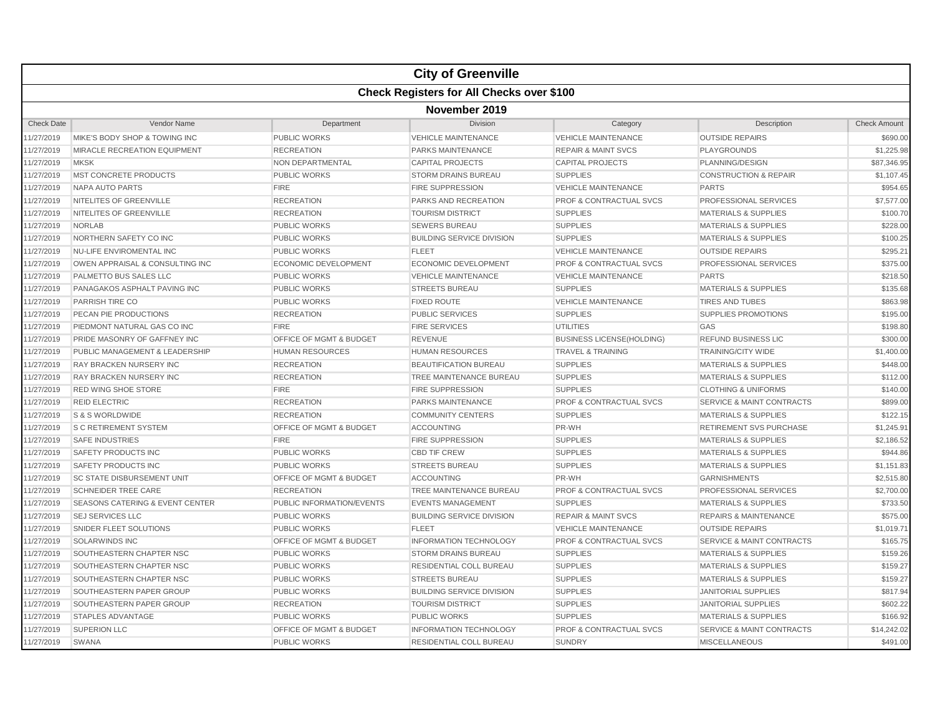|                   |                                                  |                                    | <b>City of Greenville</b>        |                                    |                                      |                     |  |  |
|-------------------|--------------------------------------------------|------------------------------------|----------------------------------|------------------------------------|--------------------------------------|---------------------|--|--|
|                   | <b>Check Registers for All Checks over \$100</b> |                                    |                                  |                                    |                                      |                     |  |  |
|                   | November 2019                                    |                                    |                                  |                                    |                                      |                     |  |  |
| <b>Check Date</b> | Vendor Name                                      | Department                         | Division                         | Category                           | Description                          | <b>Check Amount</b> |  |  |
| 11/27/2019        | MIKE'S BODY SHOP & TOWING INC                    | PUBLIC WORKS                       | <b>VEHICLE MAINTENANCE</b>       | <b>VEHICLE MAINTENANCE</b>         | <b>OUTSIDE REPAIRS</b>               | \$690.00            |  |  |
| 11/27/2019        | MIRACLE RECREATION EQUIPMENT                     | <b>RECREATION</b>                  | PARKS MAINTENANCE                | <b>REPAIR &amp; MAINT SVCS</b>     | <b>PLAYGROUNDS</b>                   | \$1,225.98          |  |  |
| 11/27/2019        | <b>MKSK</b>                                      | NON DEPARTMENTAL                   | <b>CAPITAL PROJECTS</b>          | <b>CAPITAL PROJECTS</b>            | PLANNING/DESIGN                      | \$87,346.95         |  |  |
| 11/27/2019        | MST CONCRETE PRODUCTS                            | <b>PUBLIC WORKS</b>                | <b>STORM DRAINS BUREAU</b>       | <b>SUPPLIES</b>                    | <b>CONSTRUCTION &amp; REPAIR</b>     | \$1,107.45          |  |  |
| 11/27/2019        | <b>NAPA AUTO PARTS</b>                           | <b>FIRE</b>                        | <b>FIRE SUPPRESSION</b>          | <b>VEHICLE MAINTENANCE</b>         | <b>PARTS</b>                         | \$954.65            |  |  |
| 11/27/2019        | NITELITES OF GREENVILLE                          | <b>RECREATION</b>                  | <b>PARKS AND RECREATION</b>      | <b>PROF &amp; CONTRACTUAL SVCS</b> | PROFESSIONAL SERVICES                | \$7,577.00          |  |  |
| 11/27/2019        | NITELITES OF GREENVILLE                          | <b>RECREATION</b>                  | <b>TOURISM DISTRICT</b>          | <b>SUPPLIES</b>                    | <b>MATERIALS &amp; SUPPLIES</b>      | \$100.70            |  |  |
| 11/27/2019        | <b>NORLAB</b>                                    | <b>PUBLIC WORKS</b>                | <b>SEWERS BUREAU</b>             | <b>SUPPLIES</b>                    | <b>MATERIALS &amp; SUPPLIES</b>      | \$228.00            |  |  |
| 11/27/2019        | NORTHERN SAFETY CO INC                           | <b>PUBLIC WORKS</b>                | <b>BUILDING SERVICE DIVISION</b> | <b>SUPPLIES</b>                    | <b>MATERIALS &amp; SUPPLIES</b>      | \$100.25            |  |  |
| 11/27/2019        | NU-LIFE ENVIROMENTAL INC                         | <b>PUBLIC WORKS</b>                | <b>FLEET</b>                     | <b>VEHICLE MAINTENANCE</b>         | <b>OUTSIDE REPAIRS</b>               | \$295.21            |  |  |
| 11/27/2019        | OWEN APPRAISAL & CONSULTING INC                  | <b>ECONOMIC DEVELOPMENT</b>        | ECONOMIC DEVELOPMENT             | <b>PROF &amp; CONTRACTUAL SVCS</b> | PROFESSIONAL SERVICES                | \$375.00            |  |  |
| 11/27/2019        | <b>PALMETTO BUS SALES LLC</b>                    | <b>PUBLIC WORKS</b>                | <b>VEHICLE MAINTENANCE</b>       | <b>VEHICLE MAINTENANCE</b>         | <b>PARTS</b>                         | \$218.50            |  |  |
| 11/27/2019        | PANAGAKOS ASPHALT PAVING INC                     | <b>PUBLIC WORKS</b>                | <b>STREETS BUREAU</b>            | <b>SUPPLIES</b>                    | <b>MATERIALS &amp; SUPPLIES</b>      | \$135.68            |  |  |
| 11/27/2019        | PARRISH TIRE CO                                  | <b>PUBLIC WORKS</b>                | <b>FIXED ROUTE</b>               | <b>VEHICLE MAINTENANCE</b>         | <b>TIRES AND TUBES</b>               | \$863.98            |  |  |
| 11/27/2019        | PECAN PIE PRODUCTIONS                            | <b>RECREATION</b>                  | <b>PUBLIC SERVICES</b>           | <b>SUPPLIES</b>                    | <b>SUPPLIES PROMOTIONS</b>           | \$195.00            |  |  |
| 11/27/2019        | PIEDMONT NATURAL GAS CO INC                      | <b>FIRE</b>                        | <b>FIRE SERVICES</b>             | <b>UTILITIES</b>                   | GAS                                  | \$198.80            |  |  |
| 11/27/2019        | PRIDE MASONRY OF GAFFNEY INC                     | OFFICE OF MGMT & BUDGET            | <b>REVENUE</b>                   | <b>BUSINESS LICENSE(HOLDING)</b>   | <b>REFUND BUSINESS LIC</b>           | \$300.00            |  |  |
| 11/27/2019        | PUBLIC MANAGEMENT & LEADERSHIP                   | <b>HUMAN RESOURCES</b>             | <b>HUMAN RESOURCES</b>           | <b>TRAVEL &amp; TRAINING</b>       | <b>TRAINING/CITY WIDE</b>            | \$1,400.00          |  |  |
| 11/27/2019        | <b>RAY BRACKEN NURSERY INC</b>                   | <b>RECREATION</b>                  | <b>BEAUTIFICATION BUREAU</b>     | <b>SUPPLIES</b>                    | <b>MATERIALS &amp; SUPPLIES</b>      | \$448.00            |  |  |
| 11/27/2019        | <b>RAY BRACKEN NURSERY INC</b>                   | <b>RECREATION</b>                  | TREE MAINTENANCE BUREAU          | <b>SUPPLIES</b>                    | <b>MATERIALS &amp; SUPPLIES</b>      | \$112.00            |  |  |
| 11/27/2019        | <b>RED WING SHOE STORE</b>                       | <b>FIRE</b>                        | <b>FIRE SUPPRESSION</b>          | <b>SUPPLIES</b>                    | <b>CLOTHING &amp; UNIFORMS</b>       | \$140.00            |  |  |
| 11/27/2019        | <b>REID ELECTRIC</b>                             | <b>RECREATION</b>                  | <b>PARKS MAINTENANCE</b>         | PROF & CONTRACTUAL SVCS            | <b>SERVICE &amp; MAINT CONTRACTS</b> | \$899.00            |  |  |
| 11/27/2019        | S & S WORLDWIDE                                  | <b>RECREATION</b>                  | <b>COMMUNITY CENTERS</b>         | <b>SUPPLIES</b>                    | <b>MATERIALS &amp; SUPPLIES</b>      | \$122.15            |  |  |
| 11/27/2019        | <b>S C RETIREMENT SYSTEM</b>                     | OFFICE OF MGMT & BUDGET            | <b>ACCOUNTING</b>                | PR-WH                              | <b>RETIREMENT SVS PURCHASE</b>       | \$1,245.91          |  |  |
| 11/27/2019        | <b>SAFE INDUSTRIES</b>                           | <b>FIRE</b>                        | FIRE SUPPRESSION                 | <b>SUPPLIES</b>                    | <b>MATERIALS &amp; SUPPLIES</b>      | \$2,186.52          |  |  |
| 11/27/2019        | SAFETY PRODUCTS INC                              | PUBLIC WORKS                       | <b>CBD TIF CREW</b>              | <b>SUPPLIES</b>                    | <b>MATERIALS &amp; SUPPLIES</b>      | \$944.86            |  |  |
| 11/27/2019        | <b>SAFETY PRODUCTS INC</b>                       | <b>PUBLIC WORKS</b>                | <b>STREETS BUREAU</b>            | <b>SUPPLIES</b>                    | <b>MATERIALS &amp; SUPPLIES</b>      | \$1,151.83          |  |  |
| 11/27/2019        | <b>SC STATE DISBURSEMENT UNIT</b>                | OFFICE OF MGMT & BUDGET            | <b>ACCOUNTING</b>                | PR-WH                              | <b>GARNISHMENTS</b>                  | \$2,515.80          |  |  |
| 11/27/2019        | <b>SCHNEIDER TREE CARE</b>                       | <b>RECREATION</b>                  | TREE MAINTENANCE BUREAU          | <b>PROF &amp; CONTRACTUAL SVCS</b> | PROFESSIONAL SERVICES                | \$2,700.00          |  |  |
| 11/27/2019        | <b>SEASONS CATERING &amp; EVENT CENTER</b>       | PUBLIC INFORMATION/EVENTS          | <b>EVENTS MANAGEMENT</b>         | <b>SUPPLIES</b>                    | <b>MATERIALS &amp; SUPPLIES</b>      | \$733.50            |  |  |
| 11/27/2019        | <b>SEJ SERVICES LLC</b>                          | <b>PUBLIC WORKS</b>                | <b>BUILDING SERVICE DIVISION</b> | <b>REPAIR &amp; MAINT SVCS</b>     | <b>REPAIRS &amp; MAINTENANCE</b>     | \$575.00            |  |  |
| 11/27/2019        | SNIDER FLEET SOLUTIONS                           | <b>PUBLIC WORKS</b>                | <b>FLEET</b>                     | <b>VEHICLE MAINTENANCE</b>         | <b>OUTSIDE REPAIRS</b>               | \$1,019.71          |  |  |
| 11/27/2019        | <b>SOLARWINDS INC</b>                            | OFFICE OF MGMT & BUDGET            | <b>INFORMATION TECHNOLOGY</b>    | <b>PROF &amp; CONTRACTUAL SVCS</b> | <b>SERVICE &amp; MAINT CONTRACTS</b> | \$165.75            |  |  |
| 11/27/2019        | SOUTHEASTERN CHAPTER NSC                         | <b>PUBLIC WORKS</b>                | <b>STORM DRAINS BUREAU</b>       | <b>SUPPLIES</b>                    | <b>MATERIALS &amp; SUPPLIES</b>      | \$159.26            |  |  |
| 11/27/2019        | SOUTHEASTERN CHAPTER NSC                         | <b>PUBLIC WORKS</b>                | RESIDENTIAL COLL BUREAU          | <b>SUPPLIES</b>                    | <b>MATERIALS &amp; SUPPLIES</b>      | \$159.27            |  |  |
| 11/27/2019        | SOUTHEASTERN CHAPTER NSC                         | <b>PUBLIC WORKS</b>                | <b>STREETS BUREAU</b>            | <b>SUPPLIES</b>                    | <b>MATERIALS &amp; SUPPLIES</b>      | \$159.27            |  |  |
| 11/27/2019        | SOUTHEASTERN PAPER GROUP                         | <b>PUBLIC WORKS</b>                | <b>BUILDING SERVICE DIVISION</b> | <b>SUPPLIES</b>                    | <b>JANITORIAL SUPPLIES</b>           | \$817.94            |  |  |
| 11/27/2019        | SOUTHEASTERN PAPER GROUP                         | <b>RECREATION</b>                  | <b>TOURISM DISTRICT</b>          | <b>SUPPLIES</b>                    | <b>JANITORIAL SUPPLIES</b>           | \$602.22            |  |  |
| 11/27/2019        | <b>STAPLES ADVANTAGE</b>                         | <b>PUBLIC WORKS</b>                | <b>PUBLIC WORKS</b>              | <b>SUPPLIES</b>                    | <b>MATERIALS &amp; SUPPLIES</b>      | \$166.92            |  |  |
| 11/27/2019        | <b>SUPERION LLC</b>                              | <b>OFFICE OF MGMT &amp; BUDGET</b> | <b>INFORMATION TECHNOLOGY</b>    | <b>PROF &amp; CONTRACTUAL SVCS</b> | <b>SERVICE &amp; MAINT CONTRACTS</b> | \$14,242.02         |  |  |
| 11/27/2019        | SWANA                                            | <b>PUBLIC WORKS</b>                | RESIDENTIAL COLL BUREAU          | <b>SUNDRY</b>                      | <b>MISCELLANEOUS</b>                 | \$491.00            |  |  |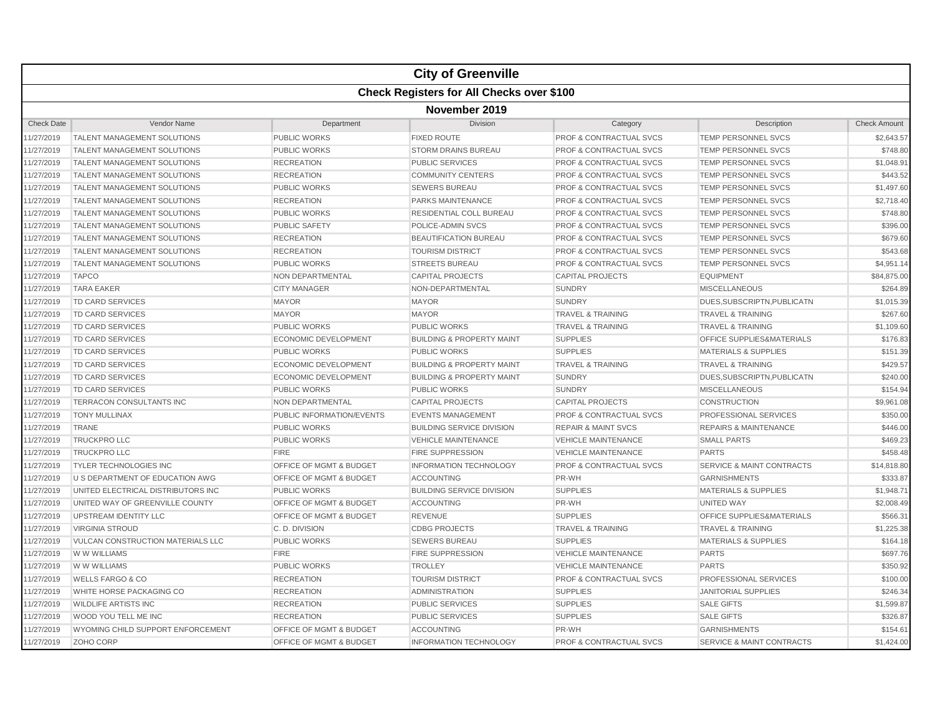|                                                  |                                          |                                    | <b>City of Greenville</b>            |                                    |                                      |                     |  |  |
|--------------------------------------------------|------------------------------------------|------------------------------------|--------------------------------------|------------------------------------|--------------------------------------|---------------------|--|--|
| <b>Check Registers for All Checks over \$100</b> |                                          |                                    |                                      |                                    |                                      |                     |  |  |
|                                                  | November 2019                            |                                    |                                      |                                    |                                      |                     |  |  |
| <b>Check Date</b>                                | Vendor Name                              | Department                         | Division                             | Category                           | Description                          | <b>Check Amount</b> |  |  |
| 11/27/2019                                       | <b>TALENT MANAGEMENT SOLUTIONS</b>       | <b>PUBLIC WORKS</b>                | <b>FIXED ROUTE</b>                   | PROF & CONTRACTUAL SVCS            | TEMP PERSONNEL SVCS                  | \$2,643.57          |  |  |
| 11/27/2019                                       | <b>TALENT MANAGEMENT SOLUTIONS</b>       | <b>PUBLIC WORKS</b>                | <b>STORM DRAINS BUREAU</b>           | <b>PROF &amp; CONTRACTUAL SVCS</b> | <b>TEMP PERSONNEL SVCS</b>           | \$748.80            |  |  |
| 11/27/2019                                       | <b>TALENT MANAGEMENT SOLUTIONS</b>       | <b>RECREATION</b>                  | <b>PUBLIC SERVICES</b>               | <b>PROF &amp; CONTRACTUAL SVCS</b> | <b>TEMP PERSONNEL SVCS</b>           | \$1,048.91          |  |  |
| 11/27/2019                                       | <b>TALENT MANAGEMENT SOLUTIONS</b>       | <b>RECREATION</b>                  | <b>COMMUNITY CENTERS</b>             | <b>PROF &amp; CONTRACTUAL SVCS</b> | TEMP PERSONNEL SVCS                  | \$443.52            |  |  |
| 11/27/2019                                       | TALENT MANAGEMENT SOLUTIONS              | <b>PUBLIC WORKS</b>                | <b>SEWERS BUREAU</b>                 | <b>PROF &amp; CONTRACTUAL SVCS</b> | TEMP PERSONNEL SVCS                  | \$1,497.60          |  |  |
| 11/27/2019                                       | TALENT MANAGEMENT SOLUTIONS              | <b>RECREATION</b>                  | PARKS MAINTENANCE                    | <b>PROF &amp; CONTRACTUAL SVCS</b> | <b>TEMP PERSONNEL SVCS</b>           | \$2,718.40          |  |  |
| 11/27/2019                                       | <b>TALENT MANAGEMENT SOLUTIONS</b>       | <b>PUBLIC WORKS</b>                | <b>RESIDENTIAL COLL BUREAU</b>       | <b>PROF &amp; CONTRACTUAL SVCS</b> | TEMP PERSONNEL SVCS                  | \$748.80            |  |  |
| 11/27/2019                                       | <b>TALENT MANAGEMENT SOLUTIONS</b>       | <b>PUBLIC SAFETY</b>               | POLICE-ADMIN SVCS                    | <b>PROF &amp; CONTRACTUAL SVCS</b> | <b>TEMP PERSONNEL SVCS</b>           | \$396.00            |  |  |
| 11/27/2019                                       | <b>TALENT MANAGEMENT SOLUTIONS</b>       | <b>RECREATION</b>                  | <b>BEAUTIFICATION BUREAU</b>         | <b>PROF &amp; CONTRACTUAL SVCS</b> | <b>TEMP PERSONNEL SVCS</b>           | \$679.60            |  |  |
| 11/27/2019                                       | TALENT MANAGEMENT SOLUTIONS              | <b>RECREATION</b>                  | <b>TOURISM DISTRICT</b>              | <b>PROF &amp; CONTRACTUAL SVCS</b> | TEMP PERSONNEL SVCS                  | \$543.68            |  |  |
| 11/27/2019                                       | <b>TALENT MANAGEMENT SOLUTIONS</b>       | <b>PUBLIC WORKS</b>                | <b>STREETS BUREAU</b>                | <b>PROF &amp; CONTRACTUAL SVCS</b> | <b>TEMP PERSONNEL SVCS</b>           | \$4,951.14          |  |  |
| 11/27/2019                                       | <b>TAPCO</b>                             | NON DEPARTMENTAL                   | <b>CAPITAL PROJECTS</b>              | <b>CAPITAL PROJECTS</b>            | EQUIPMENT                            | \$84,875.00         |  |  |
| 11/27/2019                                       | <b>TARA EAKER</b>                        | <b>CITY MANAGER</b>                | NON-DEPARTMENTAL                     | <b>SUNDRY</b>                      | <b>MISCELLANEOUS</b>                 | \$264.89            |  |  |
| 11/27/2019                                       | <b>TD CARD SERVICES</b>                  | <b>MAYOR</b>                       | <b>MAYOR</b>                         | <b>SUNDRY</b>                      | DUES, SUBSCRIPTN, PUBLICATN          | \$1,015.39          |  |  |
| 11/27/2019                                       | TD CARD SERVICES                         | <b>MAYOR</b>                       | <b>MAYOR</b>                         | <b>TRAVEL &amp; TRAINING</b>       | <b>TRAVEL &amp; TRAINING</b>         | \$267.60            |  |  |
| 11/27/2019                                       | <b>TD CARD SERVICES</b>                  | <b>PUBLIC WORKS</b>                | <b>PUBLIC WORKS</b>                  | <b>TRAVEL &amp; TRAINING</b>       | <b>TRAVEL &amp; TRAINING</b>         | \$1,109.60          |  |  |
| 11/27/2019                                       | <b>TD CARD SERVICES</b>                  | <b>ECONOMIC DEVELOPMENT</b>        | <b>BUILDING &amp; PROPERTY MAINT</b> | <b>SUPPLIES</b>                    | <b>OFFICE SUPPLIES&amp;MATERIALS</b> | \$176.83            |  |  |
| 11/27/2019                                       | <b>TD CARD SERVICES</b>                  | <b>PUBLIC WORKS</b>                | <b>PUBLIC WORKS</b>                  | <b>SUPPLIES</b>                    | <b>MATERIALS &amp; SUPPLIES</b>      | \$151.39            |  |  |
| 11/27/2019                                       | <b>TD CARD SERVICES</b>                  | <b>ECONOMIC DEVELOPMENT</b>        | <b>BUILDING &amp; PROPERTY MAINT</b> | <b>TRAVEL &amp; TRAINING</b>       | <b>TRAVEL &amp; TRAINING</b>         | \$429.57            |  |  |
| 11/27/2019                                       | TD CARD SERVICES                         | <b>ECONOMIC DEVELOPMENT</b>        | <b>BUILDING &amp; PROPERTY MAINT</b> | <b>SUNDRY</b>                      | DUES, SUBSCRIPTN, PUBLICATN          | \$240.00            |  |  |
| 11/27/2019                                       | TD CARD SERVICES                         | <b>PUBLIC WORKS</b>                | <b>PUBLIC WORKS</b>                  | <b>SUNDRY</b>                      | <b>MISCELLANEOUS</b>                 | \$154.94            |  |  |
| 11/27/2019                                       | TERRACON CONSULTANTS INC                 | NON DEPARTMENTAL                   | <b>CAPITAL PROJECTS</b>              | <b>CAPITAL PROJECTS</b>            | <b>CONSTRUCTION</b>                  | \$9,961.08          |  |  |
| 11/27/2019                                       | <b>TONY MULLINAX</b>                     | PUBLIC INFORMATION/EVENTS          | <b>EVENTS MANAGEMENT</b>             | <b>PROF &amp; CONTRACTUAL SVCS</b> | <b>PROFESSIONAL SERVICES</b>         | \$350.00            |  |  |
| 11/27/2019                                       | <b>TRANE</b>                             | <b>PUBLIC WORKS</b>                | <b>BUILDING SERVICE DIVISION</b>     | <b>REPAIR &amp; MAINT SVCS</b>     | <b>REPAIRS &amp; MAINTENANCE</b>     | \$446.00            |  |  |
| 11/27/2019                                       | <b>TRUCKPRO LLC</b>                      | <b>PUBLIC WORKS</b>                | <b>VEHICLE MAINTENANCE</b>           | <b>VEHICLE MAINTENANCE</b>         | <b>SMALL PARTS</b>                   | \$469.23            |  |  |
| 11/27/2019                                       | <b>TRUCKPRO LLC</b>                      | <b>FIRE</b>                        | <b>FIRE SUPPRESSION</b>              | <b>VEHICLE MAINTENANCE</b>         | <b>PARTS</b>                         | \$458.48            |  |  |
| 11/27/2019                                       | <b>TYLER TECHNOLOGIES INC</b>            | OFFICE OF MGMT & BUDGET            | <b>INFORMATION TECHNOLOGY</b>        | <b>PROF &amp; CONTRACTUAL SVCS</b> | <b>SERVICE &amp; MAINT CONTRACTS</b> | \$14,818.80         |  |  |
| 11/27/2019                                       | U S DEPARTMENT OF EDUCATION AWG          | <b>OFFICE OF MGMT &amp; BUDGET</b> | <b>ACCOUNTING</b>                    | PR-WH                              | <b>GARNISHMENTS</b>                  | \$333.87            |  |  |
| 11/27/2019                                       | UNITED ELECTRICAL DISTRIBUTORS INC       | <b>PUBLIC WORKS</b>                | <b>BUILDING SERVICE DIVISION</b>     | <b>SUPPLIES</b>                    | <b>MATERIALS &amp; SUPPLIES</b>      | \$1,948.71          |  |  |
| 11/27/2019                                       | UNITED WAY OF GREENVILLE COUNTY          | OFFICE OF MGMT & BUDGET            | <b>ACCOUNTING</b>                    | PR-WH                              | UNITED WAY                           | \$2,008.49          |  |  |
| 11/27/2019                                       | UPSTREAM IDENTITY LLC                    | OFFICE OF MGMT & BUDGET            | <b>REVENUE</b>                       | <b>SUPPLIES</b>                    | OFFICE SUPPLIES&MATERIALS            | \$566.31            |  |  |
| 11/27/2019                                       | <b>VIRGINIA STROUD</b>                   | C. D. DIVISION                     | <b>CDBG PROJECTS</b>                 | <b>TRAVEL &amp; TRAINING</b>       | <b>TRAVEL &amp; TRAINING</b>         | \$1,225.38          |  |  |
| 11/27/2019                                       | <b>VULCAN CONSTRUCTION MATERIALS LLC</b> | <b>PUBLIC WORKS</b>                | <b>SEWERS BUREAU</b>                 | <b>SUPPLIES</b>                    | <b>MATERIALS &amp; SUPPLIES</b>      | \$164.18            |  |  |
| 11/27/2019                                       | W W WILLIAMS                             | <b>FIRE</b>                        | <b>FIRE SUPPRESSION</b>              | <b>VEHICLE MAINTENANCE</b>         | <b>PARTS</b>                         | \$697.76            |  |  |
| 11/27/2019                                       | W W WILLIAMS                             | <b>PUBLIC WORKS</b>                | <b>TROLLEY</b>                       | <b>VEHICLE MAINTENANCE</b>         | <b>PARTS</b>                         | \$350.92            |  |  |
| 11/27/2019                                       | <b>WELLS FARGO &amp; CO</b>              | <b>RECREATION</b>                  | <b>TOURISM DISTRICT</b>              | <b>PROF &amp; CONTRACTUAL SVCS</b> | PROFESSIONAL SERVICES                | \$100.00            |  |  |
| 11/27/2019                                       | WHITE HORSE PACKAGING CO                 | <b>RECREATION</b>                  | <b>ADMINISTRATION</b>                | <b>SUPPLIES</b>                    | <b>JANITORIAL SUPPLIES</b>           | \$246.34            |  |  |
| 11/27/2019                                       | <b>WILDLIFE ARTISTS INC</b>              | <b>RECREATION</b>                  | <b>PUBLIC SERVICES</b>               | <b>SUPPLIES</b>                    | <b>SALE GIFTS</b>                    | \$1,599.87          |  |  |
| 11/27/2019                                       | WOOD YOU TELL ME INC                     | <b>RECREATION</b>                  | <b>PUBLIC SERVICES</b>               | <b>SUPPLIES</b>                    | <b>SALE GIFTS</b>                    | \$326.87            |  |  |
| 11/27/2019                                       | WYOMING CHILD SUPPORT ENFORCEMENT        | OFFICE OF MGMT & BUDGET            | <b>ACCOUNTING</b>                    | PR-WH                              | <b>GARNISHMENTS</b>                  | \$154.61            |  |  |
| 11/27/2019                                       | ZOHO CORP                                | <b>OFFICE OF MGMT &amp; BUDGET</b> | <b>INFORMATION TECHNOLOGY</b>        | <b>PROF &amp; CONTRACTUAL SVCS</b> | <b>SERVICE &amp; MAINT CONTRACTS</b> | \$1,424.00          |  |  |